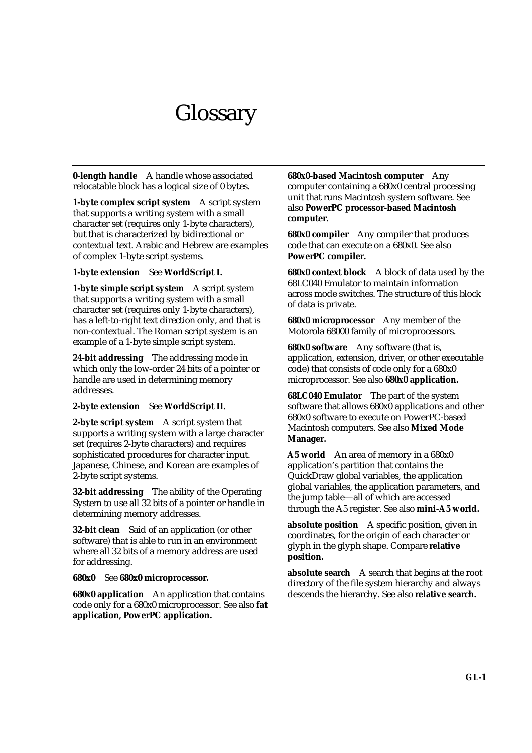# **Glossary**

**0-length handle** A handle whose associated relocatable block has a logical size of 0 bytes.

**1-byte complex script system** A script system that supports a writing system with a small character set (requires only 1-byte characters), but that is characterized by bidirectional or contextual text. Arabic and Hebrew are examples of complex 1-byte script systems.

# **1-byte extension** See **WorldScript I.**

**1-byte simple script system** A script system that supports a writing system with a small character set (requires only 1-byte characters), has a left-to-right text direction only, and that is non-contextual. The Roman script system is an example of a 1-byte simple script system.

**24-bit addressing** The addressing mode in which only the low-order 24 bits of a pointer or handle are used in determining memory addresses.

#### **2-byte extension** See **WorldScript II.**

**2-byte script system** A script system that supports a writing system with a large character set (requires 2-byte characters) and requires sophisticated procedures for character input. Japanese, Chinese, and Korean are examples of 2-byte script systems.

**32-bit addressing** The ability of the Operating System to use all 32 bits of a pointer or handle in determining memory addresses.

**32-bit clean** Said of an application (or other software) that is able to run in an environment where all 32 bits of a memory address are used for addressing.

#### **680x0** See **680x0 microprocessor.**

**680x0 application** An application that contains code only for a 680x0 microprocessor. See also **fat application, PowerPC application.**

**680x0-based Macintosh computer** Any computer containing a 680x0 central processing unit that runs Macintosh system software. See also **PowerPC processor-based Macintosh computer.**

**680x0 compiler** Any compiler that produces code that can execute on a 680x0. See also **PowerPC compiler.**

**680x0 context block** A block of data used by the 68LC040 Emulator to maintain information across mode switches. The structure of this block of data is private.

**680x0 microprocessor** Any member of the Motorola 68000 family of microprocessors.

**680x0 software** Any software (that is, application, extension, driver, or other executable code) that consists of code only for a 680x0 microprocessor. See also **680x0 application.**

**68LC040 Emulator** The part of the system software that allows 680x0 applications and other 680x0 software to execute on PowerPC-based Macintosh computers. See also **Mixed Mode Manager.**

**A5 world** An area of memory in a 680x0 application's partition that contains the QuickDraw global variables, the application global variables, the application parameters, and the jump table—all of which are accessed through the A5 register. See also **mini-A5 world.**

**absolute position** A specific position, given in coordinates, for the origin of each character or glyph in the glyph shape. Compare **relative position.**

**absolute search** A search that begins at the root directory of the file system hierarchy and always descends the hierarchy. See also **relative search.**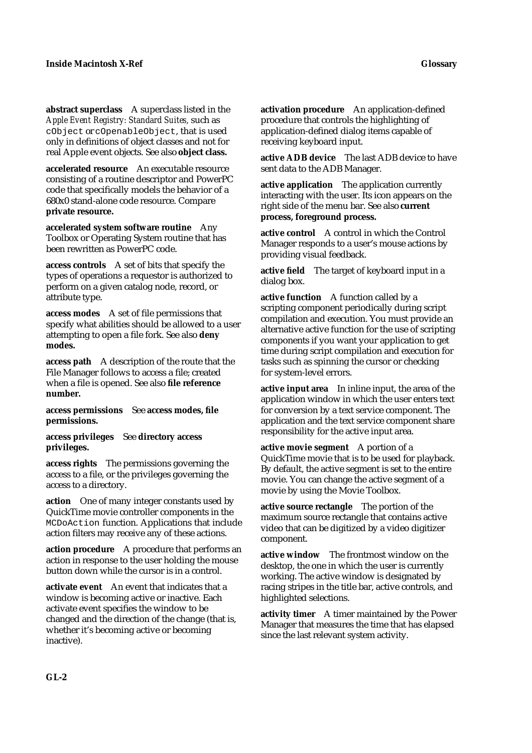**abstract superclass** A superclass listed in the *Apple Event Registry: Standard Suites,* such as cObject or cOpenableObject, that is used only in definitions of object classes and not for real Apple event objects. See also **object class.**

**accelerated resource** An executable resource consisting of a routine descriptor and PowerPC code that specifically models the behavior of a 680x0 stand-alone code resource. Compare **private resource.**

**accelerated system software routine** Any Toolbox or Operating System routine that has been rewritten as PowerPC code.

**access controls** A set of bits that specify the types of operations a requestor is authorized to perform on a given catalog node, record, or attribute type.

**access modes** A set of file permissions that specify what abilities should be allowed to a user attempting to open a file fork. See also **deny modes.**

**access path** A description of the route that the File Manager follows to access a file; created when a file is opened. See also **file reference number.**

**access permissions** See **access modes, file permissions.**

**access privileges** See **directory access privileges.**

**access rights** The permissions governing the access to a file, or the privileges governing the access to a directory.

**action** One of many integer constants used by QuickTime movie controller components in the MCDoAction function. Applications that include action filters may receive any of these actions.

**action procedure** A procedure that performs an action in response to the user holding the mouse button down while the cursor is in a control.

**activate event** An event that indicates that a window is becoming active or inactive. Each activate event specifies the window to be changed and the direction of the change (that is, whether it's becoming active or becoming inactive).

**activation procedure** An application-defined procedure that controls the highlighting of application-defined dialog items capable of receiving keyboard input.

**active ADB device** The last ADB device to have sent data to the ADB Manager.

**active application** The application currently interacting with the user. Its icon appears on the right side of the menu bar. See also **current process, foreground process.**

**active control** A control in which the Control Manager responds to a user's mouse actions by providing visual feedback.

**active field** The target of keyboard input in a dialog box.

**active function** A function called by a scripting component periodically during script compilation and execution. You must provide an alternative active function for the use of scripting components if you want your application to get time during script compilation and execution for tasks such as spinning the cursor or checking for system-level errors.

**active input area** In inline input, the area of the application window in which the user enters text for conversion by a text service component. The application and the text service component share responsibility for the active input area.

**active movie segment** A portion of a QuickTime movie that is to be used for playback. By default, the active segment is set to the entire movie. You can change the active segment of a movie by using the Movie Toolbox.

**active source rectangle** The portion of the maximum source rectangle that contains active video that can be digitized by a video digitizer component.

**active window** The frontmost window on the desktop, the one in which the user is currently working. The active window is designated by racing stripes in the title bar, active controls, and highlighted selections.

**activity timer** A timer maintained by the Power Manager that measures the time that has elapsed since the last relevant system activity.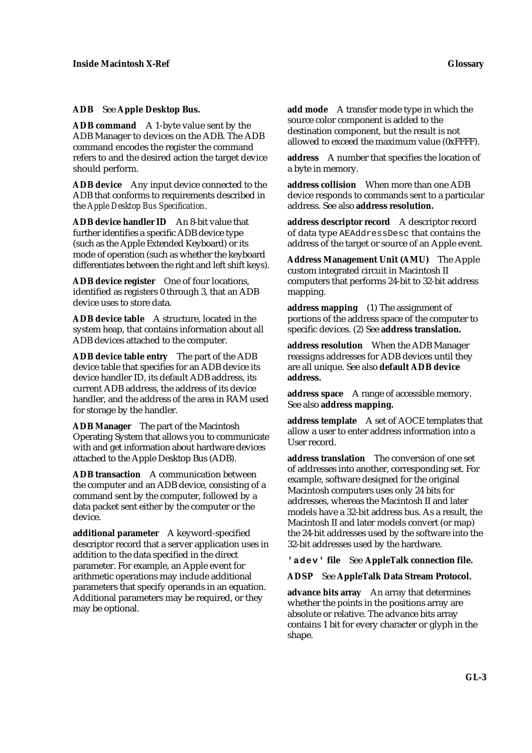#### **ADB** See **Apple Desktop Bus.**

**ADB command** A 1-byte value sent by the ADB Manager to devices on the ADB. The ADB command encodes the register the command refers to and the desired action the target device should perform.

**ADB device** Any input device connected to the ADB that conforms to requirements described in the *Apple Desktop Bus Specification*.

**ADB device handler ID** An 8-bit value that further identifies a specific ADB device type (such as the Apple Extended Keyboard) or its mode of operation (such as whether the keyboard differentiates between the right and left shift keys).

**ADB device register** One of four locations, identified as registers 0 through 3, that an ADB device uses to store data.

**ADB device table** A structure, located in the system heap, that contains information about all ADB devices attached to the computer.

**ADB device table entry** The part of the ADB device table that specifies for an ADB device its device handler ID, its default ADB address, its current ADB address, the address of its device handler, and the address of the area in RAM used for storage by the handler.

**ADB Manager** The part of the Macintosh Operating System that allows you to communicate with and get information about hardware devices attached to the Apple Desktop Bus (ADB).

**ADB transaction** A communication between the computer and an ADB device, consisting of a command sent by the computer, followed by a data packet sent either by the computer or the device.

**additional parameter** A keyword-specified descriptor record that a server application uses in addition to the data specified in the direct parameter. For example, an Apple event for arithmetic operations may include additional parameters that specify operands in an equation. Additional parameters may be required, or they may be optional.

**add mode** A transfer mode type in which the source color component is added to the destination component, but the result is not allowed to exceed the maximum value (0xFFFF).

**address** A number that specifies the location of a byte in memory.

**address collision** When more than one ADB device responds to commands sent to a particular address. See also **address resolution.**

**address descriptor record** A descriptor record of data type AEAddressDesc that contains the address of the target or source of an Apple event.

**Address Management Unit (AMU)** The Apple custom integrated circuit in Macintosh II computers that performs 24-bit to 32-bit address mapping.

**address mapping** (1) The assignment of portions of the address space of the computer to specific devices. (2) See **address translation.**

**address resolution** When the ADB Manager reassigns addresses for ADB devices until they are all unique. See also **default ADB device address.**

**address space** A range of accessible memory. See also **address mapping.**

**address template** A set of AOCE templates that allow a user to enter address information into a User record.

**address translation** The conversion of one set of addresses into another, corresponding set. For example, software designed for the original Macintosh computers uses only 24 bits for addresses, whereas the Macintosh II and later models have a 32-bit address bus. As a result, the Macintosh II and later models convert (or map) the 24-bit addresses used by the software into the 32-bit addresses used by the hardware.

**'adev' file** See **AppleTalk connection file.**

**ADSP** See **AppleTalk Data Stream Protocol.**

**advance bits array** An array that determines whether the points in the positions array are absolute or relative. The advance bits array contains 1 bit for every character or glyph in the shape.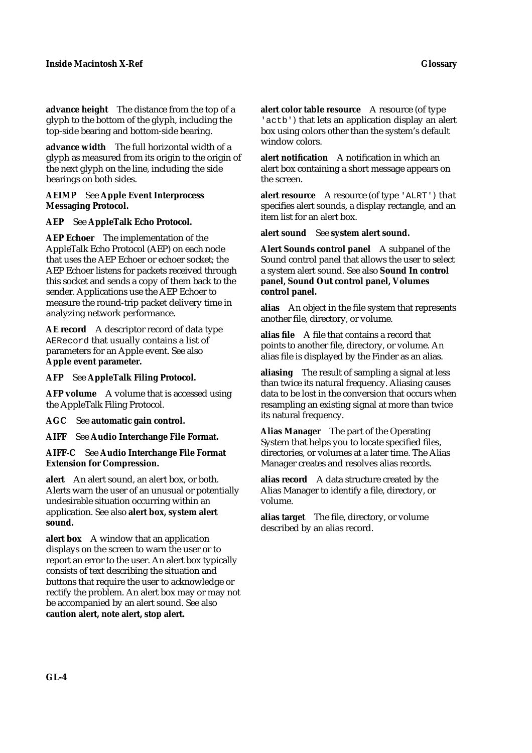**advance height** The distance from the top of a glyph to the bottom of the glyph, including the top-side bearing and bottom-side bearing.

**advance width** The full horizontal width of a glyph as measured from its origin to the origin of the next glyph on the line, including the side bearings on both sides.

### **AEIMP** See **Apple Event Interprocess Messaging Protocol.**

# **AEP** See **AppleTalk Echo Protocol.**

**AEP Echoer** The implementation of the AppleTalk Echo Protocol (AEP) on each node that uses the AEP Echoer or echoer socket; the AEP Echoer listens for packets received through this socket and sends a copy of them back to the sender. Applications use the AEP Echoer to measure the round-trip packet delivery time in analyzing network performance.

**AE record** A descriptor record of data type AERecord that usually contains a list of parameters for an Apple event. See also **Apple event parameter.**

**AFP** See **AppleTalk Filing Protocol.**

**AFP volume** A volume that is accessed using the AppleTalk Filing Protocol.

**AGC** See **automatic gain control.**

**AIFF** See **Audio Interchange File Format.**

## **AIFF-C** See **Audio Interchange File Format Extension for Compression.**

**alert** An alert sound, an alert box, or both. Alerts warn the user of an unusual or potentially undesirable situation occurring within an application. See also **alert box, system alert sound.**

**alert box** A window that an application displays on the screen to warn the user or to report an error to the user. An alert box typically consists of text describing the situation and buttons that require the user to acknowledge or rectify the problem. An alert box may or may not be accompanied by an alert sound. See also **caution alert, note alert, stop alert.**

**alert color table resource** A resource (of type 'actb') that lets an application display an alert box using colors other than the system's default window colors.

**alert notification** A notification in which an alert box containing a short message appears on the screen.

**alert resource** A resource (of type 'ALRT') that specifies alert sounds, a display rectangle, and an item list for an alert box.

**alert sound** See **system alert sound.**

**Alert Sounds control panel** A subpanel of the Sound control panel that allows the user to select a system alert sound. See also **Sound In control panel, Sound Out control panel, Volumes control panel.**

**alias** An object in the file system that represents another file, directory, or volume.

**alias file** A file that contains a record that points to another file, directory, or volume. An alias file is displayed by the Finder as an alias.

**aliasing** The result of sampling a signal at less than twice its natural frequency. Aliasing causes data to be lost in the conversion that occurs when resampling an existing signal at more than twice its natural frequency.

**Alias Manager** The part of the Operating System that helps you to locate specified files, directories, or volumes at a later time. The Alias Manager creates and resolves alias records.

**alias record** A data structure created by the Alias Manager to identify a file, directory, or volume.

**alias target** The file, directory, or volume described by an alias record.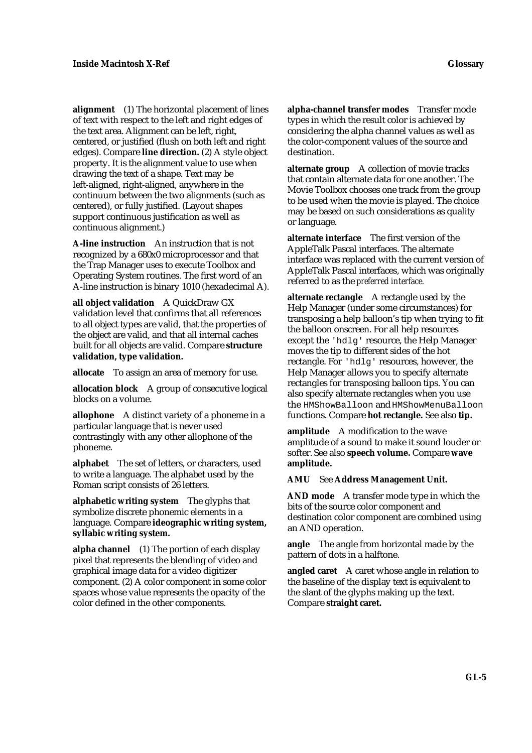**alignment** (1) The horizontal placement of lines of text with respect to the left and right edges of the text area. Alignment can be left, right, centered, or justified (flush on both left and right edges). Compare **line direction.** (2) A style object property. It is the alignment value to use when drawing the text of a shape. Text may be left-aligned, right-aligned, anywhere in the continuum between the two alignments (such as centered), or fully justified. (Layout shapes support continuous justification as well as continuous alignment.)

**A-line instruction** An instruction that is not recognized by a 680x0 microprocessor and that the Trap Manager uses to execute Toolbox and Operating System routines. The first word of an A-line instruction is binary 1010 (hexadecimal A).

**all object validation** A QuickDraw GX validation level that confirms that all references to all object types are valid, that the properties of the object are valid, and that all internal caches built for all objects are valid. Compare **structure validation, type validation.**

**allocate** To assign an area of memory for use.

**allocation block** A group of consecutive logical blocks on a volume.

**allophone** A distinct variety of a phoneme in a particular language that is never used contrastingly with any other allophone of the phoneme.

**alphabet** The set of letters, or characters, used to write a language. The alphabet used by the Roman script consists of 26 letters.

**alphabetic writing system** The glyphs that symbolize discrete phonemic elements in a language. Compare **ideographic writing system, syllabic writing system.**

**alpha channel** (1) The portion of each display pixel that represents the blending of video and graphical image data for a video digitizer component. (2) A color component in some color spaces whose value represents the opacity of the color defined in the other components.

**alpha-channel transfer modes** Transfer mode types in which the result color is achieved by considering the alpha channel values as well as the color-component values of the source and destination.

**alternate group** A collection of movie tracks that contain alternate data for one another. The Movie Toolbox chooses one track from the group to be used when the movie is played. The choice may be based on such considerations as quality or language.

**alternate interface** The first version of the AppleTalk Pascal interfaces. The alternate interface was replaced with the current version of AppleTalk Pascal interfaces, which was originally referred to as the *preferred interface.*

**alternate rectangle** A rectangle used by the Help Manager (under some circumstances) for transposing a help balloon's tip when trying to fit the balloon onscreen. For all help resources except the 'hdlg' resource, the Help Manager moves the tip to different sides of the hot rectangle. For 'hdlg' resources, however, the Help Manager allows you to specify alternate rectangles for transposing balloon tips. You can also specify alternate rectangles when you use the HMShowBalloon and HMShowMenuBalloon functions. Compare **hot rectangle.** See also **tip.**

**amplitude** A modification to the wave amplitude of a sound to make it sound louder or softer. See also **speech volume.** Compare **wave amplitude.**

**AMU** See **Address Management Unit.**

**AND mode** A transfer mode type in which the bits of the source color component and destination color component are combined using an AND operation.

**angle** The angle from horizontal made by the pattern of dots in a halftone.

**angled caret** A caret whose angle in relation to the baseline of the display text is equivalent to the slant of the glyphs making up the text. Compare **straight caret.**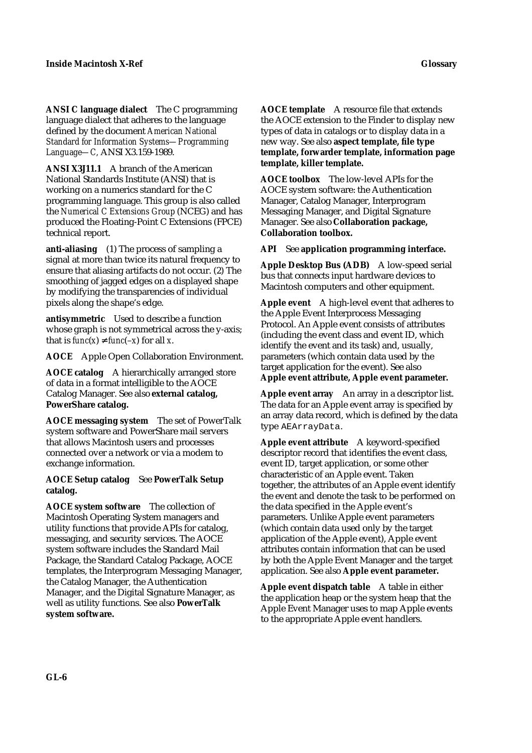**ANSI C language dialect** The C programming language dialect that adheres to the language defined by the document *American National Standard for Information Systems—Programming Language—C,* ANSI X3.159-1989.

**ANSI X3J11.1** A branch of the American National Standards Institute (ANSI) that is working on a numerics standard for the C programming language. This group is also called the *Numerical C Extensions Group* (NCEG) and has produced the Floating-Point C Extensions (FPCE) technical report.

**anti-aliasing** (1) The process of sampling a signal at more than twice its natural frequency to ensure that aliasing artifacts do not occur. (2) The smoothing of jagged edges on a displayed shape by modifying the transparencies of individual pixels along the shape's edge.

**antisymmetric** Used to describe a function whose graph is not symmetrical across the y-axis; that is  $func(x)$  *func*( $-x$ ) for all *x*.

**AOCE** Apple Open Collaboration Environment.

**AOCE catalog** A hierarchically arranged store of data in a format intelligible to the AOCE Catalog Manager. See also **external catalog, PowerShare catalog.**

**AOCE messaging system** The set of PowerTalk system software and PowerShare mail servers that allows Macintosh users and processes connected over a network or via a modem to exchange information.

## **AOCE Setup catalog** See **PowerTalk Setup catalog.**

**AOCE system software** The collection of Macintosh Operating System managers and utility functions that provide APIs for catalog, messaging, and security services. The AOCE system software includes the Standard Mail Package, the Standard Catalog Package, AOCE templates, the Interprogram Messaging Manager, the Catalog Manager, the Authentication Manager, and the Digital Signature Manager, as well as utility functions. See also **PowerTalk system software.**

**AOCE template** A resource file that extends the AOCE extension to the Finder to display new types of data in catalogs or to display data in a new way. See also **aspect template, file type template, forwarder template, information page template, killer template.**

**AOCE toolbox** The low-level APIs for the AOCE system software: the Authentication Manager, Catalog Manager, Interprogram Messaging Manager, and Digital Signature Manager. See also **Collaboration package, Collaboration toolbox.**

**API** See **application programming interface.**

**Apple Desktop Bus (ADB)** A low-speed serial bus that connects input hardware devices to Macintosh computers and other equipment.

**Apple event** A high-level event that adheres to the Apple Event Interprocess Messaging Protocol. An Apple event consists of attributes (including the event class and event ID, which identify the event and its task) and, usually, parameters (which contain data used by the target application for the event). See also **Apple event attribute, Apple event parameter.**

**Apple event array** An array in a descriptor list. The data for an Apple event array is specified by an array data record, which is defined by the data type AEArrayData.

**Apple event attribute** A keyword-specified descriptor record that identifies the event class, event ID, target application, or some other characteristic of an Apple event. Taken together, the attributes of an Apple event identify the event and denote the task to be performed on the data specified in the Apple event's parameters. Unlike Apple event parameters (which contain data used only by the target application of the Apple event), Apple event attributes contain information that can be used by both the Apple Event Manager and the target application. See also **Apple event parameter.**

**Apple event dispatch table** A table in either the application heap or the system heap that the Apple Event Manager uses to map Apple events to the appropriate Apple event handlers.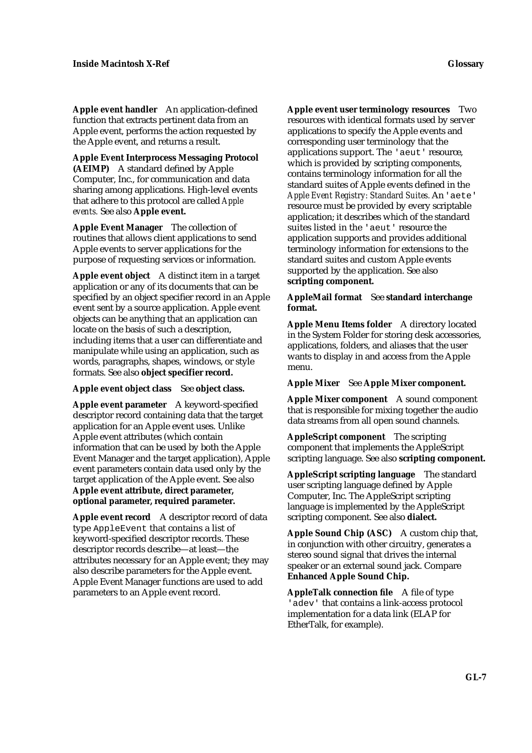**Apple event handler** An application-defined function that extracts pertinent data from an Apple event, performs the action requested by the Apple event, and returns a result.

**Apple Event Interprocess Messaging Protocol (AEIMP)** A standard defined by Apple Computer, Inc., for communication and data sharing among applications. High-level events that adhere to this protocol are called *Apple events.* See also **Apple event.**

**Apple Event Manager** The collection of routines that allows client applications to send Apple events to server applications for the purpose of requesting services or information.

**Apple event object** A distinct item in a target application or any of its documents that can be specified by an object specifier record in an Apple event sent by a source application. Apple event objects can be anything that an application can locate on the basis of such a description, including items that a user can differentiate and manipulate while using an application, such as words, paragraphs, shapes, windows, or style formats. See also **object specifier record.**

#### **Apple event object class** See **object class.**

**Apple event parameter** A keyword-specified descriptor record containing data that the target application for an Apple event uses. Unlike Apple event attributes (which contain information that can be used by both the Apple Event Manager and the target application), Apple event parameters contain data used only by the target application of the Apple event. See also **Apple event attribute, direct parameter, optional parameter, required parameter.**

**Apple event record** A descriptor record of data type AppleEvent that contains a list of keyword-specified descriptor records. These descriptor records describe—at least—the attributes necessary for an Apple event; they may also describe parameters for the Apple event. Apple Event Manager functions are used to add parameters to an Apple event record.

**Apple event user terminology resources** Two resources with identical formats used by server applications to specify the Apple events and corresponding user terminology that the applications support. The 'aeut' resource, which is provided by scripting components, contains terminology information for all the standard suites of Apple events defined in the *Apple Event Registry: Standard Suites.* An 'aete' resource must be provided by every scriptable application; it describes which of the standard suites listed in the 'aeut' resource the application supports and provides additional terminology information for extensions to the standard suites and custom Apple events supported by the application. See also **scripting component.**

**AppleMail format** See **standard interchange format.**

**Apple Menu Items folder** A directory located in the System Folder for storing desk accessories, applications, folders, and aliases that the user wants to display in and access from the Apple menu.

**Apple Mixer** See **Apple Mixer component.**

**Apple Mixer component** A sound component that is responsible for mixing together the audio data streams from all open sound channels.

**AppleScript component** The scripting component that implements the AppleScript scripting language. See also **scripting component.**

**AppleScript scripting language** The standard user scripting language defined by Apple Computer, Inc. The AppleScript scripting language is implemented by the AppleScript scripting component. See also **dialect.**

**Apple Sound Chip (ASC)** A custom chip that, in conjunction with other circuitry, generates a stereo sound signal that drives the internal speaker or an external sound jack. Compare **Enhanced Apple Sound Chip.**

**AppleTalk connection file** A file of type 'adev' that contains a link-access protocol implementation for a data link (ELAP for EtherTalk, for example).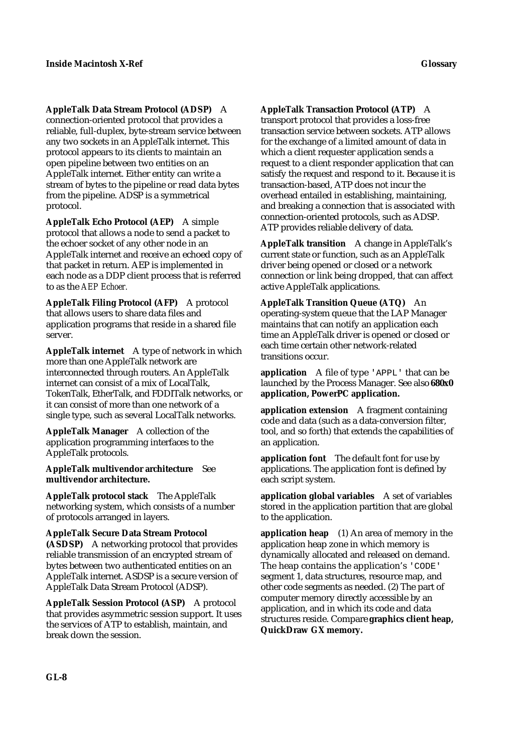**AppleTalk Data Stream Protocol (ADSP)** A connection-oriented protocol that provides a reliable, full-duplex, byte-stream service between any two sockets in an AppleTalk internet. This protocol appears to its clients to maintain an open pipeline between two entities on an AppleTalk internet. Either entity can write a stream of bytes to the pipeline or read data bytes from the pipeline. ADSP is a symmetrical protocol.

**AppleTalk Echo Protocol (AEP)** A simple protocol that allows a node to send a packet to the echoer socket of any other node in an AppleTalk internet and receive an echoed copy of that packet in return. AEP is implemented in each node as a DDP client process that is referred to as the *AEP Echoer.*

**AppleTalk Filing Protocol (AFP)** A protocol that allows users to share data files and application programs that reside in a shared file server.

**AppleTalk internet** A type of network in which more than one AppleTalk network are interconnected through routers. An AppleTalk internet can consist of a mix of LocalTalk, TokenTalk, EtherTalk, and FDDITalk networks, or it can consist of more than one network of a single type, such as several LocalTalk networks.

**AppleTalk Manager** A collection of the application programming interfaces to the AppleTalk protocols.

**AppleTalk multivendor architecture** See **multivendor architecture.**

**AppleTalk protocol stack** The AppleTalk networking system, which consists of a number of protocols arranged in layers.

**AppleTalk Secure Data Stream Protocol (ASDSP)** A networking protocol that provides reliable transmission of an encrypted stream of bytes between two authenticated entities on an AppleTalk internet. ASDSP is a secure version of AppleTalk Data Stream Protocol (ADSP).

**AppleTalk Session Protocol (ASP)** A protocol that provides asymmetric session support. It uses the services of ATP to establish, maintain, and break down the session.

**AppleTalk Transaction Protocol (ATP)** A

transport protocol that provides a loss-free transaction service between sockets. ATP allows for the exchange of a limited amount of data in which a client requester application sends a request to a client responder application that can satisfy the request and respond to it. Because it is transaction-based, ATP does not incur the overhead entailed in establishing, maintaining, and breaking a connection that is associated with connection-oriented protocols, such as ADSP. ATP provides reliable delivery of data.

**AppleTalk transition** A change in AppleTalk's current state or function, such as an AppleTalk driver being opened or closed or a network connection or link being dropped, that can affect active AppleTalk applications.

**AppleTalk Transition Queue (ATQ)** An operating-system queue that the LAP Manager maintains that can notify an application each time an AppleTalk driver is opened or closed or each time certain other network-related transitions occur.

**application** A file of type 'APPL' that can be launched by the Process Manager. See also **680x0 application, PowerPC application.**

**application extension** A fragment containing code and data (such as a data-conversion filter, tool, and so forth) that extends the capabilities of an application.

**application font** The default font for use by applications. The application font is defined by each script system.

**application global variables** A set of variables stored in the application partition that are global to the application.

**application heap** (1) An area of memory in the application heap zone in which memory is dynamically allocated and released on demand. The heap contains the application's 'CODE' segment 1, data structures, resource map, and other code segments as needed. (2) The part of computer memory directly accessible by an application, and in which its code and data structures reside. Compare **graphics client heap, QuickDraw GX memory.**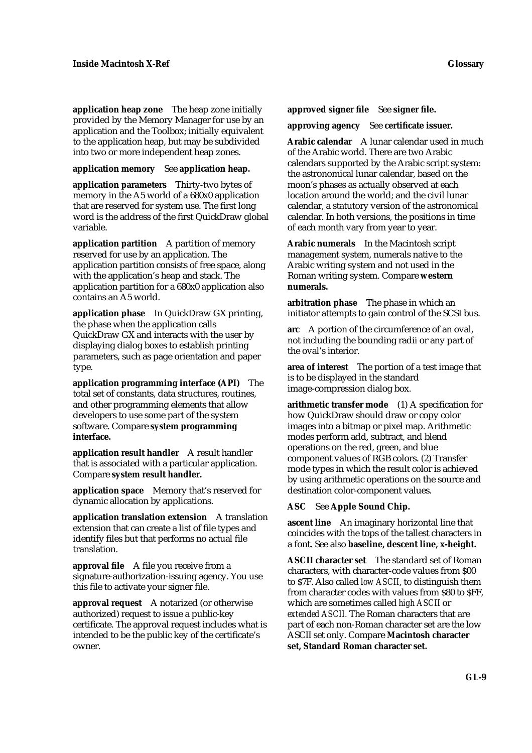**application heap zone** The heap zone initially provided by the Memory Manager for use by an application and the Toolbox; initially equivalent to the application heap, but may be subdivided into two or more independent heap zones.

#### **application memory** See **application heap.**

**application parameters** Thirty-two bytes of memory in the A5 world of a 680x0 application that are reserved for system use. The first long word is the address of the first QuickDraw global variable.

**application partition** A partition of memory reserved for use by an application. The application partition consists of free space, along with the application's heap and stack. The application partition for a 680x0 application also contains an A5 world.

**application phase** In QuickDraw GX printing, the phase when the application calls QuickDraw GX and interacts with the user by displaying dialog boxes to establish printing parameters, such as page orientation and paper type.

**application programming interface (API)** The total set of constants, data structures, routines, and other programming elements that allow developers to use some part of the system software. Compare **system programming interface.**

**application result handler** A result handler that is associated with a particular application. Compare **system result handler.**

**application space** Memory that's reserved for dynamic allocation by applications.

**application translation extension** A translation extension that can create a list of file types and identify files but that performs no actual file translation.

**approval file** A file you receive from a signature-authorization-issuing agency. You use this file to activate your signer file.

**approval request** A notarized (or otherwise authorized) request to issue a public-key certificate. The approval request includes what is intended to be the public key of the certificate's owner.

**approved signer file** See **signer file.**

**approving agency** See **certificate issuer.**

**Arabic calendar** A lunar calendar used in much of the Arabic world. There are two Arabic calendars supported by the Arabic script system: the astronomical lunar calendar, based on the moon's phases as actually observed at each location around the world; and the civil lunar calendar, a statutory version of the astronomical calendar. In both versions, the positions in time of each month vary from year to year.

**Arabic numerals** In the Macintosh script management system, numerals native to the Arabic writing system and not used in the Roman writing system. Compare **western numerals.**

**arbitration phase** The phase in which an initiator attempts to gain control of the SCSI bus.

**arc** A portion of the circumference of an oval, not including the bounding radii or any part of the oval's interior.

**area of interest** The portion of a test image that is to be displayed in the standard image-compression dialog box.

**arithmetic transfer mode** (1) A specification for how QuickDraw should draw or copy color images into a bitmap or pixel map. Arithmetic modes perform add, subtract, and blend operations on the red, green, and blue component values of RGB colors. (2) Transfer mode types in which the result color is achieved by using arithmetic operations on the source and destination color-component values.

**ASC** See **Apple Sound Chip.**

**ascent line** An imaginary horizontal line that coincides with the tops of the tallest characters in a font. See also **baseline, descent line, x-height.**

**ASCII character set** The standard set of Roman characters, with character-code values from \$00 to \$7F. Also called *low ASCII*, to distinguish them from character codes with values from \$80 to \$FF, which are sometimes called *high ASCII* or *extended ASCII.* The Roman characters that are part of each non-Roman character set are the low ASCII set only. Compare **Macintosh character set, Standard Roman character set.**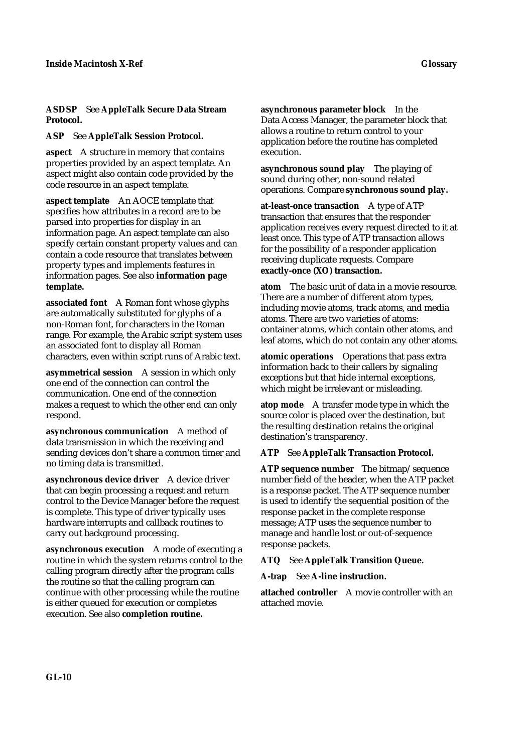#### **ASDSP** See **AppleTalk Secure Data Stream Protocol.**

**ASP** See **AppleTalk Session Protocol.**

**aspect** A structure in memory that contains properties provided by an aspect template. An aspect might also contain code provided by the code resource in an aspect template.

**aspect template** An AOCE template that specifies how attributes in a record are to be parsed into properties for display in an information page. An aspect template can also specify certain constant property values and can contain a code resource that translates between property types and implements features in information pages. See also **information page template.**

**associated font** A Roman font whose glyphs are automatically substituted for glyphs of a non-Roman font, for characters in the Roman range. For example, the Arabic script system uses an associated font to display all Roman characters, even within script runs of Arabic text.

**asymmetrical session** A session in which only one end of the connection can control the communication. One end of the connection makes a request to which the other end can only respond.

**asynchronous communication** A method of data transmission in which the receiving and sending devices don't share a common timer and no timing data is transmitted.

**asynchronous device driver** A device driver that can begin processing a request and return control to the Device Manager before the request is complete. This type of driver typically uses hardware interrupts and callback routines to carry out background processing.

**asynchronous execution** A mode of executing a routine in which the system returns control to the calling program directly after the program calls the routine so that the calling program can continue with other processing while the routine is either queued for execution or completes execution. See also **completion routine.**

**asynchronous parameter block** In the Data Access Manager, the parameter block that allows a routine to return control to your application before the routine has completed execution.

**asynchronous sound play** The playing of sound during other, non-sound related operations. Compare **synchronous sound play.**

**at-least-once transaction** A type of ATP transaction that ensures that the responder application receives every request directed to it at least once. This type of ATP transaction allows for the possibility of a responder application receiving duplicate requests. Compare **exactly-once (XO) transaction.**

**atom** The basic unit of data in a movie resource. There are a number of different atom types, including movie atoms, track atoms, and media atoms. There are two varieties of atoms: container atoms, which contain other atoms, and leaf atoms, which do not contain any other atoms.

**atomic operations** Operations that pass extra information back to their callers by signaling exceptions but that hide internal exceptions, which might be irrelevant or misleading.

**atop mode** A transfer mode type in which the source color is placed over the destination, but the resulting destination retains the original destination's transparency.

# **ATP** See **AppleTalk Transaction Protocol.**

**ATP sequence number** The bitmap/sequence number field of the header, when the ATP packet is a response packet. The ATP sequence number is used to identify the sequential position of the response packet in the complete response message; ATP uses the sequence number to manage and handle lost or out-of-sequence response packets.

**ATQ** See **AppleTalk Transition Queue.**

**A-trap** See **A-line instruction.**

**attached controller** A movie controller with an attached movie.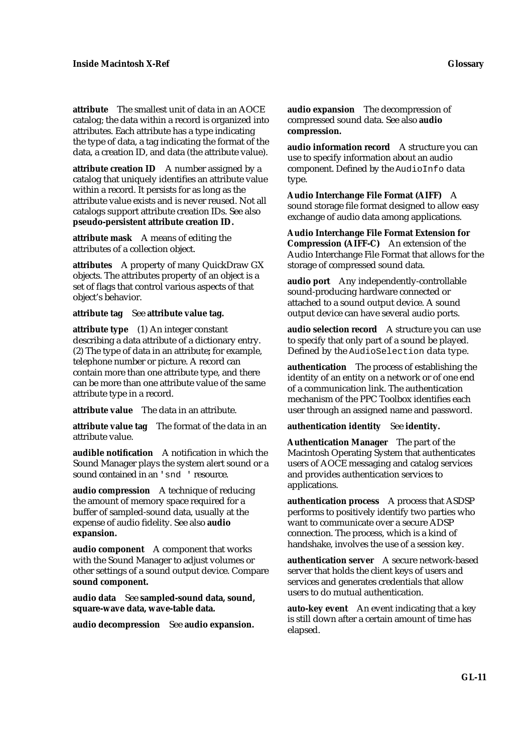**attribute** The smallest unit of data in an AOCE catalog; the data within a record is organized into attributes. Each attribute has a type indicating the type of data, a tag indicating the format of the data, a creation ID, and data (the attribute value).

**attribute creation ID** A number assigned by a catalog that uniquely identifies an attribute value within a record. It persists for as long as the attribute value exists and is never reused. Not all catalogs support attribute creation IDs. See also **pseudo-persistent attribute creation ID.**

**attribute mask** A means of editing the attributes of a collection object.

**attributes** A property of many QuickDraw GX objects. The attributes property of an object is a set of flags that control various aspects of that object's behavior.

#### **attribute tag** See **attribute value tag.**

**attribute type** (1) An integer constant describing a data attribute of a dictionary entry. (2) The type of data in an attribute**;** for example, telephone number or picture. A record can contain more than one attribute type, and there can be more than one attribute value of the same attribute type in a record.

**attribute value** The data in an attribute.

**attribute value tag** The format of the data in an attribute value.

**audible notification** A notification in which the Sound Manager plays the system alert sound or a sound contained in an 'snd ' resource.

**audio compression** A technique of reducing the amount of memory space required for a buffer of sampled-sound data, usually at the expense of audio fidelity. See also **audio expansion.**

**audio component** A component that works with the Sound Manager to adjust volumes or other settings of a sound output device. Compare **sound component.**

**audio data** See **sampled-sound data, sound, square-wave data, wave-table data.**

**audio decompression** See **audio expansion.**

**audio expansion** The decompression of compressed sound data. See also **audio compression.**

**audio information record** A structure you can use to specify information about an audio component. Defined by the AudioInfo data type.

**Audio Interchange File Format (AIFF)** A sound storage file format designed to allow easy exchange of audio data among applications.

**Audio Interchange File Format Extension for Compression (AIFF-C)** An extension of the Audio Interchange File Format that allows for the storage of compressed sound data.

**audio port** Any independently-controllable sound-producing hardware connected or attached to a sound output device. A sound output device can have several audio ports.

**audio selection record** A structure you can use to specify that only part of a sound be played. Defined by the AudioSelection data type.

**authentication** The process of establishing the identity of an entity on a network or of one end of a communication link. The authentication mechanism of the PPC Toolbox identifies each user through an assigned name and password.

#### **authentication identity** See **identity.**

**Authentication Manager** The part of the Macintosh Operating System that authenticates users of AOCE messaging and catalog services and provides authentication services to applications.

**authentication process** A process that ASDSP performs to positively identify two parties who want to communicate over a secure ADSP connection. The process, which is a kind of handshake, involves the use of a session key.

**authentication server** A secure network-based server that holds the client keys of users and services and generates credentials that allow users to do mutual authentication.

**auto-key event** An event indicating that a key is still down after a certain amount of time has elapsed.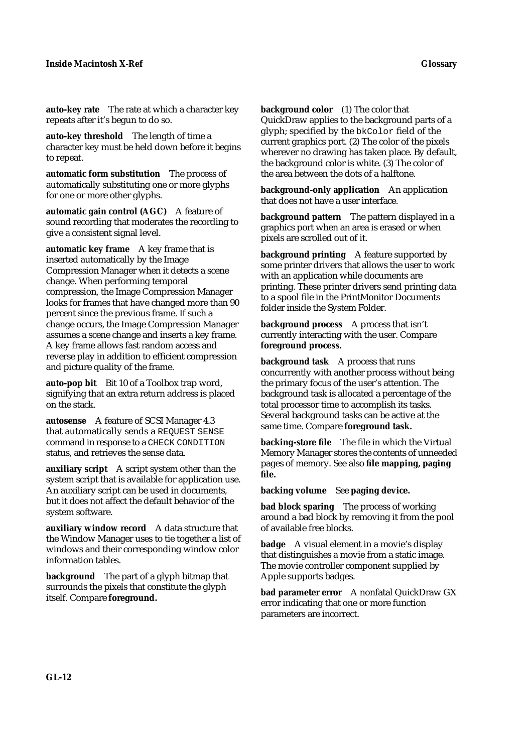**auto-key rate** The rate at which a character key repeats after it's begun to do so.

**auto-key threshold** The length of time a character key must be held down before it begins to repeat.

**automatic form substitution** The process of automatically substituting one or more glyphs for one or more other glyphs.

**automatic gain control (AGC)** A feature of sound recording that moderates the recording to give a consistent signal level.

**automatic key frame** A key frame that is inserted automatically by the Image Compression Manager when it detects a scene change. When performing temporal compression, the Image Compression Manager looks for frames that have changed more than 90 percent since the previous frame. If such a change occurs, the Image Compression Manager assumes a scene change and inserts a key frame. A key frame allows fast random access and reverse play in addition to efficient compression and picture quality of the frame.

**auto-pop bit** Bit 10 of a Toolbox trap word, signifying that an extra return address is placed on the stack.

**autosense** A feature of SCSI Manager 4.3 that automatically sends a REQUEST SENSE command in response to a CHECK CONDITION status, and retrieves the sense data.

**auxiliary script** A script system other than the system script that is available for application use. An auxiliary script can be used in documents, but it does not affect the default behavior of the system software.

**auxiliary window record** A data structure that the Window Manager uses to tie together a list of windows and their corresponding window color information tables.

**background** The part of a glyph bitmap that surrounds the pixels that constitute the glyph itself. Compare **foreground.**

**background color** (1) The color that

QuickDraw applies to the background parts of a glyph; specified by the bkColor field of the current graphics port. (2) The color of the pixels wherever no drawing has taken place. By default, the background color is white. (3) The color of the area between the dots of a halftone.

**background-only application** An application that does not have a user interface.

**background pattern** The pattern displayed in a graphics port when an area is erased or when pixels are scrolled out of it.

**background printing** A feature supported by some printer drivers that allows the user to work with an application while documents are printing. These printer drivers send printing data to a spool file in the PrintMonitor Documents folder inside the System Folder.

**background process** A process that isn't currently interacting with the user. Compare **foreground process.**

**background task** A process that runs concurrently with another process without being the primary focus of the user's attention. The background task is allocated a percentage of the total processor time to accomplish its tasks. Several background tasks can be active at the same time. Compare **foreground task.**

**backing-store file** The file in which the Virtual Memory Manager stores the contents of unneeded pages of memory. See also **file mapping, paging file.**

**backing volume** See **paging device.**

**bad block sparing** The process of working around a bad block by removing it from the pool of available free blocks.

**badge** A visual element in a movie's display that distinguishes a movie from a static image. The movie controller component supplied by Apple supports badges.

**bad parameter error** A nonfatal QuickDraw GX error indicating that one or more function parameters are incorrect.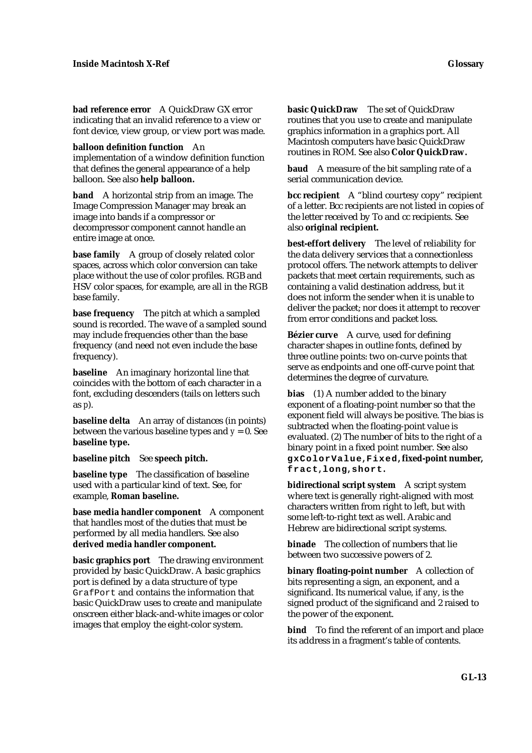**bad reference error** A QuickDraw GX error indicating that an invalid reference to a view or font device, view group, or view port was made.

**balloon definition function** An

implementation of a window definition function that defines the general appearance of a help balloon. See also **help balloon.**

**band** A horizontal strip from an image. The Image Compression Manager may break an image into bands if a compressor or decompressor component cannot handle an entire image at once.

**base family** A group of closely related color spaces, across which color conversion can take place without the use of color profiles. RGB and HSV color spaces, for example, are all in the RGB base family.

**base frequency** The pitch at which a sampled sound is recorded. The wave of a sampled sound may include frequencies other than the base frequency (and need not even include the base frequency).

**baseline** An imaginary horizontal line that coincides with the bottom of each character in a font, excluding descenders (tails on letters such as *p*).

**baseline delta** An array of distances (in points) between the various baseline types and  $y = 0$ . See **baseline type.**

**baseline pitch** See **speech pitch.**

**baseline type** The classification of baseline used with a particular kind of text. See, for example, **Roman baseline.**

**base media handler component** A component that handles most of the duties that must be performed by all media handlers. See also **derived media handler component.**

**basic graphics port** The drawing environment provided by basic QuickDraw. A basic graphics port is defined by a data structure of type GrafPort and contains the information that basic QuickDraw uses to create and manipulate onscreen either black-and-white images or color images that employ the eight-color system.

**basic QuickDraw** The set of QuickDraw routines that you use to create and manipulate graphics information in a graphics port. All Macintosh computers have basic QuickDraw routines in ROM. See also **Color QuickDraw.**

**baud** A measure of the bit sampling rate of a serial communication device.

**bcc recipient** A "blind courtesy copy" recipient of a letter. Bcc recipients are not listed in copies of the letter received by To and cc recipients. See also **original recipient.**

**best-effort delivery** The level of reliability for the data delivery services that a connectionless protocol offers. The network attempts to deliver packets that meet certain requirements, such as containing a valid destination address, but it does not inform the sender when it is unable to deliver the packet; nor does it attempt to recover from error conditions and packet loss.

**Bézier curve** A curve, used for defining character shapes in outline fonts, defined by three outline points: two on-curve points that serve as endpoints and one off-curve point that determines the degree of curvature.

**bias** (1) A number added to the binary exponent of a floating-point number so that the exponent field will always be positive. The bias is subtracted when the floating-point value is evaluated. (2) The number of bits to the right of a binary point in a fixed point number. See also **gxColorValue, Fixed, fixed-point number, fract, long, short.**

**bidirectional script system** A script system where text is generally right-aligned with most characters written from right to left, but with some left-to-right text as well. Arabic and Hebrew are bidirectional script systems.

**binade** The collection of numbers that lie between two successive powers of 2.

**binary floating-point number** A collection of bits representing a sign, an exponent, and a significand. Its numerical value, if any, is the signed product of the significand and 2 raised to the power of the exponent.

**bind** To find the referent of an import and place its address in a fragment's table of contents.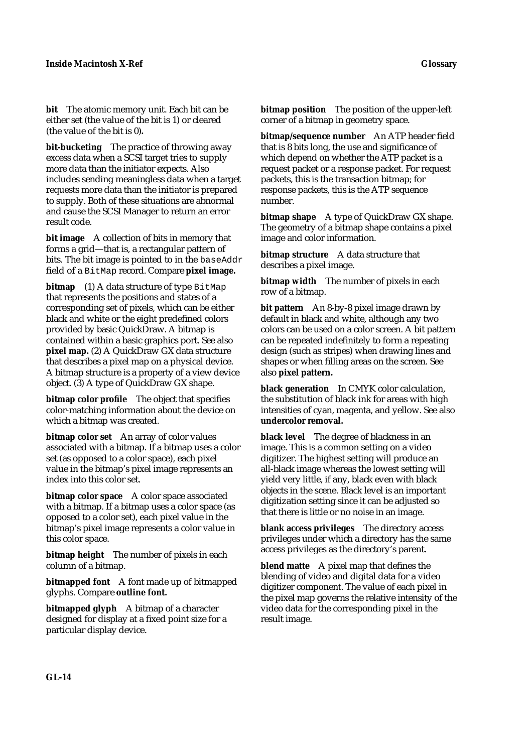**bit** The atomic memory unit. Each bit can be either set (the value of the bit is 1) or cleared (the value of the bit is 0)**.**

**bit-bucketing** The practice of throwing away excess data when a SCSI target tries to supply more data than the initiator expects. Also includes sending meaningless data when a target requests more data than the initiator is prepared to supply. Both of these situations are abnormal and cause the SCSI Manager to return an error result code.

**bit image** A collection of bits in memory that forms a grid—that is, a rectangular pattern of bits. The bit image is pointed to in the baseAddr field of a BitMap record. Compare **pixel image.**

**bitmap** (1) A data structure of type BitMap that represents the positions and states of a corresponding set of pixels, which can be either black and white or the eight predefined colors provided by basic QuickDraw. A bitmap is contained within a basic graphics port. See also **pixel map.** (2) A QuickDraw GX data structure that describes a pixel map on a physical device. A bitmap structure is a property of a view device object. (3) A type of QuickDraw GX shape.

**bitmap color profile** The object that specifies color-matching information about the device on which a bitmap was created.

**bitmap color set** An array of color values associated with a bitmap. If a bitmap uses a color set (as opposed to a color space), each pixel value in the bitmap's pixel image represents an index into this color set.

**bitmap color space** A color space associated with a bitmap. If a bitmap uses a color space (as opposed to a color set), each pixel value in the bitmap's pixel image represents a color value in this color space.

**bitmap height** The number of pixels in each column of a bitmap.

**bitmapped font** A font made up of bitmapped glyphs. Compare **outline font.**

**bitmapped glyph** A bitmap of a character designed for display at a fixed point size for a particular display device.

**bitmap position** The position of the upper-left corner of a bitmap in geometry space.

**bitmap/sequence number** An ATP header field that is 8 bits long, the use and significance of which depend on whether the ATP packet is a request packet or a response packet. For request packets, this is the transaction bitmap; for response packets, this is the ATP sequence number.

**bitmap shape** A type of QuickDraw GX shape. The geometry of a bitmap shape contains a pixel image and color information.

**bitmap structure** A data structure that describes a pixel image.

**bitmap width** The number of pixels in each row of a bitmap.

**bit pattern** An 8-by-8 pixel image drawn by default in black and white, although any two colors can be used on a color screen. A bit pattern can be repeated indefinitely to form a repeating design (such as stripes) when drawing lines and shapes or when filling areas on the screen. See also **pixel pattern.**

**black generation** In CMYK color calculation, the substitution of black ink for areas with high intensities of cyan, magenta, and yellow. See also **undercolor removal.**

**black level** The degree of blackness in an image. This is a common setting on a video digitizer. The highest setting will produce an all-black image whereas the lowest setting will yield very little, if any, black even with black objects in the scene. Black level is an important digitization setting since it can be adjusted so that there is little or no noise in an image.

**blank access privileges** The directory access privileges under which a directory has the same access privileges as the directory's parent.

**blend matte** A pixel map that defines the blending of video and digital data for a video digitizer component. The value of each pixel in the pixel map governs the relative intensity of the video data for the corresponding pixel in the result image.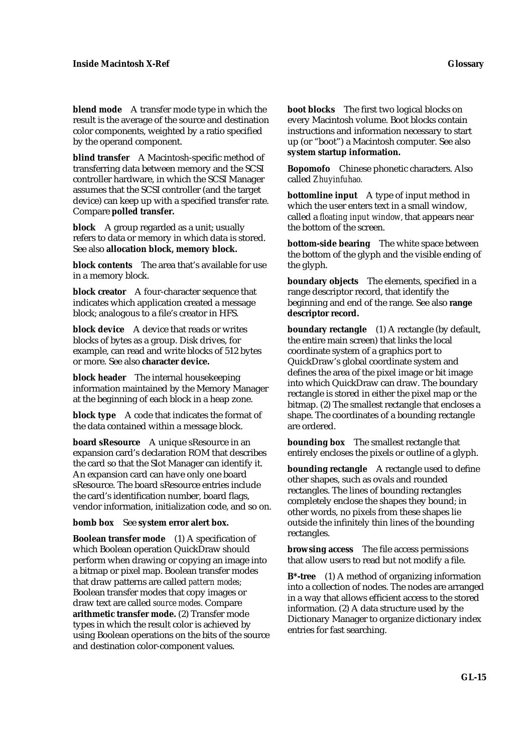**blend mode** A transfer mode type in which the result is the average of the source and destination color components, weighted by a ratio specified by the operand component.

**blind transfer** A Macintosh-specific method of transferring data between memory and the SCSI controller hardware, in which the SCSI Manager assumes that the SCSI controller (and the target device) can keep up with a specified transfer rate. Compare **polled transfer.**

**block** A group regarded as a unit; usually refers to data or memory in which data is stored. See also **allocation block, memory block.**

**block contents** The area that's available for use in a memory block.

**block creator** A four-character sequence that indicates which application created a message block; analogous to a file's creator in HFS.

**block device** A device that reads or writes blocks of bytes as a group. Disk drives, for example, can read and write blocks of 512 bytes or more. See also **character device.**

**block header** The internal housekeeping information maintained by the Memory Manager at the beginning of each block in a heap zone.

**block type** A code that indicates the format of the data contained within a message block.

**board sResource** A unique sResource in an expansion card's declaration ROM that describes the card so that the Slot Manager can identify it. An expansion card can have only one board sResource. The board sResource entries include the card's identification number, board flags, vendor information, initialization code, and so on.

**bomb box** See **system error alert box.**

**Boolean transfer mode** (1) A specification of which Boolean operation QuickDraw should perform when drawing or copying an image into a bitmap or pixel map. Boolean transfer modes that draw patterns are called *pattern modes;* Boolean transfer modes that copy images or draw text are called *source modes.* Compare **arithmetic transfer mode.** (2) Transfer mode types in which the result color is achieved by using Boolean operations on the bits of the source and destination color-component values.

**boot blocks** The first two logical blocks on every Macintosh volume. Boot blocks contain instructions and information necessary to start up (or "boot") a Macintosh computer. See also **system startup information.**

**Bopomofo** Chinese phonetic characters. Also called *Zhuyinfuhao.*

**bottomline input** A type of input method in which the user enters text in a small window, called a *floating input window,* that appears near the bottom of the screen.

**bottom-side bearing** The white space between the bottom of the glyph and the visible ending of the glyph.

**boundary objects** The elements, specified in a range descriptor record, that identify the beginning and end of the range. See also **range descriptor record.**

**boundary rectangle** (1) A rectangle (by default, the entire main screen) that links the local coordinate system of a graphics port to QuickDraw's global coordinate system and defines the area of the pixel image or bit image into which QuickDraw can draw. The boundary rectangle is stored in either the pixel map or the bitmap. (2) The smallest rectangle that encloses a shape. The coordinates of a bounding rectangle are ordered.

**bounding box** The smallest rectangle that entirely encloses the pixels or outline of a glyph.

**bounding rectangle** A rectangle used to define other shapes, such as ovals and rounded rectangles. The lines of bounding rectangles completely enclose the shapes they bound; in other words, no pixels from these shapes lie outside the infinitely thin lines of the bounding rectangles.

**browsing access** The file access permissions that allow users to read but not modify a file.

**B\*-tree** (1) A method of organizing information into a collection of nodes. The nodes are arranged in a way that allows efficient access to the stored information. (2) A data structure used by the Dictionary Manager to organize dictionary index entries for fast searching.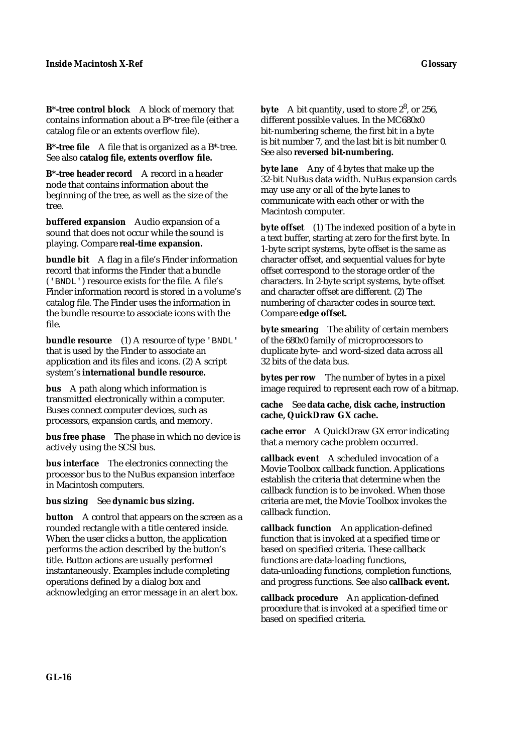**B\*-tree control block** A block of memory that contains information about a B\*-tree file (either a catalog file or an extents overflow file).

**B\*-tree file** A file that is organized as a B\*-tree. See also **catalog file, extents overflow file.**

**B\*-tree header record** A record in a header node that contains information about the beginning of the tree, as well as the size of the tree.

**buffered expansion** Audio expansion of a sound that does not occur while the sound is playing. Compare **real-time expansion.**

**bundle bit** A flag in a file's Finder information record that informs the Finder that a bundle ('BNDL') resource exists for the file. A file's Finder information record is stored in a volume's catalog file. The Finder uses the information in the bundle resource to associate icons with the file.

**bundle resource** (1) A resource of type 'BNDL' that is used by the Finder to associate an application and its files and icons. (2) A script system's **international bundle resource.**

**bus** A path along which information is transmitted electronically within a computer. Buses connect computer devices, such as processors, expansion cards, and memory.

**bus free phase** The phase in which no device is actively using the SCSI bus.

**bus interface** The electronics connecting the processor bus to the NuBus expansion interface in Macintosh computers.

**bus sizing** See **dynamic bus sizing.**

**button** A control that appears on the screen as a rounded rectangle with a title centered inside. When the user clicks a button, the application performs the action described by the button's title. Button actions are usually performed instantaneously. Examples include completing operations defined by a dialog box and acknowledging an error message in an alert box.

**byte** A bit quantity, used to store  $2^8$ , or 256, different possible values. In the MC680x0 bit-numbering scheme, the first bit in a byte is bit number 7, and the last bit is bit number 0. See also **reversed bit-numbering.**

**byte lane** Any of 4 bytes that make up the 32-bit NuBus data width. NuBus expansion cards may use any or all of the byte lanes to communicate with each other or with the Macintosh computer.

**byte offset** (1) The indexed position of a byte in a text buffer, starting at zero for the first byte. In 1-byte script systems, byte offset is the same as character offset, and sequential values for byte offset correspond to the storage order of the characters. In 2-byte script systems, byte offset and character offset are different. (2) The numbering of character codes in source text. Compare **edge offset.**

**byte smearing** The ability of certain members of the 680x0 family of microprocessors to duplicate byte- and word-sized data across all 32 bits of the data bus.

**bytes per row** The number of bytes in a pixel image required to represent each row of a bitmap.

**cache** See **data cache, disk cache, instruction cache, QuickDraw GX cache.**

**cache error** A QuickDraw GX error indicating that a memory cache problem occurred.

**callback event** A scheduled invocation of a Movie Toolbox callback function. Applications establish the criteria that determine when the callback function is to be invoked. When those criteria are met, the Movie Toolbox invokes the callback function.

**callback function** An application-defined function that is invoked at a specified time or based on specified criteria. These callback functions are data-loading functions, data-unloading functions, completion functions, and progress functions. See also **callback event.**

**callback procedure** An application-defined procedure that is invoked at a specified time or based on specified criteria.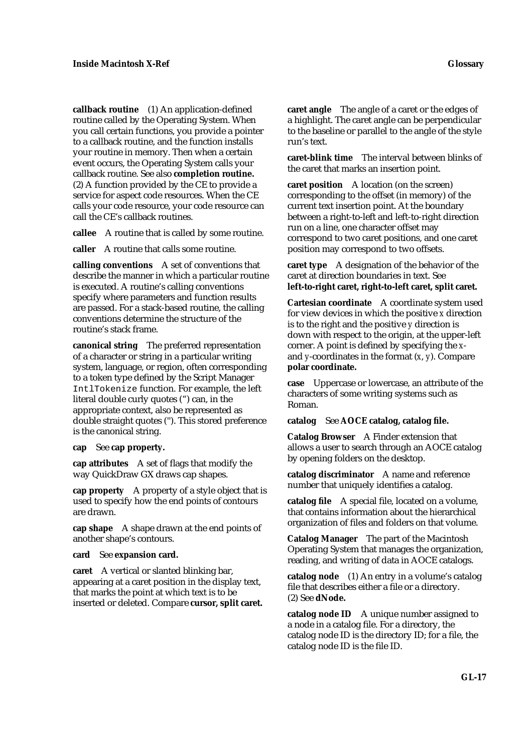**callback routine** (1) An application-defined routine called by the Operating System. When you call certain functions, you provide a pointer to a callback routine, and the function installs your routine in memory. Then when a certain event occurs, the Operating System calls your callback routine. See also **completion routine.**  (2) A function provided by the CE to provide a service for aspect code resources. When the CE calls your code resource, your code resource can call the CE's callback routines.

**callee** A routine that is called by some routine.

**caller** A routine that calls some routine.

**calling conventions** A set of conventions that describe the manner in which a particular routine is executed. A routine's calling conventions specify where parameters and function results are passed. For a stack-based routine, the calling conventions determine the structure of the routine's stack frame.

**canonical string** The preferred representation of a character or string in a particular writing system, language, or region, often corresponding to a token type defined by the Script Manager IntlTokenize function. For example, the left literal double curly quotes (") can, in the appropriate context, also be represented as double straight quotes (''). This stored preference is the canonical string.

#### **cap** See **cap property.**

**cap attributes** A set of flags that modify the way QuickDraw GX draws cap shapes.

**cap property** A property of a style object that is used to specify how the end points of contours are drawn.

**cap shape** A shape drawn at the end points of another shape's contours.

#### **card** See **expansion card.**

**caret** A vertical or slanted blinking bar, appearing at a caret position in the display text, that marks the point at which text is to be inserted or deleted. Compare **cursor, split caret.** **caret angle** The angle of a caret or the edges of a highlight. The caret angle can be perpendicular to the baseline or parallel to the angle of the style run's text.

**caret-blink time** The interval between blinks of the caret that marks an insertion point.

**caret position** A location (on the screen) corresponding to the offset (in memory) of the current text insertion point. At the boundary between a right-to-left and left-to-right direction run on a line, one character offset may correspond to two caret positions, and one caret position may correspond to two offsets.

**caret type** A designation of the behavior of the caret at direction boundaries in text. See **left-to-right caret, right-to-left caret, split caret.**

**Cartesian coordinate** A coordinate system used for view devices in which the positive *x* direction is to the right and the positive *y* direction is down with respect to the origin, at the upper-left corner. A point is defined by specifying the *x*and *y*-coordinates in the format (*x*, *y*). Compare **polar coordinate.**

**case** Uppercase or lowercase, an attribute of the characters of some writing systems such as Roman.

#### **catalog** See **AOCE catalog, catalog file.**

**Catalog Browser** A Finder extension that allows a user to search through an AOCE catalog by opening folders on the desktop.

**catalog discriminator** A name and reference number that uniquely identifies a catalog.

**catalog file** A special file, located on a volume, that contains information about the hierarchical organization of files and folders on that volume.

**Catalog Manager** The part of the Macintosh Operating System that manages the organization, reading, and writing of data in AOCE catalogs.

**catalog node** (1) An entry in a volume's catalog file that describes either a file or a directory. (2) See **dNode.**

**catalog node ID** A unique number assigned to a node in a catalog file. For a directory, the catalog node ID is the directory ID; for a file, the catalog node ID is the file ID.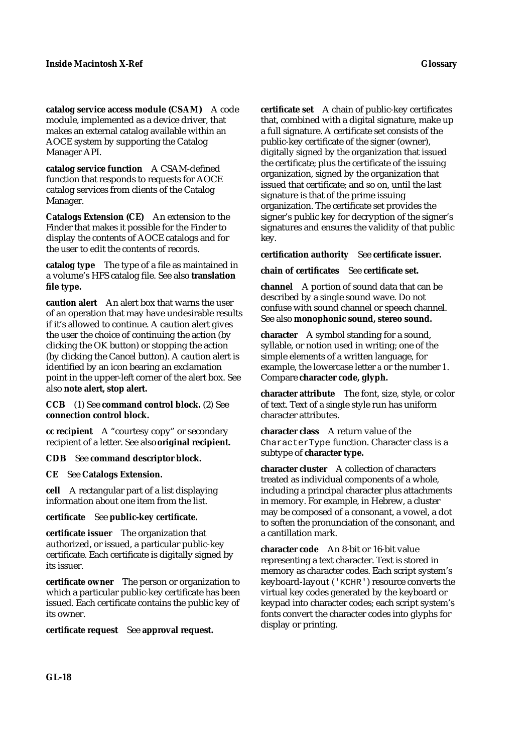**catalog service access module (CSAM)** A code module, implemented as a device driver, that makes an external catalog available within an AOCE system by supporting the Catalog Manager API.

**catalog service function** A CSAM-defined function that responds to requests for AOCE catalog services from clients of the Catalog Manager.

**Catalogs Extension (CE)** An extension to the Finder that makes it possible for the Finder to display the contents of AOCE catalogs and for the user to edit the contents of records.

**catalog type** The type of a file as maintained in a volume's HFS catalog file. See also **translation file type.**

**caution alert** An alert box that warns the user of an operation that may have undesirable results if it's allowed to continue. A caution alert gives the user the choice of continuing the action (by clicking the OK button) or stopping the action (by clicking the Cancel button). A caution alert is identified by an icon bearing an exclamation point in the upper-left corner of the alert box. See also **note alert, stop alert.**

**CCB** (1) See **command control block.** (2) See **connection control block.**

**cc recipient** A "courtesy copy" or secondary recipient of a letter. See also **original recipient.**

**CDB** See **command descriptor block.**

**CE** See **Catalogs Extension.**

**cell** A rectangular part of a list displaying information about one item from the list.

**certificate** See **public-key certificate.**

**certificate issuer** The organization that authorized, or issued, a particular public-key certificate. Each certificate is digitally signed by its issuer.

**certificate owner** The person or organization to which a particular public-key certificate has been issued. Each certificate contains the public key of its owner.

**certificate request** See **approval request.**

**certificate set** A chain of public-key certificates that, combined with a digital signature, make up a full signature. A certificate set consists of the public-key certificate of the signer (owner), digitally signed by the organization that issued the certificate; plus the certificate of the issuing organization, signed by the organization that issued that certificate; and so on, until the last signature is that of the prime issuing organization. The certificate set provides the signer's public key for decryption of the signer's signatures and ensures the validity of that public key.

**certification authority** See **certificate issuer.**

**chain of certificates** See **certificate set.**

**channel** A portion of sound data that can be described by a single sound wave. Do not confuse with sound channel or speech channel. See also **monophonic sound, stereo sound.**

**character** A symbol standing for a sound, syllable, or notion used in writing; one of the simple elements of a written language, for example, the lowercase letter *a* or the number *1*. Compare **character code, glyph.**

**character attribute** The font, size, style, or color of text. Text of a single style run has uniform character attributes.

**character class** A return value of the CharacterType function. Character class is a subtype of **character type.**

**character cluster** A collection of characters treated as individual components of a whole, including a principal character plus attachments in memory. For example, in Hebrew, a cluster may be composed of a consonant, a vowel, a dot to soften the pronunciation of the consonant, and a cantillation mark.

**character code** An 8-bit or 16-bit value representing a text character. Text is stored in memory as character codes. Each script system's keyboard-layout ('KCHR') resource converts the virtual key codes generated by the keyboard or keypad into character codes; each script system's fonts convert the character codes into glyphs for display or printing.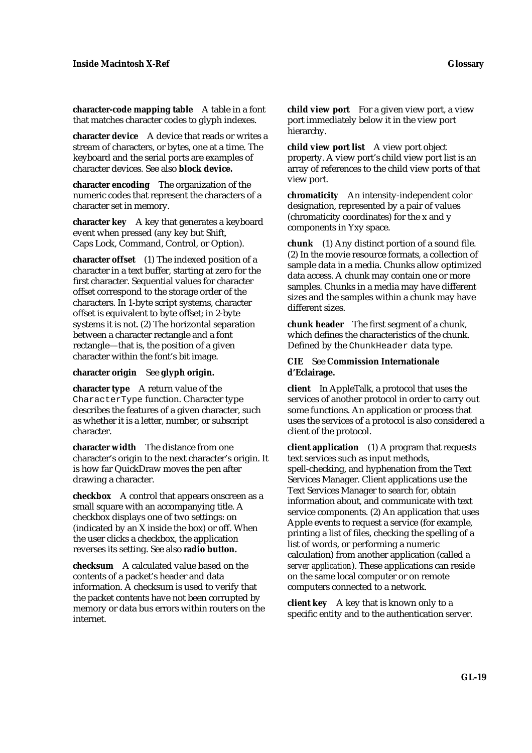**character-code mapping table** A table in a font that matches character codes to glyph indexes.

**character device** A device that reads or writes a stream of characters, or bytes, one at a time. The keyboard and the serial ports are examples of character devices. See also **block device.**

**character encoding** The organization of the numeric codes that represent the characters of a character set in memory.

**character key** A key that generates a keyboard event when pressed (any key but Shift, Caps Lock, Command, Control, or Option).

**character offset** (1) The indexed position of a character in a text buffer, starting at zero for the first character. Sequential values for character offset correspond to the storage order of the characters. In 1-byte script systems, character offset is equivalent to byte offset; in 2-byte systems it is not. (2) The horizontal separation between a character rectangle and a font rectangle—that is, the position of a given character within the font's bit image.

#### **character origin** See **glyph origin.**

**character type** A return value of the CharacterType function. Character type describes the features of a given character, such as whether it is a letter, number, or subscript character.

**character width** The distance from one character's origin to the next character's origin. It is how far QuickDraw moves the pen after drawing a character.

**checkbox** A control that appears onscreen as a small square with an accompanying title. A checkbox displays one of two settings: on (indicated by an X inside the box) or off. When the user clicks a checkbox, the application reverses its setting. See also **radio button.**

**checksum** A calculated value based on the contents of a packet's header and data information. A checksum is used to verify that the packet contents have not been corrupted by memory or data bus errors within routers on the internet.

**child view port** For a given view port, a view port immediately below it in the view port hierarchy.

**child view port list** A view port object property. A view port's child view port list is an array of references to the child view ports of that view port.

**chromaticity** An intensity-independent color designation, represented by a pair of values (chromaticity coordinates) for the x and y components in Yxy space.

**chunk** (1) Any distinct portion of a sound file. (2) In the movie resource formats, a collection of sample data in a media. Chunks allow optimized data access. A chunk may contain one or more samples. Chunks in a media may have different sizes and the samples within a chunk may have different sizes.

**chunk header** The first segment of a chunk, which defines the characteristics of the chunk. Defined by the ChunkHeader data type.

#### **CIE** See **Commission Internationale d'Eclairage.**

**client** In AppleTalk, a protocol that uses the services of another protocol in order to carry out some functions. An application or process that uses the services of a protocol is also considered a client of the protocol.

**client application** (1) A program that requests text services such as input methods, spell-checking, and hyphenation from the Text Services Manager. Client applications use the Text Services Manager to search for, obtain information about, and communicate with text service components. (2) An application that uses Apple events to request a service (for example, printing a list of files, checking the spelling of a list of words, or performing a numeric calculation) from another application (called a *server application*). These applications can reside on the same local computer or on remote computers connected to a network.

**client key** A key that is known only to a specific entity and to the authentication server.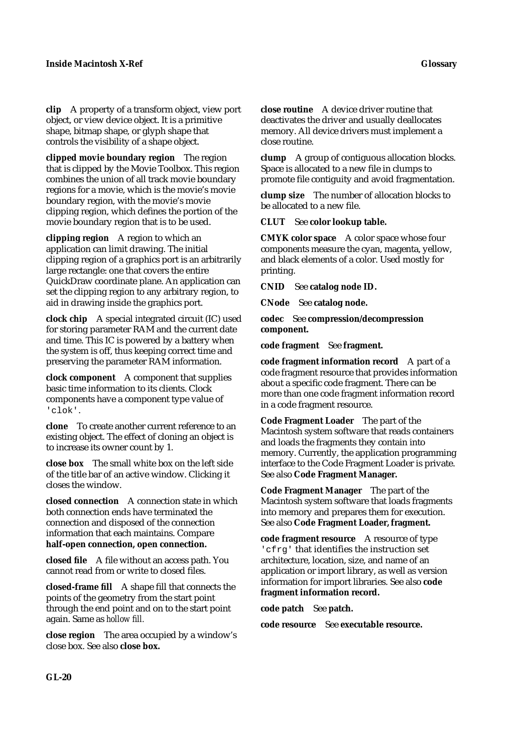**clip** A property of a transform object, view port object, or view device object. It is a primitive shape, bitmap shape, or glyph shape that controls the visibility of a shape object.

**clipped movie boundary region** The region that is clipped by the Movie Toolbox. This region combines the union of all track movie boundary regions for a movie, which is the movie's movie boundary region, with the movie's movie clipping region, which defines the portion of the movie boundary region that is to be used.

**clipping region** A region to which an application can limit drawing. The initial clipping region of a graphics port is an arbitrarily large rectangle: one that covers the entire QuickDraw coordinate plane. An application can set the clipping region to any arbitrary region, to aid in drawing inside the graphics port.

**clock chip** A special integrated circuit (IC) used for storing parameter RAM and the current date and time. This IC is powered by a battery when the system is off, thus keeping correct time and preserving the parameter RAM information.

**clock component** A component that supplies basic time information to its clients. Clock components have a component type value of 'clok'.

**clone** To create another current reference to an existing object. The effect of cloning an object is to increase its owner count by 1.

**close box** The small white box on the left side of the title bar of an active window. Clicking it closes the window.

**closed connection** A connection state in which both connection ends have terminated the connection and disposed of the connection information that each maintains. Compare **half-open connection, open connection.**

**closed file** A file without an access path. You cannot read from or write to closed files.

**closed-frame fill** A shape fill that connects the points of the geometry from the start point through the end point and on to the start point again. Same as *hollow fill.*

**close region** The area occupied by a window's close box. See also **close box.**

**close routine** A device driver routine that deactivates the driver and usually deallocates memory. All device drivers must implement a close routine.

**clump** A group of contiguous allocation blocks. Space is allocated to a new file in clumps to promote file contiguity and avoid fragmentation.

**clump size** The number of allocation blocks to be allocated to a new file.

**CLUT** See **color lookup table.**

**CMYK color space** A color space whose four components measure the cyan, magenta, yellow, and black elements of a color. Used mostly for printing.

**CNID** See **catalog node ID.**

**CNode** See **catalog node.**

**codec** See **compression/decompression component.**

**code fragment** See **fragment.**

**code fragment information record** A part of a code fragment resource that provides information about a specific code fragment. There can be more than one code fragment information record in a code fragment resource.

**Code Fragment Loader** The part of the Macintosh system software that reads containers and loads the fragments they contain into memory. Currently, the application programming interface to the Code Fragment Loader is private. See also **Code Fragment Manager.**

**Code Fragment Manager** The part of the Macintosh system software that loads fragments into memory and prepares them for execution. See also Code Fragment Loader, fragment.

**code fragment resource** A resource of type 'cfrg' that identifies the instruction set architecture, location, size, and name of an application or import library, as well as version information for import libraries. See also **code fragment information record.**

**code patch** See **patch.**

**code resource** See **executable resource.**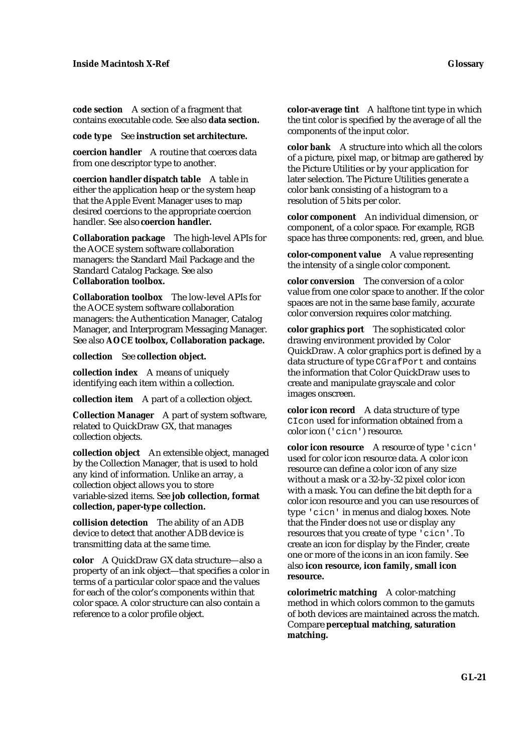**code section** A section of a fragment that contains executable code. See also **data section.**

#### **code type** See **instruction set architecture.**

**coercion handler** A routine that coerces data from one descriptor type to another.

**coercion handler dispatch table** A table in either the application heap or the system heap that the Apple Event Manager uses to map desired coercions to the appropriate coercion handler. See also **coercion handler.**

**Collaboration package** The high-level APIs for the AOCE system software collaboration managers: the Standard Mail Package and the Standard Catalog Package. See also **Collaboration toolbox.**

**Collaboration toolbox** The low-level APIs for the AOCE system software collaboration managers: the Authentication Manager, Catalog Manager, and Interprogram Messaging Manager. See also **AOCE toolbox, Collaboration package.**

**collection** See **collection object.**

**collection index** A means of uniquely identifying each item within a collection.

**collection item** A part of a collection object.

**Collection Manager** A part of system software, related to QuickDraw GX, that manages collection objects.

**collection object** An extensible object, managed by the Collection Manager, that is used to hold any kind of information. Unlike an array, a collection object allows you to store variable-sized items. See **job collection, format collection, paper-type collection.**

**collision detection** The ability of an ADB device to detect that another ADB device is transmitting data at the same time.

**color** A QuickDraw GX data structure—also a property of an ink object—that specifies a color in terms of a particular color space and the values for each of the color's components within that color space. A color structure can also contain a reference to a color profile object.

**color-average tint** A halftone tint type in which the tint color is specified by the average of all the components of the input color.

**color bank** A structure into which all the colors of a picture, pixel map, or bitmap are gathered by the Picture Utilities or by your application for later selection. The Picture Utilities generate a color bank consisting of a histogram to a resolution of 5 bits per color.

**color component** An individual dimension, or component, of a color space. For example, RGB space has three components: red, green, and blue.

**color-component value** A value representing the intensity of a single color component.

**color conversion** The conversion of a color value from one color space to another. If the color spaces are not in the same base family, accurate color conversion requires color matching.

**color graphics port** The sophisticated color drawing environment provided by Color QuickDraw. A color graphics port is defined by a data structure of type CGrafPort and contains the information that Color QuickDraw uses to create and manipulate grayscale and color images onscreen.

**color icon record** A data structure of type CIcon used for information obtained from a color icon ('cicn') resource.

**color icon resource** A resource of type 'cicn' used for color icon resource data. A color icon resource can define a color icon of any size without a mask or a 32-by-32 pixel color icon with a mask. You can define the bit depth for a color icon resource and you can use resources of type 'cicn' in menus and dialog boxes. Note that the Finder does *not* use or display any resources that you create of type 'cicn'. To create an icon for display by the Finder, create one or more of the icons in an icon family. See also **icon resource, icon family, small icon resource.**

**colorimetric matching** A color-matching method in which colors common to the gamuts of both devices are maintained across the match. Compare **perceptual matching, saturation matching.**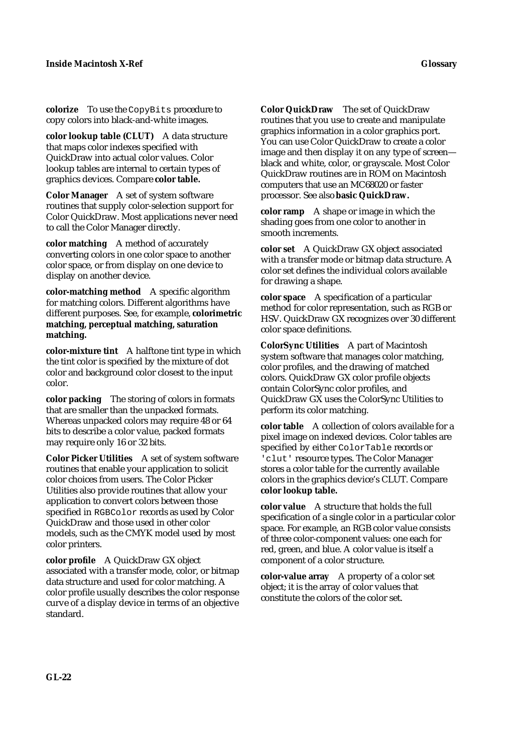**colorize** To use the CopyBits procedure to copy colors into black-and-white images.

**color lookup table (CLUT)** A data structure that maps color indexes specified with QuickDraw into actual color values. Color lookup tables are internal to certain types of graphics devices. Compare **color table.**

**Color Manager** A set of system software routines that supply color-selection support for Color QuickDraw. Most applications never need to call the Color Manager directly.

**color matching** A method of accurately converting colors in one color space to another color space, or from display on one device to display on another device.

**color-matching method** A specific algorithm for matching colors. Different algorithms have different purposes. See, for example, **colorimetric matching, perceptual matching, saturation matching.**

**color-mixture tint** A halftone tint type in which the tint color is specified by the mixture of dot color and background color closest to the input color.

**color packing** The storing of colors in formats that are smaller than the unpacked formats. Whereas unpacked colors may require 48 or 64 bits to describe a color value, packed formats may require only 16 or 32 bits.

**Color Picker Utilities** A set of system software routines that enable your application to solicit color choices from users. The Color Picker Utilities also provide routines that allow your application to convert colors between those specified in RGBColor records as used by Color QuickDraw and those used in other color models, such as the CMYK model used by most color printers.

**color profile** A QuickDraw GX object associated with a transfer mode, color, or bitmap data structure and used for color matching. A color profile usually describes the color response curve of a display device in terms of an objective standard.

**Color QuickDraw** The set of QuickDraw routines that you use to create and manipulate graphics information in a color graphics port. You can use Color QuickDraw to create a color image and then display it on any type of screen black and white, color, or grayscale. Most Color QuickDraw routines are in ROM on Macintosh computers that use an MC68020 or faster processor. See also **basic QuickDraw.**

**color ramp** A shape or image in which the shading goes from one color to another in smooth increments.

**color set** A QuickDraw GX object associated with a transfer mode or bitmap data structure. A color set defines the individual colors available for drawing a shape.

**color space** A specification of a particular method for color representation, such as RGB or HSV. QuickDraw GX recognizes over 30 different color space definitions.

**ColorSync Utilities** A part of Macintosh system software that manages color matching, color profiles, and the drawing of matched colors. QuickDraw GX color profile objects contain ColorSync color profiles, and QuickDraw GX uses the ColorSync Utilities to perform its color matching.

**color table** A collection of colors available for a pixel image on indexed devices. Color tables are specified by either ColorTable records or 'clut' resource types. The Color Manager stores a color table for the currently available colors in the graphics device's CLUT. Compare **color lookup table.**

**color value** A structure that holds the full specification of a single color in a particular color space. For example, an RGB color value consists of three color-component values: one each for red, green, and blue. A color value is itself a component of a color structure.

**color-value array** A property of a color set object; it is the array of color values that constitute the colors of the color set.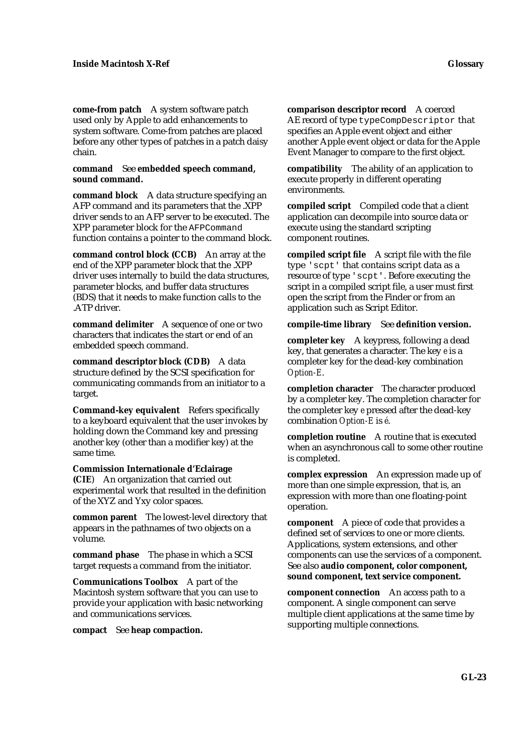**come-from patch** A system software patch used only by Apple to add enhancements to system software. Come-from patches are placed before any other types of patches in a patch daisy chain.

#### **command** See **embedded speech command, sound command.**

**command block** A data structure specifying an AFP command and its parameters that the .XPP driver sends to an AFP server to be executed. The XPP parameter block for the AFPCommand function contains a pointer to the command block.

**command control block (CCB)** An array at the end of the XPP parameter block that the .XPP driver uses internally to build the data structures, parameter blocks, and buffer data structures (BDS) that it needs to make function calls to the .ATP driver.

**command delimiter** A sequence of one or two characters that indicates the start or end of an embedded speech command.

**command descriptor block (CDB)** A data structure defined by the SCSI specification for communicating commands from an initiator to a target.

**Command-key equivalent** Refers specifically to a keyboard equivalent that the user invokes by holding down the Command key and pressing another key (other than a modifier key) at the same time.

**Commission Internationale d'Eclairage (CIE**) An organization that carried out experimental work that resulted in the definition of the XYZ and Yxy color spaces.

**common parent** The lowest-level directory that appears in the pathnames of two objects on a volume.

**command phase** The phase in which a SCSI target requests a command from the initiator.

**Communications Toolbox** A part of the Macintosh system software that you can use to provide your application with basic networking and communications services.

**compact** See **heap compaction.**

**comparison descriptor record** A coerced AE record of type typeCompDescriptor that specifies an Apple event object and either another Apple event object or data for the Apple Event Manager to compare to the first object.

**compatibility** The ability of an application to execute properly in different operating environments.

**compiled script** Compiled code that a client application can decompile into source data or execute using the standard scripting component routines.

**compiled script file** A script file with the file type 'scpt' that contains script data as a resource of type 'scpt'. Before executing the script in a compiled script file, a user must first open the script from the Finder or from an application such as Script Editor.

**compile-time library** See **definition version.**

**completer key** A keypress, following a dead key, that generates a character. The key *e* is a completer key for the dead-key combination *Option-E*.

**completion character** The character produced by a completer key. The completion character for the completer key *e* pressed after the dead-key combination *Option-E* is *é*.

**completion routine** A routine that is executed when an asynchronous call to some other routine is completed.

**complex expression** An expression made up of more than one simple expression, that is, an expression with more than one floating-point operation.

**component** A piece of code that provides a defined set of services to one or more clients. Applications, system extensions, and other components can use the services of a component. See also **audio component, color component, sound component, text service component.**

**component connection** An access path to a component. A single component can serve multiple client applications at the same time by supporting multiple connections.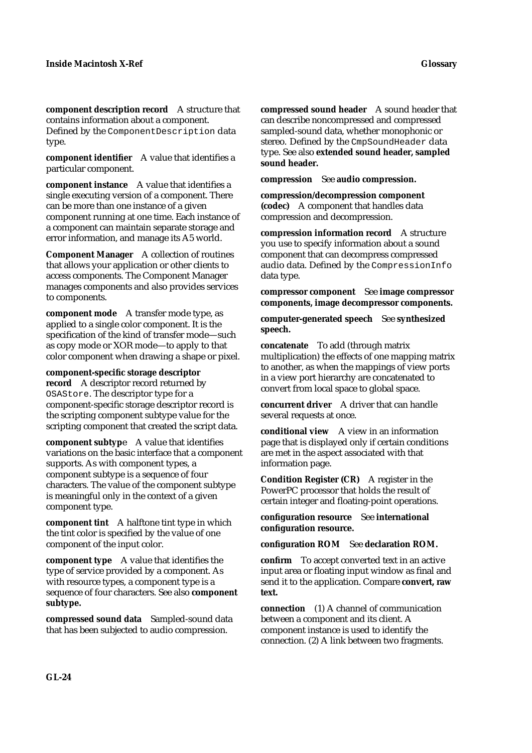**component description record** A structure that contains information about a component.

Defined by the ComponentDescription data type.

**component identifier** A value that identifies a particular component.

**component instance** A value that identifies a single executing version of a component. There can be more than one instance of a given component running at one time. Each instance of a component can maintain separate storage and error information, and manage its A5 world.

**Component Manager** A collection of routines that allows your application or other clients to access components. The Component Manager manages components and also provides services to components.

**component mode** A transfer mode type, as applied to a single color component. It is the specification of the kind of transfer mode—such as copy mode or XOR mode—to apply to that color component when drawing a shape or pixel.

**component-specific storage descriptor** 

**record** A descriptor record returned by OSAStore. The descriptor type for a component-specific storage descriptor record is the scripting component subtype value for the scripting component that created the script data.

**component subtyp**e A value that identifies variations on the basic interface that a component supports. As with component types, a component subtype is a sequence of four characters. The value of the component subtype is meaningful only in the context of a given component type.

**component tint** A halftone tint type in which the tint color is specified by the value of one component of the input color.

**component type** A value that identifies the type of service provided by a component. As with resource types, a component type is a sequence of four characters. See also **component subtype.**

**compressed sound data** Sampled-sound data that has been subjected to audio compression.

**compressed sound header** A sound header that can describe noncompressed and compressed sampled-sound data, whether monophonic or stereo. Defined by the CmpSoundHeader data type. See also **extended sound header, sampled sound header.**

**compression** See **audio compression.**

**compression/decompression component (codec)** A component that handles data compression and decompression.

**compression information record** A structure you use to specify information about a sound component that can decompress compressed audio data. Defined by the CompressionInfo data type.

**compressor component** See **image compressor components, image decompressor components.**

**computer-generated speech** See **synthesized speech.**

**concatenate** To add (through matrix multiplication) the effects of one mapping matrix to another, as when the mappings of view ports in a view port hierarchy are concatenated to convert from local space to global space.

**concurrent driver** A driver that can handle several requests at once.

**conditional view** A view in an information page that is displayed only if certain conditions are met in the aspect associated with that information page.

**Condition Register (CR)** A register in the PowerPC processor that holds the result of certain integer and floating-point operations.

**configuration resource** See **international configuration resource.**

**configuration ROM** See **declaration ROM.**

**confirm** To accept converted text in an active input area or floating input window as final and send it to the application. Compare **convert, raw text.**

**connection** (1) A channel of communication between a component and its client. A component instance is used to identify the connection. (2) A link between two fragments.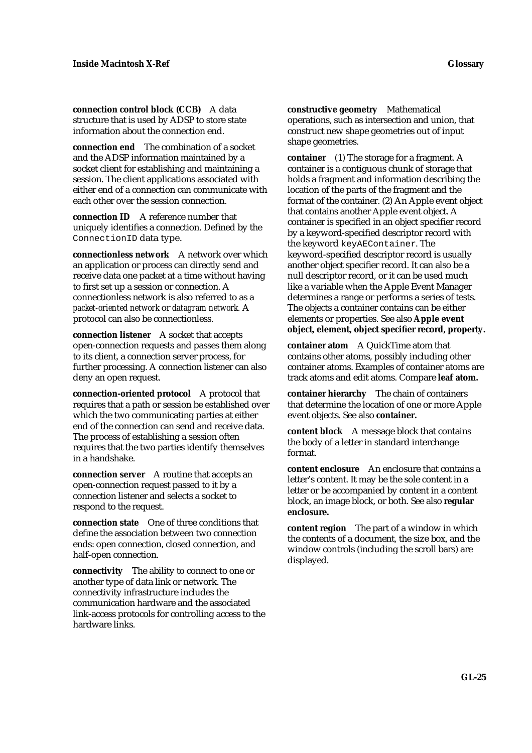**connection control block (CCB)** A data structure that is used by ADSP to store state information about the connection end.

**connection end** The combination of a socket and the ADSP information maintained by a socket client for establishing and maintaining a session. The client applications associated with either end of a connection can communicate with each other over the session connection.

**connection ID** A reference number that uniquely identifies a connection. Defined by the ConnectionID data type.

**connectionless network** A network over which an application or process can directly send and receive data one packet at a time without having to first set up a session or connection. A connectionless network is also referred to as a *packet-oriented network* or *datagram network.* A protocol can also be connectionless.

**connection listener** A socket that accepts open-connection requests and passes them along to its client, a connection server process, for further processing. A connection listener can also deny an open request.

**connection-oriented protocol** A protocol that requires that a path or session be established over which the two communicating parties at either end of the connection can send and receive data. The process of establishing a session often requires that the two parties identify themselves in a handshake.

**connection server** A routine that accepts an open-connection request passed to it by a connection listener and selects a socket to respond to the request.

**connection state** One of three conditions that define the association between two connection ends: open connection, closed connection, and half-open connection.

**connectivity** The ability to connect to one or another type of data link or network. The connectivity infrastructure includes the communication hardware and the associated link-access protocols for controlling access to the hardware links.

**constructive geometry** Mathematical operations, such as intersection and union, that construct new shape geometries out of input shape geometries.

**container** (1) The storage for a fragment. A container is a contiguous chunk of storage that holds a fragment and information describing the location of the parts of the fragment and the format of the container. (2) An Apple event object that contains another Apple event object. A container is specified in an object specifier record by a keyword-specified descriptor record with the keyword keyAEContainer. The keyword-specified descriptor record is usually another object specifier record. It can also be a null descriptor record, or it can be used much like a variable when the Apple Event Manager determines a range or performs a series of tests. The objects a container contains can be either elements or properties. See also **Apple event object, element, object specifier record, property.**

**container atom** A QuickTime atom that contains other atoms, possibly including other container atoms. Examples of container atoms are track atoms and edit atoms. Compare **leaf atom.**

**container hierarchy** The chain of containers that determine the location of one or more Apple event objects. See also **container.**

**content block** A message block that contains the body of a letter in standard interchange format.

**content enclosure** An enclosure that contains a letter's content. It may be the sole content in a letter or be accompanied by content in a content block, an image block, or both. See also **regular enclosure.**

**content region** The part of a window in which the contents of a document, the size box, and the window controls (including the scroll bars) are displayed.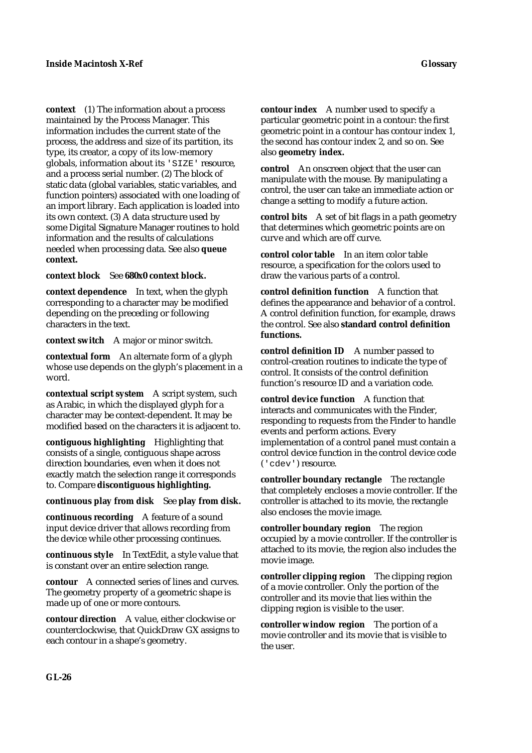**context** (1) The information about a process maintained by the Process Manager. This information includes the current state of the process, the address and size of its partition, its type, its creator, a copy of its low-memory globals, information about its 'SIZE' resource, and a process serial number. (2) The block of static data (global variables, static variables, and function pointers) associated with one loading of an import library. Each application is loaded into its own context. (3) A data structure used by some Digital Signature Manager routines to hold information and the results of calculations needed when processing data. See also **queue context.**

**context block** See **680x0 context block.**

**context dependence** In text, when the glyph corresponding to a character may be modified depending on the preceding or following characters in the text.

**context switch** A major or minor switch.

**contextual form** An alternate form of a glyph whose use depends on the glyph's placement in a word.

**contextual script system** A script system, such as Arabic, in which the displayed glyph for a character may be context-dependent. It may be modified based on the characters it is adjacent to.

**contiguous highlighting** Highlighting that consists of a single, contiguous shape across direction boundaries, even when it does not exactly match the selection range it corresponds to. Compare **discontiguous highlighting.**

**continuous play from disk** See **play from disk.**

**continuous recording** A feature of a sound input device driver that allows recording from the device while other processing continues.

**continuous style** In TextEdit, a style value that is constant over an entire selection range.

**contour** A connected series of lines and curves. The geometry property of a geometric shape is made up of one or more contours.

**contour direction** A value, either clockwise or counterclockwise, that QuickDraw GX assigns to each contour in a shape's geometry.

**contour index** A number used to specify a particular geometric point in a contour: the first geometric point in a contour has contour index 1, the second has contour index 2, and so on. See also **geometry index.**

**control** An onscreen object that the user can manipulate with the mouse. By manipulating a control, the user can take an immediate action or change a setting to modify a future action.

**control bits** A set of bit flags in a path geometry that determines which geometric points are on curve and which are off curve.

**control color table** In an item color table resource, a specification for the colors used to draw the various parts of a control.

**control definition function** A function that defines the appearance and behavior of a control. A control definition function, for example, draws the control. See also **standard control definition functions.**

**control definition ID** A number passed to control-creation routines to indicate the type of control. It consists of the control definition function's resource ID and a variation code.

**control device function** A function that interacts and communicates with the Finder, responding to requests from the Finder to handle events and perform actions. Every implementation of a control panel must contain a control device function in the control device code ('cdev') resource.

**controller boundary rectangle** The rectangle that completely encloses a movie controller. If the controller is attached to its movie, the rectangle also encloses the movie image.

**controller boundary region** The region occupied by a movie controller. If the controller is attached to its movie, the region also includes the movie image.

**controller clipping region** The clipping region of a movie controller. Only the portion of the controller and its movie that lies within the clipping region is visible to the user.

**controller window region** The portion of a movie controller and its movie that is visible to the user.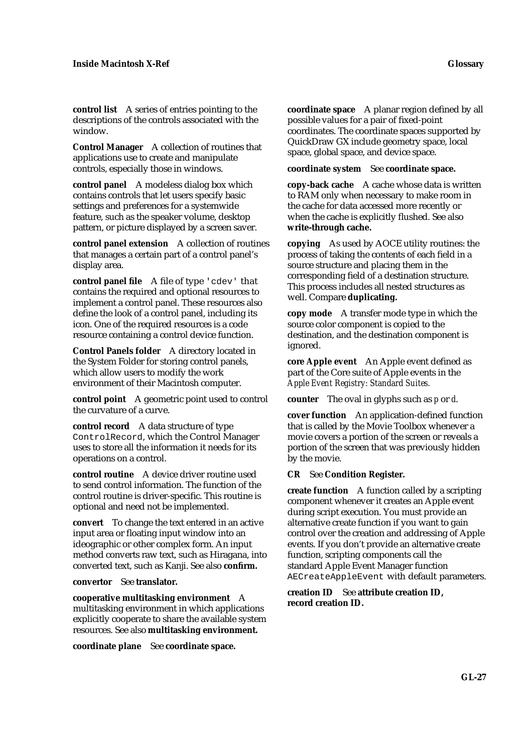**control list** A series of entries pointing to the descriptions of the controls associated with the window.

**Control Manager** A collection of routines that applications use to create and manipulate controls, especially those in windows.

**control panel** A modeless dialog box which contains controls that let users specify basic settings and preferences for a systemwide feature, such as the speaker volume, desktop pattern, or picture displayed by a screen saver.

**control panel extension** A collection of routines that manages a certain part of a control panel's display area.

**control panel file** A file of type 'cdev' that contains the required and optional resources to implement a control panel. These resources also define the look of a control panel, including its icon. One of the required resources is a code resource containing a control device function.

**Control Panels folder** A directory located in the System Folder for storing control panels, which allow users to modify the work environment of their Macintosh computer.

**control point** A geometric point used to control the curvature of a curve.

**control record** A data structure of type ControlRecord, which the Control Manager uses to store all the information it needs for its operations on a control.

**control routine** A device driver routine used to send control information. The function of the control routine is driver-specific. This routine is optional and need not be implemented.

**convert** To change the text entered in an active input area or floating input window into an ideographic or other complex form. An input method converts raw text, such as Hiragana, into converted text, such as Kanji. See also **confirm.**

**convertor** See **translator.**

**cooperative multitasking environment** A multitasking environment in which applications explicitly cooperate to share the available system resources. See also **multitasking environment.**

**coordinate plane** See **coordinate space.**

**coordinate space** A planar region defined by all possible values for a pair of fixed-point coordinates. The coordinate spaces supported by QuickDraw GX include geometry space, local space, global space, and device space.

**coordinate system** See **coordinate space.**

**copy-back cache** A cache whose data is written to RAM only when necessary to make room in the cache for data accessed more recently or when the cache is explicitly flushed. See also **write-through cache.**

**copying** As used by AOCE utility routines: the process of taking the contents of each field in a source structure and placing them in the corresponding field of a destination structure. This process includes all nested structures as well. Compare **duplicating.**

**copy mode** A transfer mode type in which the source color component is copied to the destination, and the destination component is ignored.

**core Apple event** An Apple event defined as part of the Core suite of Apple events in the *Apple Event Registry: Standard Suites.*

**counter** The oval in glyphs such as *p* or *d*.

**cover function** An application-defined function that is called by the Movie Toolbox whenever a movie covers a portion of the screen or reveals a portion of the screen that was previously hidden by the movie.

**CR** See **Condition Register.**

**create function** A function called by a scripting component whenever it creates an Apple event during script execution. You must provide an alternative create function if you want to gain control over the creation and addressing of Apple events. If you don't provide an alternative create function, scripting components call the standard Apple Event Manager function AECreateAppleEvent with default parameters.

**creation ID** See **attribute creation ID, record creation ID.**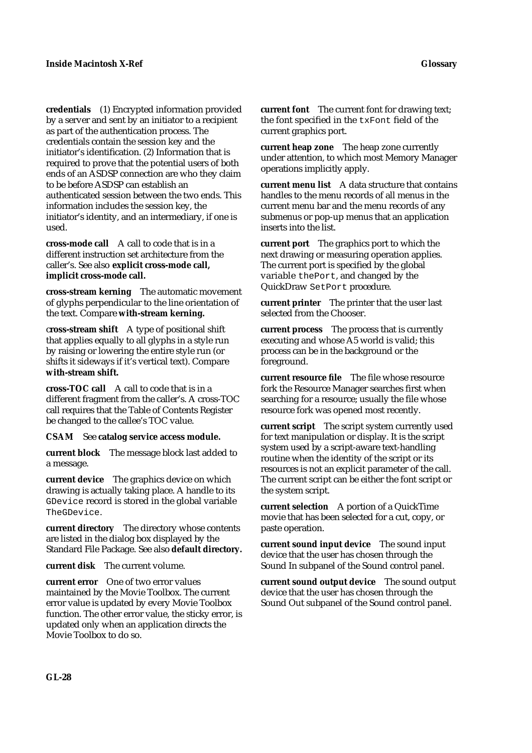**credentials** (1) Encrypted information provided by a server and sent by an initiator to a recipient as part of the authentication process. The credentials contain the session key and the initiator's identification. (2) Information that is required to prove that the potential users of both ends of an ASDSP connection are who they claim to be before ASDSP can establish an authenticated session between the two ends. This information includes the session key, the initiator's identity, and an intermediary, if one is used.

**cross-mode call** A call to code that is in a different instruction set architecture from the caller's. See also **explicit cross-mode call, implicit cross-mode call.**

**cross-stream kerning** The automatic movement of glyphs perpendicular to the line orientation of the text. Compare **with-stream kerning.**

c**ross-stream shift** A type of positional shift that applies equally to all glyphs in a style run by raising or lowering the entire style run (or shifts it sideways if it's vertical text). Compare **with-stream shift.**

**cross-TOC call** A call to code that is in a different fragment from the caller's. A cross-TOC call requires that the Table of Contents Register be changed to the callee's TOC value.

**CSAM** See **catalog service access module.**

**current block** The message block last added to a message.

**current device** The graphics device on which drawing is actually taking place. A handle to its GDevice record is stored in the global variable TheGDevice.

**current directory** The directory whose contents are listed in the dialog box displayed by the Standard File Package. See also **default directory.**

**current disk** The current volume.

**current error** One of two error values maintained by the Movie Toolbox. The current error value is updated by every Movie Toolbox function. The other error value, the sticky error, is updated only when an application directs the Movie Toolbox to do so.

**current font** The current font for drawing text; the font specified in the txFont field of the current graphics port.

**current heap zone** The heap zone currently under attention, to which most Memory Manager operations implicitly apply.

**current menu list** A data structure that contains handles to the menu records of all menus in the current menu bar and the menu records of any submenus or pop-up menus that an application inserts into the list.

**current port** The graphics port to which the next drawing or measuring operation applies. The current port is specified by the global variable thePort, and changed by the QuickDraw SetPort procedure.

**current printer** The printer that the user last selected from the Chooser.

**current process** The process that is currently executing and whose A5 world is valid; this process can be in the background or the foreground.

**current resource file** The file whose resource fork the Resource Manager searches first when searching for a resource; usually the file whose resource fork was opened most recently.

**current script** The script system currently used for text manipulation or display. It is the script system used by a script-aware text-handling routine when the identity of the script or its resources is not an explicit parameter of the call. The current script can be either the font script or the system script.

**current selection** A portion of a QuickTime movie that has been selected for a cut, copy, or paste operation.

**current sound input device** The sound input device that the user has chosen through the Sound In subpanel of the Sound control panel.

**current sound output device** The sound output device that the user has chosen through the Sound Out subpanel of the Sound control panel.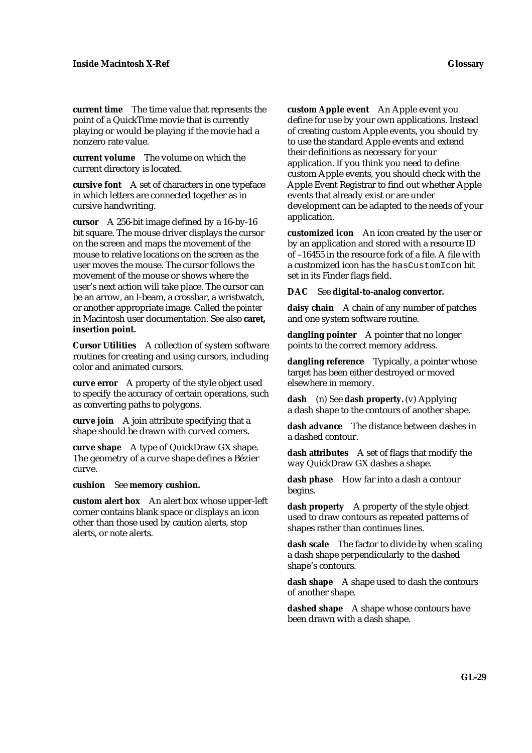**current time** The time value that represents the point of a QuickTime movie that is currently playing or would be playing if the movie had a nonzero rate value.

**current volume** The volume on which the current directory is located.

**cursive font** A set of characters in one typeface in which letters are connected together as in cursive handwriting.

**cursor** A 256-bit image defined by a 16-by-16 bit square. The mouse driver displays the cursor on the screen and maps the movement of the mouse to relative locations on the screen as the user moves the mouse. The cursor follows the movement of the mouse or shows where the user's next action will take place. The cursor can be an arrow, an I-beam, a crossbar, a wristwatch, or another appropriate image. Called the *pointer* in Macintosh user documentation. See also **caret, insertion point.**

**Cursor Utilities** A collection of system software routines for creating and using cursors, including color and animated cursors.

**curve error** A property of the style object used to specify the accuracy of certain operations, such as converting paths to polygons.

**curve join** A join attribute specifying that a shape should be drawn with curved corners.

**curve shape** A type of QuickDraw GX shape. The geometry of a curve shape defines a Bézier curve.

**cushion** See **memory cushion.**

**custom alert box** An alert box whose upper-left corner contains blank space or displays an icon other than those used by caution alerts, stop alerts, or note alerts.

**custom Apple event** An Apple event you define for use by your own applications. Instead of creating custom Apple events, you should try to use the standard Apple events and extend their definitions as necessary for your application. If you think you need to define custom Apple events, you should check with the Apple Event Registrar to find out whether Apple events that already exist or are under development can be adapted to the needs of your application.

**customized icon** An icon created by the user or by an application and stored with a resource ID of –16455 in the resource fork of a file. A file with a customized icon has the hasCustomIcon bit set in its Finder flags field.

#### **DAC** See **digital-to-analog convertor.**

**daisy chain** A chain of any number of patches and one system software routine.

**dangling pointer** A pointer that no longer points to the correct memory address.

**dangling reference** Typically, a pointer whose target has been either destroyed or moved elsewhere in memory.

**dash** (n) See **dash property.** (v) Applying a dash shape to the contours of another shape.

**dash advance** The distance between dashes in a dashed contour.

**dash attributes** A set of flags that modify the way QuickDraw GX dashes a shape.

**dash phase** How far into a dash a contour begins.

**dash property** A property of the style object used to draw contours as repeated patterns of shapes rather than continues lines.

**dash scale** The factor to divide by when scaling a dash shape perpendicularly to the dashed shape's contours.

**dash shape** A shape used to dash the contours of another shape.

dashed shape A shape whose contours have been drawn with a dash shape.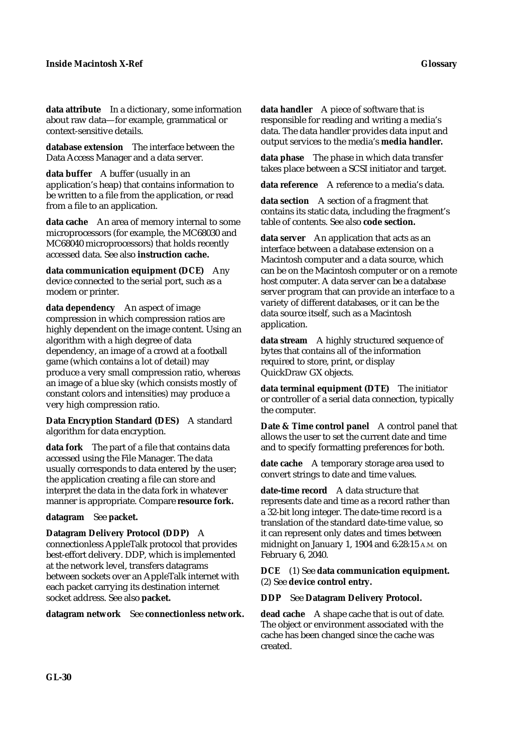**data attribute** In a dictionary, some information about raw data—for example, grammatical or context-sensitive details.

**database extension** The interface between the Data Access Manager and a data server.

**data buffer** A buffer (usually in an application's heap) that contains information to be written to a file from the application, or read from a file to an application.

**data cache** An area of memory internal to some microprocessors (for example, the MC68030 and MC68040 microprocessors) that holds recently accessed data. See also **instruction cache.**

**data communication equipment (DCE)** Any device connected to the serial port, such as a modem or printer.

**data dependency** An aspect of image compression in which compression ratios are highly dependent on the image content. Using an algorithm with a high degree of data dependency, an image of a crowd at a football game (which contains a lot of detail) may produce a very small compression ratio, whereas an image of a blue sky (which consists mostly of constant colors and intensities) may produce a very high compression ratio.

**Data Encryption Standard (DES)** A standard algorithm for data encryption.

**data fork** The part of a file that contains data accessed using the File Manager. The data usually corresponds to data entered by the user; the application creating a file can store and interpret the data in the data fork in whatever manner is appropriate. Compare **resource fork.**

**datagram** See **packet.**

**Datagram Delivery Protocol (DDP)** A

connectionless AppleTalk protocol that provides best-effort delivery. DDP, which is implemented at the network level, transfers datagrams between sockets over an AppleTalk internet with each packet carrying its destination internet socket address. See also **packet.**

**datagram network** See **connectionless network.**

**data handler** A piece of software that is responsible for reading and writing a media's data. The data handler provides data input and output services to the media's **media handler.**

**data phase** The phase in which data transfer takes place between a SCSI initiator and target.

**data reference** A reference to a media's data.

**data section** A section of a fragment that contains its static data, including the fragment's table of contents. See also **code section.**

**data server** An application that acts as an interface between a database extension on a Macintosh computer and a data source, which can be on the Macintosh computer or on a remote host computer. A data server can be a database server program that can provide an interface to a variety of different databases, or it can be the data source itself, such as a Macintosh application.

**data stream** A highly structured sequence of bytes that contains all of the information required to store, print, or display QuickDraw GX objects.

**data terminal equipment (DTE)** The initiator or controller of a serial data connection, typically the computer.

**Date & Time control panel** A control panel that allows the user to set the current date and time and to specify formatting preferences for both.

**date cache** A temporary storage area used to convert strings to date and time values.

**date-time record** A data structure that represents date and time as a record rather than a 32-bit long integer. The date-time record is a translation of the standard date-time value, so it can represent only dates and times between midnight on January 1, 1904 and 6:28:15 A.M. on February 6, 2040.

**DCE** (1) See **data communication equipment.**  (2) See **device control entry.**

**DDP** See **Datagram Delivery Protocol.**

**dead cache** A shape cache that is out of date. The object or environment associated with the cache has been changed since the cache was created.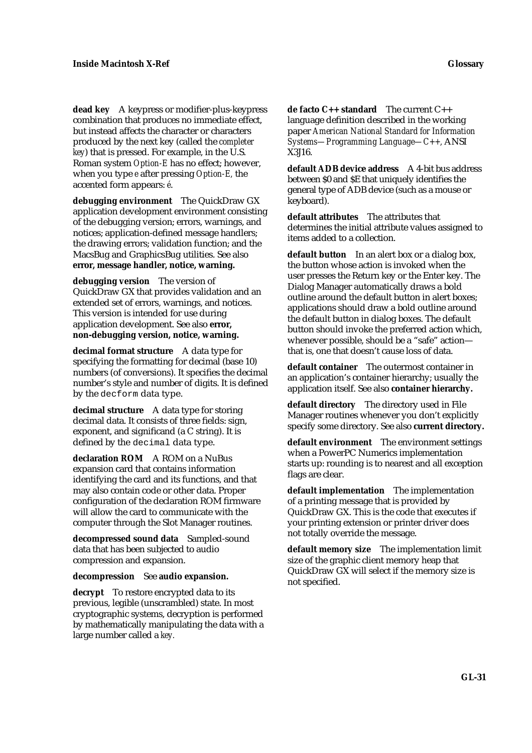**dead key** A keypress or modifier-plus-keypress combination that produces no immediate effect, but instead affects the character or characters produced by the next key (called the *completer key*) that is pressed. For example, in the U.S. Roman system *Option-E* has no effect; however, when you type *e* after pressing *Option-E,* the accented form appears: *é*.

**debugging environment** The QuickDraw GX application development environment consisting of the debugging version; errors, warnings, and notices; application-defined message handlers; the drawing errors; validation function; and the MacsBug and GraphicsBug utilities. See also **error, message handler, notice, warning.**

**debugging version** The version of QuickDraw GX that provides validation and an extended set of errors, warnings, and notices. This version is intended for use during application development. See also **error, non-debugging version, notice, warning.**

**decimal format structure** A data type for specifying the formatting for decimal (base 10) numbers (of conversions). It specifies the decimal number's style and number of digits. It is defined by the decform data type.

**decimal structure** A data type for storing decimal data. It consists of three fields: sign, exponent, and significand (a C string). It is defined by the decimal data type.

**declaration ROM** A ROM on a NuBus expansion card that contains information identifying the card and its functions, and that may also contain code or other data. Proper configuration of the declaration ROM firmware will allow the card to communicate with the computer through the Slot Manager routines.

**decompressed sound data** Sampled-sound data that has been subjected to audio compression and expansion.

#### **decompression** See **audio expansion.**

**decrypt** To restore encrypted data to its previous, legible (unscrambled) state. In most cryptographic systems, decryption is performed by mathematically manipulating the data with a large number called a *key.*

**de facto C++ standard** The current C++ language definition described in the working paper *American National Standard for Information Systems—Programming Language—C++,* ANSI X3J16.

**default ADB device address** A 4-bit bus address between \$0 and \$E that uniquely identifies the general type of ADB device (such as a mouse or keyboard).

**default attributes** The attributes that determines the initial attribute values assigned to items added to a collection.

**default button** In an alert box or a dialog box, the button whose action is invoked when the user presses the Return key or the Enter key. The Dialog Manager automatically draws a bold outline around the default button in alert boxes; applications should draw a bold outline around the default button in dialog boxes. The default button should invoke the preferred action which, whenever possible, should be a "safe" action that is, one that doesn't cause loss of data.

**default container** The outermost container in an application's container hierarchy; usually the application itself. See also **container hierarchy.**

**default directory** The directory used in File Manager routines whenever you don't explicitly specify some directory. See also **current directory.**

**default environment** The environment settings when a PowerPC Numerics implementation starts up: rounding is to nearest and all exception flags are clear.

**default implementation** The implementation of a printing message that is provided by QuickDraw GX. This is the code that executes if your printing extension or printer driver does not totally override the message.

**default memory size** The implementation limit size of the graphic client memory heap that QuickDraw GX will select if the memory size is not specified.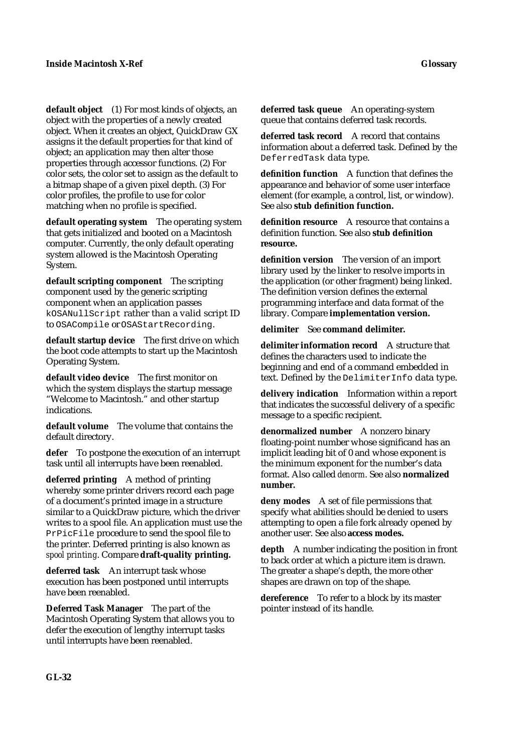**default object** (1) For most kinds of objects, an object with the properties of a newly created object. When it creates an object, QuickDraw GX assigns it the default properties for that kind of object; an application may then alter those properties through accessor functions. (2) For color sets, the color set to assign as the default to a bitmap shape of a given pixel depth. (3) For color profiles, the profile to use for color matching when no profile is specified.

**default operating system** The operating system that gets initialized and booted on a Macintosh computer. Currently, the only default operating system allowed is the Macintosh Operating System.

**default scripting component** The scripting component used by the generic scripting component when an application passes kOSANullScript rather than a valid script ID to OSACompile or OSAStartRecording.

**default startup device** The first drive on which the boot code attempts to start up the Macintosh Operating System.

**default video device** The first monitor on which the system displays the startup message "Welcome to Macintosh." and other startup indications.

**default volume** The volume that contains the default directory.

**defer** To postpone the execution of an interrupt task until all interrupts have been reenabled.

**deferred printing** A method of printing whereby some printer drivers record each page of a document's printed image in a structure similar to a QuickDraw picture, which the driver writes to a spool file. An application must use the PrPicFile procedure to send the spool file to the printer. Deferred printing is also known as *spool printing*. Compare **draft-quality printing.**

**deferred task** An interrupt task whose execution has been postponed until interrupts have been reenabled.

**Deferred Task Manager** The part of the Macintosh Operating System that allows you to defer the execution of lengthy interrupt tasks until interrupts have been reenabled.

**deferred task queue** An operating-system queue that contains deferred task records.

**deferred task record** A record that contains information about a deferred task. Defined by the DeferredTask data type.

**definition function** A function that defines the appearance and behavior of some user interface element (for example, a control, list, or window). See also **stub definition function.**

**definition resource** A resource that contains a definition function. See also **stub definition resource.**

**definition version** The version of an import library used by the linker to resolve imports in the application (or other fragment) being linked. The definition version defines the external programming interface and data format of the library. Compare **implementation version.**

**delimiter** See **command delimiter.**

**delimiter information record** A structure that defines the characters used to indicate the beginning and end of a command embedded in text. Defined by the DelimiterInfo data type.

**delivery indication** Information within a report that indicates the successful delivery of a specific message to a specific recipient.

**denormalized number** A nonzero binary floating-point number whose significand has an implicit leading bit of 0 and whose exponent is the minimum exponent for the number's data format. Also called *denorm*. See also **normalized number.**

**deny modes** A set of file permissions that specify what abilities should be denied to users attempting to open a file fork already opened by another user. See also **access modes.**

**depth** A number indicating the position in front to back order at which a picture item is drawn. The greater a shape's depth, the more other shapes are drawn on top of the shape.

**dereference** To refer to a block by its master pointer instead of its handle.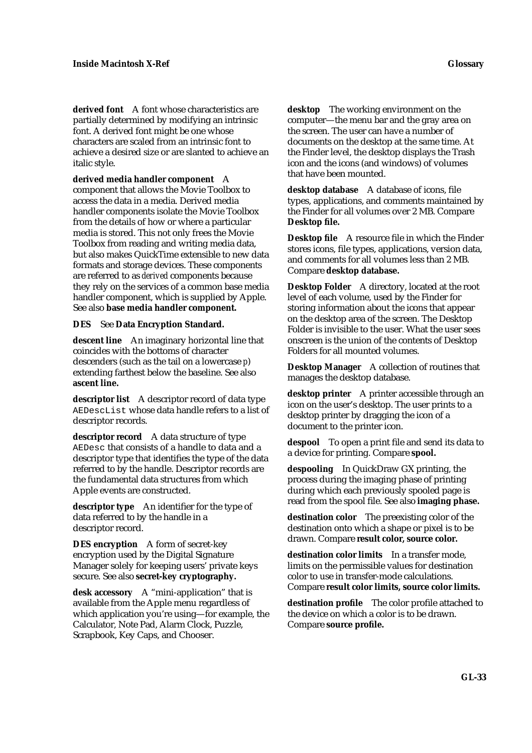**derived font** A font whose characteristics are partially determined by modifying an intrinsic font. A derived font might be one whose characters are scaled from an intrinsic font to achieve a desired size or are slanted to achieve an italic style.

**derived media handler component** A component that allows the Movie Toolbox to access the data in a media. Derived media handler components isolate the Movie Toolbox from the details of how or where a particular media is stored. This not only frees the Movie Toolbox from reading and writing media data, but also makes QuickTime extensible to new data formats and storage devices. These components are referred to as *derived* components because they rely on the services of a common base media handler component, which is supplied by Apple. See also **base media handler component.**

#### **DES** See **Data Encryption Standard.**

**descent line** An imaginary horizontal line that coincides with the bottoms of character descenders (such as the tail on a lowercase *p*) extending farthest below the baseline. See also **ascent line.**

**descriptor list** A descriptor record of data type AEDescList whose data handle refers to a list of descriptor records.

**descriptor record** A data structure of type AEDesc that consists of a handle to data and a descriptor type that identifies the type of the data referred to by the handle. Descriptor records are the fundamental data structures from which Apple events are constructed.

**descriptor type** An identifier for the type of data referred to by the handle in a descriptor record.

**DES encryption** A form of secret-key encryption used by the Digital Signature Manager solely for keeping users' private keys secure. See also **secret-key cryptography.**

**desk accessory** A "mini-application" that is available from the Apple menu regardless of which application you're using—for example, the Calculator, Note Pad, Alarm Clock, Puzzle, Scrapbook, Key Caps, and Chooser.

**desktop** The working environment on the computer—the menu bar and the gray area on the screen. The user can have a number of documents on the desktop at the same time. At the Finder level, the desktop displays the Trash icon and the icons (and windows) of volumes that have been mounted.

**desktop database** A database of icons, file types, applications, and comments maintained by the Finder for all volumes over 2 MB. Compare **Desktop file.**

**Desktop file** A resource file in which the Finder stores icons, file types, applications, version data, and comments for all volumes less than 2 MB. Compare **desktop database.**

**Desktop Folder** A directory, located at the root level of each volume, used by the Finder for storing information about the icons that appear on the desktop area of the screen. The Desktop Folder is invisible to the user. What the user sees onscreen is the union of the contents of Desktop Folders for all mounted volumes.

**Desktop Manager** A collection of routines that manages the desktop database.

**desktop printer** A printer accessible through an icon on the user's desktop. The user prints to a desktop printer by dragging the icon of a document to the printer icon.

**despool** To open a print file and send its data to a device for printing. Compare **spool.**

**despooling** In QuickDraw GX printing, the process during the imaging phase of printing during which each previously spooled page is read from the spool file. See also **imaging phase.**

**destination color** The preexisting color of the destination onto which a shape or pixel is to be drawn. Compare **result color, source color.**

**destination color limits** In a transfer mode, limits on the permissible values for destination color to use in transfer-mode calculations. Compare **result color limits, source color limits.**

**destination profile** The color profile attached to the device on which a color is to be drawn. Compare **source profile.**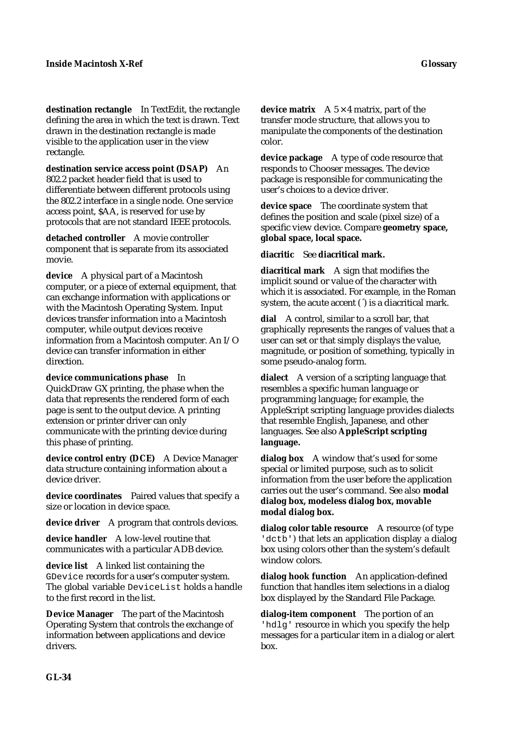**destination rectangle** In TextEdit, the rectangle defining the area in which the text is drawn. Text drawn in the destination rectangle is made visible to the application user in the view rectangle.

**destination service access point (DSAP)** An 802.2 packet header field that is used to differentiate between different protocols using the 802.2 interface in a single node. One service access point, \$AA, is reserved for use by protocols that are not standard IEEE protocols.

**detached controller** A movie controller component that is separate from its associated movie.

**device** A physical part of a Macintosh computer, or a piece of external equipment, that can exchange information with applications or with the Macintosh Operating System. Input devices transfer information into a Macintosh computer, while output devices receive information from a Macintosh computer. An I/O device can transfer information in either direction.

**device communications phase** In QuickDraw GX printing, the phase when the data that represents the rendered form of each page is sent to the output device. A printing extension or printer driver can only communicate with the printing device during this phase of printing.

**device control entry (DCE)** A Device Manager data structure containing information about a device driver.

**device coordinates** Paired values that specify a size or location in device space.

**device driver** A program that controls devices.

**device handler** A low-level routine that communicates with a particular ADB device.

**device list** A linked list containing the GDevice records for a user's computer system. The global variable DeviceList holds a handle to the first record in the list.

**Device Manager** The part of the Macintosh Operating System that controls the exchange of information between applications and device drivers.

**device matrix**  $A \times 4$  matrix, part of the transfer mode structure, that allows you to manipulate the components of the destination color.

**device package** A type of code resource that responds to Chooser messages. The device package is responsible for communicating the user's choices to a device driver.

**device space** The coordinate system that defines the position and scale (pixel size) of a specific view device. Compare **geometry space, global space, local space.**

**diacritic** See **diacritical mark.**

**diacritical mark** A sign that modifies the implicit sound or value of the character with which it is associated. For example, in the Roman system, the acute accent ( $\hat{ }$ ) is a diacritical mark.

**dial** A control, similar to a scroll bar, that graphically represents the ranges of values that a user can set or that simply displays the value, magnitude, or position of something, typically in some pseudo-analog form.

**dialect** A version of a scripting language that resembles a specific human language or programming language; for example, the AppleScript scripting language provides dialects that resemble English, Japanese, and other languages. See also **AppleScript scripting language.**

**dialog box** A window that's used for some special or limited purpose, such as to solicit information from the user before the application carries out the user's command. See also **modal dialog box, modeless dialog box, movable modal dialog box.**

**dialog color table resource** A resource (of type 'dctb') that lets an application display a dialog box using colors other than the system's default window colors.

**dialog hook function** An application-defined function that handles item selections in a dialog box displayed by the Standard File Package.

**dialog-item component** The portion of an 'hdlg' resource in which you specify the help messages for a particular item in a dialog or alert box.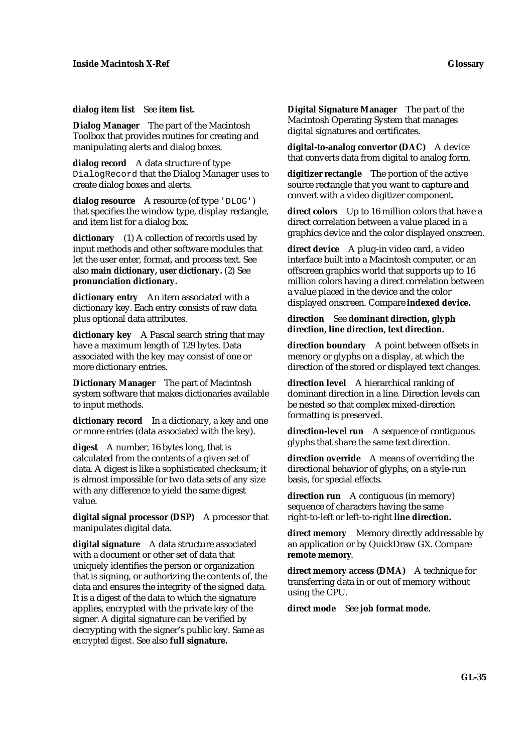**dialog item list** See **item list.**

**Dialog Manager** The part of the Macintosh Toolbox that provides routines for creating and manipulating alerts and dialog boxes.

**dialog record** A data structure of type DialogRecord that the Dialog Manager uses to create dialog boxes and alerts.

**dialog resource** A resource (of type 'DLOG') that specifies the window type, display rectangle, and item list for a dialog box.

**dictionary** (1) A collection of records used by input methods and other software modules that let the user enter, format, and process text. See also **main dictionary, user dictionary.** (2) See **pronunciation dictionary.**

**dictionary entry** An item associated with a dictionary key. Each entry consists of raw data plus optional data attributes.

**dictionary key** A Pascal search string that may have a maximum length of 129 bytes. Data associated with the key may consist of one or more dictionary entries.

**Dictionary Manager** The part of Macintosh system software that makes dictionaries available to input methods.

**dictionary record** In a dictionary, a key and one or more entries (data associated with the key).

**digest** A number, 16 bytes long, that is calculated from the contents of a given set of data. A digest is like a sophisticated checksum; it is almost impossible for two data sets of any size with any difference to yield the same digest value.

**digital signal processor (DSP)** A processor that manipulates digital data.

**digital signature** A data structure associated with a document or other set of data that uniquely identifies the person or organization that is signing, or authorizing the contents of, the data and ensures the integrity of the signed data. It is a digest of the data to which the signature applies, encrypted with the private key of the signer. A digital signature can be verified by decrypting with the signer's public key. Same as *encrypted digest*. See also **full signature.**

**Digital Signature Manager** The part of the Macintosh Operating System that manages digital signatures and certificates.

**digital-to-analog convertor (DAC)** A device that converts data from digital to analog form.

**digitizer rectangle** The portion of the active source rectangle that you want to capture and convert with a video digitizer component.

**direct colors** Up to 16 million colors that have a direct correlation between a value placed in a graphics device and the color displayed onscreen.

**direct device** A plug-in video card, a video interface built into a Macintosh computer, or an offscreen graphics world that supports up to 16 million colors having a direct correlation between a value placed in the device and the color displayed onscreen. Compare **indexed device.**

### **direction** See **dominant direction, glyph direction, line direction, text direction.**

**direction boundary** A point between offsets in memory or glyphs on a display, at which the direction of the stored or displayed text changes.

**direction level** A hierarchical ranking of dominant direction in a line. Direction levels can be nested so that complex mixed-direction formatting is preserved.

**direction-level run** A sequence of contiguous glyphs that share the same text direction.

**direction override** A means of overriding the directional behavior of glyphs, on a style-run basis, for special effects.

**direction run** A contiguous (in memory) sequence of characters having the same right-to-left or left-to-right **line direction.**

**direct memory** Memory directly addressable by an application or by QuickDraw GX. Compare **remote memory**.

**direct memory access (DMA)** A technique for transferring data in or out of memory without using the CPU.

**direct mode** See **job format mode.**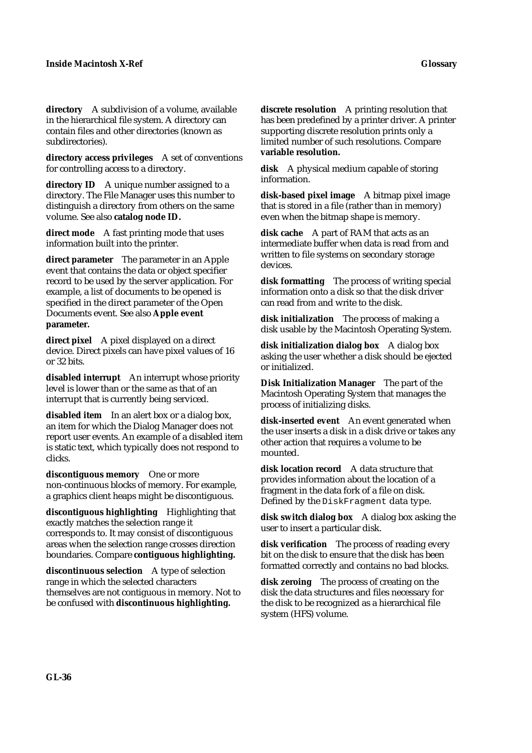**directory** A subdivision of a volume, available in the hierarchical file system. A directory can contain files and other directories (known as subdirectories).

**directory access privileges** A set of conventions for controlling access to a directory.

**directory ID** A unique number assigned to a directory. The File Manager uses this number to distinguish a directory from others on the same volume. See also **catalog node ID.**

**direct mode** A fast printing mode that uses information built into the printer.

**direct parameter** The parameter in an Apple event that contains the data or object specifier record to be used by the server application. For example, a list of documents to be opened is specified in the direct parameter of the Open Documents event. See also **Apple event parameter.**

**direct pixel** A pixel displayed on a direct device. Direct pixels can have pixel values of 16 or 32 bits.

**disabled interrupt** An interrupt whose priority level is lower than or the same as that of an interrupt that is currently being serviced.

**disabled item** In an alert box or a dialog box, an item for which the Dialog Manager does not report user events. An example of a disabled item is static text, which typically does not respond to clicks.

**discontiguous memory** One or more non-continuous blocks of memory. For example, a graphics client heaps might be discontiguous.

**discontiguous highlighting** Highlighting that exactly matches the selection range it corresponds to. It may consist of discontiguous areas when the selection range crosses direction boundaries. Compare **contiguous highlighting.**

**discontinuous selection** A type of selection range in which the selected characters themselves are not contiguous in memory. Not to be confused with **discontinuous highlighting.**

**discrete resolution** A printing resolution that has been predefined by a printer driver. A printer supporting discrete resolution prints only a limited number of such resolutions. Compare **variable resolution.**

**disk** A physical medium capable of storing information.

**disk-based pixel image** A bitmap pixel image that is stored in a file (rather than in memory) even when the bitmap shape is memory.

**disk cache** A part of RAM that acts as an intermediate buffer when data is read from and written to file systems on secondary storage devices.

**disk formatting** The process of writing special information onto a disk so that the disk driver can read from and write to the disk.

**disk initialization** The process of making a disk usable by the Macintosh Operating System.

**disk initialization dialog box** A dialog box asking the user whether a disk should be ejected or initialized.

**Disk Initialization Manager** The part of the Macintosh Operating System that manages the process of initializing disks.

**disk-inserted event** An event generated when the user inserts a disk in a disk drive or takes any other action that requires a volume to be mounted.

**disk location record** A data structure that provides information about the location of a fragment in the data fork of a file on disk. Defined by the DiskFragment data type.

**disk switch dialog box** A dialog box asking the user to insert a particular disk.

**disk verification** The process of reading every bit on the disk to ensure that the disk has been formatted correctly and contains no bad blocks.

**disk zeroing** The process of creating on the disk the data structures and files necessary for the disk to be recognized as a hierarchical file system (HFS) volume.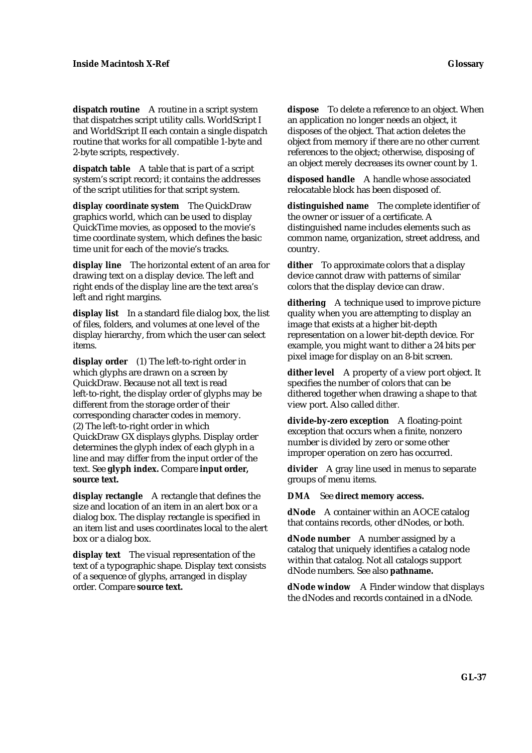**dispatch routine** A routine in a script system that dispatches script utility calls. WorldScript I and WorldScript II each contain a single dispatch routine that works for all compatible 1-byte and 2-byte scripts, respectively.

**dispatch table** A table that is part of a script system's script record; it contains the addresses of the script utilities for that script system.

**display coordinate system** The QuickDraw graphics world, which can be used to display QuickTime movies, as opposed to the movie's time coordinate system, which defines the basic time unit for each of the movie's tracks.

**display line** The horizontal extent of an area for drawing text on a display device. The left and right ends of the display line are the text area's left and right margins.

**display list** In a standard file dialog box, the list of files, folders, and volumes at one level of the display hierarchy, from which the user can select items.

**display order** (1) The left-to-right order in which glyphs are drawn on a screen by QuickDraw. Because not all text is read left-to-right, the display order of glyphs may be different from the storage order of their corresponding character codes in memory. (2) The left-to-right order in which QuickDraw GX displays glyphs. Display order determines the glyph index of each glyph in a line and may differ from the input order of the text. See **glyph index.** Compare **input order, source text.**

**display rectangle** A rectangle that defines the size and location of an item in an alert box or a dialog box. The display rectangle is specified in an item list and uses coordinates local to the alert box or a dialog box.

**display text** The visual representation of the text of a typographic shape. Display text consists of a sequence of glyphs, arranged in display order. Compare **source text.**

**dispose** To delete a reference to an object. When an application no longer needs an object, it disposes of the object. That action deletes the object from memory if there are no other current references to the object; otherwise, disposing of an object merely decreases its owner count by 1.

**disposed handle** A handle whose associated relocatable block has been disposed of.

**distinguished name** The complete identifier of the owner or issuer of a certificate. A distinguished name includes elements such as common name, organization, street address, and country.

**dither** To approximate colors that a display device cannot draw with patterns of similar colors that the display device can draw.

**dithering** A technique used to improve picture quality when you are attempting to display an image that exists at a higher bit-depth representation on a lower bit-depth device. For example, you might want to dither a 24 bits per pixel image for display on an 8-bit screen.

**dither level** A property of a view port object. It specifies the number of colors that can be dithered together when drawing a shape to that view port. Also called *dither.*

**divide-by-zero exception** A floating-point exception that occurs when a finite, nonzero number is divided by zero or some other improper operation on zero has occurred.

**divider** A gray line used in menus to separate groups of menu items.

**DMA** See **direct memory access.**

**dNode** A container within an AOCE catalog that contains records, other dNodes, or both.

**dNode number** A number assigned by a catalog that uniquely identifies a catalog node within that catalog. Not all catalogs support dNode numbers. See also **pathname.**

**dNode window** A Finder window that displays the dNodes and records contained in a dNode.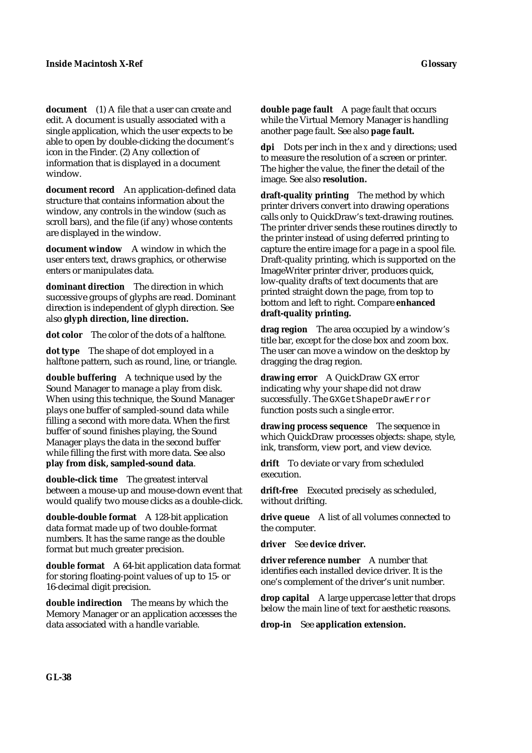**document** (1) A file that a user can create and edit. A document is usually associated with a single application, which the user expects to be able to open by double-clicking the document's icon in the Finder. (2) Any collection of information that is displayed in a document window.

**document record** An application-defined data structure that contains information about the window, any controls in the window (such as scroll bars), and the file (if any) whose contents are displayed in the window.

**document window** A window in which the user enters text, draws graphics, or otherwise enters or manipulates data.

**dominant direction** The direction in which successive groups of glyphs are read. Dominant direction is independent of glyph direction. See also **glyph direction, line direction.**

**dot color** The color of the dots of a halftone.

**dot type** The shape of dot employed in a halftone pattern, such as round, line, or triangle.

**double buffering** A technique used by the Sound Manager to manage a play from disk. When using this technique, the Sound Manager plays one buffer of sampled-sound data while filling a second with more data. When the first buffer of sound finishes playing, the Sound Manager plays the data in the second buffer while filling the first with more data. See also **play from disk, sampled-sound data**.

**double-click time** The greatest interval between a mouse-up and mouse-down event that would qualify two mouse clicks as a double-click.

**double-double format** A 128-bit application data format made up of two double-format numbers. It has the same range as the double format but much greater precision.

**double format** A 64-bit application data format for storing floating-point values of up to 15- or 16-decimal digit precision.

**double indirection** The means by which the Memory Manager or an application accesses the data associated with a handle variable.

**double page fault** A page fault that occurs while the Virtual Memory Manager is handling another page fault. See also **page fault.**

**dpi** Dots per inch in the *x* and *y* directions; used to measure the resolution of a screen or printer. The higher the value, the finer the detail of the image. See also **resolution.**

**draft-quality printing** The method by which printer drivers convert into drawing operations calls only to QuickDraw's text-drawing routines. The printer driver sends these routines directly to the printer instead of using deferred printing to capture the entire image for a page in a spool file. Draft-quality printing, which is supported on the ImageWriter printer driver, produces quick, low-quality drafts of text documents that are printed straight down the page, from top to bottom and left to right. Compare **enhanced draft-quality printing.**

**drag region** The area occupied by a window's title bar, except for the close box and zoom box. The user can move a window on the desktop by dragging the drag region.

**drawing error** A QuickDraw GX error indicating why your shape did not draw successfully. The GXGetShapeDrawError function posts such a single error.

**drawing process sequence** The sequence in which QuickDraw processes objects: shape, style, ink, transform, view port, and view device.

**drift** To deviate or vary from scheduled execution.

**drift-free** Executed precisely as scheduled, without drifting.

**drive queue** A list of all volumes connected to the computer.

**driver** See **device driver.**

**driver reference number** A number that identifies each installed device driver. It is the one's complement of the driver's unit number.

**drop capital** A large uppercase letter that drops below the main line of text for aesthetic reasons.

**drop-in** See **application extension.**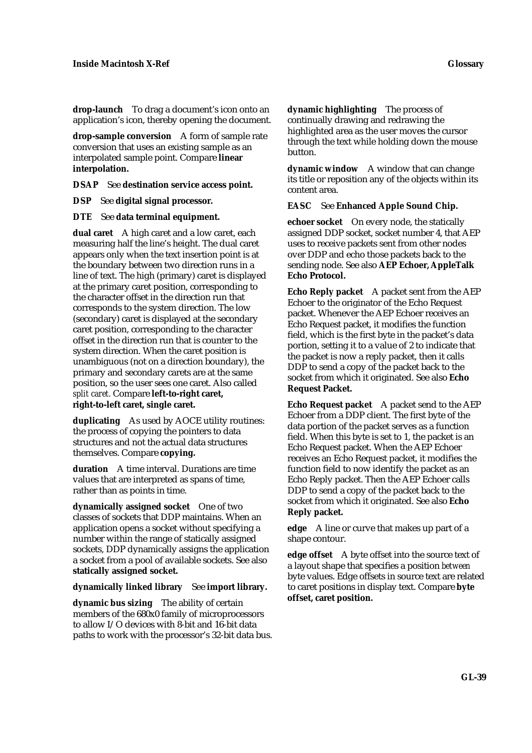**drop-launch** To drag a document's icon onto an application's icon, thereby opening the document.

**drop-sample conversion** A form of sample rate conversion that uses an existing sample as an interpolated sample point. Compare **linear interpolation.**

**DSAP** See **destination service access point.**

**DSP** See **digital signal processor.**

**DTE** See **data terminal equipment.**

**dual caret** A high caret and a low caret, each measuring half the line's height. The dual caret appears only when the text insertion point is at the boundary between two direction runs in a line of text. The high (primary) caret is displayed at the primary caret position, corresponding to the character offset in the direction run that corresponds to the system direction. The low (secondary) caret is displayed at the secondary caret position, corresponding to the character offset in the direction run that is counter to the system direction. When the caret position is unambiguous (not on a direction boundary), the primary and secondary carets are at the same position, so the user sees one caret. Also called *split caret.* Compare **left-to-right caret, right-to-left caret, single caret.**

**duplicating** As used by AOCE utility routines: the process of copying the pointers to data structures and not the actual data structures themselves. Compare **copying.**

**duration** A time interval. Durations are time values that are interpreted as spans of time, rather than as points in time.

**dynamically assigned socket** One of two classes of sockets that DDP maintains. When an application opens a socket without specifying a number within the range of statically assigned sockets, DDP dynamically assigns the application a socket from a pool of available sockets. See also **statically assigned socket.**

**dynamically linked library** See **import library.**

**dynamic bus sizing** The ability of certain members of the 680x0 family of microprocessors to allow I/O devices with 8-bit and 16-bit data paths to work with the processor's 32-bit data bus. **dynamic highlighting** The process of continually drawing and redrawing the highlighted area as the user moves the cursor through the text while holding down the mouse button.

**dynamic window** A window that can change its title or reposition any of the objects within its content area.

**EASC** See **Enhanced Apple Sound Chip.**

**echoer socket** On every node, the statically assigned DDP socket, socket number 4, that AEP uses to receive packets sent from other nodes over DDP and echo those packets back to the sending node. See also **AEP Echoer, AppleTalk Echo Protocol.**

**Echo Reply packet** A packet sent from the AEP Echoer to the originator of the Echo Request packet. Whenever the AEP Echoer receives an Echo Request packet, it modifies the function field, which is the first byte in the packet's data portion, setting it to a value of 2 to indicate that the packet is now a reply packet, then it calls DDP to send a copy of the packet back to the socket from which it originated. See also **Echo Request Packet.**

**Echo Request packet** A packet send to the AEP Echoer from a DDP client. The first byte of the data portion of the packet serves as a function field. When this byte is set to 1, the packet is an Echo Request packet. When the AEP Echoer receives an Echo Request packet, it modifies the function field to now identify the packet as an Echo Reply packet. Then the AEP Echoer calls DDP to send a copy of the packet back to the socket from which it originated. See also **Echo Reply packet.**

**edge** A line or curve that makes up part of a shape contour.

**edge offset** A byte offset into the source text of a layout shape that specifies a position *between* byte values. Edge offsets in source text are related to caret positions in display text. Compare **byte offset, caret position.**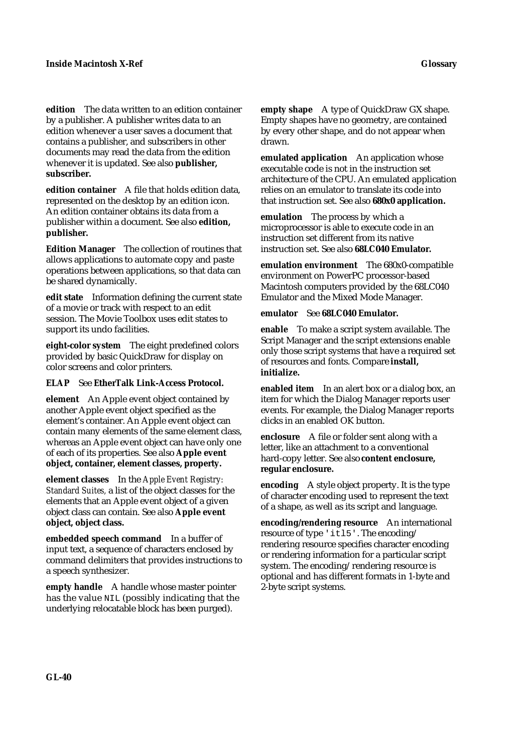**edition** The data written to an edition container by a publisher. A publisher writes data to an edition whenever a user saves a document that contains a publisher, and subscribers in other documents may read the data from the edition whenever it is updated. See also **publisher, subscriber.**

**edition container** A file that holds edition data, represented on the desktop by an edition icon. An edition container obtains its data from a publisher within a document. See also **edition, publisher.**

**Edition Manager** The collection of routines that allows applications to automate copy and paste operations between applications, so that data can be shared dynamically.

**edit state** Information defining the current state of a movie or track with respect to an edit session. The Movie Toolbox uses edit states to support its undo facilities.

**eight-color system** The eight predefined colors provided by basic QuickDraw for display on color screens and color printers.

### **ELAP** See **EtherTalk Link-Access Protocol.**

**element** An Apple event object contained by another Apple event object specified as the element's container. An Apple event object can contain many elements of the same element class, whereas an Apple event object can have only one of each of its properties. See also **Apple event object, container, element classes, property.**

**element classes** In the *Apple Event Registry: Standard Suites,* a list of the object classes for the elements that an Apple event object of a given object class can contain. See also **Apple event object, object class.**

**embedded speech command** In a buffer of input text, a sequence of characters enclosed by command delimiters that provides instructions to a speech synthesizer.

**empty handle** A handle whose master pointer has the value NIL (possibly indicating that the underlying relocatable block has been purged).

**empty shape** A type of QuickDraw GX shape. Empty shapes have no geometry, are contained by every other shape, and do not appear when drawn.

**emulated application** An application whose executable code is not in the instruction set architecture of the CPU. An emulated application relies on an emulator to translate its code into that instruction set. See also **680x0 application.**

**emulation** The process by which a microprocessor is able to execute code in an instruction set different from its native instruction set. See also **68LC040 Emulator.**

**emulation environment** The 680x0-compatible environment on PowerPC processor-based Macintosh computers provided by the 68LC040 Emulator and the Mixed Mode Manager.

#### **emulator** See **68LC040 Emulator.**

**enable** To make a script system available. The Script Manager and the script extensions enable only those script systems that have a required set of resources and fonts. Compare **install, initialize.**

**enabled item** In an alert box or a dialog box, an item for which the Dialog Manager reports user events. For example, the Dialog Manager reports clicks in an enabled OK button.

**enclosure** A file or folder sent along with a letter, like an attachment to a conventional hard-copy letter. See also **content enclosure, regular enclosure.**

**encoding** A style object property. It is the type of character encoding used to represent the text of a shape, as well as its script and language.

**encoding/rendering resource** An international resource of type 'itl5'. The encoding/ rendering resource specifies character encoding or rendering information for a particular script system. The encoding/rendering resource is optional and has different formats in 1-byte and 2-byte script systems.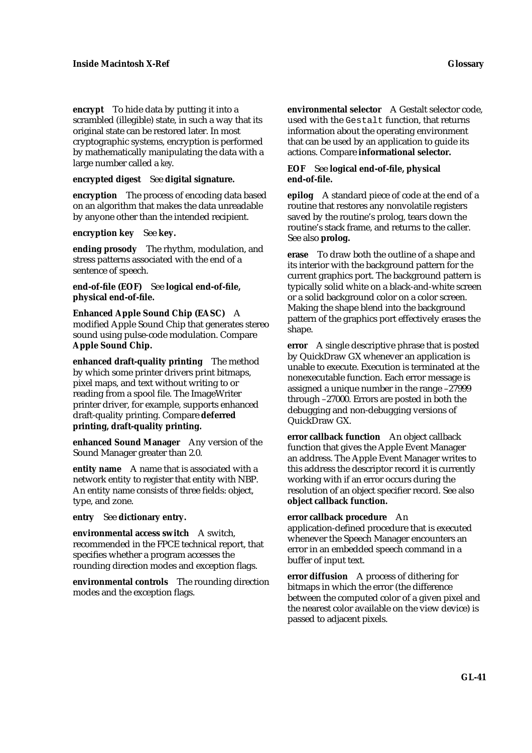**encrypt** To hide data by putting it into a scrambled (illegible) state, in such a way that its original state can be restored later. In most cryptographic systems, encryption is performed by mathematically manipulating the data with a large number called a *key*.

**encrypted digest** See **digital signature.**

**encryption** The process of encoding data based on an algorithm that makes the data unreadable by anyone other than the intended recipient.

**encryption key** See **key.**

**ending prosody** The rhythm, modulation, and stress patterns associated with the end of a sentence of speech.

**end-of-file (EOF)** See **logical end-of-file, physical end-of-file.**

**Enhanced Apple Sound Chip (EASC)** A modified Apple Sound Chip that generates stereo sound using pulse-code modulation. Compare **Apple Sound Chip.**

**enhanced draft-quality printing** The method by which some printer drivers print bitmaps, pixel maps, and text without writing to or reading from a spool file. The ImageWriter printer driver, for example, supports enhanced draft-quality printing. Compare **deferred printing, draft-quality printing.**

**enhanced Sound Manager** Any version of the Sound Manager greater than 2.0.

**entity name** A name that is associated with a network entity to register that entity with NBP. An entity name consists of three fields: object, type, and zone.

**entry** See **dictionary entry.**

**environmental access switch** A switch, recommended in the FPCE technical report, that specifies whether a program accesses the rounding direction modes and exception flags.

**environmental controls** The rounding direction modes and the exception flags.

**environmental selector** A Gestalt selector code, used with the Gestalt function, that returns information about the operating environment that can be used by an application to guide its actions. Compare **informational selector.**

# **EOF** See **logical end-of-file, physical end-of-file.**

**epilog** A standard piece of code at the end of a routine that restores any nonvolatile registers saved by the routine's prolog, tears down the routine's stack frame, and returns to the caller. See also **prolog.**

**erase** To draw both the outline of a shape and its interior with the background pattern for the current graphics port. The background pattern is typically solid white on a black-and-white screen or a solid background color on a color screen. Making the shape blend into the background pattern of the graphics port effectively erases the shape.

**error** A single descriptive phrase that is posted by QuickDraw GX whenever an application is unable to execute. Execution is terminated at the nonexecutable function. Each error message is assigned a unique number in the range –27999 through –27000. Errors are posted in both the debugging and non-debugging versions of QuickDraw GX.

**error callback function** An object callback function that gives the Apple Event Manager an address. The Apple Event Manager writes to this address the descriptor record it is currently working with if an error occurs during the resolution of an object specifier record. See also **object callback function.**

**error callback procedure** An

application-defined procedure that is executed whenever the Speech Manager encounters an error in an embedded speech command in a buffer of input text.

**error diffusion** A process of dithering for bitmaps in which the error (the difference between the computed color of a given pixel and the nearest color available on the view device) is passed to adjacent pixels.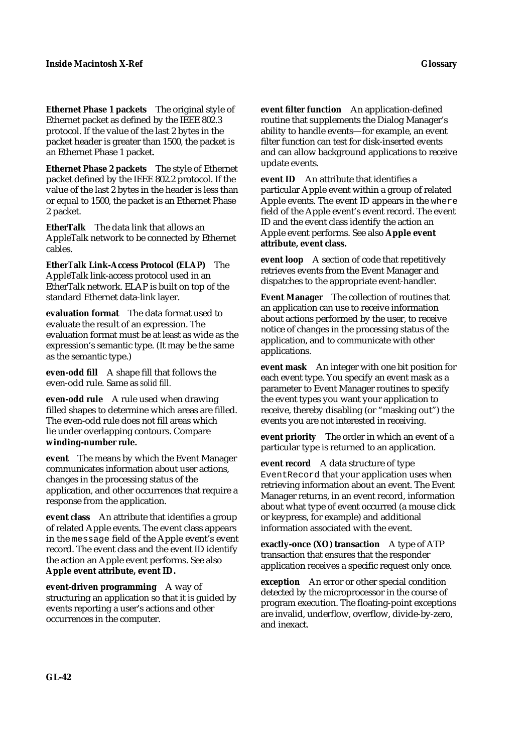**Ethernet Phase 1 packets** The original style of Ethernet packet as defined by the IEEE 802.3 protocol. If the value of the last 2 bytes in the packet header is greater than 1500, the packet is an Ethernet Phase 1 packet.

**Ethernet Phase 2 packets** The style of Ethernet packet defined by the IEEE 802.2 protocol. If the value of the last 2 bytes in the header is less than or equal to 1500, the packet is an Ethernet Phase 2 packet.

**EtherTalk** The data link that allows an AppleTalk network to be connected by Ethernet cables.

**EtherTalk Link-Access Protocol (ELAP)** The AppleTalk link-access protocol used in an EtherTalk network. ELAP is built on top of the standard Ethernet data-link layer.

**evaluation format** The data format used to evaluate the result of an expression. The evaluation format must be at least as wide as the expression's semantic type. (It may be the same as the semantic type.)

**even-odd fill** A shape fill that follows the even-odd rule. Same as *solid fill.*

**even-odd rule** A rule used when drawing filled shapes to determine which areas are filled. The even-odd rule does not fill areas which lie under overlapping contours. Compare **winding-number rule.**

**event** The means by which the Event Manager communicates information about user actions, changes in the processing status of the application, and other occurrences that require a response from the application.

**event class** An attribute that identifies a group of related Apple events. The event class appears in the message field of the Apple event's event record. The event class and the event ID identify the action an Apple event performs. See also **Apple event attribute, event ID.**

**event-driven programming** A way of structuring an application so that it is guided by events reporting a user's actions and other occurrences in the computer.

**event filter function** An application-defined routine that supplements the Dialog Manager's ability to handle events—for example, an event filter function can test for disk-inserted events and can allow background applications to receive update events.

**event ID** An attribute that identifies a particular Apple event within a group of related Apple events. The event ID appears in the where field of the Apple event's event record. The event ID and the event class identify the action an Apple event performs. See also **Apple event attribute, event class.**

**event loop** A section of code that repetitively retrieves events from the Event Manager and dispatches to the appropriate event-handler.

**Event Manager** The collection of routines that an application can use to receive information about actions performed by the user, to receive notice of changes in the processing status of the application, and to communicate with other applications.

**event mask** An integer with one bit position for each event type. You specify an event mask as a parameter to Event Manager routines to specify the event types you want your application to receive, thereby disabling (or "masking out") the events you are not interested in receiving.

**event priority** The order in which an event of a particular type is returned to an application.

**event record** A data structure of type EventRecord that your application uses when retrieving information about an event. The Event Manager returns, in an event record, information about what type of event occurred (a mouse click or keypress, for example) and additional information associated with the event.

**exactly-once (XO) transaction** A type of ATP transaction that ensures that the responder application receives a specific request only once.

**exception** An error or other special condition detected by the microprocessor in the course of program execution. The floating-point exceptions are invalid, underflow, overflow, divide-by-zero, and inexact.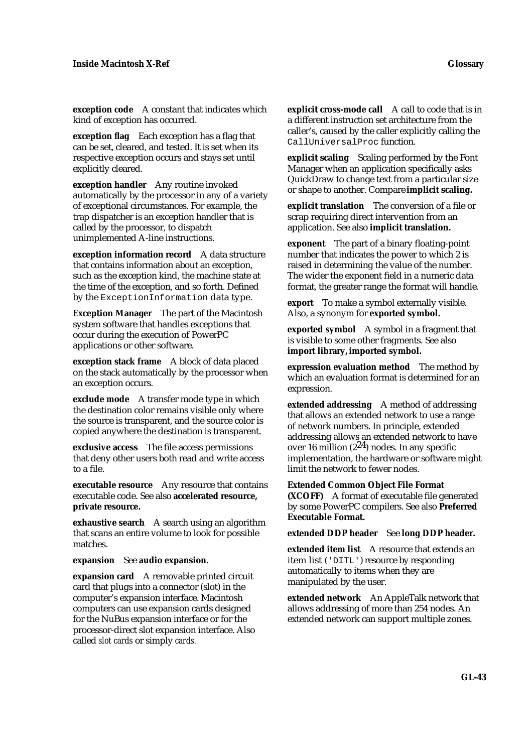**exception code** A constant that indicates which kind of exception has occurred.

**exception flag** Each exception has a flag that can be set, cleared, and tested. It is set when its respective exception occurs and stays set until explicitly cleared.

**exception handler** Any routine invoked automatically by the processor in any of a variety of exceptional circumstances. For example, the trap dispatcher is an exception handler that is called by the processor, to dispatch unimplemented A-line instructions.

**exception information record** A data structure that contains information about an exception, such as the exception kind, the machine state at the time of the exception, and so forth. Defined by the ExceptionInformation data type.

**Exception Manager** The part of the Macintosh system software that handles exceptions that occur during the execution of PowerPC applications or other software.

**exception stack frame** A block of data placed on the stack automatically by the processor when an exception occurs.

**exclude mode** A transfer mode type in which the destination color remains visible only where the source is transparent, and the source color is copied anywhere the destination is transparent.

**exclusive access** The file access permissions that deny other users both read and write access to a file.

**executable resource** Any resource that contains executable code. See also **accelerated resource, private resource.**

**exhaustive search** A search using an algorithm that scans an entire volume to look for possible matches.

**expansion** See **audio expansion.**

**expansion card** A removable printed circuit card that plugs into a connector (slot) in the computer's expansion interface. Macintosh computers can use expansion cards designed for the NuBus expansion interface or for the processor-direct slot expansion interface. Also called *slot cards* or simply *cards.*

**explicit cross-mode call** A call to code that is in a different instruction set architecture from the caller's, caused by the caller explicitly calling the CallUniversalProc function.

**explicit scaling** Scaling performed by the Font Manager when an application specifically asks QuickDraw to change text from a particular size or shape to another. Compare **implicit scaling.**

**explicit translation** The conversion of a file or scrap requiring direct intervention from an application. See also **implicit translation.**

**exponent** The part of a binary floating-point number that indicates the power to which 2 is raised in determining the value of the number. The wider the exponent field in a numeric data format, the greater range the format will handle.

**export** To make a symbol externally visible. Also, a synonym for **exported symbol.**

**exported symbol** A symbol in a fragment that is visible to some other fragments. See also **import library,imported symbol.**

**expression evaluation method** The method by which an evaluation format is determined for an expression.

**extended addressing** A method of addressing that allows an extended network to use a range of network numbers. In principle, extended addressing allows an extended network to have over 16 million (224) nodes. In any specific implementation, the hardware or software might limit the network to fewer nodes.

**Extended Common Object File Format (XCOFF)** A format of executable file generated by some PowerPC compilers. See also **Preferred Executable Format.**

### **extended DDP header** See **long DDP header.**

**extended item list** A resource that extends an item list ('DITL') resource by responding automatically to items when they are manipulated by the user.

**extended network** An AppleTalk network that allows addressing of more than 254 nodes. An extended network can support multiple zones.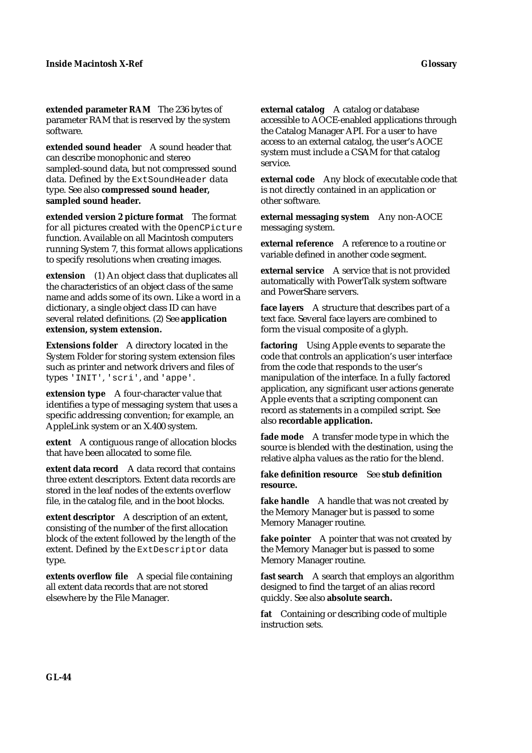**extended parameter RAM** The 236 bytes of parameter RAM that is reserved by the system software.

**extended sound header** A sound header that can describe monophonic and stereo sampled-sound data, but not compressed sound data. Defined by the ExtSoundHeader data type. See also **compressed sound header, sampled sound header.**

**extended version 2 picture format** The format for all pictures created with the OpenCPicture function. Available on all Macintosh computers running System 7, this format allows applications to specify resolutions when creating images.

**extension** (1) An object class that duplicates all the characteristics of an object class of the same name and adds some of its own. Like a word in a dictionary, a single object class ID can have several related definitions. (2) See **application extension, system extension.**

**Extensions folder** A directory located in the System Folder for storing system extension files such as printer and network drivers and files of types 'INIT', 'scri', and 'appe'.

**extension type** A four-character value that identifies a type of messaging system that uses a specific addressing convention; for example, an AppleLink system or an X.400 system.

**extent** A contiguous range of allocation blocks that have been allocated to some file.

**extent data record** A data record that contains three extent descriptors. Extent data records are stored in the leaf nodes of the extents overflow file, in the catalog file, and in the boot blocks.

**extent descriptor** A description of an extent, consisting of the number of the first allocation block of the extent followed by the length of the extent. Defined by the ExtDescriptor data type.

**extents overflow file** A special file containing all extent data records that are not stored elsewhere by the File Manager.

**external catalog** A catalog or database accessible to AOCE-enabled applications through the Catalog Manager API. For a user to have access to an external catalog, the user's AOCE system must include a CSAM for that catalog service.

**external code** Any block of executable code that is not directly contained in an application or other software.

**external messaging system** Any non-AOCE messaging system.

**external reference** A reference to a routine or variable defined in another code segment.

**external service** A service that is not provided automatically with PowerTalk system software and PowerShare servers.

**face layers** A structure that describes part of a text face. Several face layers are combined to form the visual composite of a glyph.

**factoring** Using Apple events to separate the code that controls an application's user interface from the code that responds to the user's manipulation of the interface. In a fully factored application, any significant user actions generate Apple events that a scripting component can record as statements in a compiled script. See also **recordable application.**

**fade mode** A transfer mode type in which the source is blended with the destination, using the relative alpha values as the ratio for the blend.

**fake definition resource** See **stub definition resource.**

fake handle A handle that was not created by the Memory Manager but is passed to some Memory Manager routine.

**fake pointer** A pointer that was not created by the Memory Manager but is passed to some Memory Manager routine.

**fast search** A search that employs an algorithm designed to find the target of an alias record quickly. See also **absolute search.**

**fat** Containing or describing code of multiple instruction sets.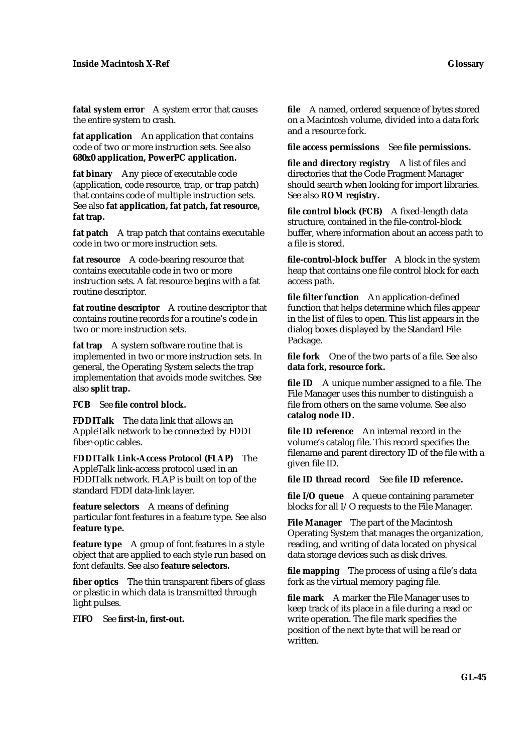**fatal system error** A system error that causes the entire system to crash.

**fat application** An application that contains code of two or more instruction sets. See also **680x0 application, PowerPC application.**

**fat binary** Any piece of executable code (application, code resource, trap, or trap patch) that contains code of multiple instruction sets. See also **fat application, fat patch, fat resource, fat trap.**

**fat patch** A trap patch that contains executable code in two or more instruction sets.

**fat resource** A code-bearing resource that contains executable code in two or more instruction sets. A fat resource begins with a fat routine descriptor.

**fat routine descriptor** A routine descriptor that contains routine records for a routine's code in two or more instruction sets.

**fat trap** A system software routine that is implemented in two or more instruction sets. In general, the Operating System selects the trap implementation that avoids mode switches. See also **split trap.**

**FCB** See **file control block.**

**FDDITalk** The data link that allows an AppleTalk network to be connected by FDDI fiber-optic cables.

**FDDITalk Link-Access Protocol (FLAP)** The AppleTalk link-access protocol used in an FDDITalk network. FLAP is built on top of the standard FDDI data-link layer.

**feature selectors** A means of defining particular font features in a feature type. See also **feature type.**

**feature type** A group of font features in a style object that are applied to each style run based on font defaults. See also **feature selectors.**

**fiber optics** The thin transparent fibers of glass or plastic in which data is transmitted through light pulses.

**FIFO** See **first-in, first-out.**

**file** A named, ordered sequence of bytes stored on a Macintosh volume, divided into a data fork and a resource fork.

**file access permissions** See **file permissions.**

**file and directory registry** A list of files and directories that the Code Fragment Manager should search when looking for import libraries. See also **ROM registry.**

**file control block (FCB)** A fixed-length data structure, contained in the file-control-block buffer, where information about an access path to a file is stored.

**file-control-block buffer** A block in the system heap that contains one file control block for each access path.

**file filter function** An application-defined function that helps determine which files appear in the list of files to open. This list appears in the dialog boxes displayed by the Standard File Package.

**file fork** One of the two parts of a file. See also **data fork, resource fork.**

**file ID** A unique number assigned to a file. The File Manager uses this number to distinguish a file from others on the same volume. See also **catalog node ID.**

**file ID reference** An internal record in the volume's catalog file. This record specifies the filename and parent directory ID of the file with a given file ID.

**file ID thread record** See **file ID reference.**

file I/O queue A queue containing parameter blocks for all I/O requests to the File Manager.

**File Manager** The part of the Macintosh Operating System that manages the organization, reading, and writing of data located on physical data storage devices such as disk drives.

**file mapping** The process of using a file's data fork as the virtual memory paging file.

**file mark** A marker the File Manager uses to keep track of its place in a file during a read or write operation. The file mark specifies the position of the next byte that will be read or written.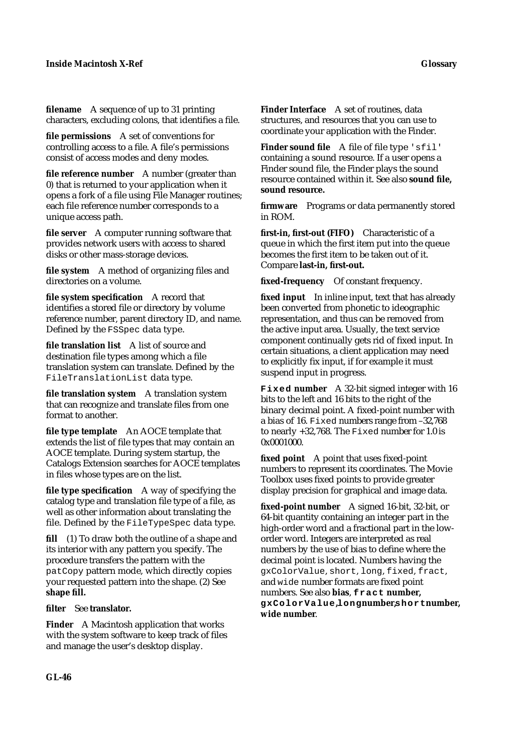**filename** A sequence of up to 31 printing characters, excluding colons, that identifies a file.

**file permissions** A set of conventions for controlling access to a file. A file's permissions consist of access modes and deny modes.

**file reference number** A number (greater than 0) that is returned to your application when it opens a fork of a file using File Manager routines; each file reference number corresponds to a unique access path.

**file server** A computer running software that provides network users with access to shared disks or other mass-storage devices.

**file system** A method of organizing files and directories on a volume.

**file system specification** A record that identifies a stored file or directory by volume reference number, parent directory ID, and name. Defined by the FSSpec data type.

**file translation list** A list of source and destination file types among which a file translation system can translate. Defined by the FileTranslationList data type.

**file translation system** A translation system that can recognize and translate files from one format to another.

**file type template** An AOCE template that extends the list of file types that may contain an AOCE template. During system startup, the Catalogs Extension searches for AOCE templates in files whose types are on the list.

**file type specification** A way of specifying the catalog type and translation file type of a file, as well as other information about translating the file. Defined by the FileTypeSpec data type.

**fill** (1) To draw both the outline of a shape and its interior with any pattern you specify. The procedure transfers the pattern with the patCopy pattern mode, which directly copies your requested pattern into the shape. (2) See **shape fill.**

**filter** See **translator.**

**Finder** A Macintosh application that works with the system software to keep track of files and manage the user's desktop display.

**Finder Interface** A set of routines, data structures, and resources that you can use to coordinate your application with the Finder.

Finder sound file A file of file type 'sfil' containing a sound resource. If a user opens a Finder sound file, the Finder plays the sound resource contained within it. See also **sound file, sound resource.**

**firmware** Programs or data permanently stored in ROM.

**first-in, first-out (FIFO)** Characteristic of a queue in which the first item put into the queue becomes the first item to be taken out of it. Compare **last-in, first-out.**

**fixed-frequency** Of constant frequency.

**fixed input** In inline input, text that has already been converted from phonetic to ideographic representation, and thus can be removed from the active input area. Usually, the text service component continually gets rid of fixed input. In certain situations, a client application may need to explicitly fix input, if for example it must suspend input in progress.

**Fixed number** A 32-bit signed integer with 16 bits to the left and 16 bits to the right of the binary decimal point. A fixed-point number with a bias of 16. Fixed numbers range from –32,768 to nearly +32,768. The Fixed number for 1.0 is 0x0001000.

**fixed point** A point that uses fixed-point numbers to represent its coordinates. The Movie Toolbox uses fixed points to provide greater display precision for graphical and image data.

**fixed-point number** A signed 16-bit, 32-bit, or 64-bit quantity containing an integer part in the high-order word and a fractional part in the loworder word. Integers are interpreted as real numbers by the use of bias to define where the decimal point is located. Numbers having the gxColorValue, short, long, fixed, fract, and wide number formats are fixed point numbers. See also **bias**, **fract number, gxColorValue, longnumber, shortnumber, wide number**.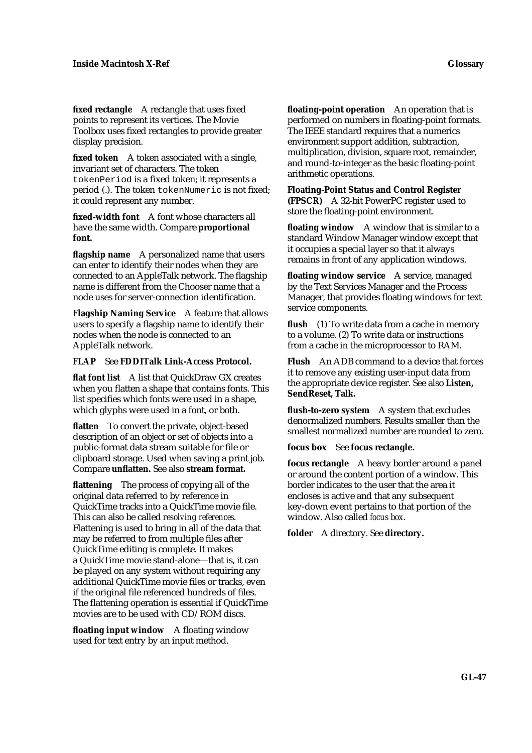**fixed rectangle** A rectangle that uses fixed points to represent its vertices. The Movie Toolbox uses fixed rectangles to provide greater display precision.

fixed token A token associated with a single, invariant set of characters. The token tokenPeriod is a fixed token; it represents a period (.). The token tokenNumeric is not fixed; it could represent any number.

**fixed-width font** A font whose characters all have the same width. Compare **proportional font.**

**flagship name** A personalized name that users can enter to identify their nodes when they are connected to an AppleTalk network. The flagship name is different from the Chooser name that a node uses for server-connection identification.

**Flagship Naming Service** A feature that allows users to specify a flagship name to identify their nodes when the node is connected to an AppleTalk network.

# **FLAP** See **FDDITalk Link-Access Protocol.**

**flat font list** A list that QuickDraw GX creates when you flatten a shape that contains fonts. This list specifies which fonts were used in a shape, which glyphs were used in a font, or both.

**flatten** To convert the private, object-based description of an object or set of objects into a public-format data stream suitable for file or clipboard storage. Used when saving a print job. Compare **unflatten.** See also **stream format.**

**flattening** The process of copying all of the original data referred to by reference in QuickTime tracks into a QuickTime movie file. This can also be called *resolving references*. Flattening is used to bring in all of the data that may be referred to from multiple files after QuickTime editing is complete. It makes a QuickTime movie stand-alone—that is, it can be played on any system without requiring any additional QuickTime movie files or tracks, even if the original file referenced hundreds of files. The flattening operation is essential if QuickTime movies are to be used with CD/ROM discs.

**floating input window** A floating window used for text entry by an input method.

**floating-point operation** An operation that is performed on numbers in floating-point formats. The IEEE standard requires that a numerics environment support addition, subtraction, multiplication, division, square root, remainder, and round-to-integer as the basic floating-point arithmetic operations.

**Floating-Point Status and Control Register (FPSCR)** A 32-bit PowerPC register used to store the floating-point environment.

**floating window** A window that is similar to a standard Window Manager window except that it occupies a special layer so that it always remains in front of any application windows.

**floating window service** A service, managed by the Text Services Manager and the Process Manager, that provides floating windows for text service components.

**flush** (1) To write data from a cache in memory to a volume. (2) To write data or instructions from a cache in the microprocessor to RAM.

**Flush** An ADB command to a device that forces it to remove any existing user-input data from the appropriate device register. See also **Listen, SendReset, Talk.**

**flush-to-zero system** A system that excludes denormalized numbers. Results smaller than the smallest normalized number are rounded to zero.

**focus box** See **focus rectangle.**

**focus rectangle** A heavy border around a panel or around the content portion of a window. This border indicates to the user that the area it encloses is active and that any subsequent key-down event pertains to that portion of the window. Also called *focus box*.

**folder** A directory. See **directory.**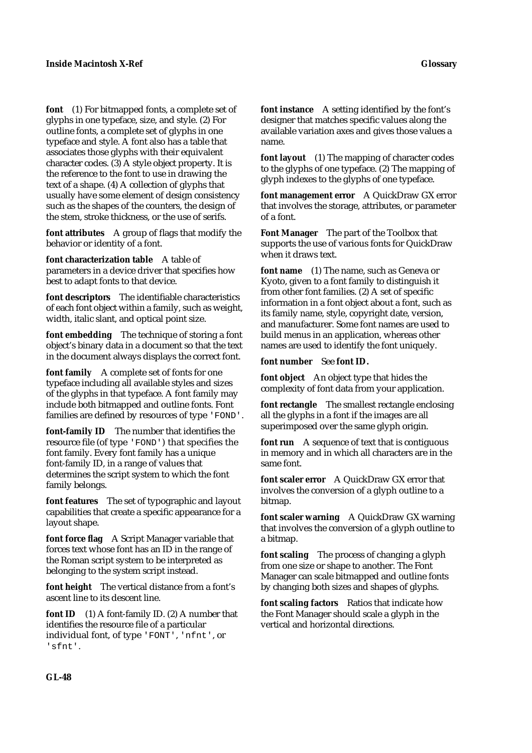**font** (1) For bitmapped fonts, a complete set of glyphs in one typeface, size, and style. (2) For outline fonts, a complete set of glyphs in one typeface and style. A font also has a table that associates those glyphs with their equivalent character codes. (3) A style object property. It is the reference to the font to use in drawing the text of a shape. (4) A collection of glyphs that usually have some element of design consistency such as the shapes of the counters, the design of the stem, stroke thickness, or the use of serifs.

**font attributes** A group of flags that modify the behavior or identity of a font.

**font characterization table** A table of parameters in a device driver that specifies how best to adapt fonts to that device.

**font descriptors** The identifiable characteristics of each font object within a family, such as weight, width, italic slant, and optical point size.

**font embedding** The technique of storing a font object's binary data in a document so that the text in the document always displays the correct font.

**font family** A complete set of fonts for one typeface including all available styles and sizes of the glyphs in that typeface. A font family may include both bitmapped and outline fonts. Font families are defined by resources of type 'FOND'.

**font-family ID** The number that identifies the resource file (of type 'FOND') that specifies the font family. Every font family has a unique font-family ID, in a range of values that determines the script system to which the font family belongs.

**font features** The set of typographic and layout capabilities that create a specific appearance for a layout shape.

**font force flag** A Script Manager variable that forces text whose font has an ID in the range of the Roman script system to be interpreted as belonging to the system script instead.

**font height** The vertical distance from a font's ascent line to its descent line.

**font ID** (1) A font-family ID. (2) A number that identifies the resource file of a particular individual font, of type 'FONT', 'nfnt', or 'sfnt'.

**font instance** A setting identified by the font's designer that matches specific values along the available variation axes and gives those values a name.

**font layout** (1) The mapping of character codes to the glyphs of one typeface. (2) The mapping of glyph indexes to the glyphs of one typeface.

**font management error** A QuickDraw GX error that involves the storage, attributes, or parameter of a font.

**Font Manager** The part of the Toolbox that supports the use of various fonts for QuickDraw when it draws text.

**font name** (1) The name, such as Geneva or Kyoto, given to a font family to distinguish it from other font families. (2) A set of specific information in a font object about a font, such as its family name, style, copyright date, version, and manufacturer. Some font names are used to build menus in an application, whereas other names are used to identify the font uniquely.

**font number** See **font ID.**

**font object** An object type that hides the complexity of font data from your application.

**font rectangle** The smallest rectangle enclosing all the glyphs in a font if the images are all superimposed over the same glyph origin.

**font run** A sequence of text that is contiguous in memory and in which all characters are in the same font.

**font scaler error** A QuickDraw GX error that involves the conversion of a glyph outline to a bitmap.

**font scaler warning** A QuickDraw GX warning that involves the conversion of a glyph outline to a bitmap.

**font scaling** The process of changing a glyph from one size or shape to another. The Font Manager can scale bitmapped and outline fonts by changing both sizes and shapes of glyphs.

**font scaling factors** Ratios that indicate how the Font Manager should scale a glyph in the vertical and horizontal directions.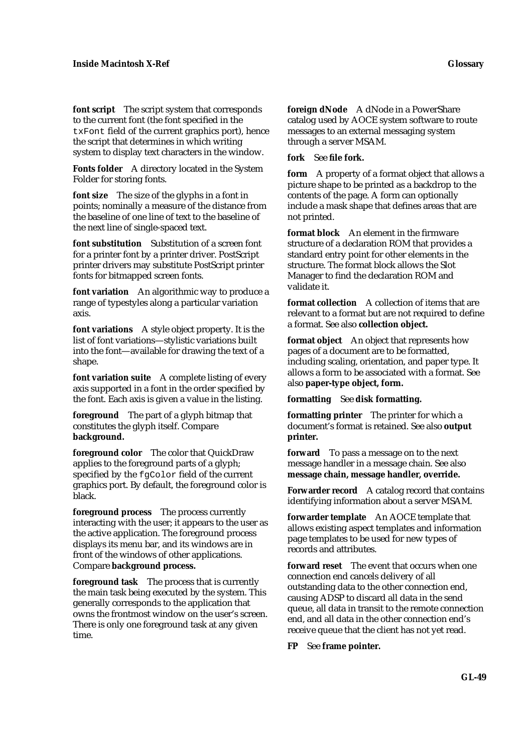**font script** The script system that corresponds to the current font (the font specified in the txFont field of the current graphics port), hence the script that determines in which writing system to display text characters in the window.

**Fonts folder** A directory located in the System Folder for storing fonts.

**font size** The size of the glyphs in a font in points; nominally a measure of the distance from the baseline of one line of text to the baseline of the next line of single-spaced text.

**font substitution** Substitution of a screen font for a printer font by a printer driver. PostScript printer drivers may substitute PostScript printer fonts for bitmapped screen fonts.

**font variation** An algorithmic way to produce a range of typestyles along a particular variation axis.

**font variations** A style object property. It is the list of font variations—stylistic variations built into the font—available for drawing the text of a shape.

**font variation suite** A complete listing of every axis supported in a font in the order specified by the font. Each axis is given a value in the listing.

**foreground** The part of a glyph bitmap that constitutes the glyph itself. Compare **background.**

**foreground color** The color that QuickDraw applies to the foreground parts of a glyph; specified by the fgColor field of the current graphics port. By default, the foreground color is black.

**foreground process** The process currently interacting with the user; it appears to the user as the active application. The foreground process displays its menu bar, and its windows are in front of the windows of other applications. Compare **background process.**

**foreground task** The process that is currently the main task being executed by the system. This generally corresponds to the application that owns the frontmost window on the user's screen. There is only one foreground task at any given time.

**foreign dNode** A dNode in a PowerShare catalog used by AOCE system software to route messages to an external messaging system through a server MSAM.

**fork** See **file fork.**

**form** A property of a format object that allows a picture shape to be printed as a backdrop to the contents of the page. A form can optionally include a mask shape that defines areas that are not printed.

**format block** An element in the firmware structure of a declaration ROM that provides a standard entry point for other elements in the structure. The format block allows the Slot Manager to find the declaration ROM and validate it.

**format collection** A collection of items that are relevant to a format but are not required to define a format. See also **collection object.**

**format object** An object that represents how pages of a document are to be formatted, including scaling, orientation, and paper type. It allows a form to be associated with a format. See also **paper-type object, form.**

**formatting** See **disk formatting.**

**formatting printer** The printer for which a document's format is retained. See also **output printer.**

**forward** To pass a message on to the next message handler in a message chain. See also **message chain, message handler, override.**

Forwarder record A catalog record that contains identifying information about a server MSAM.

**forwarder template** An AOCE template that allows existing aspect templates and information page templates to be used for new types of records and attributes.

**forward reset** The event that occurs when one connection end cancels delivery of all outstanding data to the other connection end, causing ADSP to discard all data in the send queue, all data in transit to the remote connection end, and all data in the other connection end's receive queue that the client has not yet read.

**FP** See **frame pointer.**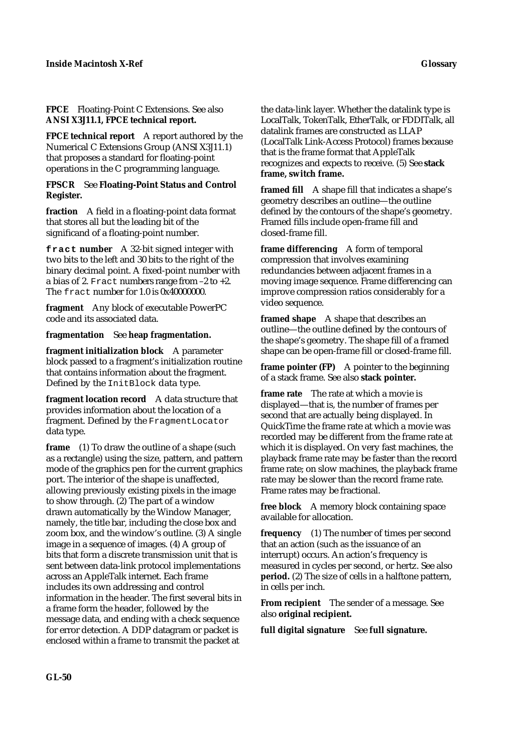**FPCE technical report** A report authored by the Numerical C Extensions Group (ANSI X3J11.1) that proposes a standard for floating-point operations in the C programming language.

### **FPSCR** See **Floating-Point Status and Control Register.**

**fraction** A field in a floating-point data format that stores all but the leading bit of the significand of a floating-point number.

**fract number** A 32-bit signed integer with two bits to the left and 30 bits to the right of the binary decimal point. A fixed-point number with a bias of 2. Fract numbers range from  $-2$  to  $+2$ . The fract number for  $1.0$  is  $0x40000000$ .

**fragment** Any block of executable PowerPC code and its associated data.

# **fragmentation** See **heap fragmentation.**

**fragment initialization block** A parameter block passed to a fragment's initialization routine that contains information about the fragment. Defined by the InitBlock data type.

**fragment location record** A data structure that provides information about the location of a fragment. Defined by the FragmentLocator data type.

**frame** (1) To draw the outline of a shape (such as a rectangle) using the size, pattern, and pattern mode of the graphics pen for the current graphics port. The interior of the shape is unaffected, allowing previously existing pixels in the image to show through. (2) The part of a window drawn automatically by the Window Manager, namely, the title bar, including the close box and zoom box, and the window's outline. (3) A single image in a sequence of images. (4) A group of bits that form a discrete transmission unit that is sent between data-link protocol implementations across an AppleTalk internet. Each frame includes its own addressing and control information in the header. The first several bits in a frame form the header, followed by the message data, and ending with a check sequence for error detection. A DDP datagram or packet is enclosed within a frame to transmit the packet at

the data-link layer. Whether the datalink type is LocalTalk, TokenTalk, EtherTalk, or FDDITalk, all datalink frames are constructed as LLAP (LocalTalk Link-Access Protocol) frames because that is the frame format that AppleTalk recognizes and expects to receive. (5) See **stack frame, switch frame.**

**framed fill** A shape fill that indicates a shape's geometry describes an outline—the outline defined by the contours of the shape's geometry. Framed fills include open-frame fill and closed-frame fill.

**frame differencing** A form of temporal compression that involves examining redundancies between adjacent frames in a moving image sequence. Frame differencing can improve compression ratios considerably for a video sequence.

**framed shape** A shape that describes an outline—the outline defined by the contours of the shape's geometry. The shape fill of a framed shape can be open-frame fill or closed-frame fill.

**frame pointer (FP)** A pointer to the beginning of a stack frame. See also **stack pointer.**

**frame rate** The rate at which a movie is displayed—that is, the number of frames per second that are actually being displayed. In QuickTime the frame rate at which a movie was recorded may be different from the frame rate at which it is displayed. On very fast machines, the playback frame rate may be faster than the record frame rate; on slow machines, the playback frame rate may be slower than the record frame rate. Frame rates may be fractional.

**free block** A memory block containing space available for allocation.

**frequency** (1) The number of times per second that an action (such as the issuance of an interrupt) occurs. An action's frequency is measured in cycles per second, or hertz. See also **period.** (2) The size of cells in a halftone pattern, in cells per inch.

**From recipient** The sender of a message. See also **original recipient.**

**full digital signature** See **full signature.**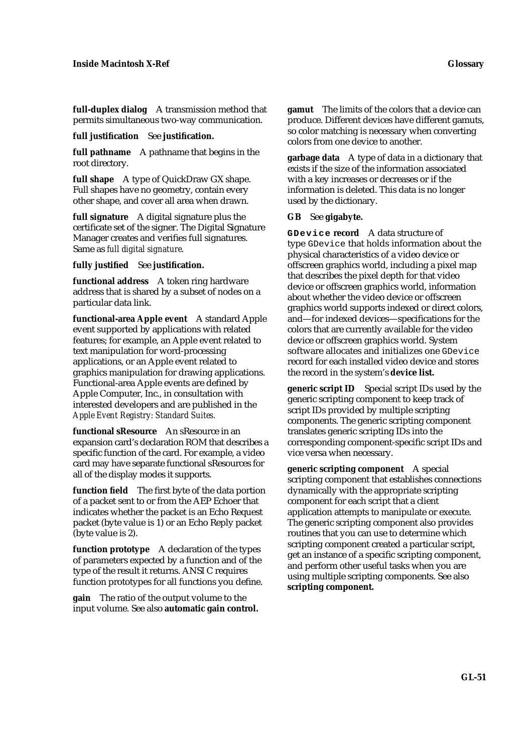**full-duplex dialog** A transmission method that permits simultaneous two-way communication.

#### **full justification** See **justification.**

**full pathname** A pathname that begins in the root directory.

**full shape** A type of QuickDraw GX shape. Full shapes have no geometry, contain every other shape, and cover all area when drawn.

**full signature** A digital signature plus the certificate set of the signer. The Digital Signature Manager creates and verifies full signatures. Same as *full digital signature*.

**fully justified** See **justification.**

**functional address** A token ring hardware address that is shared by a subset of nodes on a particular data link.

**functional-area Apple event** A standard Apple event supported by applications with related features; for example, an Apple event related to text manipulation for word-processing applications, or an Apple event related to graphics manipulation for drawing applications. Functional-area Apple events are defined by Apple Computer, Inc., in consultation with interested developers and are published in the *Apple Event Registry: Standard Suites.*

**functional sResource** An sResource in an expansion card's declaration ROM that describes a specific function of the card. For example, a video card may have separate functional sResources for all of the display modes it supports.

**function field** The first byte of the data portion of a packet sent to or from the AEP Echoer that indicates whether the packet is an Echo Request packet (byte value is 1) or an Echo Reply packet (byte value is 2).

**function prototype** A declaration of the types of parameters expected by a function and of the type of the result it returns. ANSI C requires function prototypes for all functions you define.

**gain** The ratio of the output volume to the input volume. See also **automatic gain control.** **gamut** The limits of the colors that a device can produce. Different devices have different gamuts, so color matching is necessary when converting colors from one device to another.

**garbage data** A type of data in a dictionary that exists if the size of the information associated with a key increases or decreases or if the information is deleted. This data is no longer used by the dictionary.

# **GB** See **gigabyte.**

**GDevice record** A data structure of type GDevice that holds information about the physical characteristics of a video device or offscreen graphics world, including a pixel map that describes the pixel depth for that video device or offscreen graphics world, information about whether the video device or offscreen graphics world supports indexed or direct colors, and—for indexed devices—specifications for the colors that are currently available for the video device or offscreen graphics world. System software allocates and initializes one GDevice record for each installed video device and stores the record in the system's **device list.**

**generic script ID** Special script IDs used by the generic scripting component to keep track of script IDs provided by multiple scripting components. The generic scripting component translates generic scripting IDs into the corresponding component-specific script IDs and vice versa when necessary.

**generic scripting component** A special scripting component that establishes connections dynamically with the appropriate scripting component for each script that a client application attempts to manipulate or execute. The generic scripting component also provides routines that you can use to determine which scripting component created a particular script, get an instance of a specific scripting component, and perform other useful tasks when you are using multiple scripting components. See also **scripting component.**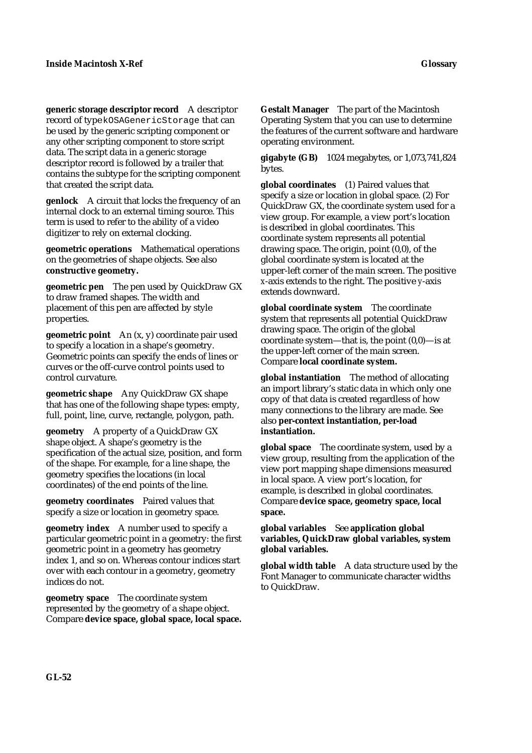**generic storage descriptor record** A descriptor record of type kOSAGenericStorage that can be used by the generic scripting component or any other scripting component to store script data. The script data in a generic storage descriptor record is followed by a trailer that contains the subtype for the scripting component that created the script data.

**genlock** A circuit that locks the frequency of an internal clock to an external timing source. This term is used to refer to the ability of a video digitizer to rely on external clocking.

**geometric operations** Mathematical operations on the geometries of shape objects. See also **constructive geometry.**

**geometric pen** The pen used by QuickDraw GX to draw framed shapes. The width and placement of this pen are affected by style properties.

**geometric point** An (x, y) coordinate pair used to specify a location in a shape's geometry. Geometric points can specify the ends of lines or curves or the off-curve control points used to control curvature.

**geometric shape** Any QuickDraw GX shape that has one of the following shape types: empty, full, point, line, curve, rectangle, polygon, path.

**geometry** A property of a QuickDraw GX shape object. A shape's geometry is the specification of the actual size, position, and form of the shape. For example, for a line shape, the geometry specifies the locations (in local coordinates) of the end points of the line.

**geometry coordinates** Paired values that specify a size or location in geometry space.

**geometry index** A number used to specify a particular geometric point in a geometry: the first geometric point in a geometry has geometry index 1, and so on. Whereas contour indices start over with each contour in a geometry, geometry indices do not.

**geometry space** The coordinate system represented by the geometry of a shape object. Compare **device space, global space, local space.** **Gestalt Manager** The part of the Macintosh Operating System that you can use to determine the features of the current software and hardware operating environment.

**gigabyte (GB)** 1024 megabytes, or 1,073,741,824 bytes.

**global coordinates** (1) Paired values that specify a size or location in global space. (2) For QuickDraw GX, the coordinate system used for a view group. For example, a view port's location is described in global coordinates. This coordinate system represents all potential drawing space. The origin, point (0,0), of the global coordinate system is located at the upper-left corner of the main screen. The positive *x*-axis extends to the right. The positive *y*-axis extends downward.

**global coordinate system** The coordinate system that represents all potential QuickDraw drawing space. The origin of the global coordinate system—that is, the point (0,0)—is at the upper-left corner of the main screen. Compare **local coordinate system.**

**global instantiation** The method of allocating an import library's static data in which only one copy of that data is created regardless of how many connections to the library are made. See also **per-context instantiation, per-load instantiation.**

**global space** The coordinate system, used by a view group, resulting from the application of the view port mapping shape dimensions measured in local space. A view port's location, for example, is described in global coordinates. Compare **device space, geometry space, local space.**

**global variables** See **application global variables, QuickDraw global variables, system global variables.**

**global width table** A data structure used by the Font Manager to communicate character widths to QuickDraw.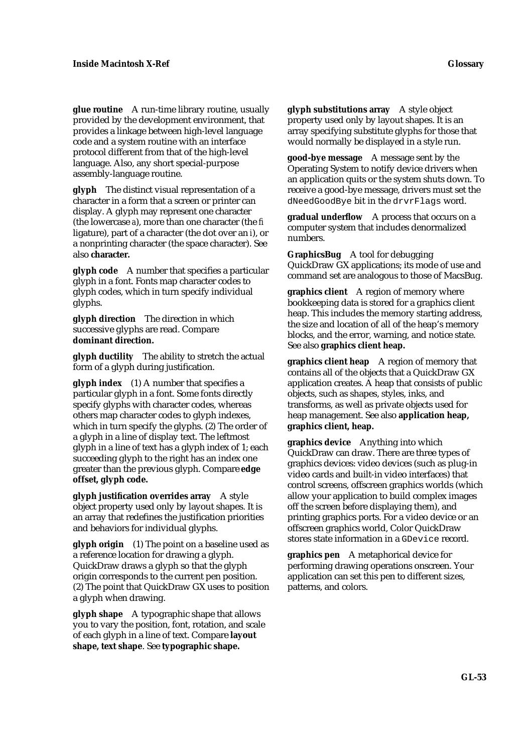**glue routine** A run-time library routine, usually provided by the development environment, that provides a linkage between high-level language code and a system routine with an interface protocol different from that of the high-level language. Also, any short special-purpose assembly-language routine.

**glyph** The distinct visual representation of a character in a form that a screen or printer can display. A glyph may represent one character (the lowercase *a*), more than one character (the *fi* ligature), part of a character (the dot over an *i*), or a nonprinting character (the space character). See also **character.**

**glyph code** A number that specifies a particular glyph in a font. Fonts map character codes to glyph codes, which in turn specify individual glyphs.

**glyph direction** The direction in which successive glyphs are read. Compare **dominant direction.**

**glyph ductility** The ability to stretch the actual form of a glyph during justification.

**glyph index** (1) A number that specifies a particular glyph in a font. Some fonts directly specify glyphs with character codes, whereas others map character codes to glyph indexes, which in turn specify the glyphs. (2) The order of a glyph in a line of display text. The leftmost glyph in a line of text has a glyph index of 1; each succeeding glyph to the right has an index one greater than the previous glyph. Compare **edge offset, glyph code.**

**glyph justification overrides array** A style object property used only by layout shapes. It is an array that redefines the justification priorities and behaviors for individual glyphs.

**glyph origin** (1) The point on a baseline used as a reference location for drawing a glyph. QuickDraw draws a glyph so that the glyph origin corresponds to the current pen position. (2) The point that QuickDraw GX uses to position a glyph when drawing.

**glyph shape** A typographic shape that allows you to vary the position, font, rotation, and scale of each glyph in a line of text. Compare **layout shape, text shape**. See **typographic shape.**

**glyph substitutions array** A style object property used only by layout shapes. It is an array specifying substitute glyphs for those that would normally be displayed in a style run.

**good-bye message** A message sent by the Operating System to notify device drivers when an application quits or the system shuts down. To receive a good-bye message, drivers must set the dNeedGoodBye bit in the drvrFlags word.

**gradual underflow** A process that occurs on a computer system that includes denormalized numbers.

**GraphicsBug** A tool for debugging QuickDraw GX applications; its mode of use and command set are analogous to those of MacsBug.

**graphics client** A region of memory where bookkeeping data is stored for a graphics client heap. This includes the memory starting address, the size and location of all of the heap's memory blocks, and the error, warning, and notice state. See also **graphics client heap.**

**graphics client heap** A region of memory that contains all of the objects that a QuickDraw GX application creates. A heap that consists of public objects, such as shapes, styles, inks, and transforms, as well as private objects used for heap management. See also **application heap, graphics client, heap.**

**graphics device** Anything into which QuickDraw can draw. There are three types of graphics devices: video devices (such as plug-in video cards and built-in video interfaces) that control screens, offscreen graphics worlds (which allow your application to build complex images off the screen before displaying them), and printing graphics ports. For a video device or an offscreen graphics world, Color QuickDraw stores state information in a GDevice record.

**graphics pen** A metaphorical device for performing drawing operations onscreen. Your application can set this pen to different sizes, patterns, and colors.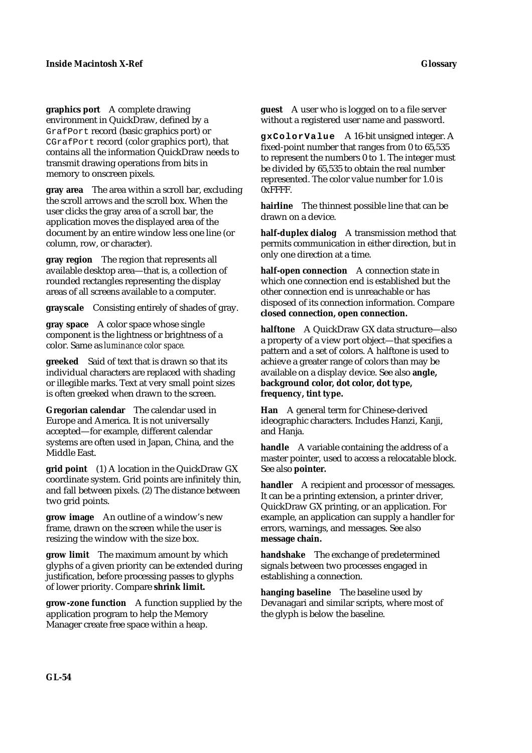**graphics port** A complete drawing environment in QuickDraw, defined by a GrafPort record (basic graphics port) or CGrafPort record (color graphics port), that contains all the information QuickDraw needs to transmit drawing operations from bits in memory to onscreen pixels.

**gray area** The area within a scroll bar, excluding the scroll arrows and the scroll box. When the user clicks the gray area of a scroll bar, the application moves the displayed area of the document by an entire window less one line (or column, row, or character).

**gray region** The region that represents all available desktop area—that is, a collection of rounded rectangles representing the display areas of all screens available to a computer.

**grayscale** Consisting entirely of shades of gray.

**gray space** A color space whose single component is the lightness or brightness of a color. Same as *luminance color space.*

**greeked** Said of text that is drawn so that its individual characters are replaced with shading or illegible marks. Text at very small point sizes is often greeked when drawn to the screen.

**Gregorian calendar** The calendar used in Europe and America. It is not universally accepted—for example, different calendar systems are often used in Japan, China, and the Middle East.

**grid point** (1) A location in the QuickDraw GX coordinate system. Grid points are infinitely thin, and fall between pixels. (2) The distance between two grid points.

**grow image** An outline of a window's new frame, drawn on the screen while the user is resizing the window with the size box.

**grow limit** The maximum amount by which glyphs of a given priority can be extended during justification, before processing passes to glyphs of lower priority. Compare **shrink limit.**

**grow-zone function** A function supplied by the application program to help the Memory Manager create free space within a heap.

**guest** A user who is logged on to a file server without a registered user name and password.

**gxColorValue** A 16-bit unsigned integer. A fixed-point number that ranges from 0 to 65,535 to represent the numbers 0 to 1. The integer must be divided by 65,535 to obtain the real number represented. The color value number for 1.0 is 0xFFFF.

**hairline** The thinnest possible line that can be drawn on a device.

**half-duplex dialog** A transmission method that permits communication in either direction, but in only one direction at a time.

**half-open connection** A connection state in which one connection end is established but the other connection end is unreachable or has disposed of its connection information. Compare **closed connection, open connection.**

**halftone** A QuickDraw GX data structure—also a property of a view port object—that specifies a pattern and a set of colors. A halftone is used to achieve a greater range of colors than may be available on a display device. See also **angle, background color, dot color, dot type, frequency, tint type.**

**Han** A general term for Chinese-derived ideographic characters. Includes Hanzi, Kanji, and Hanja.

**handle** A variable containing the address of a master pointer, used to access a relocatable block. See also **pointer.**

**handler** A recipient and processor of messages. It can be a printing extension, a printer driver, QuickDraw GX printing, or an application. For example, an application can supply a handler for errors, warnings, and messages. See also **message chain.**

**handshake** The exchange of predetermined signals between two processes engaged in establishing a connection.

**hanging baseline** The baseline used by Devanagari and similar scripts, where most of the glyph is below the baseline.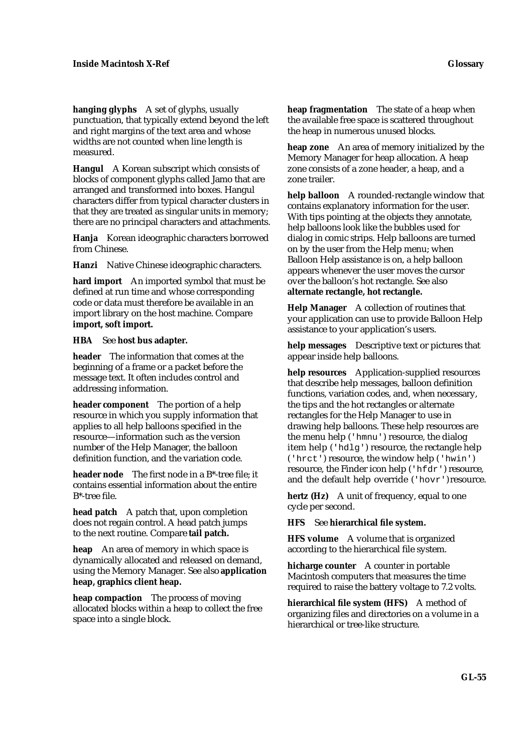**hanging glyphs** A set of glyphs, usually punctuation, that typically extend beyond the left and right margins of the text area and whose widths are not counted when line length is measured.

**Hangul** A Korean subscript which consists of blocks of component glyphs called Jamo that are arranged and transformed into boxes. Hangul characters differ from typical character clusters in that they are treated as singular units in memory; there are no principal characters and attachments.

**Hanja** Korean ideographic characters borrowed from Chinese.

**Hanzi** Native Chinese ideographic characters.

**hard import** An imported symbol that must be defined at run time and whose corresponding code or data must therefore be available in an import library on the host machine. Compare **import, soft import.**

### **HBA** See **host bus adapter.**

**header** The information that comes at the beginning of a frame or a packet before the message text. It often includes control and addressing information.

**header component** The portion of a help resource in which you supply information that applies to all help balloons specified in the resource—information such as the version number of the Help Manager, the balloon definition function, and the variation code.

**header node** The first node in a B\*-tree file; it contains essential information about the entire B\*-tree file.

**head patch** A patch that, upon completion does not regain control. A head patch jumps to the next routine. Compare **tail patch.**

**heap** An area of memory in which space is dynamically allocated and released on demand, using the Memory Manager. See also **application heap, graphics client heap.**

**heap compaction** The process of moving allocated blocks within a heap to collect the free space into a single block.

**heap fragmentation** The state of a heap when the available free space is scattered throughout the heap in numerous unused blocks.

**heap zone** An area of memory initialized by the Memory Manager for heap allocation. A heap zone consists of a zone header, a heap, and a zone trailer.

**help balloon** A rounded-rectangle window that contains explanatory information for the user. With tips pointing at the objects they annotate, help balloons look like the bubbles used for dialog in comic strips. Help balloons are turned on by the user from the Help menu; when Balloon Help assistance is on, a help balloon appears whenever the user moves the cursor over the balloon's hot rectangle. See also **alternate rectangle, hot rectangle.**

**Help Manager** A collection of routines that your application can use to provide Balloon Help assistance to your application's users.

**help messages** Descriptive text or pictures that appear inside help balloons.

**help resources** Application-supplied resources that describe help messages, balloon definition functions, variation codes, and, when necessary, the tips and the hot rectangles or alternate rectangles for the Help Manager to use in drawing help balloons. These help resources are the menu help ('hmnu') resource, the dialog item help ('hdlg') resource, the rectangle help ('hrct') resource, the window help ('hwin') resource, the Finder icon help ('hfdr') resource, and the default help override ('hovr') resource.

**hertz (Hz)** A unit of frequency, equal to one cycle per second.

# **HFS** See **hierarchical file system.**

**HFS volume** A volume that is organized according to the hierarchical file system.

**hicharge counter** A counter in portable Macintosh computers that measures the time required to raise the battery voltage to 7.2 volts.

**hierarchical file system (HFS)** A method of organizing files and directories on a volume in a hierarchical or tree-like structure.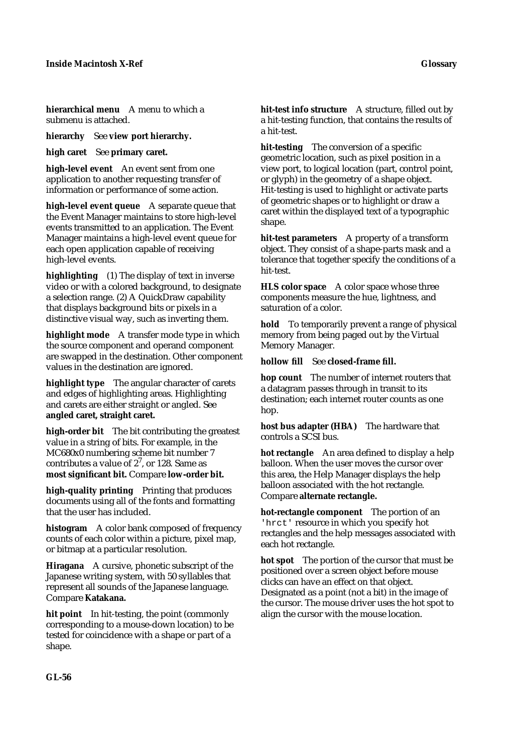**hierarchical menu** A menu to which a submenu is attached.

**hierarchy** See **view port hierarchy.**

**high caret** See **primary caret.**

**high-level event** An event sent from one application to another requesting transfer of information or performance of some action.

**high-level event queue** A separate queue that the Event Manager maintains to store high-level events transmitted to an application. The Event Manager maintains a high-level event queue for each open application capable of receiving high-level events.

**highlighting** (1) The display of text in inverse video or with a colored background, to designate a selection range. (2) A QuickDraw capability that displays background bits or pixels in a distinctive visual way, such as inverting them.

**highlight mode** A transfer mode type in which the source component and operand component are swapped in the destination. Other component values in the destination are ignored.

**highlight type** The angular character of carets and edges of highlighting areas. Highlighting and carets are either straight or angled. See **angled caret, straight caret.**

**high-order bit** The bit contributing the greatest value in a string of bits. For example, in the MC680x0 numbering scheme bit number 7 contributes a value of  $2^7$ , or 128. Same as **most significant bit.** Compare **low-order bit.**

**high-quality printing** Printing that produces documents using all of the fonts and formatting that the user has included.

**histogram** A color bank composed of frequency counts of each color within a picture, pixel map, or bitmap at a particular resolution.

**Hiragana** A cursive, phonetic subscript of the Japanese writing system, with 50 syllables that represent all sounds of the Japanese language. Compare **Katakana.**

**hit point** In hit-testing, the point (commonly corresponding to a mouse-down location) to be tested for coincidence with a shape or part of a shape.

**hit-test info structure** A structure, filled out by a hit-testing function, that contains the results of a hit-test.

**hit-testing** The conversion of a specific geometric location, such as pixel position in a view port, to logical location (part, control point, or glyph) in the geometry of a shape object. Hit-testing is used to highlight or activate parts of geometric shapes or to highlight or draw a caret within the displayed text of a typographic shape.

**hit-test parameters** A property of a transform object. They consist of a shape-parts mask and a tolerance that together specify the conditions of a hit-test.

**HLS color space** A color space whose three components measure the hue, lightness, and saturation of a color.

**hold** To temporarily prevent a range of physical memory from being paged out by the Virtual Memory Manager.

**hollow fill** See **closed-frame fill.**

**hop count** The number of internet routers that a datagram passes through in transit to its destination; each internet router counts as one hop.

**host bus adapter (HBA)** The hardware that controls a SCSI bus.

**hot rectangle** An area defined to display a help balloon. When the user moves the cursor over this area, the Help Manager displays the help balloon associated with the hot rectangle. Compare **alternate rectangle.**

**hot-rectangle component** The portion of an 'hrct' resource in which you specify hot rectangles and the help messages associated with each hot rectangle.

**hot spot** The portion of the cursor that must be positioned over a screen object before mouse clicks can have an effect on that object. Designated as a point (not a bit) in the image of the cursor. The mouse driver uses the hot spot to align the cursor with the mouse location.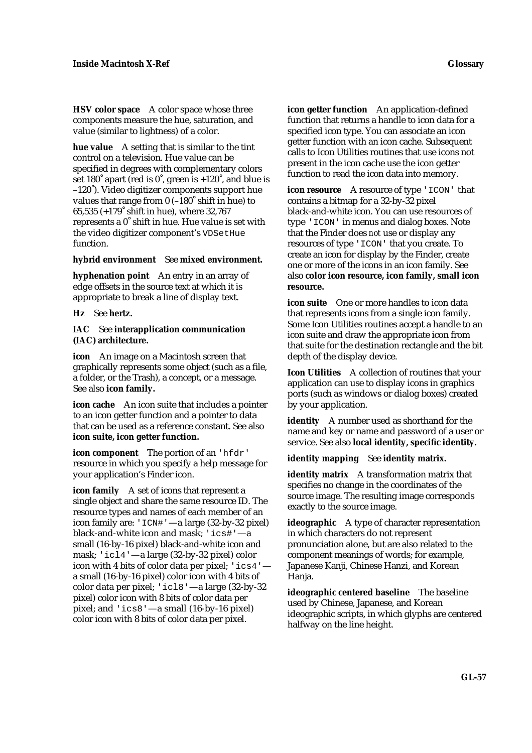**HSV color space** A color space whose three components measure the hue, saturation, and value (similar to lightness) of a color.

**hue value** A setting that is similar to the tint control on a television. Hue value can be specified in degrees with complementary colors set 180 $\degree$  apart (red is  $0\degree$ , green is  $+120\degree$ , and blue is –120˚). Video digitizer components support hue values that range from 0 (–180˚ shift in hue) to 65,535 (+179˚ shift in hue), where 32,767 represents a 0˚ shift in hue. Hue value is set with the video digitizer component's VDSetHue function.

#### **hybrid environment** See **mixed environment.**

**hyphenation point** An entry in an array of edge offsets in the source text at which it is appropriate to break a line of display text.

**Hz** See **hertz.**

### **IAC** See **interapplication communication (IAC) architecture.**

**icon** An image on a Macintosh screen that graphically represents some object (such as a file, a folder, or the Trash), a concept, or a message. See also **icon family.**

**icon cache** An icon suite that includes a pointer to an icon getter function and a pointer to data that can be used as a reference constant. See also **icon suite, icon getter function.**

**icon component** The portion of an 'hfdr' resource in which you specify a help message for your application's Finder icon.

**icon family** A set of icons that represent a single object and share the same resource ID. The resource types and names of each member of an icon family are: 'ICN#'—a large (32-by-32 pixel) black-and-white icon and mask; 'ics#'—a small (16-by-16 pixel) black-and-white icon and mask; 'icl4'—a large (32-by-32 pixel) color icon with 4 bits of color data per pixel; 'ics4' a small (16-by-16 pixel) color icon with 4 bits of color data per pixel; 'icl8'—a large (32-by-32 pixel) color icon with 8 bits of color data per pixel; and 'ics8'—a small (16-by-16 pixel) color icon with 8 bits of color data per pixel.

**icon getter function** An application-defined function that returns a handle to icon data for a specified icon type. You can associate an icon getter function with an icon cache. Subsequent calls to Icon Utilities routines that use icons not present in the icon cache use the icon getter function to read the icon data into memory.

**icon resource** A resource of type 'ICON' that contains a bitmap for a 32-by-32 pixel black-and-white icon. You can use resources of type 'ICON' in menus and dialog boxes. Note that the Finder does *not* use or display any resources of type 'ICON' that you create. To create an icon for display by the Finder, create one or more of the icons in an icon family. See also **color icon resource, icon family, small icon resource.**

**icon suite** One or more handles to icon data that represents icons from a single icon family. Some Icon Utilities routines accept a handle to an icon suite and draw the appropriate icon from that suite for the destination rectangle and the bit depth of the display device.

**Icon Utilities** A collection of routines that your application can use to display icons in graphics ports (such as windows or dialog boxes) created by your application.

**identity** A number used as shorthand for the name and key or name and password of a user or service. See also **local identity, specific identity.**

**identity mapping** See **identity matrix.**

**identity matrix** A transformation matrix that specifies no change in the coordinates of the source image. The resulting image corresponds exactly to the source image.

**ideographic** A type of character representation in which characters do not represent pronunciation alone, but are also related to the component meanings of words; for example, Japanese Kanji, Chinese Hanzi, and Korean Hania.

**ideographic centered baseline** The baseline used by Chinese, Japanese, and Korean ideographic scripts, in which glyphs are centered halfway on the line height.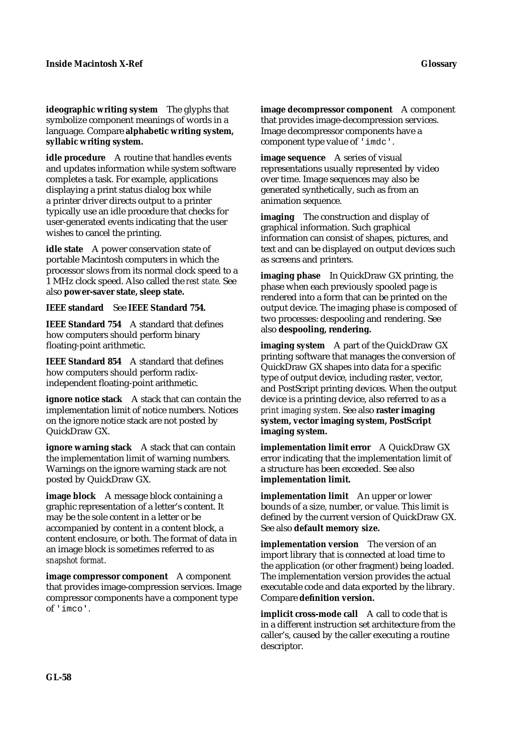**ideographic writing system** The glyphs that symbolize component meanings of words in a language. Compare **alphabetic writing system,** 

**syllabic writing system. idle procedure** A routine that handles events and updates information while system software completes a task. For example, applications displaying a print status dialog box while a printer driver directs output to a printer typically use an idle procedure that checks for user-generated events indicating that the user

**idle state** A power conservation state of portable Macintosh computers in which the processor slows from its normal clock speed to a 1 MHz clock speed. Also called the *rest state.* See also **power-saver state, sleep state.**

**IEEE standard** See **IEEE Standard 754.**

wishes to cancel the printing.

**IEEE Standard 754** A standard that defines how computers should perform binary floating-point arithmetic.

**IEEE Standard 854** A standard that defines how computers should perform radixindependent floating-point arithmetic.

**ignore notice stack** A stack that can contain the implementation limit of notice numbers. Notices on the ignore notice stack are not posted by QuickDraw GX.

**ignore warning stack** A stack that can contain the implementation limit of warning numbers. Warnings on the ignore warning stack are not posted by QuickDraw GX.

**image block** A message block containing a graphic representation of a letter's content. It may be the sole content in a letter or be accompanied by content in a content block, a content enclosure, or both. The format of data in an image block is sometimes referred to as *snapshot format*.

**image compressor component** A component that provides image-compression services. Image compressor components have a component type of 'imco'.

**image decompressor component** A component that provides image-decompression services. Image decompressor components have a component type value of 'imdc'.

**image sequence** A series of visual representations usually represented by video over time. Image sequences may also be generated synthetically, such as from an animation sequence.

**imaging** The construction and display of graphical information. Such graphical information can consist of shapes, pictures, and text and can be displayed on output devices such as screens and printers.

**imaging phase** In QuickDraw GX printing, the phase when each previously spooled page is rendered into a form that can be printed on the output device. The imaging phase is composed of two processes: despooling and rendering. See also **despooling, rendering.**

**imaging system** A part of the QuickDraw GX printing software that manages the conversion of QuickDraw GX shapes into data for a specific type of output device, including raster, vector, and PostScript printing devices. When the output device is a printing device, also referred to as a *print imaging system*. See also **raster imaging system, vector imaging system, PostScript imaging system.**

**implementation limit error** A QuickDraw GX error indicating that the implementation limit of a structure has been exceeded. See also **implementation limit.**

**implementation limit** An upper or lower bounds of a size, number, or value. This limit is defined by the current version of QuickDraw GX. See also **default memory size.**

**implementation version** The version of an import library that is connected at load time to the application (or other fragment) being loaded. The implementation version provides the actual executable code and data exported by the library. Compare **definition version.**

**implicit cross-mode call** A call to code that is in a different instruction set architecture from the caller's, caused by the caller executing a routine descriptor.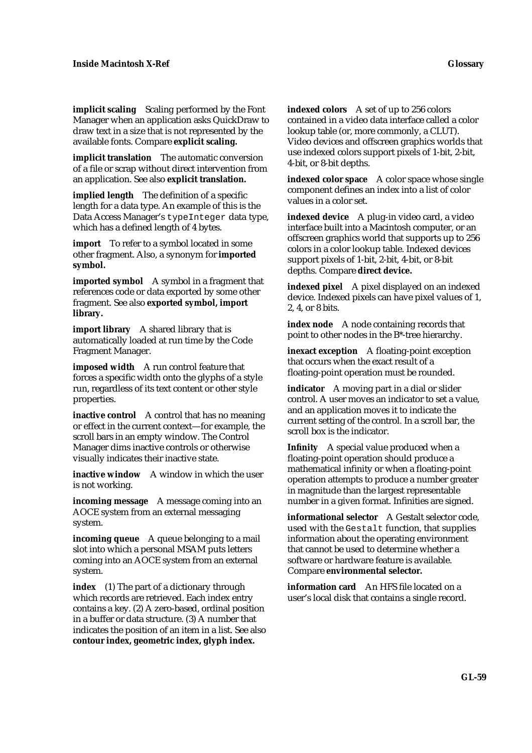**implicit scaling** Scaling performed by the Font Manager when an application asks QuickDraw to draw text in a size that is not represented by the available fonts. Compare **explicit scaling.**

**implicit translation** The automatic conversion of a file or scrap without direct intervention from an application. See also **explicit translation.**

**implied length** The definition of a specific length for a data type. An example of this is the Data Access Manager's typeInteger data type, which has a defined length of 4 bytes.

**import** To refer to a symbol located in some other fragment. Also, a synonym for **imported symbol.**

**imported symbol** A symbol in a fragment that references code or data exported by some other fragment. See also **exported symbol, import library.**

**import library** A shared library that is automatically loaded at run time by the Code Fragment Manager.

**imposed width** A run control feature that forces a specific width onto the glyphs of a style run, regardless of its text content or other style properties.

**inactive control** A control that has no meaning or effect in the current context—for example, the scroll bars in an empty window. The Control Manager dims inactive controls or otherwise visually indicates their inactive state.

**inactive window** A window in which the user is not working.

**incoming message** A message coming into an AOCE system from an external messaging system.

**incoming queue** A queue belonging to a mail slot into which a personal MSAM puts letters coming into an AOCE system from an external system.

**index** (1) The part of a dictionary through which records are retrieved. Each index entry contains a key. (2) A zero-based, ordinal position in a buffer or data structure. (3) A number that indicates the position of an item in a list. See also **contour index, geometric index, glyph index.**

**indexed colors** A set of up to 256 colors contained in a video data interface called a color lookup table (or, more commonly, a CLUT). Video devices and offscreen graphics worlds that use indexed colors support pixels of 1-bit, 2-bit, 4-bit, or 8-bit depths.

**indexed color space** A color space whose single component defines an index into a list of color values in a color set.

**indexed device** A plug-in video card, a video interface built into a Macintosh computer, or an offscreen graphics world that supports up to 256 colors in a color lookup table. Indexed devices support pixels of 1-bit, 2-bit, 4-bit, or 8-bit depths. Compare **direct device.**

**indexed pixel** A pixel displayed on an indexed device. Indexed pixels can have pixel values of 1, 2, 4, or 8 bits.

**index node** A node containing records that point to other nodes in the B\*-tree hierarchy.

**inexact exception** A floating-point exception that occurs when the exact result of a floating-point operation must be rounded.

**indicator** A moving part in a dial or slider control. A user moves an indicator to set a value, and an application moves it to indicate the current setting of the control. In a scroll bar, the scroll box is the indicator.

**Infinity** A special value produced when a floating-point operation should produce a mathematical infinity or when a floating-point operation attempts to produce a number greater in magnitude than the largest representable number in a given format. Infinities are signed.

**informational selector** A Gestalt selector code, used with the Gestalt function, that supplies information about the operating environment that cannot be used to determine whether a software or hardware feature is available. Compare **environmental selector.**

**information card** An HFS file located on a user's local disk that contains a single record.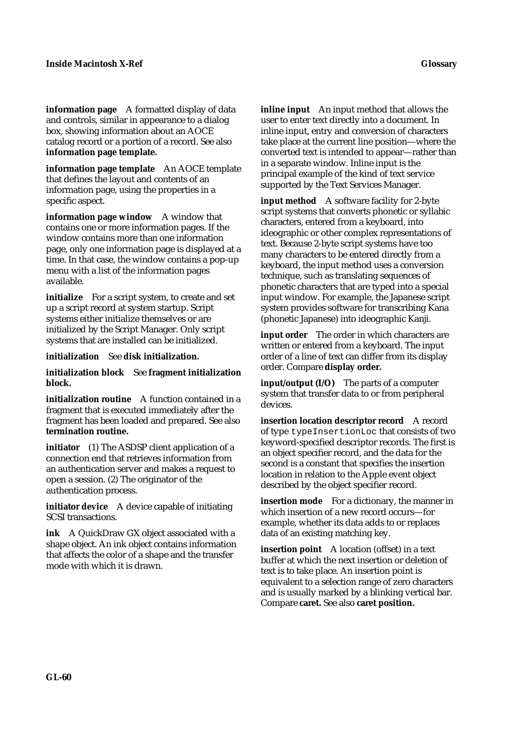**information page** A formatted display of data and controls, similar in appearance to a dialog box, showing information about an AOCE catalog record or a portion of a record. See also **information page template.**

**information page template** An AOCE template that defines the layout and contents of an information page, using the properties in a specific aspect.

**information page window** A window that contains one or more information pages. If the window contains more than one information page, only one information page is displayed at a time. In that case, the window contains a pop-up menu with a list of the information pages available.

**initialize** For a script system, to create and set up a script record at system startup. Script systems either initialize themselves or are initialized by the Script Manager. Only script systems that are installed can be initialized.

**initialization** See **disk initialization.**

**initialization block** See **fragment initialization block.**

**initialization routine** A function contained in a fragment that is executed immediately after the fragment has been loaded and prepared. See also **termination routine.**

**initiator** (1) The ASDSP client application of a connection end that retrieves information from an authentication server and makes a request to open a session. (2) The originator of the authentication process.

**initiator device** A device capable of initiating SCSI transactions.

**ink** A QuickDraw GX object associated with a shape object. An ink object contains information that affects the color of a shape and the transfer mode with which it is drawn.

**inline input** An input method that allows the user to enter text directly into a document. In inline input, entry and conversion of characters take place at the current line position—where the converted text is intended to appear—rather than in a separate window. Inline input is the principal example of the kind of text service

supported by the Text Services Manager.

**input method** A software facility for 2-byte script systems that converts phonetic or syllabic characters, entered from a keyboard, into ideographic or other complex representations of text. Because 2-byte script systems have too many characters to be entered directly from a keyboard, the input method uses a conversion technique, such as translating sequences of phonetic characters that are typed into a special input window. For example, the Japanese script system provides software for transcribing Kana (phonetic Japanese) into ideographic Kanji.

**input order** The order in which characters are written or entered from a keyboard. The input order of a line of text can differ from its display order. Compare **display order.**

**input/output (I/O)** The parts of a computer system that transfer data to or from peripheral devices.

**insertion location descriptor record** A record of type typeInsertionLoc that consists of two keyword-specified descriptor records. The first is an object specifier record, and the data for the second is a constant that specifies the insertion location in relation to the Apple event object described by the object specifier record.

**insertion mode** For a dictionary, the manner in which insertion of a new record occurs—for example, whether its data adds to or replaces data of an existing matching key.

**insertion point** A location (offset) in a text buffer at which the next insertion or deletion of text is to take place. An insertion point is equivalent to a selection range of zero characters and is usually marked by a blinking vertical bar. Compare **caret.** See also **caret position.**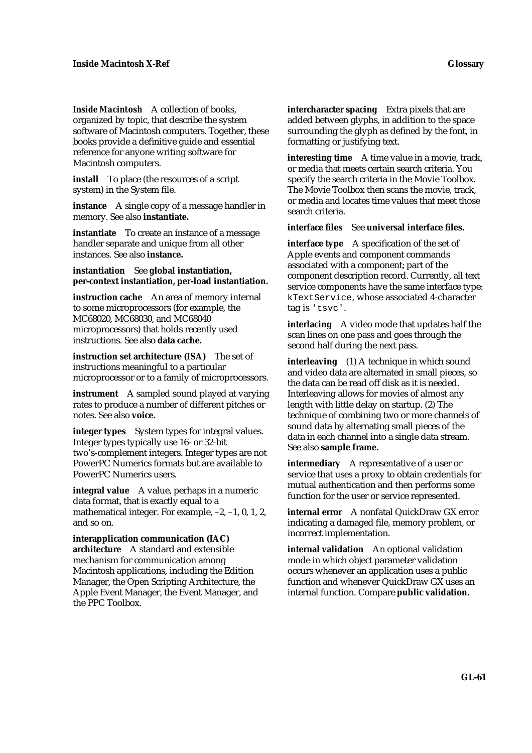*Inside Macintosh* A collection of books, organized by topic, that describe the system software of Macintosh computers. Together, these books provide a definitive guide and essential reference for anyone writing software for Macintosh computers.

**install** To place (the resources of a script system) in the System file.

**instance** A single copy of a message handler in memory. See also **instantiate.**

**instantiate** To create an instance of a message handler separate and unique from all other instances. See also **instance.**

**instantiation** See **global instantiation, per-context instantiation, per-load instantiation.**

**instruction cache** An area of memory internal to some microprocessors (for example, the MC68020, MC68030, and MC68040 microprocessors) that holds recently used instructions. See also **data cache.**

**instruction set architecture (ISA)** The set of instructions meaningful to a particular microprocessor or to a family of microprocessors.

**instrument** A sampled sound played at varying rates to produce a number of different pitches or notes. See also **voice.**

**integer types** System types for integral values. Integer types typically use 16- or 32-bit two's-complement integers. Integer types are not PowerPC Numerics formats but are available to PowerPC Numerics users.

**integral value** A value, perhaps in a numeric data format, that is exactly equal to a mathematical integer. For example, –2, –1, 0, 1, 2, and so on.

**interapplication communication (IAC) architecture** A standard and extensible mechanism for communication among Macintosh applications, including the Edition Manager, the Open Scripting Architecture, the Apple Event Manager, the Event Manager, and the PPC Toolbox.

**intercharacter spacing** Extra pixels that are added between glyphs, in addition to the space surrounding the glyph as defined by the font, in formatting or justifying text.

**interesting time** A time value in a movie, track, or media that meets certain search criteria. You specify the search criteria in the Movie Toolbox. The Movie Toolbox then scans the movie, track, or media and locates time values that meet those search criteria.

**interface files** See **universal interface files.**

**interface type** A specification of the set of Apple events and component commands associated with a component; part of the component description record. Currently, all text service components have the same interface type: kTextService, whose associated 4-character tag is 'tsvc'.

**interlacing** A video mode that updates half the scan lines on one pass and goes through the second half during the next pass.

**interleaving** (1) A technique in which sound and video data are alternated in small pieces, so the data can be read off disk as it is needed. Interleaving allows for movies of almost any length with little delay on startup. (2) The technique of combining two or more channels of sound data by alternating small pieces of the data in each channel into a single data stream. See also **sample frame.**

**intermediary** A representative of a user or service that uses a proxy to obtain credentials for mutual authentication and then performs some function for the user or service represented.

**internal error** A nonfatal QuickDraw GX error indicating a damaged file, memory problem, or incorrect implementation.

**internal validation** An optional validation mode in which object parameter validation occurs whenever an application uses a public function and whenever QuickDraw GX uses an internal function. Compare **public validation.**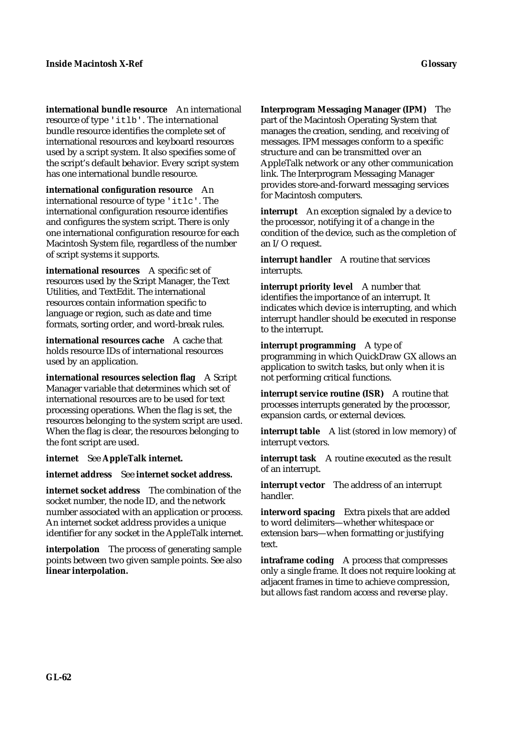**international bundle resource** An international resource of type 'itlb'. The international bundle resource identifies the complete set of international resources and keyboard resources used by a script system. It also specifies some of the script's default behavior. Every script system has one international bundle resource.

**international configuration resource** An international resource of type 'itlc'. The international configuration resource identifies and configures the system script. There is only one international configuration resource for each Macintosh System file, regardless of the number of script systems it supports.

**international resources** A specific set of resources used by the Script Manager, the Text Utilities, and TextEdit. The international resources contain information specific to language or region, such as date and time formats, sorting order, and word-break rules.

**international resources cache** A cache that holds resource IDs of international resources used by an application.

**international resources selection flag** A Script Manager variable that determines which set of international resources are to be used for text processing operations. When the flag is set, the resources belonging to the system script are used. When the flag is clear, the resources belonging to the font script are used.

**internet** See **AppleTalk internet.**

**internet address** See **internet socket address.**

**internet socket address** The combination of the socket number, the node ID, and the network number associated with an application or process. An internet socket address provides a unique identifier for any socket in the AppleTalk internet.

**interpolation** The process of generating sample points between two given sample points. See also **linear interpolation.**

**Interprogram Messaging Manager (IPM)** The part of the Macintosh Operating System that manages the creation, sending, and receiving of messages. IPM messages conform to a specific structure and can be transmitted over an AppleTalk network or any other communication link. The Interprogram Messaging Manager provides store-and-forward messaging services for Macintosh computers.

**interrupt** An exception signaled by a device to the processor, notifying it of a change in the condition of the device, such as the completion of an I/O request.

**interrupt handler** A routine that services interrupts.

**interrupt priority level** A number that identifies the importance of an interrupt. It indicates which device is interrupting, and which interrupt handler should be executed in response to the interrupt.

**interrupt programming** A type of programming in which QuickDraw GX allows an application to switch tasks, but only when it is not performing critical functions.

**interrupt service routine (ISR)** A routine that processes interrupts generated by the processor, expansion cards, or external devices.

**interrupt table** A list (stored in low memory) of interrupt vectors.

**interrupt task** A routine executed as the result of an interrupt.

**interrupt vector** The address of an interrupt handler.

**interword spacing** Extra pixels that are added to word delimiters—whether whitespace or extension bars—when formatting or justifying text.

**intraframe coding** A process that compresses only a single frame. It does not require looking at adjacent frames in time to achieve compression, but allows fast random access and reverse play.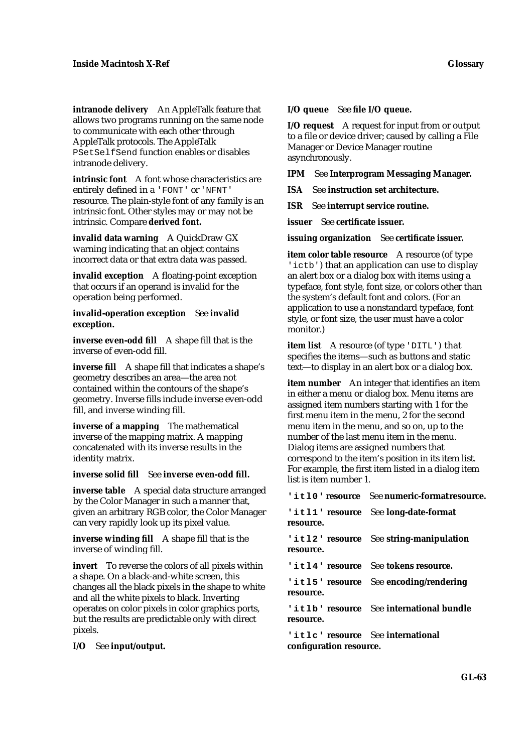**intranode delivery** An AppleTalk feature that allows two programs running on the same node to communicate with each other through AppleTalk protocols. The AppleTalk PSetSelfSend function enables or disables intranode delivery.

**intrinsic font** A font whose characteristics are entirely defined in a 'FONT' or 'NFNT' resource. The plain-style font of any family is an intrinsic font. Other styles may or may not be intrinsic. Compare **derived font.**

**invalid data warning** A QuickDraw GX warning indicating that an object contains incorrect data or that extra data was passed.

**invalid exception** A floating-point exception that occurs if an operand is invalid for the operation being performed.

**invalid-operation exception** See **invalid exception.**

**inverse even-odd fill** A shape fill that is the inverse of even-odd fill.

**inverse fill** A shape fill that indicates a shape's geometry describes an area—the area not contained within the contours of the shape's geometry. Inverse fills include inverse even-odd fill, and inverse winding fill.

**inverse of a mapping** The mathematical inverse of the mapping matrix. A mapping concatenated with its inverse results in the identity matrix.

**inverse solid fill** See **inverse even-odd fill.**

**inverse table** A special data structure arranged by the Color Manager in such a manner that, given an arbitrary RGB color, the Color Manager can very rapidly look up its pixel value.

**inverse winding fill** A shape fill that is the inverse of winding fill.

**invert** To reverse the colors of all pixels within a shape. On a black-and-white screen, this changes all the black pixels in the shape to white and all the white pixels to black. Inverting operates on color pixels in color graphics ports, but the results are predictable only with direct pixels.

**I/O** See **input/output.**

**I/O request** A request for input from or output to a file or device driver; caused by calling a File Manager or Device Manager routine asynchronously.

**IPM** See **Interprogram Messaging Manager.**

**ISA** See **instruction set architecture.**

**ISR** See **interrupt service routine.**

**issuer** See **certificate issuer.**

**issuing organization** See **certificate issuer.**

**item color table resource** A resource (of type 'ictb') that an application can use to display an alert box or a dialog box with items using a typeface, font style, font size, or colors other than the system's default font and colors. (For an application to use a nonstandard typeface, font style, or font size, the user must have a color monitor.)

**item list** A resource (of type 'DITL') that specifies the items—such as buttons and static text—to display in an alert box or a dialog box.

**item number** An integer that identifies an item in either a menu or dialog box. Menu items are assigned item numbers starting with 1 for the first menu item in the menu, 2 for the second menu item in the menu, and so on, up to the number of the last menu item in the menu. Dialog items are assigned numbers that correspond to the item's position in its item list. For example, the first item listed in a dialog item list is item number 1.

**'itl0' resource** See **numeric-format resource.**

**'itl1' resource** See **long-date-format resource.**

**'itl2' resource** See **string-manipulation resource.**

**'itl4' resource** See **tokens resource.**

**'itl5' resource** See **encoding/rendering resource.**

**'itlb' resource** See **international bundle resource.**

**'itlc' resource** See **international configuration resource.**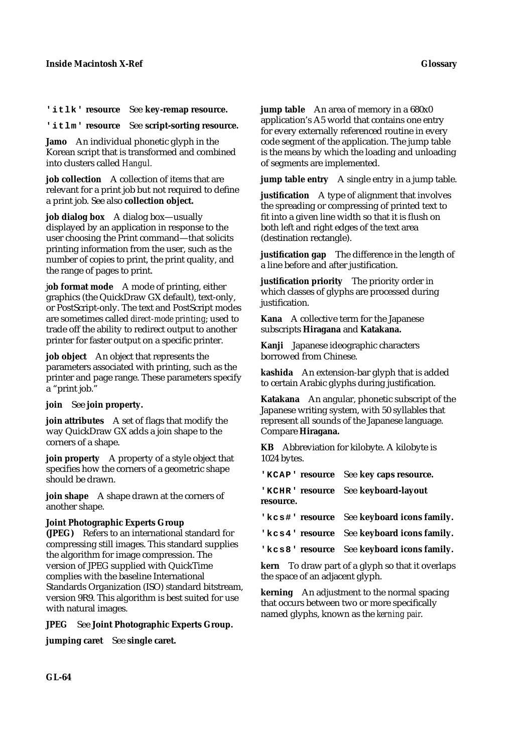**'itlk' resource** See **key-remap resource.**

**'itlm' resource** See **script-sorting resource.**

**Jamo** An individual phonetic glyph in the Korean script that is transformed and combined into clusters called *Hangul.*

**job collection** A collection of items that are relevant for a print job but not required to define a print job. See also **collection object.**

**job dialog box** A dialog box—usually displayed by an application in response to the user choosing the Print command—that solicits printing information from the user, such as the number of copies to print, the print quality, and the range of pages to print.

j**ob format mode** A mode of printing, either graphics (the QuickDraw GX default), text-only, or PostScript-only. The text and PostScript modes are sometimes called *direct-mode printing*; used to trade off the ability to redirect output to another printer for faster output on a specific printer.

**job object** An object that represents the parameters associated with printing, such as the printer and page range. These parameters specify a "print job."

### **join** See **join property.**

**join attributes** A set of flags that modify the way QuickDraw GX adds a join shape to the corners of a shape.

**join property** A property of a style object that specifies how the corners of a geometric shape should be drawn.

**join shape** A shape drawn at the corners of another shape.

# **Joint Photographic Experts Group**

**(JPEG)** Refers to an international standard for compressing still images. This standard supplies the algorithm for image compression. The version of JPEG supplied with QuickTime complies with the baseline International Standards Organization (ISO) standard bitstream, version 9R9. This algorithm is best suited for use with natural images.

**JPEG** See **Joint Photographic Experts Group.**

**jumping caret** See **single caret.**

**jump table** An area of memory in a 680x0 application's A5 world that contains one entry for every externally referenced routine in every code segment of the application. The jump table is the means by which the loading and unloading of segments are implemented.

**jump table entry** A single entry in a jump table.

**justification** A type of alignment that involves the spreading or compressing of printed text to fit into a given line width so that it is flush on both left and right edges of the text area (destination rectangle).

**justification gap** The difference in the length of a line before and after justification.

**justification priority** The priority order in which classes of glyphs are processed during justification.

**Kana** A collective term for the Japanese subscripts **Hiragana** and **Katakana.**

**Kanji** Japanese ideographic characters borrowed from Chinese.

**kashida** An extension-bar glyph that is added to certain Arabic glyphs during justification.

**Katakana** An angular, phonetic subscript of the Japanese writing system, with 50 syllables that represent all sounds of the Japanese language. Compare **Hiragana.**

**KB** Abbreviation for kilobyte. A kilobyte is 1024 bytes.

**'KCAP' resource** See **key caps resource.**

**'KCHR' resource** See **keyboard-layout resource.**

**'kcs#' resource** See **keyboard icons family.**

**'kcs4' resource** See **keyboard icons family.**

**'kcs8' resource** See **keyboard icons family.**

**kern** To draw part of a glyph so that it overlaps the space of an adjacent glyph.

**kerning** An adjustment to the normal spacing that occurs between two or more specifically named glyphs, known as the *kerning pair*.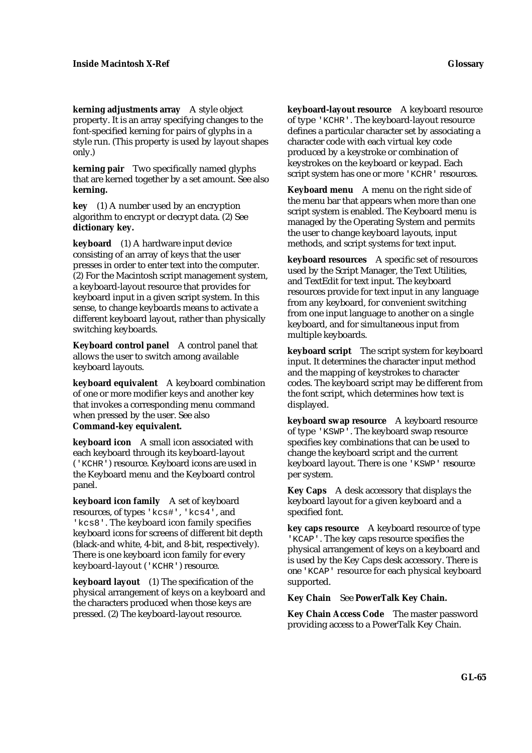**kerning adjustments array** A style object property. It is an array specifying changes to the font-specified kerning for pairs of glyphs in a style run. (This property is used by layout shapes only.)

**kerning pair** Two specifically named glyphs that are kerned together by a set amount. See also **kerning.**

**key** (1) A number used by an encryption algorithm to encrypt or decrypt data. (2) See **dictionary key.**

**keyboard** (1) A hardware input device consisting of an array of keys that the user presses in order to enter text into the computer. (2) For the Macintosh script management system, a keyboard-layout resource that provides for keyboard input in a given script system. In this sense, to change keyboards means to activate a different keyboard layout, rather than physically switching keyboards.

**Keyboard control panel** A control panel that allows the user to switch among available keyboard layouts.

**keyboard equivalent** A keyboard combination of one or more modifier keys and another key that invokes a corresponding menu command when pressed by the user. See also **Command-key equivalent.**

**keyboard icon** A small icon associated with each keyboard through its keyboard-layout ('KCHR') resource. Keyboard icons are used in the Keyboard menu and the Keyboard control panel.

**keyboard icon family** A set of keyboard resources, of types 'kcs#', 'kcs4', and 'kcs8'. The keyboard icon family specifies keyboard icons for screens of different bit depth (black-and white, 4-bit, and 8-bit, respectively). There is one keyboard icon family for every keyboard-layout ('KCHR') resource.

**keyboard layout** (1) The specification of the physical arrangement of keys on a keyboard and the characters produced when those keys are pressed. (2) The keyboard-layout resource.

**keyboard-layout resource** A keyboard resource of type 'KCHR'. The keyboard-layout resource defines a particular character set by associating a character code with each virtual key code produced by a keystroke or combination of keystrokes on the keyboard or keypad. Each script system has one or more 'KCHR' resources.

**Keyboard menu** A menu on the right side of the menu bar that appears when more than one script system is enabled. The Keyboard menu is managed by the Operating System and permits the user to change keyboard layouts, input methods, and script systems for text input.

**keyboard resources** A specific set of resources used by the Script Manager, the Text Utilities, and TextEdit for text input. The keyboard resources provide for text input in any language from any keyboard, for convenient switching from one input language to another on a single keyboard, and for simultaneous input from multiple keyboards.

**keyboard script** The script system for keyboard input. It determines the character input method and the mapping of keystrokes to character codes. The keyboard script may be different from the font script, which determines how text is displayed.

**keyboard swap resource** A keyboard resource of type 'KSWP'. The keyboard swap resource specifies key combinations that can be used to change the keyboard script and the current keyboard layout. There is one 'KSWP' resource per system.

**Key Caps** A desk accessory that displays the keyboard layout for a given keyboard and a specified font.

**key caps resource** A keyboard resource of type 'KCAP'. The key caps resource specifies the physical arrangement of keys on a keyboard and is used by the Key Caps desk accessory. There is one 'KCAP' resource for each physical keyboard supported.

### **Key Chain** See **PowerTalk Key Chain.**

**Key Chain Access Code** The master password providing access to a PowerTalk Key Chain.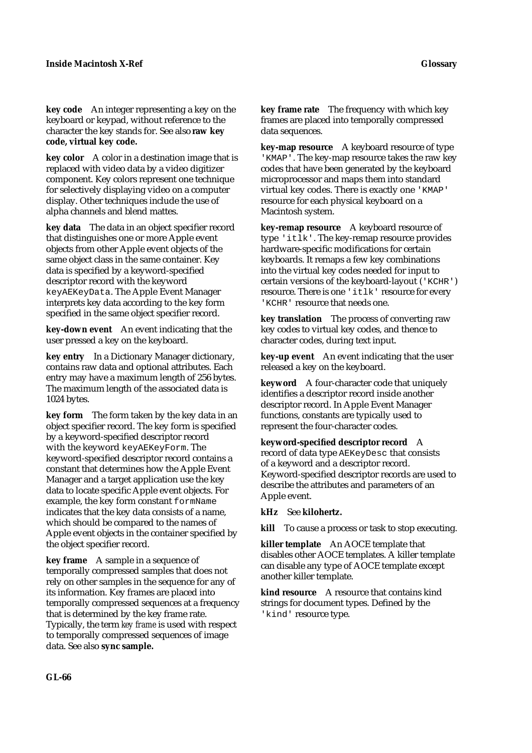**key code** An integer representing a key on the keyboard or keypad, without reference to the character the key stands for. See also **raw key code, virtual key code.**

**key color** A color in a destination image that is replaced with video data by a video digitizer component. Key colors represent one technique for selectively displaying video on a computer display. Other techniques include the use of alpha channels and blend mattes.

**key data** The data in an object specifier record that distinguishes one or more Apple event objects from other Apple event objects of the same object class in the same container. Key data is specified by a keyword-specified descriptor record with the keyword keyAEKeyData. The Apple Event Manager interprets key data according to the key form specified in the same object specifier record.

**key-down event** An event indicating that the user pressed a key on the keyboard.

**key entry** In a Dictionary Manager dictionary, contains raw data and optional attributes. Each entry may have a maximum length of 256 bytes. The maximum length of the associated data is 1024 bytes.

**key form** The form taken by the key data in an object specifier record. The key form is specified by a keyword-specified descriptor record with the keyword keyAEKeyForm. The keyword-specified descriptor record contains a constant that determines how the Apple Event Manager and a target application use the key data to locate specific Apple event objects. For example, the key form constant formName indicates that the key data consists of a name, which should be compared to the names of Apple event objects in the container specified by the object specifier record.

**key frame** A sample in a sequence of temporally compressed samples that does not rely on other samples in the sequence for any of its information. Key frames are placed into temporally compressed sequences at a frequency that is determined by the key frame rate. Typically, the term *key frame* is used with respect to temporally compressed sequences of image data. See also **sync sample.**

**key frame rate** The frequency with which key frames are placed into temporally compressed data sequences.

**key-map resource** A keyboard resource of type 'KMAP'. The key-map resource takes the raw key codes that have been generated by the keyboard microprocessor and maps them into standard virtual key codes. There is exactly one 'KMAP' resource for each physical keyboard on a Macintosh system.

**key-remap resource** A keyboard resource of type 'itlk'. The key-remap resource provides hardware-specific modifications for certain keyboards. It remaps a few key combinations into the virtual key codes needed for input to certain versions of the keyboard-layout ('KCHR') resource. There is one 'itlk' resource for every 'KCHR' resource that needs one.

**key translation** The process of converting raw key codes to virtual key codes, and thence to character codes, during text input.

**key-up event** An event indicating that the user released a key on the keyboard.

**keyword** A four-character code that uniquely identifies a descriptor record inside another descriptor record. In Apple Event Manager functions, constants are typically used to represent the four-character codes.

**keyword-specified descriptor record** A record of data type AEKeyDesc that consists of a keyword and a descriptor record. Keyword-specified descriptor records are used to describe the attributes and parameters of an Apple event.

**kHz** See **kilohertz.**

**kill** To cause a process or task to stop executing.

**killer template** An AOCE template that disables other AOCE templates. A killer template can disable any type of AOCE template except another killer template.

**kind resource** A resource that contains kind strings for document types. Defined by the 'kind' resource type.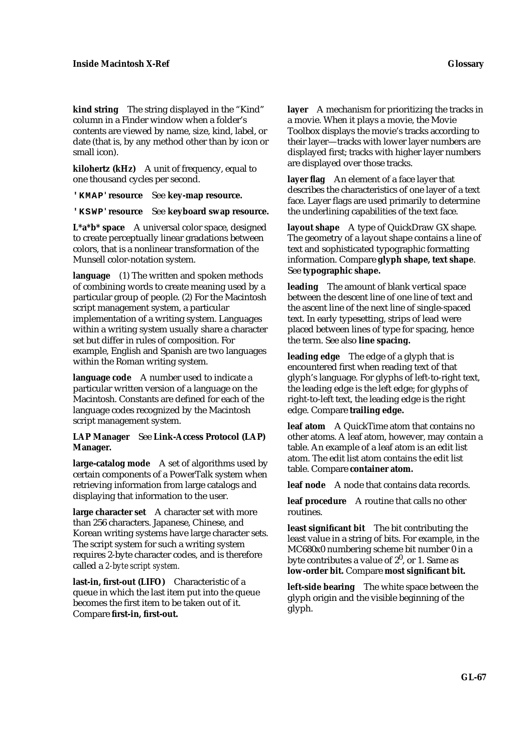**kind string** The string displayed in the "Kind" column in a Finder window when a folder's contents are viewed by name, size, kind, label, or date (that is, by any method other than by icon or small icon).

**kilohertz (kHz)** A unit of frequency, equal to one thousand cycles per second.

**'KMAP' resource** See **key-map resource.**

**'KSWP' resource** See **keyboard swap resource.**

**L\*a\*b\* space** A universal color space, designed to create perceptually linear gradations between colors, that is a nonlinear transformation of the Munsell color-notation system.

**language** (1) The written and spoken methods of combining words to create meaning used by a particular group of people. (2) For the Macintosh script management system, a particular implementation of a writing system. Languages within a writing system usually share a character set but differ in rules of composition. For example, English and Spanish are two languages within the Roman writing system.

**language code** A number used to indicate a particular written version of a language on the Macintosh. Constants are defined for each of the language codes recognized by the Macintosh script management system.

**LAP Manager** See **Link-Access Protocol (LAP) Manager.**

**large-catalog mode** A set of algorithms used by certain components of a PowerTalk system when retrieving information from large catalogs and displaying that information to the user.

**large character set** A character set with more than 256 characters. Japanese, Chinese, and Korean writing systems have large character sets. The script system for such a writing system requires 2-byte character codes, and is therefore called a *2-byte script system.*

**last-in, first-out (LIFO)** Characteristic of a queue in which the last item put into the queue becomes the first item to be taken out of it. Compare **first-in, first-out.**

**layer** A mechanism for prioritizing the tracks in a movie. When it plays a movie, the Movie Toolbox displays the movie's tracks according to their layer—tracks with lower layer numbers are displayed first; tracks with higher layer numbers are displayed over those tracks.

**layer flag** An element of a face layer that describes the characteristics of one layer of a text face. Layer flags are used primarily to determine the underlining capabilities of the text face.

**layout shape** A type of QuickDraw GX shape. The geometry of a layout shape contains a line of text and sophisticated typographic formatting information. Compare **glyph shape, text shape**. See **typographic shape.**

**leading** The amount of blank vertical space between the descent line of one line of text and the ascent line of the next line of single-spaced text. In early typesetting, strips of lead were placed between lines of type for spacing, hence the term. See also **line spacing.**

**leading edge** The edge of a glyph that is encountered first when reading text of that glyph's language. For glyphs of left-to-right text, the leading edge is the left edge; for glyphs of right-to-left text, the leading edge is the right edge. Compare **trailing edge.**

**leaf atom** A QuickTime atom that contains no other atoms. A leaf atom, however, may contain a table. An example of a leaf atom is an edit list atom. The edit list atom contains the edit list table. Compare **container atom.**

**leaf node** A node that contains data records.

**leaf procedure** A routine that calls no other routines.

**least significant bit** The bit contributing the least value in a string of bits. For example, in the MC680x0 numbering scheme bit number 0 in a byte contributes a value of  $2^0$ , or 1. Same as **low-order bit.** Compare **most significant bit.**

**left-side bearing** The white space between the glyph origin and the visible beginning of the glyph.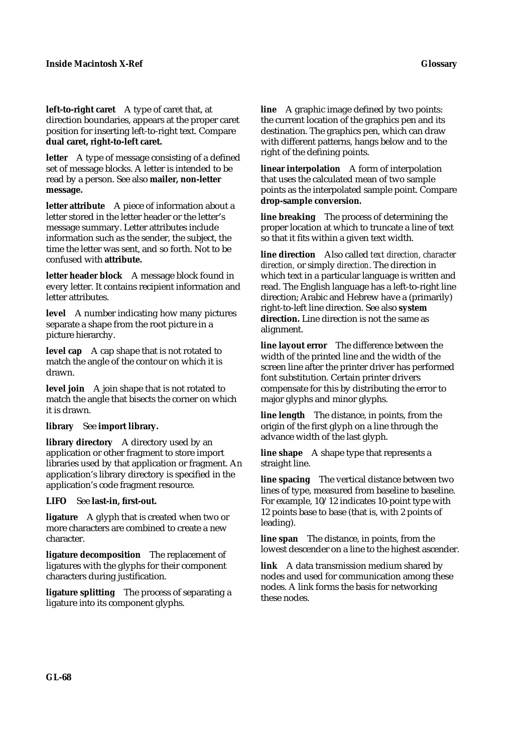**left-to-right caret** A type of caret that, at direction boundaries, appears at the proper caret position for inserting left-to-right text. Compare **dual caret, right-to-left caret.**

**letter** A type of message consisting of a defined set of message blocks. A letter is intended to be read by a person. See also **mailer, non-letter message.**

**letter attribute** A piece of information about a letter stored in the letter header or the letter's message summary. Letter attributes include information such as the sender, the subject, the time the letter was sent, and so forth. Not to be confused with **attribute.**

**letter header block** A message block found in every letter. It contains recipient information and letter attributes.

**level** A number indicating how many pictures separate a shape from the root picture in a picture hierarchy.

level cap A cap shape that is not rotated to match the angle of the contour on which it is drawn.

**level join** A join shape that is not rotated to match the angle that bisects the corner on which it is drawn.

**library** See **import library.**

**library directory** A directory used by an application or other fragment to store import libraries used by that application or fragment. An application's library directory is specified in the application's code fragment resource.

**LIFO** See **last-in, first-out.**

**ligature** A glyph that is created when two or more characters are combined to create a new character.

**ligature decomposition** The replacement of ligatures with the glyphs for their component characters during justification.

**ligature splitting** The process of separating a ligature into its component glyphs.

**line** A graphic image defined by two points: the current location of the graphics pen and its destination. The graphics pen, which can draw with different patterns, hangs below and to the right of the defining points.

**linear interpolation** A form of interpolation that uses the calculated mean of two sample points as the interpolated sample point. Compare **drop-sample conversion.**

**line breaking** The process of determining the proper location at which to truncate a line of text so that it fits within a given text width.

**line direction** Also called *text direction, character direction,* or simply *direction*. The direction in which text in a particular language is written and read. The English language has a left-to-right line direction; Arabic and Hebrew have a (primarily) right-to-left line direction. See also **system direction.** Line direction is not the same as alignment.

**line layout error** The difference between the width of the printed line and the width of the screen line after the printer driver has performed font substitution. Certain printer drivers compensate for this by distributing the error to major glyphs and minor glyphs.

**line length** The distance, in points, from the origin of the first glyph on a line through the advance width of the last glyph.

**line shape** A shape type that represents a straight line.

**line spacing** The vertical distance between two lines of type, measured from baseline to baseline. For example, 10/12 indicates 10-point type with 12 points base to base (that is, with 2 points of leading).

**line span** The distance, in points, from the lowest descender on a line to the highest ascender.

**link** A data transmission medium shared by nodes and used for communication among these nodes. A link forms the basis for networking these nodes.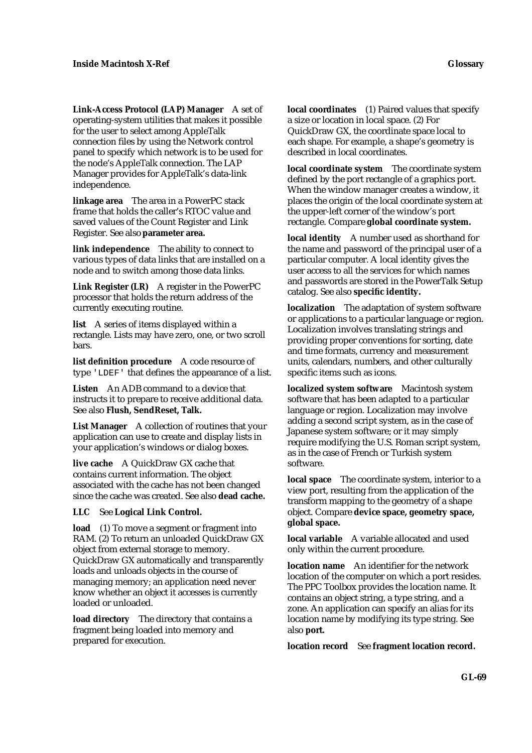**Link-Access Protocol (LAP) Manager** A set of operating-system utilities that makes it possible for the user to select among AppleTalk connection files by using the Network control panel to specify which network is to be used for the node's AppleTalk connection. The LAP Manager provides for AppleTalk's data-link independence.

**linkage area** The area in a PowerPC stack frame that holds the caller's RTOC value and saved values of the Count Register and Link Register. See also **parameter area.**

**link independence** The ability to connect to various types of data links that are installed on a node and to switch among those data links.

**Link Register (LR)** A register in the PowerPC processor that holds the return address of the currently executing routine.

**list** A series of items displayed within a rectangle. Lists may have zero, one, or two scroll bars.

**list definition procedure** A code resource of type 'LDEF' that defines the appearance of a list.

**Listen** An ADB command to a device that instructs it to prepare to receive additional data. See also **Flush, SendReset, Talk.**

**List Manager** A collection of routines that your application can use to create and display lists in your application's windows or dialog boxes.

**live cache** A QuickDraw GX cache that contains current information. The object associated with the cache has not been changed since the cache was created. See also **dead cache.**

### **LLC** See **Logical Link Control.**

**load** (1) To move a segment or fragment into RAM. (2) To return an unloaded QuickDraw GX object from external storage to memory. QuickDraw GX automatically and transparently loads and unloads objects in the course of managing memory; an application need never know whether an object it accesses is currently loaded or unloaded.

**load directory** The directory that contains a fragment being loaded into memory and prepared for execution.

**local coordinates** (1) Paired values that specify a size or location in local space. (2) For QuickDraw GX, the coordinate space local to each shape. For example, a shape's geometry is described in local coordinates.

**local coordinate system** The coordinate system defined by the port rectangle of a graphics port. When the window manager creates a window, it places the origin of the local coordinate system at the upper-left corner of the window's port rectangle. Compare **global coordinate system.**

**local identity** A number used as shorthand for the name and password of the principal user of a particular computer. A local identity gives the user access to all the services for which names and passwords are stored in the PowerTalk Setup catalog. See also **specific identity.**

**localization** The adaptation of system software or applications to a particular language or region. Localization involves translating strings and providing proper conventions for sorting, date and time formats, currency and measurement units, calendars, numbers, and other culturally specific items such as icons.

**localized system software** Macintosh system software that has been adapted to a particular language or region. Localization may involve adding a second script system, as in the case of Japanese system software; or it may simply require modifying the U.S. Roman script system, as in the case of French or Turkish system software.

**local space** The coordinate system, interior to a view port, resulting from the application of the transform mapping to the geometry of a shape object. Compare **device space, geometry space, global space.**

**local variable** A variable allocated and used only within the current procedure.

**location name** An identifier for the network location of the computer on which a port resides. The PPC Toolbox provides the location name. It contains an object string, a type string, and a zone. An application can specify an alias for its location name by modifying its type string. See also **port.**

**location record** See **fragment location record.**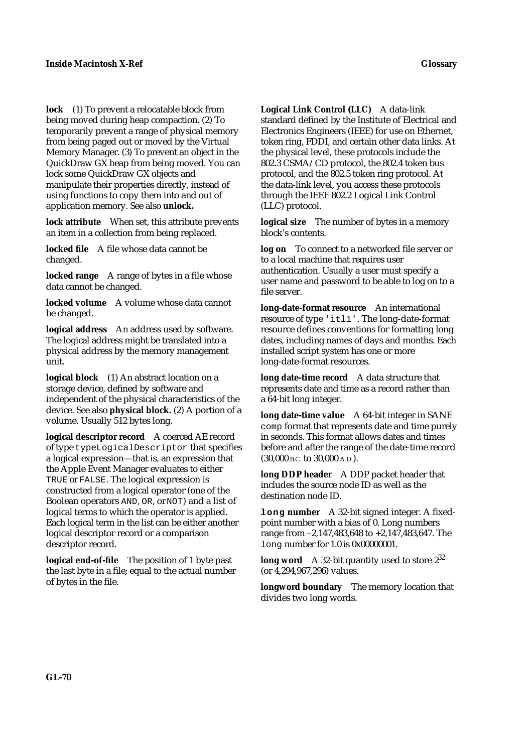**lock** (1) To prevent a relocatable block from being moved during heap compaction. (2) To temporarily prevent a range of physical memory from being paged out or moved by the Virtual Memory Manager. (3) To prevent an object in the QuickDraw GX heap from being moved. You can lock some QuickDraw GX objects and manipulate their properties directly, instead of using functions to copy them into and out of application memory. See also **unlock.**

**lock attribute** When set, this attribute prevents an item in a collection from being replaced.

**locked file** A file whose data cannot be changed.

**locked range** A range of bytes in a file whose data cannot be changed.

**locked volume** A volume whose data cannot be changed.

**logical address** An address used by software. The logical address might be translated into a physical address by the memory management unit.

**logical block** (1) An abstract location on a storage device, defined by software and independent of the physical characteristics of the device. See also **physical block.** (2) A portion of a volume. Usually 512 bytes long.

**logical descriptor record** A coerced AE record of type typeLogicalDescriptor that specifies a logical expression—that is, an expression that the Apple Event Manager evaluates to either TRUE or FALSE. The logical expression is constructed from a logical operator (one of the Boolean operators AND, OR, or NOT) and a list of logical terms to which the operator is applied. Each logical term in the list can be either another logical descriptor record or a comparison descriptor record.

**logical end-of-file** The position of 1 byte past the last byte in a file; equal to the actual number of bytes in the file.

**Logical Link Control (LLC)** A data-link standard defined by the Institute of Electrical and Electronics Engineers (IEEE) for use on Ethernet, token ring, FDDI, and certain other data links. At the physical level, these protocols include the 802.3 CSMA/CD protocol, the 802.4 token bus protocol, and the 802.5 token ring protocol. At the data-link level, you access these protocols through the IEEE 802.2 Logical Link Control (LLC) protocol.

**logical size** The number of bytes in a memory block's contents.

**log on** To connect to a networked file server or to a local machine that requires user authentication. Usually a user must specify a user name and password to be able to log on to a file server.

**long-date-format resource** An international resource of type 'itl1'. The long-date-format resource defines conventions for formatting long dates, including names of days and months. Each installed script system has one or more long-date-format resources.

**long date-time record** A data structure that represents date and time as a record rather than a 64-bit long integer.

**long date-time value** A 64-bit integer in SANE comp format that represents date and time purely in seconds. This format allows dates and times before and after the range of the date-time record (30,000 B.C. to 30,000 A.D.).

**long DDP header** A DDP packet header that includes the source node ID as well as the destination node ID.

**long number** A 32-bit signed integer. A fixedpoint number with a bias of 0. Long numbers range from –2,147,483,648 to +2,147,483,647. The long number for 1.0 is 0x00000001.

**long word** A 32-bit quantity used to store  $2^{32}$ (or 4,294,967,296) values.

**longword boundary** The memory location that divides two long words.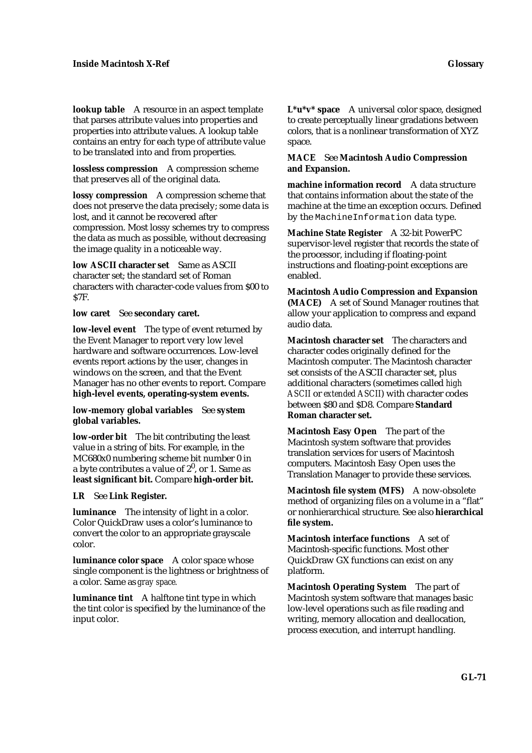**lookup table** A resource in an aspect template that parses attribute values into properties and properties into attribute values. A lookup table contains an entry for each type of attribute value to be translated into and from properties.

**lossless compression** A compression scheme that preserves all of the original data.

**lossy compression** A compression scheme that does not preserve the data precisely; some data is lost, and it cannot be recovered after compression. Most lossy schemes try to compress the data as much as possible, without decreasing the image quality in a noticeable way.

**low ASCII character set** Same as ASCII character set; the standard set of Roman characters with character-code values from \$00 to \$7F.

**low caret** See **secondary caret.**

**low-level event** The type of event returned by the Event Manager to report very low level hardware and software occurrences. Low-level events report actions by the user, changes in windows on the screen, and that the Event Manager has no other events to report. Compare **high-level events, operating-system events.**

**low-memory global variables** See **system global variables.**

**low-order bit** The bit contributing the least value in a string of bits. For example, in the MC680x0 numbering scheme bit number 0 in a byte contributes a value of  $2^0$ , or 1. Same as **least significant bit.** Compare **high-order bit.**

### **LR** See **Link Register.**

**luminance** The intensity of light in a color. Color QuickDraw uses a color's luminance to convert the color to an appropriate grayscale color.

**luminance color space** A color space whose single component is the lightness or brightness of a color. Same as *gray space.*

**luminance tint** A halftone tint type in which the tint color is specified by the luminance of the input color.

**L\*u\*v\* space** A universal color space, designed to create perceptually linear gradations between colors, that is a nonlinear transformation of XYZ space.

### **MACE** See **Macintosh Audio Compression and Expansion.**

**machine information record** A data structure that contains information about the state of the machine at the time an exception occurs. Defined by the MachineInformation data type.

**Machine State Register** A 32-bit PowerPC supervisor-level register that records the state of the processor, including if floating-point instructions and floating-point exceptions are enabled.

**Macintosh Audio Compression and Expansion (MACE)** A set of Sound Manager routines that allow your application to compress and expand audio data.

**Macintosh character set** The characters and character codes originally defined for the Macintosh computer. The Macintosh character set consists of the ASCII character set, plus additional characters (sometimes called *high ASCII* or *extended ASCII*) with character codes between \$80 and \$D8. Compare **Standard Roman character set.**

**Macintosh Easy Open** The part of the Macintosh system software that provides translation services for users of Macintosh computers. Macintosh Easy Open uses the Translation Manager to provide these services.

**Macintosh file system (MFS)** A now-obsolete method of organizing files on a volume in a "flat" or nonhierarchical structure. See also **hierarchical file system.**

**Macintosh interface functions** A set of Macintosh-specific functions. Most other QuickDraw GX functions can exist on any platform.

**Macintosh Operating System** The part of Macintosh system software that manages basic low-level operations such as file reading and writing, memory allocation and deallocation, process execution, and interrupt handling.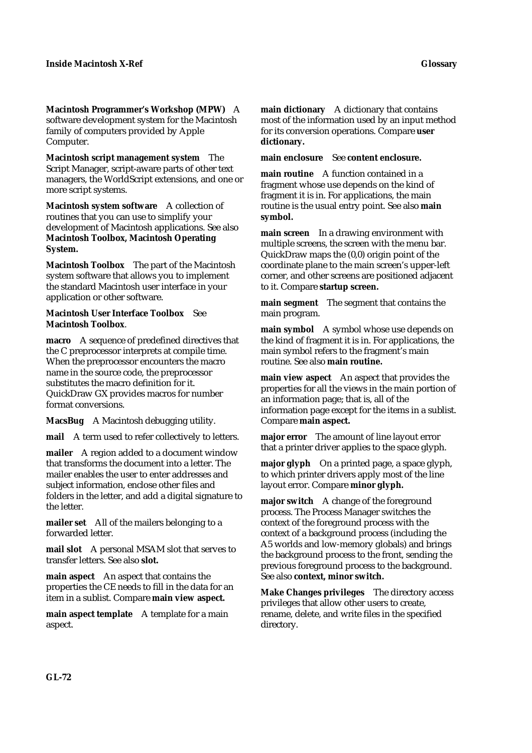**Macintosh Programmer's Workshop (MPW)** A software development system for the Macintosh family of computers provided by Apple Computer.

**Macintosh script management system** The Script Manager, script-aware parts of other text managers, the WorldScript extensions, and one or more script systems.

**Macintosh system software** A collection of routines that you can use to simplify your development of Macintosh applications. See also **Macintosh Toolbox, Macintosh Operating System.**

**Macintosh Toolbox** The part of the Macintosh system software that allows you to implement the standard Macintosh user interface in your application or other software.

#### **Macintosh User Interface Toolbox** See **Macintosh Toolbox**.

**macro** A sequence of predefined directives that the C preprocessor interprets at compile time. When the preprocessor encounters the macro name in the source code, the preprocessor substitutes the macro definition for it. QuickDraw GX provides macros for number format conversions.

**MacsBug** A Macintosh debugging utility.

**mail** A term used to refer collectively to letters.

**mailer** A region added to a document window that transforms the document into a letter. The mailer enables the user to enter addresses and subject information, enclose other files and folders in the letter, and add a digital signature to the letter.

**mailer set** All of the mailers belonging to a forwarded letter.

**mail slot** A personal MSAM slot that serves to transfer letters. See also **slot.**

**main aspect** An aspect that contains the properties the CE needs to fill in the data for an item in a sublist. Compare **main view aspect.**

**main aspect template** A template for a main aspect.

**main dictionary** A dictionary that contains most of the information used by an input method for its conversion operations. Compare **user dictionary.**

**main enclosure** See **content enclosure.**

**main routine** A function contained in a fragment whose use depends on the kind of fragment it is in. For applications, the main routine is the usual entry point. See also **main symbol.**

**main screen** In a drawing environment with multiple screens, the screen with the menu bar. QuickDraw maps the (0,0) origin point of the coordinate plane to the main screen's upper-left corner, and other screens are positioned adjacent to it. Compare **startup screen.**

**main segment** The segment that contains the main program.

**main symbol** A symbol whose use depends on the kind of fragment it is in. For applications, the main symbol refers to the fragment's main routine. See also **main routine.**

**main view aspect** An aspect that provides the properties for all the views in the main portion of an information page; that is, all of the information page except for the items in a sublist. Compare **main aspect.**

**major error** The amount of line layout error that a printer driver applies to the space glyph.

**major glyph** On a printed page, a space glyph, to which printer drivers apply most of the line layout error. Compare **minor glyph.**

**major switch** A change of the foreground process. The Process Manager switches the context of the foreground process with the context of a background process (including the A5 worlds and low-memory globals) and brings the background process to the front, sending the previous foreground process to the background. See also **context, minor switch.**

**Make Changes privileges** The directory access privileges that allow other users to create, rename, delete, and write files in the specified directory.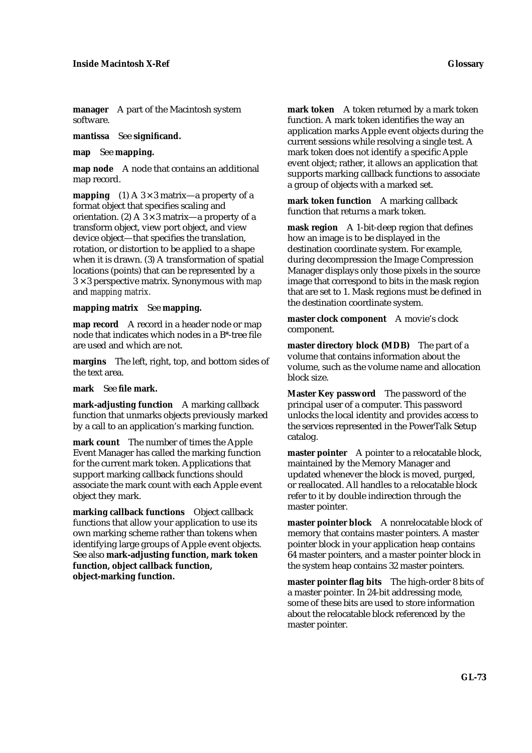**manager** A part of the Macintosh system software.

**mantissa** See **significand.**

**map** See **mapping.**

**map node** A node that contains an additional map record.

**mapping** (1) A  $3 \times 3$  matrix—a property of a format object that specifies scaling and orientation. (2) A  $3 \times 3$  matrix—a property of a transform object, view port object, and view device object—that specifies the translation, rotation, or distortion to be applied to a shape when it is drawn. (3) A transformation of spatial locations (points) that can be represented by a 3 × 3 perspective matrix. Synonymous with *map* and *mapping matrix.*

### **mapping matrix** See **mapping.**

**map record** A record in a header node or map node that indicates which nodes in a B\*-tree file are used and which are not.

**margins** The left, right, top, and bottom sides of the text area.

**mark** See **file mark.**

**mark-adjusting function** A marking callback function that unmarks objects previously marked by a call to an application's marking function.

**mark count** The number of times the Apple Event Manager has called the marking function for the current mark token. Applications that support marking callback functions should associate the mark count with each Apple event object they mark.

**marking callback functions** Object callback functions that allow your application to use its own marking scheme rather than tokens when identifying large groups of Apple event objects. See also **mark-adjusting function, mark token function, object callback function, object-marking function.**

**mark token** A token returned by a mark token function. A mark token identifies the way an application marks Apple event objects during the current sessions while resolving a single test. A mark token does not identify a specific Apple event object; rather, it allows an application that supports marking callback functions to associate a group of objects with a marked set.

**mark token function** A marking callback function that returns a mark token.

**mask region** A 1-bit-deep region that defines how an image is to be displayed in the destination coordinate system. For example, during decompression the Image Compression Manager displays only those pixels in the source image that correspond to bits in the mask region that are set to 1. Mask regions must be defined in the destination coordinate system.

**master clock component** A movie's clock component.

**master directory block (MDB)** The part of a volume that contains information about the volume, such as the volume name and allocation block size.

**Master Key password** The password of the principal user of a computer. This password unlocks the local identity and provides access to the services represented in the PowerTalk Setup catalog.

**master pointer** A pointer to a relocatable block, maintained by the Memory Manager and updated whenever the block is moved, purged, or reallocated. All handles to a relocatable block refer to it by double indirection through the master pointer.

**master pointer block** A nonrelocatable block of memory that contains master pointers. A master pointer block in your application heap contains 64 master pointers, and a master pointer block in the system heap contains 32 master pointers.

**master pointer flag bits** The high-order 8 bits of a master pointer. In 24-bit addressing mode, some of these bits are used to store information about the relocatable block referenced by the master pointer.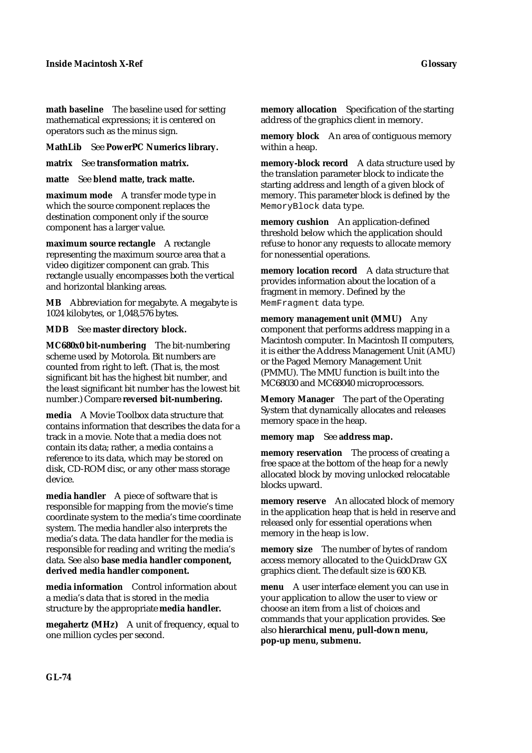**math baseline** The baseline used for setting mathematical expressions; it is centered on operators such as the minus sign.

**MathLib** See **PowerPC Numerics library.**

**matrix** See **transformation matrix.**

**matte** See **blend matte, track matte.**

**maximum mode** A transfer mode type in which the source component replaces the destination component only if the source component has a larger value.

**maximum source rectangle** A rectangle representing the maximum source area that a video digitizer component can grab. This rectangle usually encompasses both the vertical and horizontal blanking areas.

**MB** Abbreviation for megabyte. A megabyte is 1024 kilobytes, or 1,048,576 bytes.

**MDB** See **master directory block.**

**MC680x0 bit-numbering** The bit-numbering scheme used by Motorola. Bit numbers are counted from right to left. (That is, the most significant bit has the highest bit number, and the least significant bit number has the lowest bit number.) Compare **reversed bit-numbering.**

**media** A Movie Toolbox data structure that contains information that describes the data for a track in a movie. Note that a media does not contain its data; rather, a media contains a reference to its data, which may be stored on disk, CD-ROM disc, or any other mass storage device.

**media handler** A piece of software that is responsible for mapping from the movie's time coordinate system to the media's time coordinate system. The media handler also interprets the media's data. The data handler for the media is responsible for reading and writing the media's data. See also **base media handler component, derived media handler component.**

**media information** Control information about a media's data that is stored in the media structure by the appropriate **media handler.**

**megahertz (MHz)** A unit of frequency, equal to one million cycles per second.

**memory allocation** Specification of the starting address of the graphics client in memory.

**memory block** An area of contiguous memory within a heap.

**memory-block record** A data structure used by the translation parameter block to indicate the starting address and length of a given block of memory. This parameter block is defined by the MemoryBlock data type.

**memory cushion** An application-defined threshold below which the application should refuse to honor any requests to allocate memory for nonessential operations.

**memory location record** A data structure that provides information about the location of a fragment in memory. Defined by the MemFragment data type.

**memory management unit (MMU)** Any component that performs address mapping in a Macintosh computer. In Macintosh II computers, it is either the Address Management Unit (AMU) or the Paged Memory Management Unit (PMMU). The MMU function is built into the MC68030 and MC68040 microprocessors.

**Memory Manager** The part of the Operating System that dynamically allocates and releases memory space in the heap.

**memory map** See **address map.**

**memory reservation** The process of creating a free space at the bottom of the heap for a newly allocated block by moving unlocked relocatable blocks upward.

**memory reserve** An allocated block of memory in the application heap that is held in reserve and released only for essential operations when memory in the heap is low.

**memory size** The number of bytes of random access memory allocated to the QuickDraw GX graphics client. The default size is 600 KB.

**menu** A user interface element you can use in your application to allow the user to view or choose an item from a list of choices and commands that your application provides. See also **hierarchical menu, pull-down menu, pop-up menu, submenu.**

**GL-74**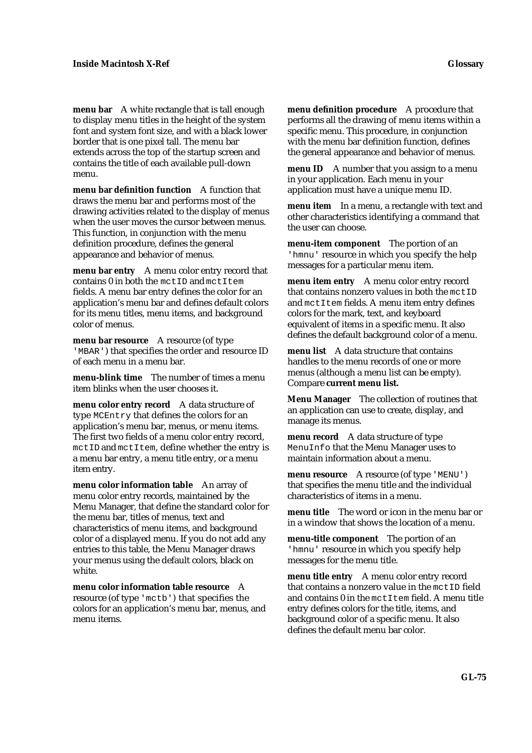**menu bar** A white rectangle that is tall enough to display menu titles in the height of the system font and system font size, and with a black lower border that is one pixel tall. The menu bar extends across the top of the startup screen and contains the title of each available pull-down menu.

**menu bar definition function** A function that draws the menu bar and performs most of the drawing activities related to the display of menus when the user moves the cursor between menus. This function, in conjunction with the menu definition procedure, defines the general appearance and behavior of menus.

**menu bar entry** A menu color entry record that contains 0 in both the mctID and mctItem fields. A menu bar entry defines the color for an application's menu bar and defines default colors for its menu titles, menu items, and background color of menus.

**menu bar resource** A resource (of type 'MBAR') that specifies the order and resource ID of each menu in a menu bar.

**menu-blink time** The number of times a menu item blinks when the user chooses it.

**menu color entry record** A data structure of type MCEntry that defines the colors for an application's menu bar, menus, or menu items. The first two fields of a menu color entry record, mctID and mctItem, define whether the entry is a menu bar entry, a menu title entry, or a menu item entry.

**menu color information table** An array of menu color entry records, maintained by the Menu Manager, that define the standard color for the menu bar, titles of menus, text and characteristics of menu items, and background color of a displayed menu. If you do not add any entries to this table, the Menu Manager draws your menus using the default colors, black on white.

**menu color information table resource** A resource (of type 'mctb') that specifies the colors for an application's menu bar, menus, and menu items.

**menu definition procedure** A procedure that performs all the drawing of menu items within a specific menu. This procedure, in conjunction with the menu bar definition function, defines the general appearance and behavior of menus.

**menu ID** A number that you assign to a menu in your application. Each menu in your application must have a unique menu ID.

**menu item** In a menu, a rectangle with text and other characteristics identifying a command that the user can choose.

**menu-item component** The portion of an 'hmnu' resource in which you specify the help messages for a particular menu item.

**menu item entry** A menu color entry record that contains nonzero values in both the mctID and mctItem fields. A menu item entry defines colors for the mark, text, and keyboard equivalent of items in a specific menu. It also defines the default background color of a menu.

**menu list** A data structure that contains handles to the menu records of one or more menus (although a menu list can be empty). Compare **current menu list.**

**Menu Manager** The collection of routines that an application can use to create, display, and manage its menus.

**menu record** A data structure of type MenuInfo that the Menu Manager uses to maintain information about a menu.

**menu resource** A resource (of type 'MENU') that specifies the menu title and the individual characteristics of items in a menu.

**menu title** The word or icon in the menu bar or in a window that shows the location of a menu.

**menu-title component** The portion of an 'hmnu' resource in which you specify help messages for the menu title.

**menu title entry** A menu color entry record that contains a nonzero value in the mctID field and contains  $\theta$  in the met Item field. A menu title entry defines colors for the title, items, and background color of a specific menu. It also defines the default menu bar color.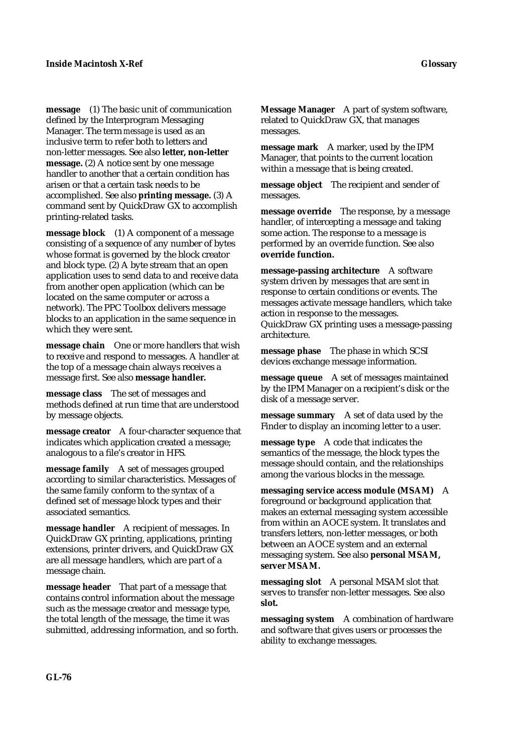**message** (1) The basic unit of communication defined by the Interprogram Messaging Manager. The term *message* is used as an inclusive term to refer both to letters and non-letter messages. See also **letter, non-letter message.** (2) A notice sent by one message handler to another that a certain condition has arisen or that a certain task needs to be accomplished. See also **printing message.** (3) A command sent by QuickDraw GX to accomplish printing-related tasks.

**message block** (1) A component of a message consisting of a sequence of any number of bytes whose format is governed by the block creator and block type. (2) A byte stream that an open application uses to send data to and receive data from another open application (which can be located on the same computer or across a network). The PPC Toolbox delivers message blocks to an application in the same sequence in which they were sent.

**message chain** One or more handlers that wish to receive and respond to messages. A handler at the top of a message chain always receives a message first. See also **message handler.**

**message class** The set of messages and methods defined at run time that are understood by message objects.

**message creator** A four-character sequence that indicates which application created a message; analogous to a file's creator in HFS.

**message family** A set of messages grouped according to similar characteristics. Messages of the same family conform to the syntax of a defined set of message block types and their associated semantics.

**message handler** A recipient of messages. In QuickDraw GX printing, applications, printing extensions, printer drivers, and QuickDraw GX are all message handlers, which are part of a message chain.

**message header** That part of a message that contains control information about the message such as the message creator and message type, the total length of the message, the time it was submitted, addressing information, and so forth. **Message Manager** A part of system software, related to QuickDraw GX, that manages messages.

**message mark** A marker, used by the IPM Manager, that points to the current location within a message that is being created.

**message object** The recipient and sender of messages.

**message override** The response, by a message handler, of intercepting a message and taking some action. The response to a message is performed by an override function. See also **override function.**

**message-passing architecture** A software system driven by messages that are sent in response to certain conditions or events. The messages activate message handlers, which take action in response to the messages. QuickDraw GX printing uses a message-passing architecture.

**message phase** The phase in which SCSI devices exchange message information.

**message queue** A set of messages maintained by the IPM Manager on a recipient's disk or the disk of a message server.

**message summary** A set of data used by the Finder to display an incoming letter to a user.

**message type** A code that indicates the semantics of the message, the block types the message should contain, and the relationships among the various blocks in the message.

**messaging service access module (MSAM)** A foreground or background application that makes an external messaging system accessible from within an AOCE system. It translates and transfers letters, non-letter messages, or both between an AOCE system and an external messaging system. See also **personal MSAM, server MSAM.**

**messaging slot** A personal MSAM slot that serves to transfer non-letter messages. See also **slot.**

**messaging system** A combination of hardware and software that gives users or processes the ability to exchange messages.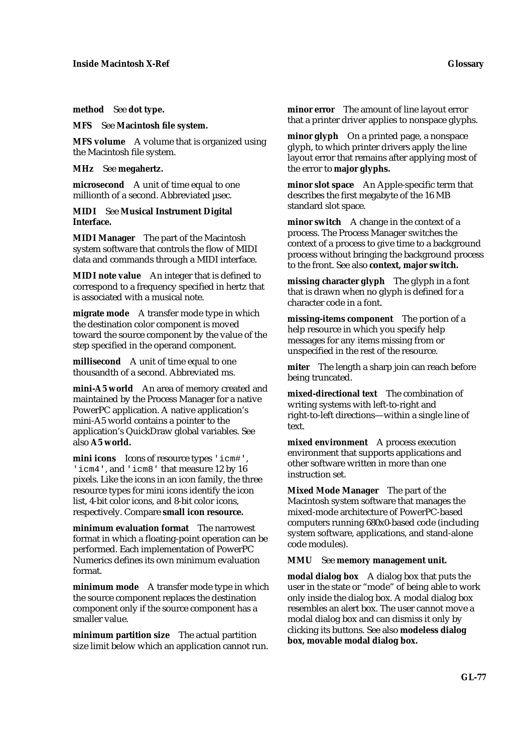**method** See **dot type.**

**MFS** See **Macintosh file system.**

**MFS volume** A volume that is organized using the Macintosh file system.

**MHz** See **megahertz.**

**microsecond** A unit of time equal to one millionth of a second. Abbreviated usec.

**MIDI** See **Musical Instrument Digital Interface.**

**MIDI Manager** The part of the Macintosh system software that controls the flow of MIDI data and commands through a MIDI interface.

**MIDI note value** An integer that is defined to correspond to a frequency specified in hertz that is associated with a musical note.

**migrate mode** A transfer mode type in which the destination color component is moved toward the source component by the value of the step specified in the operand component.

**millisecond** A unit of time equal to one thousandth of a second. Abbreviated ms.

**mini-A5 world** An area of memory created and maintained by the Process Manager for a native PowerPC application. A native application's mini-A5 world contains a pointer to the application's QuickDraw global variables. See also **A5 world.**

**mini icons** Icons of resource types 'icm#', 'icm4', and 'icm8' that measure 12 by 16 pixels. Like the icons in an icon family, the three resource types for mini icons identify the icon list, 4-bit color icons, and 8-bit color icons, respectively. Compare **small icon resource.**

**minimum evaluation format** The narrowest format in which a floating-point operation can be performed. Each implementation of PowerPC Numerics defines its own minimum evaluation format.

**minimum mode** A transfer mode type in which the source component replaces the destination component only if the source component has a smaller value.

**minimum partition size** The actual partition size limit below which an application cannot run. **minor error** The amount of line layout error that a printer driver applies to nonspace glyphs.

**minor glyph** On a printed page, a nonspace glyph, to which printer drivers apply the line layout error that remains after applying most of the error to **major glyphs.**

**minor slot space** An Apple-specific term that describes the first megabyte of the 16 MB standard slot space.

**minor switch** A change in the context of a process. The Process Manager switches the context of a process to give time to a background process without bringing the background process to the front. See also **context, major switch.**

**missing character glyph** The glyph in a font that is drawn when no glyph is defined for a character code in a font.

**missing-items component** The portion of a help resource in which you specify help messages for any items missing from or unspecified in the rest of the resource.

**miter** The length a sharp join can reach before being truncated.

**mixed-directional text** The combination of writing systems with left-to-right and right-to-left directions—within a single line of text.

**mixed environment** A process execution environment that supports applications and other software written in more than one instruction set.

**Mixed Mode Manager** The part of the Macintosh system software that manages the mixed-mode architecture of PowerPC-based computers running 680x0-based code (including system software, applications, and stand-alone code modules).

**MMU** See **memory management unit.**

**modal dialog box** A dialog box that puts the user in the state or "mode" of being able to work only inside the dialog box. A modal dialog box resembles an alert box. The user cannot move a modal dialog box and can dismiss it only by clicking its buttons. See also **modeless dialog box, movable modal dialog box.**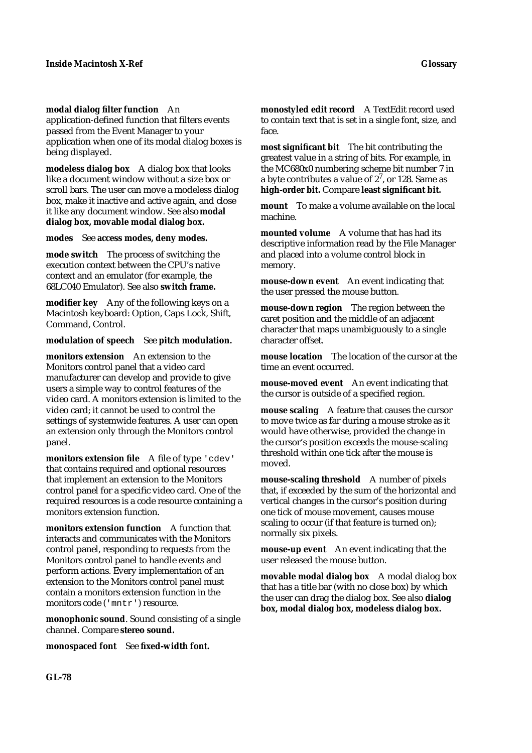## **modal dialog filter function** An

application-defined function that filters events passed from the Event Manager to your application when one of its modal dialog boxes is being displayed.

**modeless dialog box** A dialog box that looks like a document window without a size box or scroll bars. The user can move a modeless dialog box, make it inactive and active again, and close it like any document window. See also **modal dialog box, movable modal dialog box.**

### **modes** See **access modes, deny modes.**

**mode switch** The process of switching the execution context between the CPU's native context and an emulator (for example, the 68LC040 Emulator). See also **switch frame.**

**modifier key** Any of the following keys on a Macintosh keyboard: Option, Caps Lock, Shift, Command, Control.

## **modulation of speech** See **pitch modulation.**

**monitors extension** An extension to the Monitors control panel that a video card manufacturer can develop and provide to give users a simple way to control features of the video card. A monitors extension is limited to the video card; it cannot be used to control the settings of systemwide features. A user can open an extension only through the Monitors control panel.

**monitors extension file** A file of type 'cdev' that contains required and optional resources that implement an extension to the Monitors control panel for a specific video card. One of the required resources is a code resource containing a monitors extension function.

**monitors extension function** A function that interacts and communicates with the Monitors control panel, responding to requests from the Monitors control panel to handle events and perform actions. Every implementation of an extension to the Monitors control panel must contain a monitors extension function in the monitors code ('mntr') resource.

**monophonic sound**. Sound consisting of a single channel. Compare **stereo sound.**

**monospaced font** See **fixed-width font.**

**monostyled edit record** A TextEdit record used to contain text that is set in a single font, size, and face.

**most significant bit** The bit contributing the greatest value in a string of bits. For example, in the MC680x0 numbering scheme bit number 7 in a byte contributes a value of  $2^7$ , or 128. Same as **high-order bit.** Compare **least significant bit.**

**mount** To make a volume available on the local machine.

**mounted volume** A volume that has had its descriptive information read by the File Manager and placed into a volume control block in memory.

**mouse-down event** An event indicating that the user pressed the mouse button.

**mouse-down region** The region between the caret position and the middle of an adjacent character that maps unambiguously to a single character offset.

**mouse location** The location of the cursor at the time an event occurred.

**mouse-moved event** An event indicating that the cursor is outside of a specified region.

**mouse scaling** A feature that causes the cursor to move twice as far during a mouse stroke as it would have otherwise, provided the change in the cursor's position exceeds the mouse-scaling threshold within one tick after the mouse is moved.

**mouse-scaling threshold** A number of pixels that, if exceeded by the sum of the horizontal and vertical changes in the cursor's position during one tick of mouse movement, causes mouse scaling to occur (if that feature is turned on); normally six pixels.

**mouse-up event** An event indicating that the user released the mouse button.

**movable modal dialog box** A modal dialog box that has a title bar (with no close box) by which the user can drag the dialog box. See also **dialog box, modal dialog box, modeless dialog box.**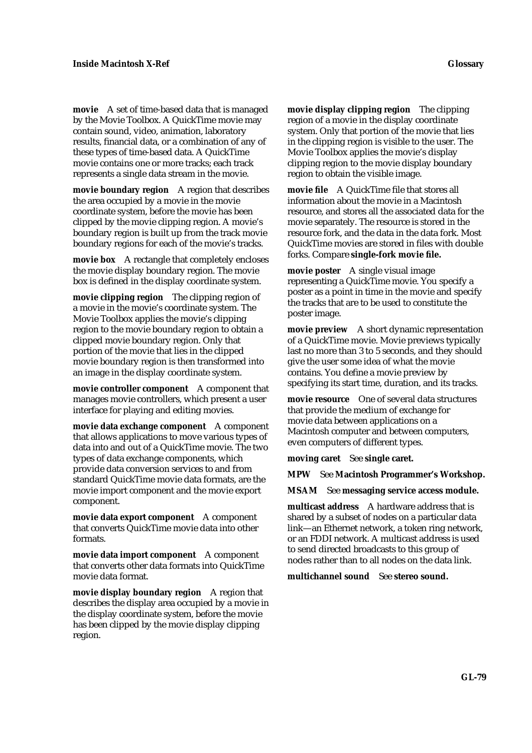**movie** A set of time-based data that is managed by the Movie Toolbox. A QuickTime movie may contain sound, video, animation, laboratory results, financial data, or a combination of any of these types of time-based data. A QuickTime movie contains one or more tracks; each track represents a single data stream in the movie.

**movie boundary region** A region that describes the area occupied by a movie in the movie coordinate system, before the movie has been clipped by the movie clipping region. A movie's boundary region is built up from the track movie boundary regions for each of the movie's tracks.

**movie box** A rectangle that completely encloses the movie display boundary region. The movie box is defined in the display coordinate system.

**movie clipping region** The clipping region of a movie in the movie's coordinate system. The Movie Toolbox applies the movie's clipping region to the movie boundary region to obtain a clipped movie boundary region. Only that portion of the movie that lies in the clipped movie boundary region is then transformed into an image in the display coordinate system.

**movie controller component** A component that manages movie controllers, which present a user interface for playing and editing movies.

**movie data exchange component** A component that allows applications to move various types of data into and out of a QuickTime movie. The two types of data exchange components, which provide data conversion services to and from standard QuickTime movie data formats, are the movie import component and the movie export component.

**movie data export component** A component that converts QuickTime movie data into other formats.

**movie data import component** A component that converts other data formats into QuickTime movie data format.

**movie display boundary region** A region that describes the display area occupied by a movie in the display coordinate system, before the movie has been clipped by the movie display clipping region.

**movie display clipping region** The clipping region of a movie in the display coordinate system. Only that portion of the movie that lies in the clipping region is visible to the user. The Movie Toolbox applies the movie's display clipping region to the movie display boundary region to obtain the visible image.

**movie file** A QuickTime file that stores all information about the movie in a Macintosh resource, and stores all the associated data for the movie separately. The resource is stored in the resource fork, and the data in the data fork. Most QuickTime movies are stored in files with double forks. Compare **single-fork movie file.**

**movie poster** A single visual image representing a QuickTime movie. You specify a poster as a point in time in the movie and specify the tracks that are to be used to constitute the poster image.

**movie preview** A short dynamic representation of a QuickTime movie. Movie previews typically last no more than 3 to 5 seconds, and they should give the user some idea of what the movie contains. You define a movie preview by specifying its start time, duration, and its tracks.

**movie resource** One of several data structures that provide the medium of exchange for movie data between applications on a Macintosh computer and between computers, even computers of different types.

**moving caret** See **single caret.**

**MPW** See **Macintosh Programmer's Workshop.**

**MSAM** See **messaging service access module.**

**multicast address** A hardware address that is shared by a subset of nodes on a particular data link—an Ethernet network, a token ring network, or an FDDI network. A multicast address is used to send directed broadcasts to this group of nodes rather than to all nodes on the data link.

**multichannel sound** See **stereo sound.**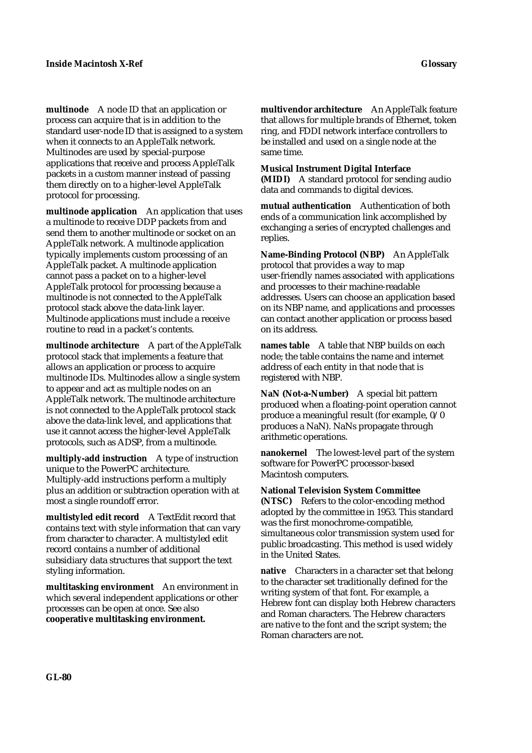**multinode** A node ID that an application or process can acquire that is in addition to the standard user-node ID that is assigned to a system when it connects to an AppleTalk network. Multinodes are used by special-purpose applications that receive and process AppleTalk packets in a custom manner instead of passing them directly on to a higher-level AppleTalk protocol for processing.

**multinode application** An application that uses a multinode to receive DDP packets from and send them to another multinode or socket on an AppleTalk network. A multinode application typically implements custom processing of an AppleTalk packet. A multinode application cannot pass a packet on to a higher-level AppleTalk protocol for processing because a multinode is not connected to the AppleTalk protocol stack above the data-link layer. Multinode applications must include a receive routine to read in a packet's contents.

**multinode architecture** A part of the AppleTalk protocol stack that implements a feature that allows an application or process to acquire multinode IDs. Multinodes allow a single system to appear and act as multiple nodes on an AppleTalk network. The multinode architecture is not connected to the AppleTalk protocol stack above the data-link level, and applications that use it cannot access the higher-level AppleTalk protocols, such as ADSP, from a multinode.

**multiply-add instruction** A type of instruction unique to the PowerPC architecture. Multiply-add instructions perform a multiply plus an addition or subtraction operation with at most a single roundoff error.

**multistyled edit record** A TextEdit record that contains text with style information that can vary from character to character. A multistyled edit record contains a number of additional subsidiary data structures that support the text styling information.

**multitasking environment** An environment in which several independent applications or other processes can be open at once. See also **cooperative multitasking environment.**

**multivendor architecture** An AppleTalk feature that allows for multiple brands of Ethernet, token ring, and FDDI network interface controllers to be installed and used on a single node at the same time.

**Musical Instrument Digital Interface (MIDI)** A standard protocol for sending audio data and commands to digital devices.

**mutual authentication** Authentication of both ends of a communication link accomplished by exchanging a series of encrypted challenges and replies.

**Name-Binding Protocol (NBP)** An AppleTalk protocol that provides a way to map user-friendly names associated with applications and processes to their machine-readable addresses. Users can choose an application based on its NBP name, and applications and processes can contact another application or process based on its address.

**names table** A table that NBP builds on each node; the table contains the name and internet address of each entity in that node that is registered with NBP.

**NaN (Not-a-Number)** A special bit pattern produced when a floating-point operation cannot produce a meaningful result (for example, 0/0 produces a NaN). NaNs propagate through arithmetic operations.

**nanokernel** The lowest-level part of the system software for PowerPC processor-based Macintosh computers.

**National Television System Committee (NTSC)** Refers to the color-encoding method adopted by the committee in 1953. This standard was the first monochrome-compatible, simultaneous color transmission system used for public broadcasting. This method is used widely in the United States.

**native** Characters in a character set that belong to the character set traditionally defined for the writing system of that font. For example, a Hebrew font can display both Hebrew characters and Roman characters. The Hebrew characters are native to the font and the script system; the Roman characters are not.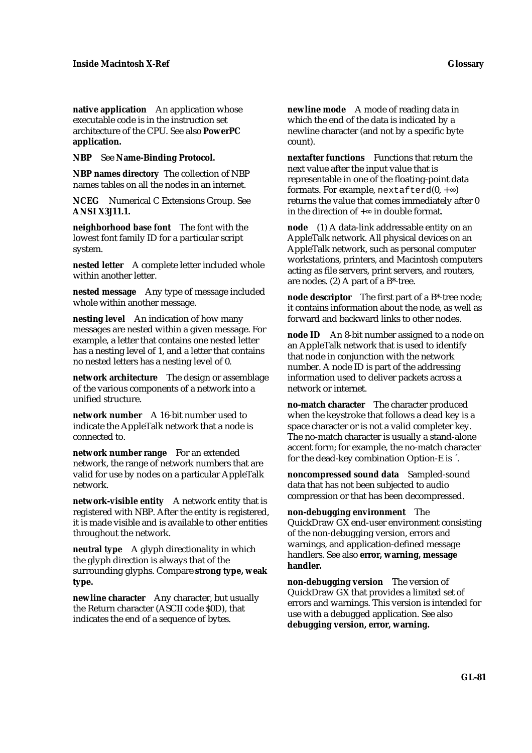**native application** An application whose executable code is in the instruction set architecture of the CPU. See also **PowerPC application.**

**NBP** See **Name-Binding Protocol.**

**NBP names directory** The collection of NBP names tables on all the nodes in an internet.

**NCEG** Numerical C Extensions Group. See **ANSI X3J11.1.**

**neighborhood base font** The font with the lowest font family ID for a particular script system.

**nested letter** A complete letter included whole within another letter.

**nested message** Any type of message included whole within another message.

**nesting level** An indication of how many messages are nested within a given message. For example, a letter that contains one nested letter has a nesting level of 1, and a letter that contains no nested letters has a nesting level of 0.

**network architecture** The design or assemblage of the various components of a network into a unified structure.

**network number** A 16-bit number used to indicate the AppleTalk network that a node is connected to.

**network number range** For an extended network, the range of network numbers that are valid for use by nodes on a particular AppleTalk network.

**network-visible entity** A network entity that is registered with NBP. After the entity is registered, it is made visible and is available to other entities throughout the network.

**neutral type** A glyph directionality in which the glyph direction is always that of the surrounding glyphs. Compare **strong type, weak type.**

**newline character** Any character, but usually the Return character (ASCII code \$0D), that indicates the end of a sequence of bytes.

**newline mode** A mode of reading data in which the end of the data is indicated by a newline character (and not by a specific byte count).

**nextafter functions** Functions that return the next value after the input value that is representable in one of the floating-point data formats. For example,  $nextafterd(0, + )$ returns the value that comes immediately after 0 in the direction of  $+$  in double format.

**node** (1) A data-link addressable entity on an AppleTalk network. All physical devices on an AppleTalk network, such as personal computer workstations, printers, and Macintosh computers acting as file servers, print servers, and routers, are nodes. (2) A part of a B\*-tree.

**node descriptor** The first part of a B\*-tree node; it contains information about the node, as well as forward and backward links to other nodes.

**node ID** An 8-bit number assigned to a node on an AppleTalk network that is used to identify that node in conjunction with the network number. A node ID is part of the addressing information used to deliver packets across a network or internet.

**no-match character** The character produced when the keystroke that follows a dead key is a space character or is not a valid completer key. The no-match character is usually a stand-alone accent form; for example, the no-match character for the dead-key combination Option-E is ´.

**noncompressed sound data** Sampled-sound data that has not been subjected to audio compression or that has been decompressed.

**non-debugging environment** The QuickDraw GX end-user environment consisting of the non-debugging version, errors and warnings, and application-defined message handlers. See also **error, warning, message handler.**

**non-debugging version** The version of QuickDraw GX that provides a limited set of errors and warnings. This version is intended for use with a debugged application. See also **debugging version, error, warning.**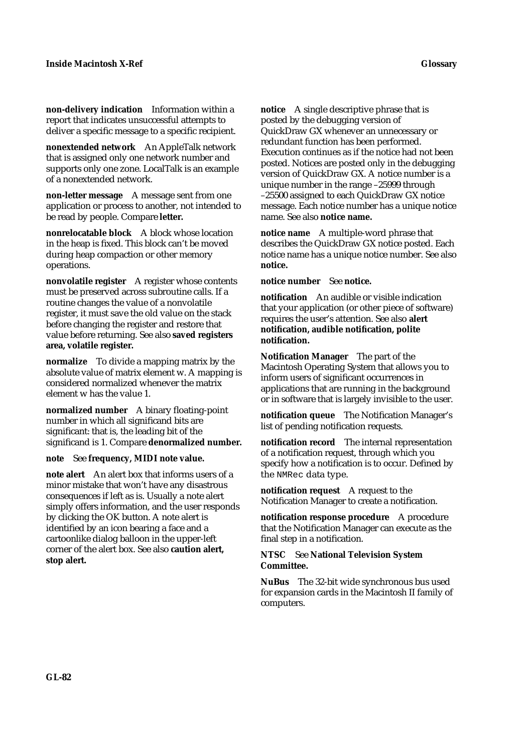**non-delivery indication** Information within a report that indicates unsuccessful attempts to deliver a specific message to a specific recipient.

**nonextended network** An AppleTalk network that is assigned only one network number and supports only one zone. LocalTalk is an example of a nonextended network.

**non-letter message** A message sent from one application or process to another, not intended to be read by people. Compare **letter.**

**nonrelocatable block** A block whose location in the heap is fixed. This block can't be moved during heap compaction or other memory operations.

**nonvolatile register** A register whose contents must be preserved across subroutine calls. If a routine changes the value of a nonvolatile register, it must save the old value on the stack before changing the register and restore that value before returning. See also **saved registers area, volatile register.**

**normalize** To divide a mapping matrix by the absolute value of matrix element w. A mapping is considered normalized whenever the matrix element w has the value 1.

**normalized number** A binary floating-point number in which all significand bits are significant: that is, the leading bit of the significand is 1. Compare **denormalized number.**

**note** See **frequency, MIDI note value.**

**note alert** An alert box that informs users of a minor mistake that won't have any disastrous consequences if left as is. Usually a note alert simply offers information, and the user responds by clicking the OK button. A note alert is identified by an icon bearing a face and a cartoonlike dialog balloon in the upper-left corner of the alert box. See also **caution alert, stop alert.**

**notice** A single descriptive phrase that is posted by the debugging version of QuickDraw GX whenever an unnecessary or redundant function has been performed. Execution continues as if the notice had not been posted. Notices are posted only in the debugging version of QuickDraw GX. A notice number is a unique number in the range –25999 through –25500 assigned to each QuickDraw GX notice message. Each notice number has a unique notice name. See also **notice name.**

**notice name** A multiple-word phrase that describes the QuickDraw GX notice posted. Each notice name has a unique notice number. See also **notice.**

### **notice number** See **notice.**

**notification** An audible or visible indication that your application (or other piece of software) requires the user's attention. See also **alert notification, audible notification, polite notification.**

**Notification Manager** The part of the Macintosh Operating System that allows you to inform users of significant occurrences in applications that are running in the background or in software that is largely invisible to the user.

**notification queue** The Notification Manager's list of pending notification requests.

**notification record** The internal representation of a notification request, through which you specify how a notification is to occur. Defined by the NMRec data type.

**notification request** A request to the Notification Manager to create a notification.

**notification response procedure** A procedure that the Notification Manager can execute as the final step in a notification.

**NTSC** See **National Television System Committee.**

**NuBus** The 32-bit wide synchronous bus used for expansion cards in the Macintosh II family of computers.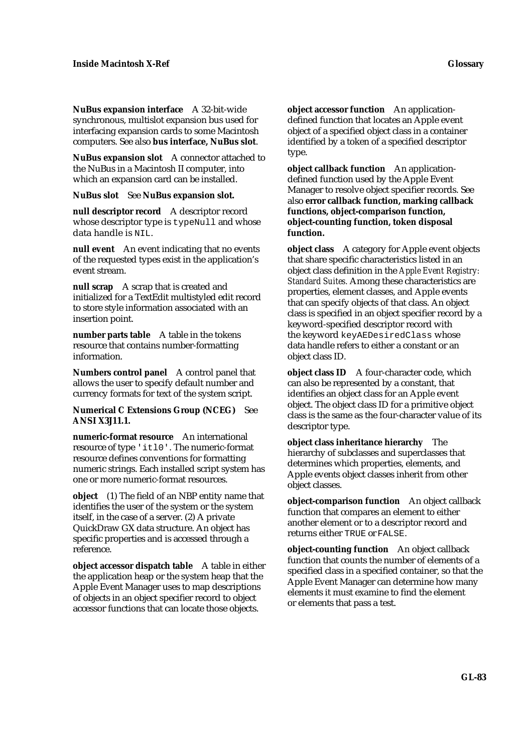**NuBus expansion interface** A 32-bit-wide synchronous, multislot expansion bus used for interfacing expansion cards to some Macintosh computers. See also **bus interface, NuBus slot**.

**NuBus expansion slot** A connector attached to the NuBus in a Macintosh II computer, into which an expansion card can be installed.

**NuBus slot** See **NuBus expansion slot.**

**null descriptor record** A descriptor record whose descriptor type is typeNull and whose data handle is NIL.

**null event** An event indicating that no events of the requested types exist in the application's event stream.

**null scrap** A scrap that is created and initialized for a TextEdit multistyled edit record to store style information associated with an insertion point.

**number parts table** A table in the tokens resource that contains number-formatting information.

**Numbers control panel** A control panel that allows the user to specify default number and currency formats for text of the system script.

**Numerical C Extensions Group (NCEG)** See **ANSI X3J11.1.**

**numeric-format resource** An international resource of type 'itl0'. The numeric-format resource defines conventions for formatting numeric strings. Each installed script system has one or more numeric-format resources.

**object** (1) The field of an NBP entity name that identifies the user of the system or the system itself, in the case of a server. (2) A private QuickDraw GX data structure. An object has specific properties and is accessed through a reference.

**object accessor dispatch table** A table in either the application heap or the system heap that the Apple Event Manager uses to map descriptions of objects in an object specifier record to object accessor functions that can locate those objects.

**object accessor function** An applicationdefined function that locates an Apple event object of a specified object class in a container identified by a token of a specified descriptor type.

**object callback function** An applicationdefined function used by the Apple Event Manager to resolve object specifier records. See also **error callback function, marking callback functions, object-comparison function, object-counting function, token disposal function.**

**object class** A category for Apple event objects that share specific characteristics listed in an object class definition in the *Apple Event Registry: Standard Suites.* Among these characteristics are properties, element classes, and Apple events that can specify objects of that class. An object class is specified in an object specifier record by a keyword-specified descriptor record with the keyword keyAEDesiredClass whose data handle refers to either a constant or an object class ID.

**object class ID** A four-character code, which can also be represented by a constant, that identifies an object class for an Apple event object. The object class ID for a primitive object class is the same as the four-character value of its descriptor type.

**object class inheritance hierarchy** The hierarchy of subclasses and superclasses that determines which properties, elements, and Apple events object classes inherit from other object classes.

**object-comparison function** An object callback function that compares an element to either another element or to a descriptor record and returns either TRUE or FALSE.

**object-counting function** An object callback function that counts the number of elements of a specified class in a specified container, so that the Apple Event Manager can determine how many elements it must examine to find the element or elements that pass a test.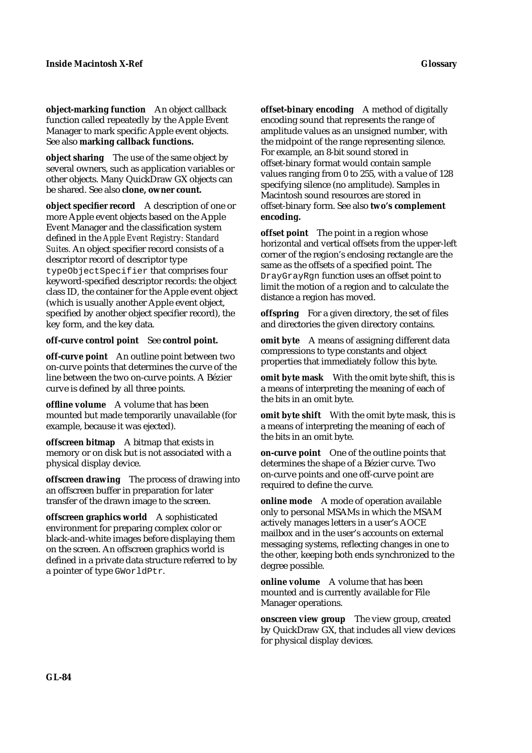**object-marking function** An object callback function called repeatedly by the Apple Event Manager to mark specific Apple event objects. See also **marking callback functions.**

**object sharing** The use of the same object by several owners, such as application variables or other objects. Many QuickDraw GX objects can be shared. See also **clone, owner count.**

**object specifier record** A description of one or more Apple event objects based on the Apple Event Manager and the classification system defined in the *Apple Event Registry: Standard Suites.* An object specifier record consists of a descriptor record of descriptor type typeObjectSpecifier that comprises four keyword-specified descriptor records: the object class ID, the container for the Apple event object (which is usually another Apple event object, specified by another object specifier record), the key form, and the key data.

### **off-curve control point** See **control point.**

**off-curve point** An outline point between two on-curve points that determines the curve of the line between the two on-curve points. A Bézier curve is defined by all three points.

**offline volume** A volume that has been mounted but made temporarily unavailable (for example, because it was ejected).

**offscreen bitmap** A bitmap that exists in memory or on disk but is not associated with a physical display device.

**offscreen drawing** The process of drawing into an offscreen buffer in preparation for later transfer of the drawn image to the screen.

**offscreen graphics world** A sophisticated environment for preparing complex color or black-and-white images before displaying them on the screen. An offscreen graphics world is defined in a private data structure referred to by a pointer of type GWorldPtr.

**offset-binary encoding** A method of digitally encoding sound that represents the range of amplitude values as an unsigned number, with the midpoint of the range representing silence. For example, an 8-bit sound stored in offset-binary format would contain sample values ranging from 0 to 255, with a value of 128 specifying silence (no amplitude). Samples in Macintosh sound resources are stored in offset-binary form. See also **two's complement encoding.**

**offset point** The point in a region whose horizontal and vertical offsets from the upper-left corner of the region's enclosing rectangle are the same as the offsets of a specified point. The DrayGrayRgn function uses an offset point to limit the motion of a region and to calculate the distance a region has moved.

**offspring** For a given directory, the set of files and directories the given directory contains.

**omit byte** A means of assigning different data compressions to type constants and object properties that immediately follow this byte.

**omit byte mask** With the omit byte shift, this is a means of interpreting the meaning of each of the bits in an omit byte.

**omit byte shift** With the omit byte mask, this is a means of interpreting the meaning of each of the bits in an omit byte.

**on-curve point** One of the outline points that determines the shape of a Bézier curve. Two on-curve points and one off-curve point are required to define the curve.

**online mode** A mode of operation available only to personal MSAMs in which the MSAM actively manages letters in a user's AOCE mailbox and in the user's accounts on external messaging systems, reflecting changes in one to the other, keeping both ends synchronized to the degree possible.

**online volume** A volume that has been mounted and is currently available for File Manager operations.

**onscreen view group** The view group, created by QuickDraw GX, that includes all view devices for physical display devices.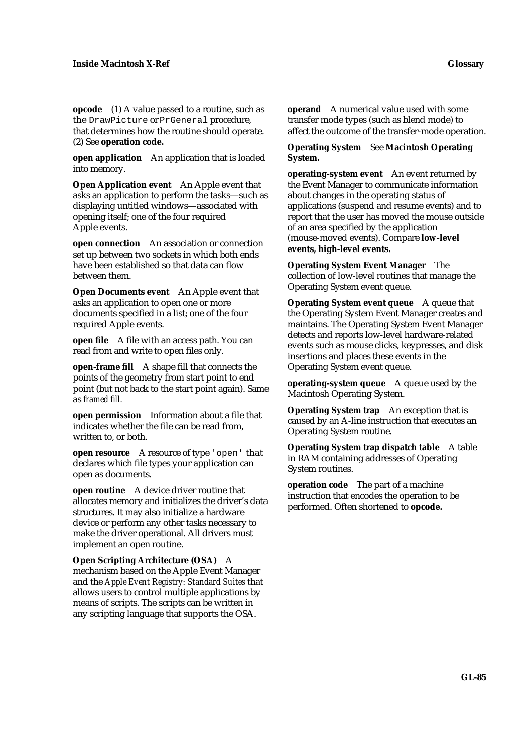**opcode** (1) A value passed to a routine, such as the DrawPicture or PrGeneral procedure, that determines how the routine should operate. (2) See **operation code.**

**open application** An application that is loaded into memory.

**Open Application event** An Apple event that asks an application to perform the tasks—such as displaying untitled windows—associated with opening itself; one of the four required Apple events.

**open connection** An association or connection set up between two sockets in which both ends have been established so that data can flow between them.

**Open Documents event** An Apple event that asks an application to open one or more documents specified in a list; one of the four required Apple events.

**open file** A file with an access path. You can read from and write to open files only.

**open-frame fill** A shape fill that connects the points of the geometry from start point to end point (but not back to the start point again). Same as *framed fill.*

**open permission** Information about a file that indicates whether the file can be read from, written to, or both.

**open resource** A resource of type 'open' that declares which file types your application can open as documents.

**open routine** A device driver routine that allocates memory and initializes the driver's data structures. It may also initialize a hardware device or perform any other tasks necessary to make the driver operational. All drivers must implement an open routine.

**Open Scripting Architecture (OSA)** A mechanism based on the Apple Event Manager and the *Apple Event Registry: Standard Suites* that allows users to control multiple applications by means of scripts. The scripts can be written in any scripting language that supports the OSA.

**operand** A numerical value used with some transfer mode types (such as blend mode) to affect the outcome of the transfer-mode operation.

**Operating System** See **Macintosh Operating System.**

**operating-system event** An event returned by the Event Manager to communicate information about changes in the operating status of applications (suspend and resume events) and to report that the user has moved the mouse outside of an area specified by the application (mouse-moved events). Compare **low-level events, high-level events.**

**Operating System Event Manager** The collection of low-level routines that manage the Operating System event queue.

**Operating System event queue** A queue that the Operating System Event Manager creates and maintains. The Operating System Event Manager detects and reports low-level hardware-related events such as mouse clicks, keypresses, and disk insertions and places these events in the Operating System event queue.

**operating-system queue** A queue used by the Macintosh Operating System.

**Operating System trap** An exception that is caused by an A-line instruction that executes an Operating System routine**.**

**Operating System trap dispatch table** A table in RAM containing addresses of Operating System routines.

**operation code** The part of a machine instruction that encodes the operation to be performed. Often shortened to **opcode.**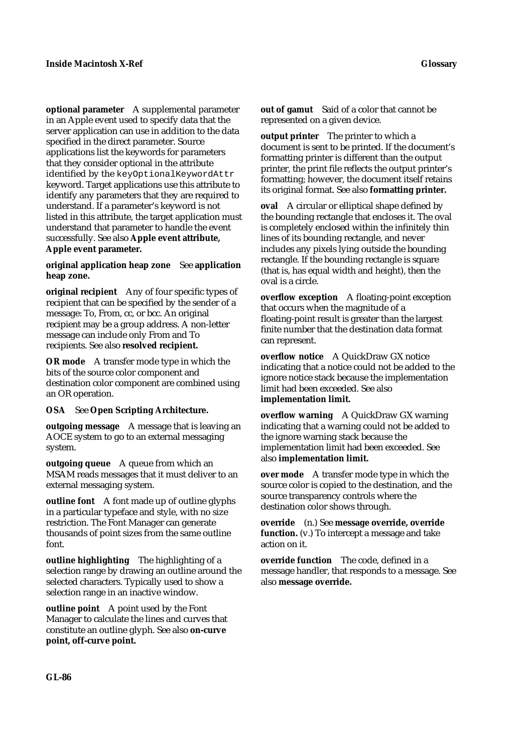**optional parameter** A supplemental parameter in an Apple event used to specify data that the server application can use in addition to the data specified in the direct parameter. Source applications list the keywords for parameters that they consider optional in the attribute identified by the keyOptionalKeywordAttr keyword. Target applications use this attribute to identify any parameters that they are required to understand. If a parameter's keyword is not listed in this attribute, the target application must understand that parameter to handle the event successfully. See also **Apple event attribute, Apple event parameter.**

**original application heap zone** See **application heap zone.**

**original recipient** Any of four specific types of recipient that can be specified by the sender of a message: To, From, cc, or bcc. An original recipient may be a group address. A non-letter message can include only From and To recipients. See also **resolved recipient.**

**OR mode** A transfer mode type in which the bits of the source color component and destination color component are combined using an OR operation.

**OSA** See **Open Scripting Architecture.**

**outgoing message** A message that is leaving an AOCE system to go to an external messaging system.

**outgoing queue** A queue from which an MSAM reads messages that it must deliver to an external messaging system.

**outline font** A font made up of outline glyphs in a particular typeface and style, with no size restriction. The Font Manager can generate thousands of point sizes from the same outline font.

**outline highlighting** The highlighting of a selection range by drawing an outline around the selected characters. Typically used to show a selection range in an inactive window.

**outline point** A point used by the Font Manager to calculate the lines and curves that constitute an outline glyph. See also **on-curve point, off-curve point.**

**out of gamut** Said of a color that cannot be represented on a given device.

**output printer** The printer to which a document is sent to be printed. If the document's formatting printer is different than the output printer, the print file reflects the output printer's formatting; however, the document itself retains its original format. See also **formatting printer.**

**oval** A circular or elliptical shape defined by the bounding rectangle that encloses it. The oval is completely enclosed within the infinitely thin lines of its bounding rectangle, and never includes any pixels lying outside the bounding rectangle. If the bounding rectangle is square (that is, has equal width and height), then the oval is a circle.

**overflow exception** A floating-point exception that occurs when the magnitude of a floating-point result is greater than the largest finite number that the destination data format can represent.

**overflow notice** A QuickDraw GX notice indicating that a notice could not be added to the ignore notice stack because the implementation limit had been exceeded. See also **implementation limit.**

**overflow warning** A QuickDraw GX warning indicating that a warning could not be added to the ignore warning stack because the implementation limit had been exceeded. See also **implementation limit.**

**over mode** A transfer mode type in which the source color is copied to the destination, and the source transparency controls where the destination color shows through.

**override** (n.) See **message override, override function.** (v.) To intercept a message and take action on it.

**override function** The code, defined in a message handler, that responds to a message. See also **message override.**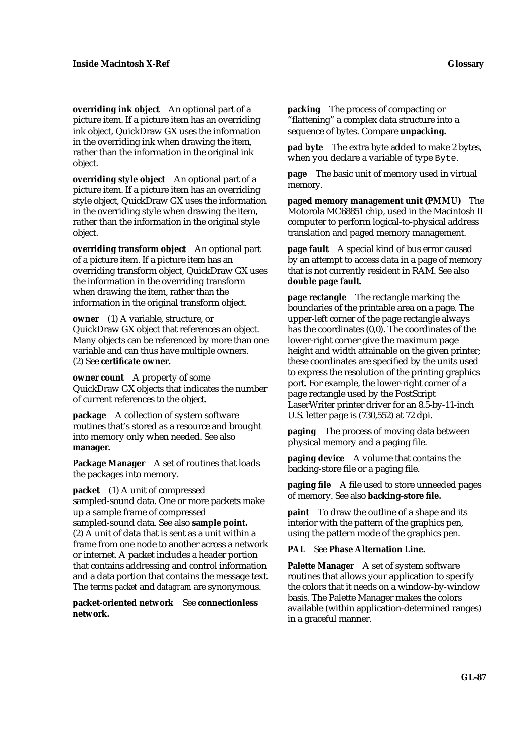**overriding ink object** An optional part of a picture item. If a picture item has an overriding ink object, QuickDraw GX uses the information in the overriding ink when drawing the item, rather than the information in the original ink object.

**overriding style object** An optional part of a picture item. If a picture item has an overriding style object, QuickDraw GX uses the information in the overriding style when drawing the item, rather than the information in the original style object.

**overriding transform object** An optional part of a picture item. If a picture item has an overriding transform object, QuickDraw GX uses the information in the overriding transform when drawing the item, rather than the information in the original transform object.

**owner** (1) A variable, structure, or QuickDraw GX object that references an object. Many objects can be referenced by more than one variable and can thus have multiple owners. (2) See **certificate owner.**

**owner count** A property of some QuickDraw GX objects that indicates the number of current references to the object.

**package** A collection of system software routines that's stored as a resource and brought into memory only when needed. See also **manager.**

**Package Manager** A set of routines that loads the packages into memory.

**packet** (1) A unit of compressed sampled-sound data. One or more packets make up a sample frame of compressed sampled-sound data. See also **sample point.** (2) A unit of data that is sent as a unit within a frame from one node to another across a network or internet. A packet includes a header portion that contains addressing and control information and a data portion that contains the message text. The terms *packet* and *datagram* are synonymous.

**packet-oriented network** See **connectionless network.**

**packing** The process of compacting or "flattening" a complex data structure into a sequence of bytes. Compare **unpacking.**

**pad byte** The extra byte added to make 2 bytes, when you declare a variable of type Byte.

**page** The basic unit of memory used in virtual memory.

**paged memory management unit (PMMU)** The Motorola MC68851 chip, used in the Macintosh II computer to perform logical-to-physical address translation and paged memory management.

**page fault** A special kind of bus error caused by an attempt to access data in a page of memory that is not currently resident in RAM. See also **double page fault.**

**page rectangle** The rectangle marking the boundaries of the printable area on a page. The upper-left corner of the page rectangle always has the coordinates (0,0). The coordinates of the lower-right corner give the maximum page height and width attainable on the given printer; these coordinates are specified by the units used to express the resolution of the printing graphics port. For example, the lower-right corner of a page rectangle used by the PostScript LaserWriter printer driver for an 8.5-by-11-inch U.S. letter page is (730,552) at 72 dpi.

**paging** The process of moving data between physical memory and a paging file.

**paging device** A volume that contains the backing-store file or a paging file.

**paging file** A file used to store unneeded pages of memory. See also **backing-store file.**

**paint** To draw the outline of a shape and its interior with the pattern of the graphics pen, using the pattern mode of the graphics pen.

## **PAL** See **Phase Alternation Line.**

**Palette Manager** A set of system software routines that allows your application to specify the colors that it needs on a window-by-window basis. The Palette Manager makes the colors available (within application-determined ranges) in a graceful manner.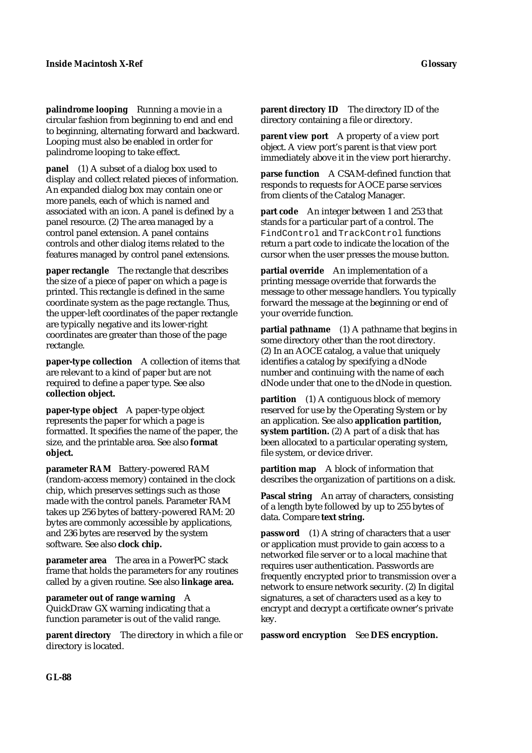**palindrome looping** Running a movie in a circular fashion from beginning to end and end to beginning, alternating forward and backward. Looping must also be enabled in order for palindrome looping to take effect.

**panel** (1) A subset of a dialog box used to display and collect related pieces of information. An expanded dialog box may contain one or more panels, each of which is named and associated with an icon. A panel is defined by a panel resource. (2) The area managed by a control panel extension. A panel contains controls and other dialog items related to the features managed by control panel extensions.

**paper rectangle** The rectangle that describes the size of a piece of paper on which a page is printed. This rectangle is defined in the same coordinate system as the page rectangle. Thus, the upper-left coordinates of the paper rectangle are typically negative and its lower-right coordinates are greater than those of the page rectangle.

**paper-type collection** A collection of items that are relevant to a kind of paper but are not required to define a paper type. See also **collection object.**

**paper-type object** A paper-type object represents the paper for which a page is formatted. It specifies the name of the paper, the size, and the printable area. See also **format object.**

**parameter RAM** Battery-powered RAM (random-access memory) contained in the clock chip, which preserves settings such as those made with the control panels. Parameter RAM takes up 256 bytes of battery-powered RAM: 20 bytes are commonly accessible by applications, and 236 bytes are reserved by the system software. See also **clock chip.**

**parameter area** The area in a PowerPC stack frame that holds the parameters for any routines called by a given routine. See also **linkage area.**

**parameter out of range warning** A QuickDraw GX warning indicating that a function parameter is out of the valid range.

**parent directory** The directory in which a file or directory is located.

**parent directory ID** The directory ID of the directory containing a file or directory.

**parent view port** A property of a view port object. A view port's parent is that view port immediately above it in the view port hierarchy.

**parse function** A CSAM-defined function that responds to requests for AOCE parse services from clients of the Catalog Manager.

**part code** An integer between 1 and 253 that stands for a particular part of a control. The FindControl and TrackControl functions return a part code to indicate the location of the cursor when the user presses the mouse button.

**partial override** An implementation of a printing message override that forwards the message to other message handlers. You typically forward the message at the beginning or end of your override function.

**partial pathname** (1) A pathname that begins in some directory other than the root directory. (2) In an AOCE catalog, a value that uniquely identifies a catalog by specifying a dNode number and continuing with the name of each dNode under that one to the dNode in question.

**partition** (1) A contiguous block of memory reserved for use by the Operating System or by an application. See also **application partition, system partition.** (2) A part of a disk that has been allocated to a particular operating system, file system, or device driver.

**partition map** A block of information that describes the organization of partitions on a disk.

Pascal string An array of characters, consisting of a length byte followed by up to 255 bytes of data. Compare **text string.**

**password** (1) A string of characters that a user or application must provide to gain access to a networked file server or to a local machine that requires user authentication. Passwords are frequently encrypted prior to transmission over a network to ensure network security. (2) In digital signatures, a set of characters used as a key to encrypt and decrypt a certificate owner's private key.

**password encryption** See **DES encryption.**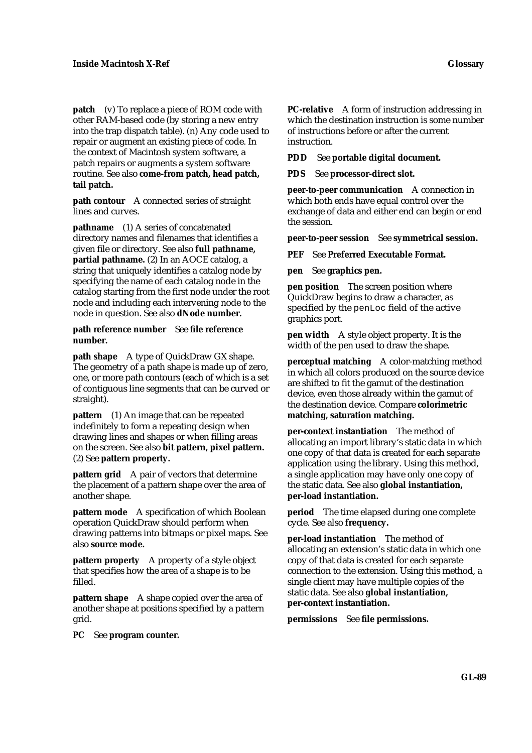**patch** (v) To replace a piece of ROM code with other RAM-based code (by storing a new entry into the trap dispatch table). (n) Any code used to repair or augment an existing piece of code. In the context of Macintosh system software, a patch repairs or augments a system software routine. See also **come-from patch, head patch, tail patch.**

**path contour** A connected series of straight lines and curves.

**pathname** (1) A series of concatenated directory names and filenames that identifies a given file or directory. See also **full pathname, partial pathname.** (2) In an AOCE catalog, a string that uniquely identifies a catalog node by specifying the name of each catalog node in the catalog starting from the first node under the root node and including each intervening node to the node in question. See also **dNode number.**

## **path reference number** See **file reference number.**

**path shape** A type of QuickDraw GX shape. The geometry of a path shape is made up of zero, one, or more path contours (each of which is a set of contiguous line segments that can be curved or straight).

**pattern** (1) An image that can be repeated indefinitely to form a repeating design when drawing lines and shapes or when filling areas on the screen. See also **bit pattern, pixel pattern.** (2) See **pattern property.**

**pattern grid** A pair of vectors that determine the placement of a pattern shape over the area of another shape.

**pattern mode** A specification of which Boolean operation QuickDraw should perform when drawing patterns into bitmaps or pixel maps. See also **source mode.**

**pattern property** A property of a style object that specifies how the area of a shape is to be filled.

**pattern shape** A shape copied over the area of another shape at positions specified by a pattern grid.

**PC** See **program counter.**

**PC-relative** A form of instruction addressing in which the destination instruction is some number of instructions before or after the current instruction.

**PDD** See **portable digital document.**

**PDS** See **processor-direct slot.**

**peer-to-peer communication** A connection in which both ends have equal control over the exchange of data and either end can begin or end the session.

**peer-to-peer session** See **symmetrical session.**

**PEF** See **Preferred Executable Format.**

**pen** See **graphics pen.**

**pen position** The screen position where QuickDraw begins to draw a character, as specified by the penLoc field of the active graphics port.

**pen width** A style object property. It is the width of the pen used to draw the shape.

**perceptual matching** A color-matching method in which all colors produced on the source device are shifted to fit the gamut of the destination device, even those already within the gamut of the destination device. Compare **colorimetric matching, saturation matching.**

**per-context instantiation** The method of allocating an import library's static data in which one copy of that data is created for each separate application using the library. Using this method, a single application may have only one copy of the static data. See also **global instantiation, per-load instantiation.**

**period** The time elapsed during one complete cycle. See also **frequency.**

**per-load instantiation** The method of allocating an extension's static data in which one copy of that data is created for each separate connection to the extension. Using this method, a single client may have multiple copies of the static data. See also **global instantiation, per-context instantiation.**

**permissions** See **file permissions.**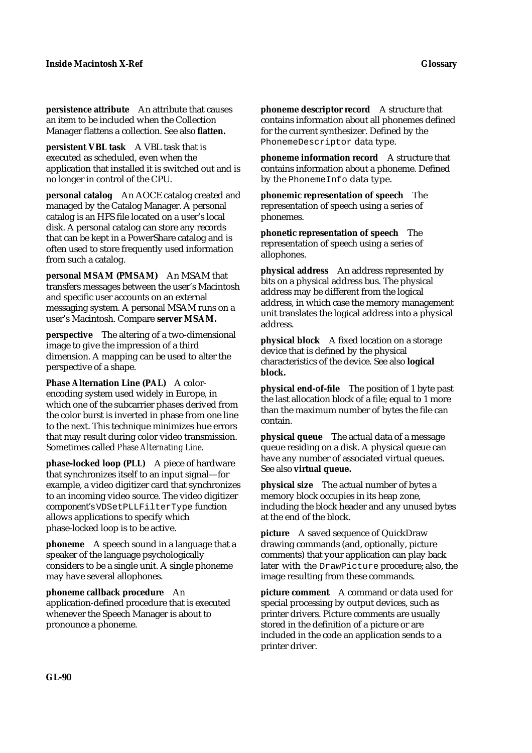**persistence attribute** An attribute that causes an item to be included when the Collection Manager flattens a collection. See also **flatten.**

**persistent VBL task** A VBL task that is executed as scheduled, even when the application that installed it is switched out and is no longer in control of the CPU.

**personal catalog** An AOCE catalog created and managed by the Catalog Manager. A personal catalog is an HFS file located on a user's local disk. A personal catalog can store any records that can be kept in a PowerShare catalog and is often used to store frequently used information from such a catalog.

**personal MSAM (PMSAM)** An MSAM that transfers messages between the user's Macintosh and specific user accounts on an external messaging system. A personal MSAM runs on a user's Macintosh. Compare **server MSAM.**

**perspective** The altering of a two-dimensional image to give the impression of a third dimension. A mapping can be used to alter the perspective of a shape.

**Phase Alternation Line (PAL)** A colorencoding system used widely in Europe, in which one of the subcarrier phases derived from the color burst is inverted in phase from one line to the next. This technique minimizes hue errors that may result during color video transmission. Sometimes called *Phase Alternating Line*.

**phase-locked loop (PLL)** A piece of hardware that synchronizes itself to an input signal—for example, a video digitizer card that synchronizes to an incoming video source. The video digitizer component's VDSetPLLFilterType function allows applications to specify which phase-locked loop is to be active.

**phoneme** A speech sound in a language that a speaker of the language psychologically considers to be a single unit. A single phoneme may have several allophones.

**phoneme callback procedure** An

application-defined procedure that is executed whenever the Speech Manager is about to pronounce a phoneme.

**phoneme descriptor record** A structure that contains information about all phonemes defined for the current synthesizer. Defined by the PhonemeDescriptor data type.

**phoneme information record** A structure that contains information about a phoneme. Defined by the PhonemeInfo data type.

**phonemic representation of speech** The representation of speech using a series of phonemes.

**phonetic representation of speech** The representation of speech using a series of allophones.

**physical address** An address represented by bits on a physical address bus. The physical address may be different from the logical address, in which case the memory management unit translates the logical address into a physical address.

**physical block** A fixed location on a storage device that is defined by the physical characteristics of the device. See also **logical block.**

**physical end-of-file** The position of 1 byte past the last allocation block of a file; equal to 1 more than the maximum number of bytes the file can contain.

**physical queue** The actual data of a message queue residing on a disk. A physical queue can have any number of associated virtual queues. See also **virtual queue.**

**physical size** The actual number of bytes a memory block occupies in its heap zone, including the block header and any unused bytes at the end of the block.

**picture** A saved sequence of QuickDraw drawing commands (and, optionally, picture comments) that your application can play back later with the DrawPicture procedure; also, the image resulting from these commands.

**picture comment** A command or data used for special processing by output devices, such as printer drivers. Picture comments are usually stored in the definition of a picture or are included in the code an application sends to a printer driver.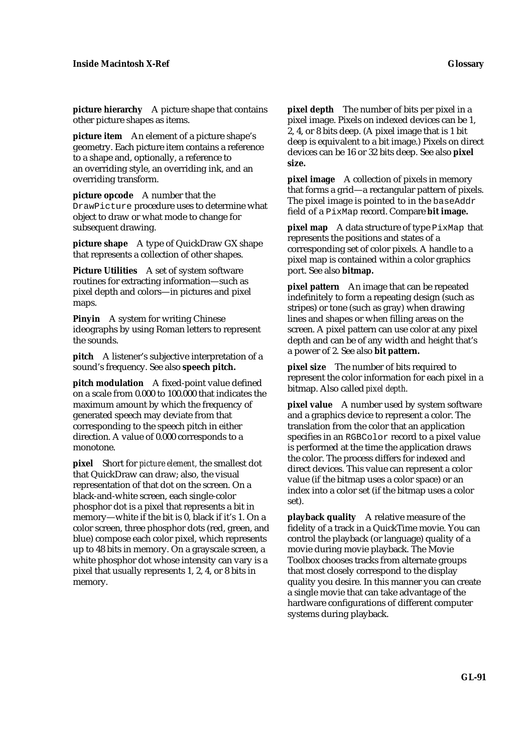**picture hierarchy** A picture shape that contains other picture shapes as items.

**picture item** An element of a picture shape's geometry. Each picture item contains a reference to a shape and, optionally, a reference to an overriding style, an overriding ink, and an overriding transform.

**picture opcode** A number that the DrawPicture procedure uses to determine what object to draw or what mode to change for subsequent drawing.

**picture shape** A type of QuickDraw GX shape that represents a collection of other shapes.

**Picture Utilities** A set of system software routines for extracting information—such as pixel depth and colors—in pictures and pixel maps.

**Pinyin** A system for writing Chinese ideographs by using Roman letters to represent the sounds.

**pitch** A listener's subjective interpretation of a sound's frequency. See also **speech pitch.**

**pitch modulation** A fixed-point value defined on a scale from 0.000 to 100.000 that indicates the maximum amount by which the frequency of generated speech may deviate from that corresponding to the speech pitch in either direction. A value of 0.000 corresponds to a monotone.

**pixel** Short for *picture element,* the smallest dot that QuickDraw can draw; also, the visual representation of that dot on the screen. On a black-and-white screen, each single-color phosphor dot is a pixel that represents a bit in memory—white if the bit is 0, black if it's 1. On a color screen, three phosphor dots (red, green, and blue) compose each color pixel, which represents up to 48 bits in memory. On a grayscale screen, a white phosphor dot whose intensity can vary is a pixel that usually represents 1, 2, 4, or 8 bits in memory.

**pixel depth** The number of bits per pixel in a pixel image. Pixels on indexed devices can be 1, 2, 4, or 8 bits deep. (A pixel image that is 1 bit deep is equivalent to a bit image.) Pixels on direct devices can be 16 or 32 bits deep. See also **pixel size.**

**pixel image** A collection of pixels in memory that forms a grid—a rectangular pattern of pixels. The pixel image is pointed to in the baseAddr field of a PixMap record. Compare **bit image.**

**pixel map** A data structure of type PixMap that represents the positions and states of a corresponding set of color pixels. A handle to a pixel map is contained within a color graphics port. See also **bitmap.**

**pixel pattern** An image that can be repeated indefinitely to form a repeating design (such as stripes) or tone (such as gray) when drawing lines and shapes or when filling areas on the screen. A pixel pattern can use color at any pixel depth and can be of any width and height that's a power of 2. See also **bit pattern.**

**pixel size** The number of bits required to represent the color information for each pixel in a bitmap. Also called *pixel depth*.

**pixel value** A number used by system software and a graphics device to represent a color. The translation from the color that an application specifies in an RGBColor record to a pixel value is performed at the time the application draws the color. The process differs for indexed and direct devices. This value can represent a color value (if the bitmap uses a color space) or an index into a color set (if the bitmap uses a color set).

**playback quality** A relative measure of the fidelity of a track in a QuickTime movie. You can control the playback (or language) quality of a movie during movie playback. The Movie Toolbox chooses tracks from alternate groups that most closely correspond to the display quality you desire. In this manner you can create a single movie that can take advantage of the hardware configurations of different computer systems during playback.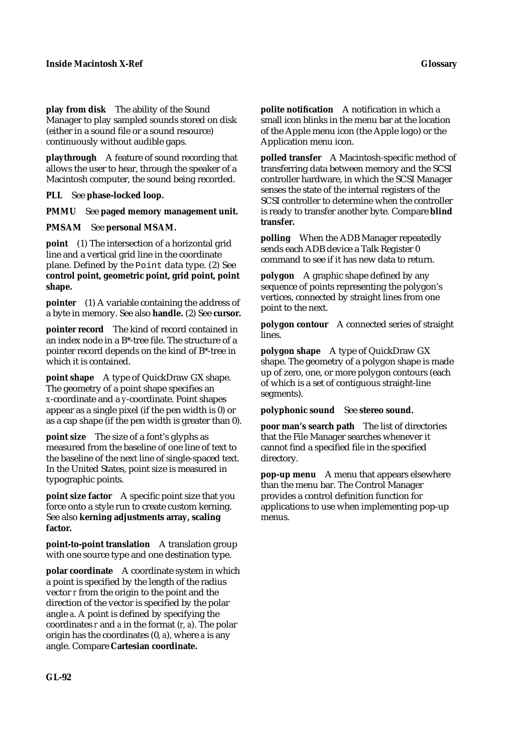**play from disk** The ability of the Sound Manager to play sampled sounds stored on disk (either in a sound file or a sound resource) continuously without audible gaps.

**playthrough** A feature of sound recording that allows the user to hear, through the speaker of a Macintosh computer, the sound being recorded.

**PLL** See **phase-locked loop.**

**PMMU** See **paged memory management unit.**

**PMSAM** See **personal MSAM.**

**point** (1) The intersection of a horizontal grid line and a vertical grid line in the coordinate plane. Defined by the Point data type. (2) See **control point, geometric point, grid point, point shape.**

**pointer** (1) A variable containing the address of a byte in memory. See also **handle.** (2) See **cursor.**

**pointer record** The kind of record contained in an index node in a B\*-tree file. The structure of a pointer record depends on the kind of B\*-tree in which it is contained.

**point shape** A type of QuickDraw GX shape. The geometry of a point shape specifies an *x*-coordinate and a *y*-coordinate. Point shapes appear as a single pixel (if the pen width is 0) or as a cap shape (if the pen width is greater than 0).

**point size** The size of a font's glyphs as measured from the baseline of one line of text to the baseline of the next line of single-spaced text. In the United States, point size is measured in typographic points.

**point size factor** A specific point size that you force onto a style run to create custom kerning. See also **kerning adjustments array, scaling factor.**

**point-to-point translation** A translation group with one source type and one destination type.

**polar coordinate** A coordinate system in which a point is specified by the length of the radius vector *r* from the origin to the point and the direction of the vector is specified by the polar angle *a*. A point is defined by specifying the coordinates *r* and *a* in the format (*r*, *a*). The polar origin has the coordinates (0, *a*), where *a* is any angle. Compare **Cartesian coordinate.**

**polite notification** A notification in which a small icon blinks in the menu bar at the location of the Apple menu icon (the Apple logo) or the Application menu icon.

**polled transfer** A Macintosh-specific method of transferring data between memory and the SCSI controller hardware, in which the SCSI Manager senses the state of the internal registers of the SCSI controller to determine when the controller is ready to transfer another byte. Compare **blind transfer.**

**polling** When the ADB Manager repeatedly sends each ADB device a Talk Register 0 command to see if it has new data to return.

**polygon** A graphic shape defined by any sequence of points representing the polygon's vertices, connected by straight lines from one point to the next.

**polygon contour** A connected series of straight lines.

**polygon shape** A type of QuickDraw GX shape. The geometry of a polygon shape is made up of zero, one, or more polygon contours (each of which is a set of contiguous straight-line segments).

**polyphonic sound** See **stereo sound.**

**poor man's search path** The list of directories that the File Manager searches whenever it cannot find a specified file in the specified directory.

**pop-up menu** A menu that appears elsewhere than the menu bar. The Control Manager provides a control definition function for applications to use when implementing pop-up menus.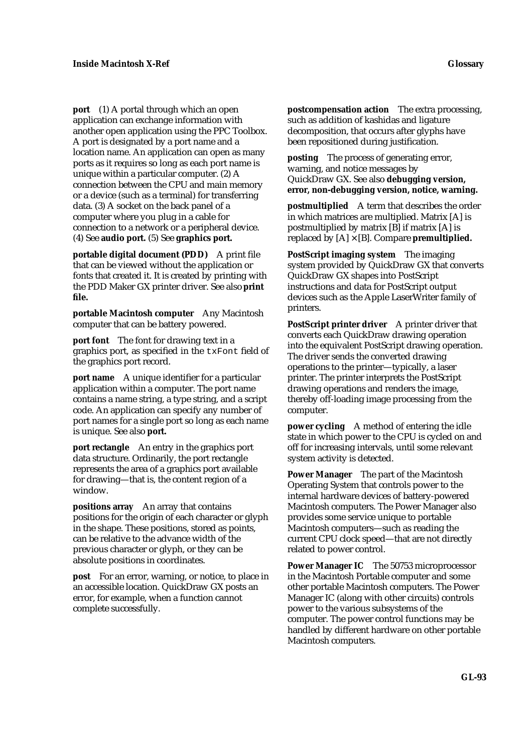**port** (1) A portal through which an open application can exchange information with another open application using the PPC Toolbox. A port is designated by a port name and a location name. An application can open as many ports as it requires so long as each port name is unique within a particular computer. (2) A connection between the CPU and main memory or a device (such as a terminal) for transferring data. (3) A socket on the back panel of a computer where you plug in a cable for connection to a network or a peripheral device. (4) See **audio port.** (5) See **graphics port.**

**portable digital document (PDD)** A print file that can be viewed without the application or fonts that created it. It is created by printing with the PDD Maker GX printer driver. See also **print file.**

**portable Macintosh computer** Any Macintosh computer that can be battery powered.

**port font** The font for drawing text in a graphics port, as specified in the txFont field of the graphics port record.

**port name** A unique identifier for a particular application within a computer. The port name contains a name string, a type string, and a script code. An application can specify any number of port names for a single port so long as each name is unique. See also **port.**

**port rectangle** An entry in the graphics port data structure. Ordinarily, the port rectangle represents the area of a graphics port available for drawing—that is, the content region of a window.

**positions array** An array that contains positions for the origin of each character or glyph in the shape. These positions, stored as points, can be relative to the advance width of the previous character or glyph, or they can be absolute positions in coordinates.

**post** For an error, warning, or notice, to place in an accessible location. QuickDraw GX posts an error, for example, when a function cannot complete successfully.

**postcompensation action** The extra processing, such as addition of kashidas and ligature decomposition, that occurs after glyphs have been repositioned during justification.

**posting** The process of generating error, warning, and notice messages by QuickDraw GX. See also **debugging version, error, non-debugging version, notice, warning.**

**postmultiplied** A term that describes the order in which matrices are multiplied. Matrix [A] is postmultiplied by matrix [B] if matrix [A] is replaced by [A] × [B]. Compare **premultiplied.**

**PostScript imaging system** The imaging system provided by QuickDraw GX that converts QuickDraw GX shapes into PostScript instructions and data for PostScript output devices such as the Apple LaserWriter family of printers.

**PostScript printer driver** A printer driver that converts each QuickDraw drawing operation into the equivalent PostScript drawing operation. The driver sends the converted drawing operations to the printer—typically, a laser printer. The printer interprets the PostScript drawing operations and renders the image, thereby off-loading image processing from the computer.

**power cycling** A method of entering the idle state in which power to the CPU is cycled on and off for increasing intervals, until some relevant system activity is detected.

**Power Manager** The part of the Macintosh Operating System that controls power to the internal hardware devices of battery-powered Macintosh computers. The Power Manager also provides some service unique to portable Macintosh computers—such as reading the current CPU clock speed—that are not directly related to power control.

**Power Manager IC** The 50753 microprocessor in the Macintosh Portable computer and some other portable Macintosh computers. The Power Manager IC (along with other circuits) controls power to the various subsystems of the computer. The power control functions may be handled by different hardware on other portable Macintosh computers.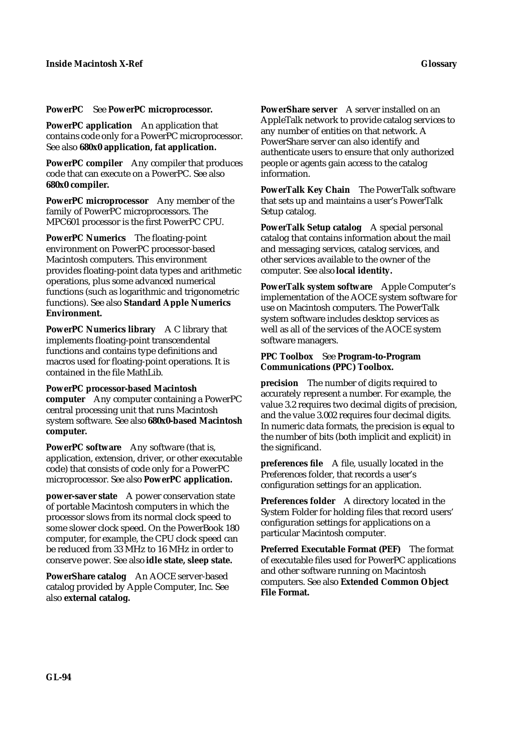# **PowerPC** See **PowerPC microprocessor.**

**PowerPC application** An application that contains code only for a PowerPC microprocessor. See also **680x0 application, fat application.**

**PowerPC compiler** Any compiler that produces code that can execute on a PowerPC. See also **680x0 compiler.**

**PowerPC microprocessor** Any member of the family of PowerPC microprocessors. The MPC601 processor is the first PowerPC CPU.

**PowerPC Numerics** The floating-point environment on PowerPC processor-based Macintosh computers. This environment provides floating-point data types and arithmetic operations, plus some advanced numerical functions (such as logarithmic and trigonometric functions). See also **Standard Apple Numerics Environment.**

**PowerPC Numerics library** A C library that implements floating-point transcendental functions and contains type definitions and macros used for floating-point operations. It is contained in the file MathLib.

**PowerPC processor-based Macintosh computer** Any computer containing a PowerPC central processing unit that runs Macintosh system software. See also **680x0-based Macintosh computer.**

**PowerPC software** Any software (that is, application, extension, driver, or other executable code) that consists of code only for a PowerPC microprocessor. See also **PowerPC application.**

**power-saver state** A power conservation state of portable Macintosh computers in which the processor slows from its normal clock speed to some slower clock speed. On the PowerBook 180 computer, for example, the CPU clock speed can be reduced from 33 MHz to 16 MHz in order to conserve power. See also **idle state, sleep state.**

**PowerShare catalog** An AOCE server-based catalog provided by Apple Computer, Inc. See also **external catalog.**

**PowerShare server** A server installed on an AppleTalk network to provide catalog services to any number of entities on that network. A PowerShare server can also identify and authenticate users to ensure that only authorized people or agents gain access to the catalog information.

**PowerTalk Key Chain** The PowerTalk software that sets up and maintains a user's PowerTalk Setup catalog.

**PowerTalk Setup catalog** A special personal catalog that contains information about the mail and messaging services, catalog services, and other services available to the owner of the computer. See also **local identity.**

**PowerTalk system software** Apple Computer's implementation of the AOCE system software for use on Macintosh computers. The PowerTalk system software includes desktop services as well as all of the services of the AOCE system software managers.

# **PPC Toolbox** See **Program-to-Program Communications (PPC) Toolbox.**

**precision** The number of digits required to accurately represent a number. For example, the value 3.2 requires two decimal digits of precision, and the value 3.002 requires four decimal digits. In numeric data formats, the precision is equal to the number of bits (both implicit and explicit) in the significand.

**preferences file** A file, usually located in the Preferences folder, that records a user's configuration settings for an application.

**Preferences folder** A directory located in the System Folder for holding files that record users' configuration settings for applications on a particular Macintosh computer.

**Preferred Executable Format (PEF)** The format of executable files used for PowerPC applications and other software running on Macintosh computers. See also **Extended Common Object File Format.**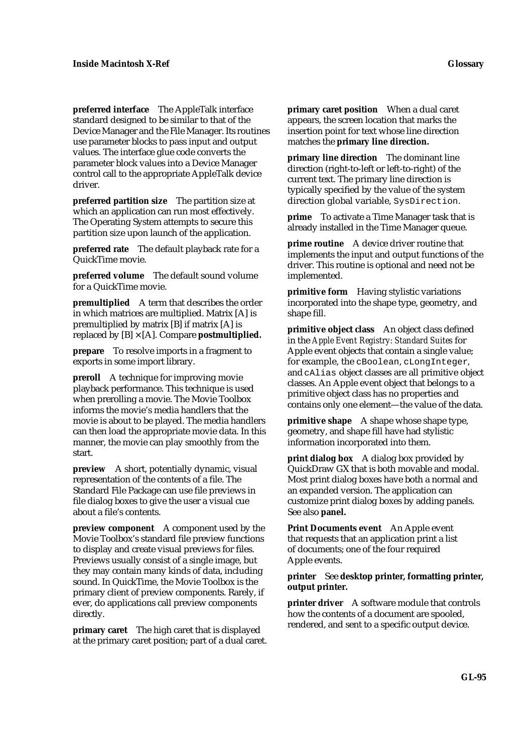**preferred interface** The AppleTalk interface standard designed to be similar to that of the Device Manager and the File Manager. Its routines use parameter blocks to pass input and output values. The interface glue code converts the parameter block values into a Device Manager control call to the appropriate AppleTalk device driver.

**preferred partition size** The partition size at which an application can run most effectively. The Operating System attempts to secure this partition size upon launch of the application.

**preferred rate** The default playback rate for a QuickTime movie.

**preferred volume** The default sound volume for a QuickTime movie.

**premultiplied** A term that describes the order in which matrices are multiplied. Matrix [A] is premultiplied by matrix [B] if matrix [A] is replaced by [B] × [A]. Compare **postmultiplied.**

**prepare** To resolve imports in a fragment to exports in some import library.

**preroll** A technique for improving movie playback performance. This technique is used when prerolling a movie. The Movie Toolbox informs the movie's media handlers that the movie is about to be played. The media handlers can then load the appropriate movie data. In this manner, the movie can play smoothly from the start.

**preview** A short, potentially dynamic, visual representation of the contents of a file. The Standard File Package can use file previews in file dialog boxes to give the user a visual cue about a file's contents.

**preview component** A component used by the Movie Toolbox's standard file preview functions to display and create visual previews for files. Previews usually consist of a single image, but they may contain many kinds of data, including sound. In QuickTime, the Movie Toolbox is the primary client of preview components. Rarely, if ever, do applications call preview components directly.

**primary caret** The high caret that is displayed at the primary caret position; part of a dual caret. **primary caret position** When a dual caret appears, the screen location that marks the insertion point for text whose line direction matches the **primary line direction.**

**primary line direction** The dominant line direction (right-to-left or left-to-right) of the current text. The primary line direction is typically specified by the value of the system direction global variable, SysDirection.

**prime** To activate a Time Manager task that is already installed in the Time Manager queue.

**prime routine** A device driver routine that implements the input and output functions of the driver. This routine is optional and need not be implemented.

**primitive form** Having stylistic variations incorporated into the shape type, geometry, and shape fill.

**primitive object class** An object class defined in the *Apple Event Registry: Standard Suites* for Apple event objects that contain a single value; for example, the cBoolean, cLongInteger, and cAlias object classes are all primitive object classes. An Apple event object that belongs to a primitive object class has no properties and contains only one element—the value of the data.

**primitive shape** A shape whose shape type, geometry, and shape fill have had stylistic information incorporated into them.

**print dialog box** A dialog box provided by QuickDraw GX that is both movable and modal. Most print dialog boxes have both a normal and an expanded version. The application can customize print dialog boxes by adding panels. See also **panel.**

**Print Documents event** An Apple event that requests that an application print a list of documents; one of the four required Apple events.

## **printer** See **desktop printer, formatting printer, output printer.**

**printer driver** A software module that controls how the contents of a document are spooled, rendered, and sent to a specific output device.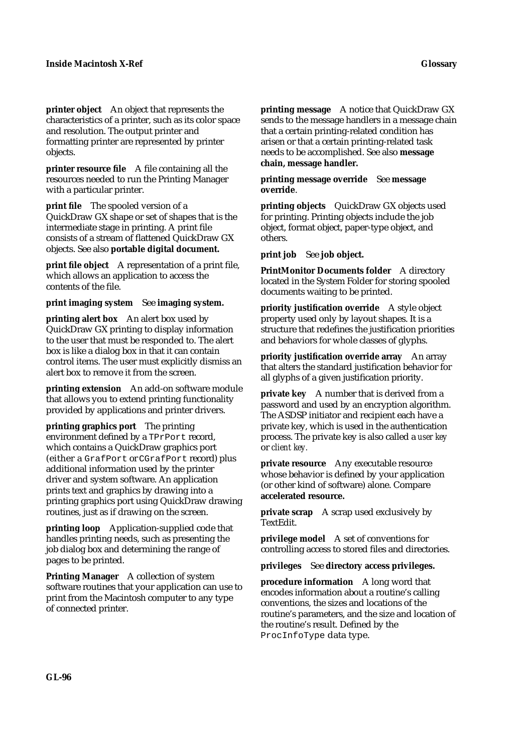**printer object** An object that represents the characteristics of a printer, such as its color space and resolution. The output printer and formatting printer are represented by printer objects.

**printer resource file** A file containing all the resources needed to run the Printing Manager with a particular printer.

**print file** The spooled version of a QuickDraw GX shape or set of shapes that is the intermediate stage in printing. A print file consists of a stream of flattened QuickDraw GX objects. See also **portable digital document.**

**print file object** A representation of a print file, which allows an application to access the contents of the file.

### **print imaging system** See **imaging system.**

**printing alert box** An alert box used by QuickDraw GX printing to display information to the user that must be responded to. The alert box is like a dialog box in that it can contain control items. The user must explicitly dismiss an alert box to remove it from the screen.

**printing extension** An add-on software module that allows you to extend printing functionality provided by applications and printer drivers.

**printing graphics port** The printing environment defined by a TPrPort record, which contains a QuickDraw graphics port (either a GrafPort or CGrafPort record) plus additional information used by the printer driver and system software. An application prints text and graphics by drawing into a printing graphics port using QuickDraw drawing routines, just as if drawing on the screen.

**printing loop** Application-supplied code that handles printing needs, such as presenting the job dialog box and determining the range of pages to be printed.

**Printing Manager** A collection of system software routines that your application can use to print from the Macintosh computer to any type of connected printer.

**printing message** A notice that QuickDraw GX sends to the message handlers in a message chain that a certain printing-related condition has arisen or that a certain printing-related task needs to be accomplished. See also **message chain, message handler.**

### **printing message override** See **message override**.

**printing objects** QuickDraw GX objects used for printing. Printing objects include the job object, format object, paper-type object, and others.

**print job** See **job object.**

**PrintMonitor Documents folder** A directory located in the System Folder for storing spooled documents waiting to be printed.

**priority justification override** A style object property used only by layout shapes. It is a structure that redefines the justification priorities and behaviors for whole classes of glyphs.

**priority justification override array** An array that alters the standard justification behavior for all glyphs of a given justification priority.

**private key** A number that is derived from a password and used by an encryption algorithm. The ASDSP initiator and recipient each have a private key, which is used in the authentication process. The private key is also called a *user key* or *client key.*

**private resource** Any executable resource whose behavior is defined by your application (or other kind of software) alone. Compare **accelerated resource.**

**private scrap** A scrap used exclusively by TextEdit.

**privilege model** A set of conventions for controlling access to stored files and directories.

### **privileges** See **directory access privileges.**

**procedure information** A long word that encodes information about a routine's calling conventions, the sizes and locations of the routine's parameters, and the size and location of the routine's result. Defined by the ProcInfoType data type.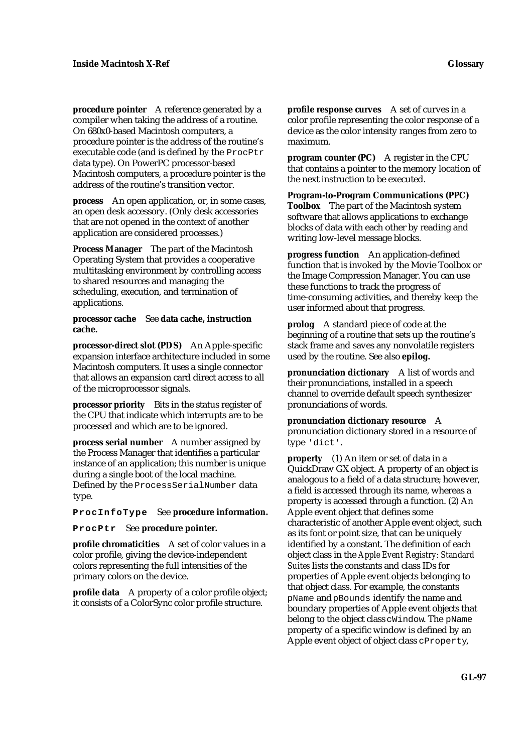**procedure pointer** A reference generated by a compiler when taking the address of a routine. On 680x0-based Macintosh computers, a procedure pointer is the address of the routine's executable code (and is defined by the ProcPtr data type). On PowerPC processor-based Macintosh computers, a procedure pointer is the address of the routine's transition vector.

**process** An open application, or, in some cases, an open desk accessory. (Only desk accessories that are not opened in the context of another application are considered processes.)

**Process Manager** The part of the Macintosh Operating System that provides a cooperative multitasking environment by controlling access to shared resources and managing the scheduling, execution, and termination of applications.

**processor cache** See **data cache, instruction cache.**

**processor-direct slot (PDS)** An Apple-specific expansion interface architecture included in some Macintosh computers. It uses a single connector that allows an expansion card direct access to all of the microprocessor signals.

**processor priority** Bits in the status register of the CPU that indicate which interrupts are to be processed and which are to be ignored.

**process serial number** A number assigned by the Process Manager that identifies a particular instance of an application; this number is unique during a single boot of the local machine. Defined by the ProcessSerialNumber data type.

**ProcInfoType** See **procedure information.**

**ProcPtr** See **procedure pointer.**

**profile chromaticities** A set of color values in a color profile, giving the device-independent colors representing the full intensities of the primary colors on the device.

**profile data** A property of a color profile object; it consists of a ColorSync color profile structure.

**profile response curves** A set of curves in a color profile representing the color response of a device as the color intensity ranges from zero to maximum.

**program counter (PC)** A register in the CPU that contains a pointer to the memory location of the next instruction to be executed.

**Program-to-Program Communications (PPC) Toolbox** The part of the Macintosh system software that allows applications to exchange blocks of data with each other by reading and writing low-level message blocks.

**progress function** An application-defined function that is invoked by the Movie Toolbox or the Image Compression Manager. You can use these functions to track the progress of time-consuming activities, and thereby keep the user informed about that progress.

**prolog** A standard piece of code at the beginning of a routine that sets up the routine's stack frame and saves any nonvolatile registers used by the routine. See also **epilog.**

**pronunciation dictionary** A list of words and their pronunciations, installed in a speech channel to override default speech synthesizer pronunciations of words.

**pronunciation dictionary resource** A pronunciation dictionary stored in a resource of type 'dict'.

**property** (1) An item or set of data in a QuickDraw GX object. A property of an object is analogous to a field of a data structure; however, a field is accessed through its name, whereas a property is accessed through a function. (2) An Apple event object that defines some characteristic of another Apple event object, such as its font or point size, that can be uniquely identified by a constant. The definition of each object class in the *Apple Event Registry: Standard Suites* lists the constants and class IDs for properties of Apple event objects belonging to that object class. For example, the constants pName and pBounds identify the name and boundary properties of Apple event objects that belong to the object class cWindow. The pName property of a specific window is defined by an Apple event object of object class cProperty,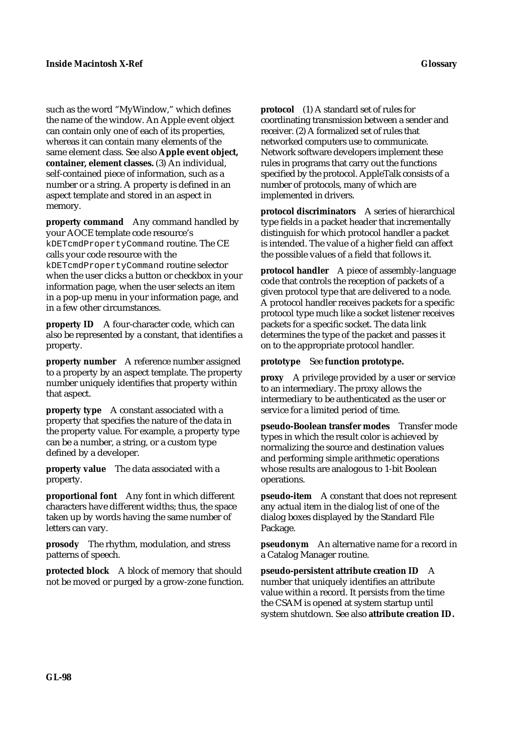such as the word "MyWindow," which defines the name of the window. An Apple event object can contain only one of each of its properties, whereas it can contain many elements of the same element class. See also **Apple event object, container, element classes.** (3) An individual, self-contained piece of information, such as a number or a string. A property is defined in an aspect template and stored in an aspect in memory.

**property command** Any command handled by your AOCE template code resource's kDETcmdPropertyCommand routine. The CE calls your code resource with the kDETcmdPropertyCommand routine selector when the user clicks a button or checkbox in your information page, when the user selects an item in a pop-up menu in your information page, and in a few other circumstances.

**property ID** A four-character code, which can also be represented by a constant, that identifies a property.

**property number** A reference number assigned to a property by an aspect template. The property number uniquely identifies that property within that aspect.

**property type** A constant associated with a property that specifies the nature of the data in the property value. For example, a property type can be a number, a string, or a custom type defined by a developer.

**property value** The data associated with a property.

**proportional font** Any font in which different characters have different widths; thus, the space taken up by words having the same number of letters can vary.

**prosody** The rhythm, modulation, and stress patterns of speech.

**protected block** A block of memory that should not be moved or purged by a grow-zone function. **protocol** (1) A standard set of rules for coordinating transmission between a sender and receiver. (2) A formalized set of rules that networked computers use to communicate. Network software developers implement these rules in programs that carry out the functions specified by the protocol. AppleTalk consists of a number of protocols, many of which are implemented in drivers.

**protocol discriminators** A series of hierarchical type fields in a packet header that incrementally distinguish for which protocol handler a packet is intended. The value of a higher field can affect the possible values of a field that follows it.

**protocol handler** A piece of assembly-language code that controls the reception of packets of a given protocol type that are delivered to a node. A protocol handler receives packets for a specific protocol type much like a socket listener receives packets for a specific socket. The data link determines the type of the packet and passes it on to the appropriate protocol handler.

**prototype** See **function prototype.**

**proxy** A privilege provided by a user or service to an intermediary. The proxy allows the intermediary to be authenticated as the user or service for a limited period of time.

**pseudo-Boolean transfer modes** Transfer mode types in which the result color is achieved by normalizing the source and destination values and performing simple arithmetic operations whose results are analogous to 1-bit Boolean operations.

**pseudo-item** A constant that does not represent any actual item in the dialog list of one of the dialog boxes displayed by the Standard File Package.

**pseudonym** An alternative name for a record in a Catalog Manager routine.

**pseudo-persistent attribute creation ID** A number that uniquely identifies an attribute value within a record. It persists from the time the CSAM is opened at system startup until system shutdown. See also **attribute creation ID.**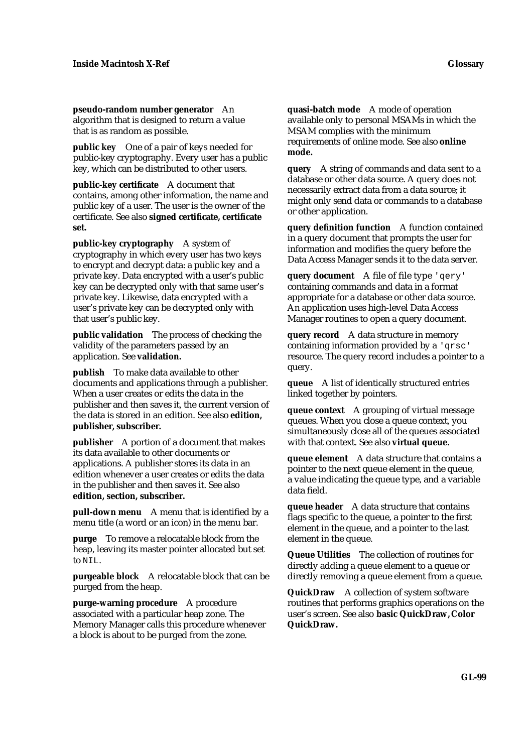**pseudo-random number generator** An algorithm that is designed to return a value that is as random as possible.

**public key** One of a pair of keys needed for public-key cryptography. Every user has a public key, which can be distributed to other users.

**public-key certificate** A document that contains, among other information, the name and public key of a user. The user is the owner of the certificate. See also **signed certificate, certificate set.**

**public-key cryptography** A system of cryptography in which every user has two keys to encrypt and decrypt data: a public key and a private key. Data encrypted with a user's public key can be decrypted only with that same user's private key. Likewise, data encrypted with a user's private key can be decrypted only with that user's public key.

**public validation** The process of checking the validity of the parameters passed by an application. See **validation.**

**publish** To make data available to other documents and applications through a publisher. When a user creates or edits the data in the publisher and then saves it, the current version of the data is stored in an edition. See also **edition, publisher, subscriber.**

**publisher** A portion of a document that makes its data available to other documents or applications. A publisher stores its data in an edition whenever a user creates or edits the data in the publisher and then saves it. See also **edition, section, subscriber.**

**pull-down menu** A menu that is identified by a menu title (a word or an icon) in the menu bar.

**purge** To remove a relocatable block from the heap, leaving its master pointer allocated but set to NIL.

**purgeable block** A relocatable block that can be purged from the heap.

**purge-warning procedure** A procedure associated with a particular heap zone. The Memory Manager calls this procedure whenever a block is about to be purged from the zone.

**quasi-batch mode** A mode of operation available only to personal MSAMs in which the MSAM complies with the minimum requirements of online mode. See also **online mode.**

**query** A string of commands and data sent to a database or other data source. A query does not necessarily extract data from a data source; it might only send data or commands to a database or other application.

**query definition function** A function contained in a query document that prompts the user for information and modifies the query before the Data Access Manager sends it to the data server.

**query document** A file of file type 'qery' containing commands and data in a format appropriate for a database or other data source. An application uses high-level Data Access Manager routines to open a query document.

**query record** A data structure in memory containing information provided by a 'qrsc' resource. The query record includes a pointer to a query.

**queue** A list of identically structured entries linked together by pointers.

**queue context** A grouping of virtual message queues. When you close a queue context, you simultaneously close all of the queues associated with that context. See also **virtual queue.**

**queue element** A data structure that contains a pointer to the next queue element in the queue, a value indicating the queue type, and a variable data field.

**queue header** A data structure that contains flags specific to the queue, a pointer to the first element in the queue, and a pointer to the last element in the queue.

**Queue Utilities** The collection of routines for directly adding a queue element to a queue or directly removing a queue element from a queue.

**QuickDraw** A collection of system software routines that performs graphics operations on the user's screen. See also **basic QuickDraw, Color QuickDraw.**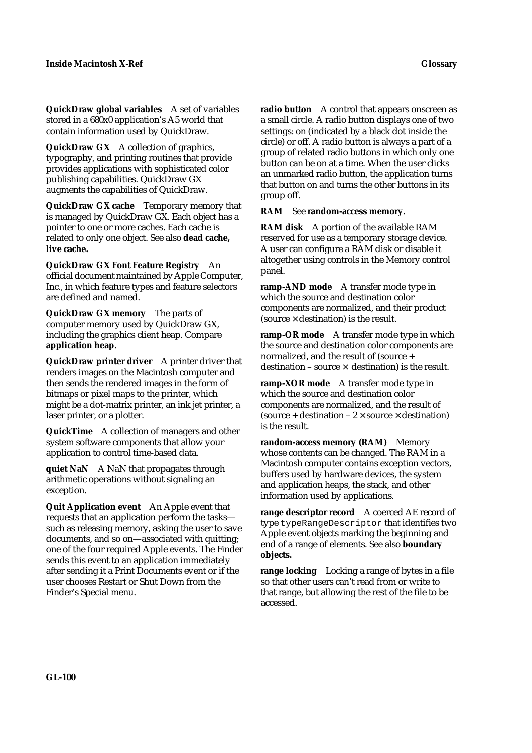**QuickDraw global variables** A set of variables stored in a 680x0 application's A5 world that contain information used by QuickDraw.

**QuickDraw GX** A collection of graphics, typography, and printing routines that provide provides applications with sophisticated color publishing capabilities. QuickDraw GX augments the capabilities of QuickDraw.

**QuickDraw GX cache** Temporary memory that is managed by QuickDraw GX. Each object has a pointer to one or more caches. Each cache is related to only one object. See also **dead cache, live cache.**

**QuickDraw GX Font Feature Registry** An official document maintained by Apple Computer, Inc., in which feature types and feature selectors are defined and named.

**QuickDraw GX memory** The parts of computer memory used by QuickDraw GX, including the graphics client heap. Compare **application heap.**

**QuickDraw printer driver** A printer driver that renders images on the Macintosh computer and then sends the rendered images in the form of bitmaps or pixel maps to the printer, which might be a dot-matrix printer, an ink jet printer, a laser printer, or a plotter.

**QuickTime** A collection of managers and other system software components that allow your application to control time-based data.

**quiet NaN** A NaN that propagates through arithmetic operations without signaling an exception.

**Quit Application event** An Apple event that requests that an application perform the tasks such as releasing memory, asking the user to save documents, and so on—associated with quitting; one of the four required Apple events. The Finder sends this event to an application immediately after sending it a Print Documents event or if the user chooses Restart or Shut Down from the Finder's Special menu.

**radio button** A control that appears onscreen as a small circle. A radio button displays one of two settings: on (indicated by a black dot inside the circle) or off. A radio button is always a part of a group of related radio buttons in which only one button can be on at a time. When the user clicks an unmarked radio button, the application turns that button on and turns the other buttons in its group off.

## **RAM** See **random-access memory.**

**RAM disk** A portion of the available RAM reserved for use as a temporary storage device. A user can configure a RAM disk or disable it altogether using controls in the Memory control panel.

**ramp-AND mode** A transfer mode type in which the source and destination color components are normalized, and their product (source  $\times$  destination) is the result.

**ramp-OR mode** A transfer mode type in which the source and destination color components are normalized, and the result of (source + destination – source  $\times$  destination) is the result.

**ramp-XOR mode** A transfer mode type in which the source and destination color components are normalized, and the result of (source + destination –  $2 \times$  source  $\times$  destination) is the result.

random-access memory (RAM) Memory whose contents can be changed. The RAM in a Macintosh computer contains exception vectors, buffers used by hardware devices, the system and application heaps, the stack, and other information used by applications.

**range descriptor record** A coerced AE record of type typeRangeDescriptor that identifies two Apple event objects marking the beginning and end of a range of elements. See also **boundary objects.**

**range locking** Locking a range of bytes in a file so that other users can't read from or write to that range, but allowing the rest of the file to be accessed.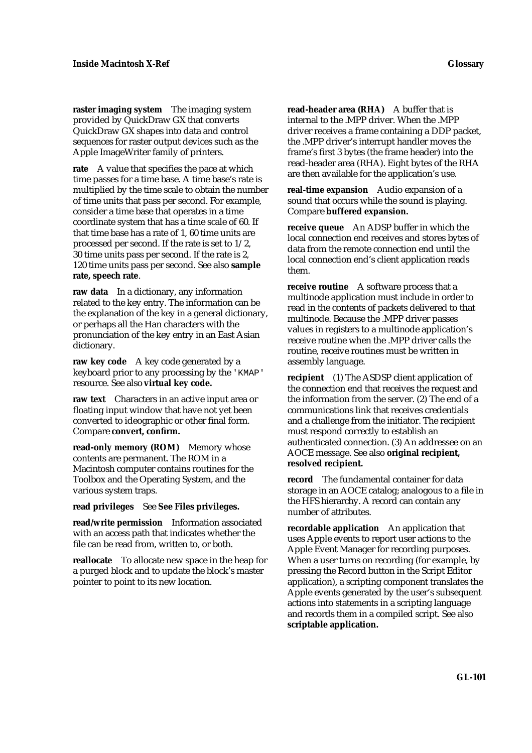**raster imaging system** The imaging system provided by QuickDraw GX that converts QuickDraw GX shapes into data and control sequences for raster output devices such as the Apple ImageWriter family of printers.

**rate** A value that specifies the pace at which time passes for a time base. A time base's rate is multiplied by the time scale to obtain the number of time units that pass per second. For example, consider a time base that operates in a time coordinate system that has a time scale of 60. If that time base has a rate of 1, 60 time units are processed per second. If the rate is set to 1/2, 30 time units pass per second. If the rate is 2, 120 time units pass per second. See also **sample rate, speech rate**.

**raw data** In a dictionary, any information related to the key entry. The information can be the explanation of the key in a general dictionary, or perhaps all the Han characters with the pronunciation of the key entry in an East Asian dictionary.

**raw key code** A key code generated by a keyboard prior to any processing by the 'KMAP' resource. See also **virtual key code.**

**raw text** Characters in an active input area or floating input window that have not yet been converted to ideographic or other final form. Compare **convert, confirm.**

**read-only memory (ROM)** Memory whose contents are permanent. The ROM in a Macintosh computer contains routines for the Toolbox and the Operating System, and the various system traps.

**read privileges** See **See Files privileges.**

**read/write permission** Information associated with an access path that indicates whether the file can be read from, written to, or both.

**reallocate** To allocate new space in the heap for a purged block and to update the block's master pointer to point to its new location.

**read-header area (RHA)** A buffer that is internal to the .MPP driver. When the .MPP driver receives a frame containing a DDP packet, the .MPP driver's interrupt handler moves the frame's first 3 bytes (the frame header) into the read-header area (RHA). Eight bytes of the RHA are then available for the application's use.

**real-time expansion** Audio expansion of a sound that occurs while the sound is playing. Compare **buffered expansion.**

**receive queue** An ADSP buffer in which the local connection end receives and stores bytes of data from the remote connection end until the local connection end's client application reads them.

**receive routine** A software process that a multinode application must include in order to read in the contents of packets delivered to that multinode. Because the .MPP driver passes values in registers to a multinode application's receive routine when the .MPP driver calls the routine, receive routines must be written in assembly language.

**recipient** (1) The ASDSP client application of the connection end that receives the request and the information from the server. (2) The end of a communications link that receives credentials and a challenge from the initiator. The recipient must respond correctly to establish an authenticated connection. (3) An addressee on an AOCE message. See also **original recipient, resolved recipient.**

**record** The fundamental container for data storage in an AOCE catalog; analogous to a file in the HFS hierarchy. A record can contain any number of attributes.

**recordable application** An application that uses Apple events to report user actions to the Apple Event Manager for recording purposes. When a user turns on recording (for example, by pressing the Record button in the Script Editor application), a scripting component translates the Apple events generated by the user's subsequent actions into statements in a scripting language and records them in a compiled script. See also **scriptable application.**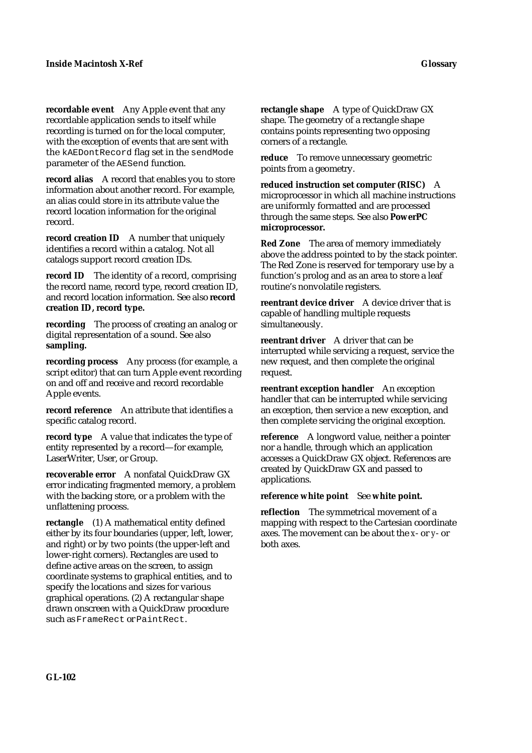**recordable event** Any Apple event that any recordable application sends to itself while recording is turned on for the local computer, with the exception of events that are sent with the kAEDontRecord flag set in the sendMode parameter of the AESend function.

**record alias** A record that enables you to store information about another record. For example, an alias could store in its attribute value the record location information for the original record.

**record creation ID** A number that uniquely identifies a record within a catalog. Not all catalogs support record creation IDs.

**record ID** The identity of a record, comprising the record name, record type, record creation ID, and record location information. See also **record creation ID, record type.**

**recording** The process of creating an analog or digital representation of a sound. See also **sampling.**

**recording process** Any process (for example, a script editor) that can turn Apple event recording on and off and receive and record recordable Apple events.

**record reference** An attribute that identifies a specific catalog record.

**record type** A value that indicates the type of entity represented by a record—for example, LaserWriter, User, or Group.

**recoverable error** A nonfatal QuickDraw GX error indicating fragmented memory, a problem with the backing store, or a problem with the unflattening process.

**rectangle** (1) A mathematical entity defined either by its four boundaries (upper, left, lower, and right) or by two points (the upper-left and lower-right corners). Rectangles are used to define active areas on the screen, to assign coordinate systems to graphical entities, and to specify the locations and sizes for various graphical operations. (2) A rectangular shape drawn onscreen with a QuickDraw procedure such as FrameRect or PaintRect.

**rectangle shape** A type of QuickDraw GX shape. The geometry of a rectangle shape contains points representing two opposing corners of a rectangle.

**reduce** To remove unnecessary geometric points from a geometry.

**reduced instruction set computer (RISC)** A microprocessor in which all machine instructions are uniformly formatted and are processed through the same steps. See also **PowerPC microprocessor.**

**Red Zone** The area of memory immediately above the address pointed to by the stack pointer. The Red Zone is reserved for temporary use by a function's prolog and as an area to store a leaf routine's nonvolatile registers.

**reentrant device driver** A device driver that is capable of handling multiple requests simultaneously.

**reentrant driver** A driver that can be interrupted while servicing a request, service the new request, and then complete the original request.

**reentrant exception handler** An exception handler that can be interrupted while servicing an exception, then service a new exception, and then complete servicing the original exception.

**reference** A longword value, neither a pointer nor a handle, through which an application accesses a QuickDraw GX object. References are created by QuickDraw GX and passed to applications.

### **reference white point** See **white point.**

**reflection** The symmetrical movement of a mapping with respect to the Cartesian coordinate axes. The movement can be about the *x*- or *y*- or both axes.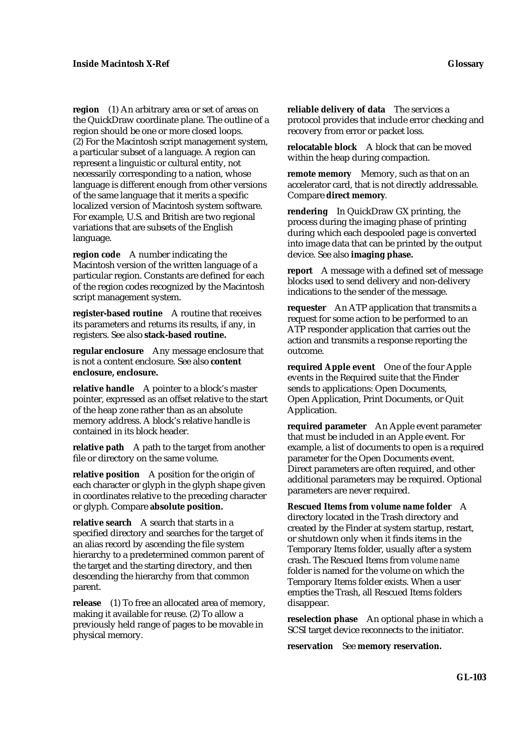**region** (1) An arbitrary area or set of areas on the QuickDraw coordinate plane. The outline of a region should be one or more closed loops. (2) For the Macintosh script management system, a particular subset of a language. A region can represent a linguistic or cultural entity, not necessarily corresponding to a nation, whose language is different enough from other versions of the same language that it merits a specific localized version of Macintosh system software. For example, U.S. and British are two regional variations that are subsets of the English language.

**region code** A number indicating the Macintosh version of the written language of a particular region. Constants are defined for each of the region codes recognized by the Macintosh script management system.

**register-based routine** A routine that receives its parameters and returns its results, if any, in registers. See also **stack-based routine.**

**regular enclosure** Any message enclosure that is not a content enclosure. See also **content enclosure, enclosure.**

**relative handle** A pointer to a block's master pointer, expressed as an offset relative to the start of the heap zone rather than as an absolute memory address. A block's relative handle is contained in its block header.

**relative path** A path to the target from another file or directory on the same volume.

**relative position** A position for the origin of each character or glyph in the glyph shape given in coordinates relative to the preceding character or glyph. Compare **absolute position.**

**relative search** A search that starts in a specified directory and searches for the target of an alias record by ascending the file system hierarchy to a predetermined common parent of the target and the starting directory, and then descending the hierarchy from that common parent.

**release** (1) To free an allocated area of memory, making it available for reuse. (2) To allow a previously held range of pages to be movable in physical memory.

**reliable delivery of data** The services a protocol provides that include error checking and recovery from error or packet loss.

**relocatable block** A block that can be moved within the heap during compaction.

**remote memory** Memory, such as that on an accelerator card, that is not directly addressable. Compare **direct memory**.

**rendering** In QuickDraw GX printing, the process during the imaging phase of printing during which each despooled page is converted into image data that can be printed by the output device. See also **imaging phase.**

**report** A message with a defined set of message blocks used to send delivery and non-delivery indications to the sender of the message.

**requester** An ATP application that transmits a request for some action to be performed to an ATP responder application that carries out the action and transmits a response reporting the outcome.

**required Apple event** One of the four Apple events in the Required suite that the Finder sends to applications: Open Documents, Open Application, Print Documents, or Quit Application.

**required parameter** An Apple event parameter that must be included in an Apple event. For example, a list of documents to open is a required parameter for the Open Documents event. Direct parameters are often required, and other additional parameters may be required. Optional parameters are never required.

**Rescued Items from** *volume name* **folder** A directory located in the Trash directory and created by the Finder at system startup, restart, or shutdown only when it finds items in the Temporary Items folder, usually after a system crash. The Rescued Items from *volume name* folder is named for the volume on which the Temporary Items folder exists. When a user empties the Trash, all Rescued Items folders disappear.

**reselection phase** An optional phase in which a SCSI target device reconnects to the initiator.

**reservation** See **memory reservation.**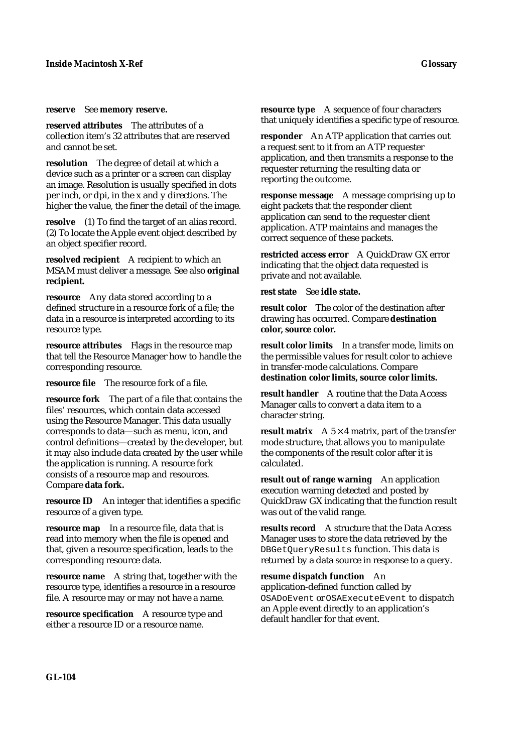#### **reserve** See **memory reserve.**

**reserved attributes** The attributes of a collection item's 32 attributes that are reserved and cannot be set.

**resolution** The degree of detail at which a device such as a printer or a screen can display an image. Resolution is usually specified in dots per inch, or dpi, in the x and y directions. The higher the value, the finer the detail of the image.

**resolve** (1) To find the target of an alias record. (2) To locate the Apple event object described by an object specifier record.

**resolved recipient** A recipient to which an MSAM must deliver a message. See also **original recipient.**

**resource** Any data stored according to a defined structure in a resource fork of a file; the data in a resource is interpreted according to its resource type.

**resource attributes** Flags in the resource map that tell the Resource Manager how to handle the corresponding resource.

**resource file** The resource fork of a file.

**resource fork** The part of a file that contains the files' resources, which contain data accessed using the Resource Manager. This data usually corresponds to data—such as menu, icon, and control definitions—created by the developer, but it may also include data created by the user while the application is running. A resource fork consists of a resource map and resources. Compare **data fork.**

**resource ID** An integer that identifies a specific resource of a given type.

**resource map** In a resource file, data that is read into memory when the file is opened and that, given a resource specification, leads to the corresponding resource data.

**resource name** A string that, together with the resource type, identifies a resource in a resource file. A resource may or may not have a name.

**resource specification** A resource type and either a resource ID or a resource name.

**resource type** A sequence of four characters that uniquely identifies a specific type of resource.

**responder** An ATP application that carries out a request sent to it from an ATP requester application, and then transmits a response to the requester returning the resulting data or reporting the outcome.

**response message** A message comprising up to eight packets that the responder client application can send to the requester client application. ATP maintains and manages the correct sequence of these packets.

**restricted access error** A QuickDraw GX error indicating that the object data requested is private and not available.

**rest state** See **idle state.**

**result color** The color of the destination after drawing has occurred. Compare **destination color, source color.**

**result color limits** In a transfer mode, limits on the permissible values for result color to achieve in transfer-mode calculations. Compare **destination color limits, source color limits.**

**result handler** A routine that the Data Access Manager calls to convert a data item to a character string.

**result matrix**  $A \times 5 \times 4$  matrix, part of the transfer mode structure, that allows you to manipulate the components of the result color after it is calculated.

**result out of range warning** An application execution warning detected and posted by QuickDraw GX indicating that the function result was out of the valid range.

**results record** A structure that the Data Access Manager uses to store the data retrieved by the DBGetQueryResults function. This data is returned by a data source in response to a query.

**resume dispatch function** An application-defined function called by OSADoEvent or OSAExecuteEvent to dispatch an Apple event directly to an application's default handler for that event.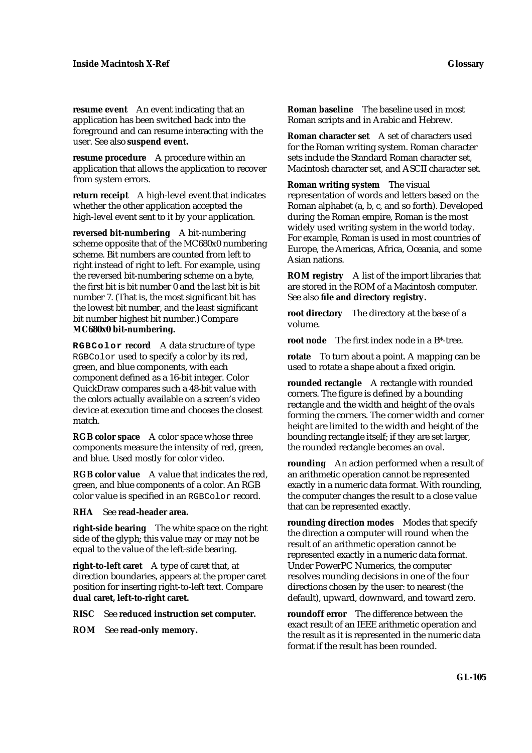**resume event** An event indicating that an application has been switched back into the foreground and can resume interacting with the user. See also **suspend event.**

**resume procedure** A procedure within an application that allows the application to recover from system errors.

**return receipt** A high-level event that indicates whether the other application accepted the high-level event sent to it by your application.

**reversed bit-numbering** A bit-numbering scheme opposite that of the MC680x0 numbering scheme. Bit numbers are counted from left to right instead of right to left. For example, using the reversed bit-numbering scheme on a byte, the first bit is bit number 0 and the last bit is bit number 7. (That is, the most significant bit has the lowest bit number, and the least significant bit number highest bit number.) Compare **MC680x0 bit-numbering.**

**RGBColor record** A data structure of type RGBColor used to specify a color by its red, green, and blue components, with each component defined as a 16-bit integer. Color QuickDraw compares such a 48-bit value with the colors actually available on a screen's video device at execution time and chooses the closest match.

**RGB color space** A color space whose three components measure the intensity of red, green, and blue. Used mostly for color video.

**RGB color value** A value that indicates the red, green, and blue components of a color. An RGB color value is specified in an RGBColor record.

**RHA** See **read-header area.**

**right-side bearing** The white space on the right side of the glyph; this value may or may not be equal to the value of the left-side bearing.

**right-to-left caret** A type of caret that, at direction boundaries, appears at the proper caret position for inserting right-to-left text. Compare **dual caret, left-to-right caret.**

**RISC** See **reduced instruction set computer.**

**ROM** See **read-only memory.**

**Roman baseline** The baseline used in most Roman scripts and in Arabic and Hebrew.

**Roman character set** A set of characters used for the Roman writing system. Roman character sets include the Standard Roman character set, Macintosh character set, and ASCII character set.

**Roman writing system** The visual representation of words and letters based on the Roman alphabet (a, b, c, and so forth). Developed during the Roman empire, Roman is the most widely used writing system in the world today. For example, Roman is used in most countries of Europe, the Americas, Africa, Oceania, and some Asian nations.

**ROM registry** A list of the import libraries that are stored in the ROM of a Macintosh computer. See also **file and directory registry.**

**root directory** The directory at the base of a volume.

**root node** The first index node in a B\*-tree.

**rotate** To turn about a point. A mapping can be used to rotate a shape about a fixed origin.

**rounded rectangle** A rectangle with rounded corners. The figure is defined by a bounding rectangle and the width and height of the ovals forming the corners. The corner width and corner height are limited to the width and height of the bounding rectangle itself; if they are set larger, the rounded rectangle becomes an oval.

**rounding** An action performed when a result of an arithmetic operation cannot be represented exactly in a numeric data format. With rounding, the computer changes the result to a close value that can be represented exactly.

**rounding direction modes** Modes that specify the direction a computer will round when the result of an arithmetic operation cannot be represented exactly in a numeric data format. Under PowerPC Numerics, the computer resolves rounding decisions in one of the four directions chosen by the user: to nearest (the default), upward, downward, and toward zero.

**roundoff error** The difference between the exact result of an IEEE arithmetic operation and the result as it is represented in the numeric data format if the result has been rounded.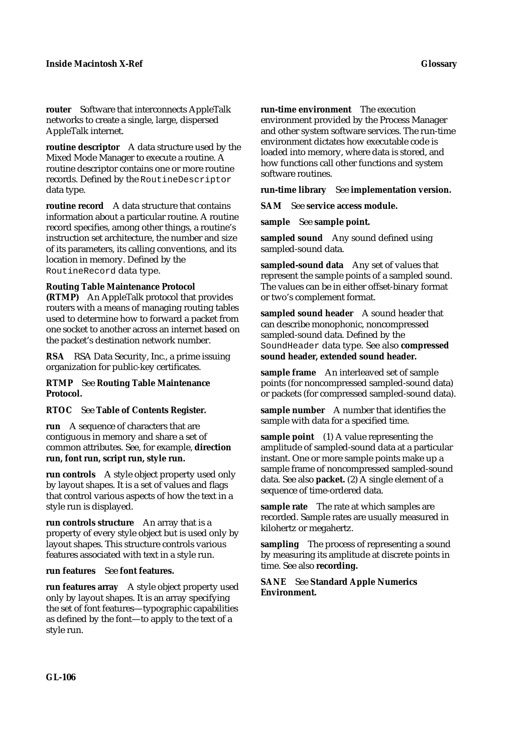**router** Software that interconnects AppleTalk networks to create a single, large, dispersed AppleTalk internet.

**routine descriptor** A data structure used by the Mixed Mode Manager to execute a routine. A routine descriptor contains one or more routine records. Defined by the RoutineDescriptor data type.

**routine record** A data structure that contains information about a particular routine. A routine record specifies, among other things, a routine's instruction set architecture, the number and size of its parameters, its calling conventions, and its location in memory. Defined by the RoutineRecord data type.

### **Routing Table Maintenance Protocol**

**(RTMP)** An AppleTalk protocol that provides routers with a means of managing routing tables used to determine how to forward a packet from one socket to another across an internet based on the packet's destination network number.

**RSA** RSA Data Security, Inc., a prime issuing organization for public-key certificates.

## **RTMP** See **Routing Table Maintenance Protocol.**

### **RTOC** See **Table of Contents Register.**

**run** A sequence of characters that are contiguous in memory and share a set of common attributes. See, for example, **direction run, font run, script run, style run.**

**run controls** A style object property used only by layout shapes. It is a set of values and flags that control various aspects of how the text in a style run is displayed.

**run controls structure** An array that is a property of every style object but is used only by layout shapes. This structure controls various features associated with text in a style run.

### **run features** See **font features.**

**run features array** A style object property used only by layout shapes. It is an array specifying the set of font features—typographic capabilities as defined by the font—to apply to the text of a style run.

environment provided by the Process Manager and other system software services. The run-time environment dictates how executable code is loaded into memory, where data is stored, and how functions call other functions and system software routines.

### **run-time library** See **implementation version.**

**SAM** See **service access module.**

**sample** See **sample point.**

**sampled sound** Any sound defined using sampled-sound data.

**sampled-sound data** Any set of values that represent the sample points of a sampled sound. The values can be in either offset-binary format or two's complement format.

**sampled sound header** A sound header that can describe monophonic, noncompressed sampled-sound data. Defined by the SoundHeader data type. See also **compressed sound header, extended sound header.**

**sample frame** An interleaved set of sample points (for noncompressed sampled-sound data) or packets (for compressed sampled-sound data).

**sample number** A number that identifies the sample with data for a specified time.

**sample point** (1) A value representing the amplitude of sampled-sound data at a particular instant. One or more sample points make up a sample frame of noncompressed sampled-sound data. See also **packet.** (2) A single element of a sequence of time-ordered data.

**sample rate** The rate at which samples are recorded. Sample rates are usually measured in kilohertz or megahertz.

**sampling** The process of representing a sound by measuring its amplitude at discrete points in time. See also **recording.**

**SANE** See **Standard Apple Numerics Environment.**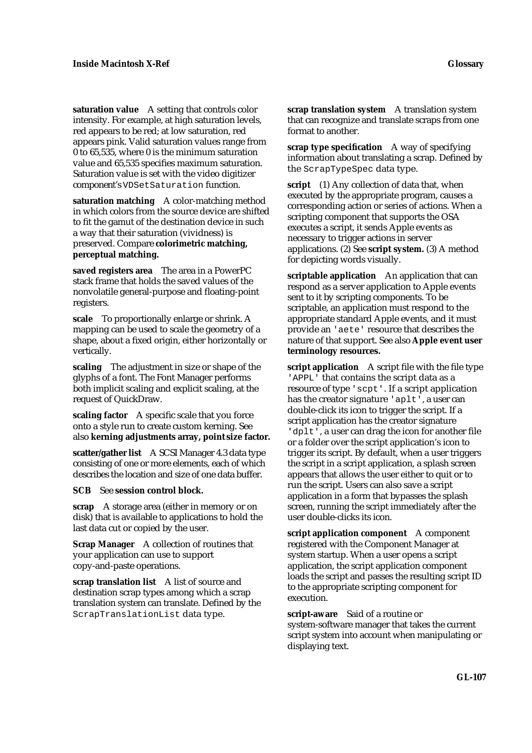**saturation value** A setting that controls color intensity. For example, at high saturation levels, red appears to be red; at low saturation, red appears pink. Valid saturation values range from 0 to 65,535, where 0 is the minimum saturation value and 65,535 specifies maximum saturation. Saturation value is set with the video digitizer component's VDSetSaturation function.

**saturation matching** A color-matching method in which colors from the source device are shifted to fit the gamut of the destination device in such a way that their saturation (vividness) is preserved. Compare **colorimetric matching, perceptual matching.**

**saved registers area** The area in a PowerPC stack frame that holds the saved values of the nonvolatile general-purpose and floating-point registers.

**scale** To proportionally enlarge or shrink. A mapping can be used to scale the geometry of a shape, about a fixed origin, either horizontally or vertically.

**scaling** The adjustment in size or shape of the glyphs of a font. The Font Manager performs both implicit scaling and explicit scaling, at the request of QuickDraw.

**scaling factor** A specific scale that you force onto a style run to create custom kerning. See also **kerning adjustments array, point size factor.**

**scatter/gather list** A SCSI Manager 4.3 data type consisting of one or more elements, each of which describes the location and size of one data buffer.

**SCB** See **session control block.**

**scrap** A storage area (either in memory or on disk) that is available to applications to hold the last data cut or copied by the user.

**Scrap Manager** A collection of routines that your application can use to support copy-and-paste operations.

**scrap translation list** A list of source and destination scrap types among which a scrap translation system can translate. Defined by the ScrapTranslationList data type.

**scrap translation system** A translation system that can recognize and translate scraps from one format to another.

**scrap type specification** A way of specifying information about translating a scrap. Defined by the ScrapTypeSpec data type.

**script** (1) Any collection of data that, when executed by the appropriate program, causes a corresponding action or series of actions. When a scripting component that supports the OSA executes a script, it sends Apple events as necessary to trigger actions in server applications. (2) See **script system.** (3) A method for depicting words visually.

**scriptable application** An application that can respond as a server application to Apple events sent to it by scripting components. To be scriptable, an application must respond to the appropriate standard Apple events, and it must provide an 'aete' resource that describes the nature of that support. See also **Apple event user terminology resources.**

**script application** A script file with the file type 'APPL' that contains the script data as a resource of type 'scpt'. If a script application has the creator signature 'aplt', a user can double-click its icon to trigger the script. If a script application has the creator signature 'dplt', a user can drag the icon for another file or a folder over the script application's icon to trigger its script. By default, when a user triggers the script in a script application, a splash screen appears that allows the user either to quit or to run the script. Users can also save a script application in a form that bypasses the splash screen, running the script immediately after the user double-clicks its icon.

**script application component** A component registered with the Component Manager at system startup. When a user opens a script application, the script application component loads the script and passes the resulting script ID to the appropriate scripting component for execution.

**script-aware** Said of a routine or system-software manager that takes the current script system into account when manipulating or displaying text.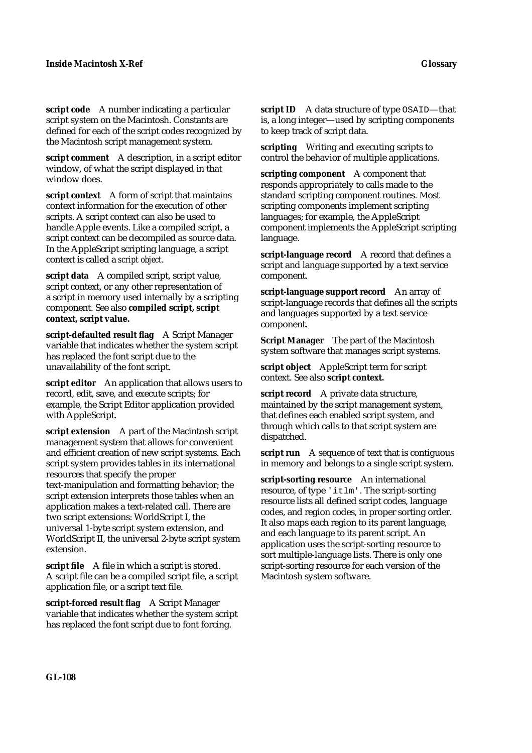**script code** A number indicating a particular script system on the Macintosh. Constants are defined for each of the script codes recognized by the Macintosh script management system.

**script comment** A description, in a script editor window, of what the script displayed in that window does.

**script context** A form of script that maintains context information for the execution of other scripts. A script context can also be used to handle Apple events. Like a compiled script, a script context can be decompiled as source data. In the AppleScript scripting language, a script context is called a *script object*.

**script data** A compiled script, script value, script context, or any other representation of a script in memory used internally by a scripting component. See also **compiled script, script context, script value.**

**script-defaulted result flag** A Script Manager variable that indicates whether the system script has replaced the font script due to the unavailability of the font script.

**script editor** An application that allows users to record, edit, save, and execute scripts; for example, the Script Editor application provided with AppleScript.

**script extension** A part of the Macintosh script management system that allows for convenient and efficient creation of new script systems. Each script system provides tables in its international resources that specify the proper text-manipulation and formatting behavior; the script extension interprets those tables when an application makes a text-related call. There are two script extensions: WorldScript I, the universal 1-byte script system extension, and WorldScript II, the universal 2-byte script system extension.

**script file** A file in which a script is stored. A script file can be a compiled script file, a script application file, or a script text file.

**script-forced result flag** A Script Manager variable that indicates whether the system script has replaced the font script due to font forcing.

**script ID** A data structure of type OSAID—that is, a long integer—used by scripting components to keep track of script data.

**scripting** Writing and executing scripts to control the behavior of multiple applications.

**scripting component** A component that responds appropriately to calls made to the standard scripting component routines. Most scripting components implement scripting languages; for example, the AppleScript component implements the AppleScript scripting language.

**script-language record** A record that defines a script and language supported by a text service component.

**script-language support record** An array of script-language records that defines all the scripts and languages supported by a text service component.

**Script Manager** The part of the Macintosh system software that manages script systems.

**script object** AppleScript term for script context. See also **script context.**

**script record** A private data structure, maintained by the script management system, that defines each enabled script system, and through which calls to that script system are dispatched.

**script run** A sequence of text that is contiguous in memory and belongs to a single script system.

**script-sorting resource** An international resource, of type 'itlm'. The script-sorting resource lists all defined script codes, language codes, and region codes, in proper sorting order. It also maps each region to its parent language, and each language to its parent script. An application uses the script-sorting resource to sort multiple-language lists. There is only one script-sorting resource for each version of the Macintosh system software.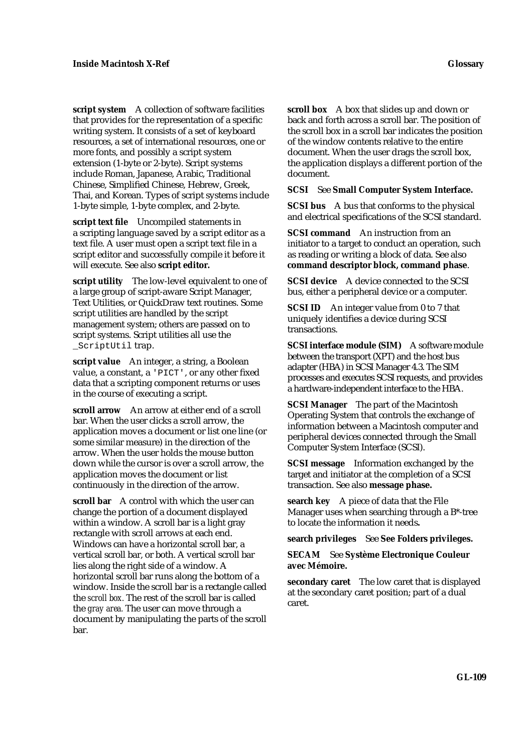**script system** A collection of software facilities that provides for the representation of a specific writing system. It consists of a set of keyboard resources, a set of international resources, one or more fonts, and possibly a script system extension (1-byte or 2-byte). Script systems include Roman, Japanese, Arabic, Traditional Chinese, Simplified Chinese, Hebrew, Greek, Thai, and Korean. Types of script systems include 1-byte simple, 1-byte complex, and 2-byte.

**script text file** Uncompiled statements in a scripting language saved by a script editor as a text file. A user must open a script text file in a script editor and successfully compile it before it will execute. See also **script editor.**

**script utility** The low-level equivalent to one of a large group of script-aware Script Manager, Text Utilities, or QuickDraw text routines. Some script utilities are handled by the script management system; others are passed on to script systems. Script utilities all use the \_ScriptUtil trap.

**script value** An integer, a string, a Boolean value, a constant, a 'PICT', or any other fixed data that a scripting component returns or uses in the course of executing a script.

**scroll arrow** An arrow at either end of a scroll bar. When the user clicks a scroll arrow, the application moves a document or list one line (or some similar measure) in the direction of the arrow. When the user holds the mouse button down while the cursor is over a scroll arrow, the application moves the document or list continuously in the direction of the arrow.

**scroll bar** A control with which the user can change the portion of a document displayed within a window. A scroll bar is a light gray rectangle with scroll arrows at each end. Windows can have a horizontal scroll bar, a vertical scroll bar, or both. A vertical scroll bar lies along the right side of a window. A horizontal scroll bar runs along the bottom of a window. Inside the scroll bar is a rectangle called the *scroll box.* The rest of the scroll bar is called the *gray area.* The user can move through a document by manipulating the parts of the scroll bar.

**scroll box** A box that slides up and down or back and forth across a scroll bar. The position of the scroll box in a scroll bar indicates the position of the window contents relative to the entire document. When the user drags the scroll box, the application displays a different portion of the document.

#### **SCSI** See **Small Computer System Interface.**

**SCSI bus** A bus that conforms to the physical and electrical specifications of the SCSI standard.

**SCSI command** An instruction from an initiator to a target to conduct an operation, such as reading or writing a block of data. See also **command descriptor block, command phase**.

**SCSI device** A device connected to the SCSI bus, either a peripheral device or a computer.

**SCSI ID** An integer value from 0 to 7 that uniquely identifies a device during SCSI transactions.

**SCSI interface module (SIM)** A software module between the transport (XPT) and the host bus adapter (HBA) in SCSI Manager 4.3. The SIM processes and executes SCSI requests, and provides a hardware-independent interface to the HBA.

**SCSI Manager** The part of the Macintosh Operating System that controls the exchange of information between a Macintosh computer and peripheral devices connected through the Small Computer System Interface (SCSI).

**SCSI message** Information exchanged by the target and initiator at the completion of a SCSI transaction. See also **message phase.**

**search key** A piece of data that the File Manager uses when searching through a B\*-tree to locate the information it needs**.**

**search privileges** See **See Folders privileges.**

**SECAM** See **Système Electronique Couleur avec Mémoire.**

**secondary caret** The low caret that is displayed at the secondary caret position; part of a dual caret.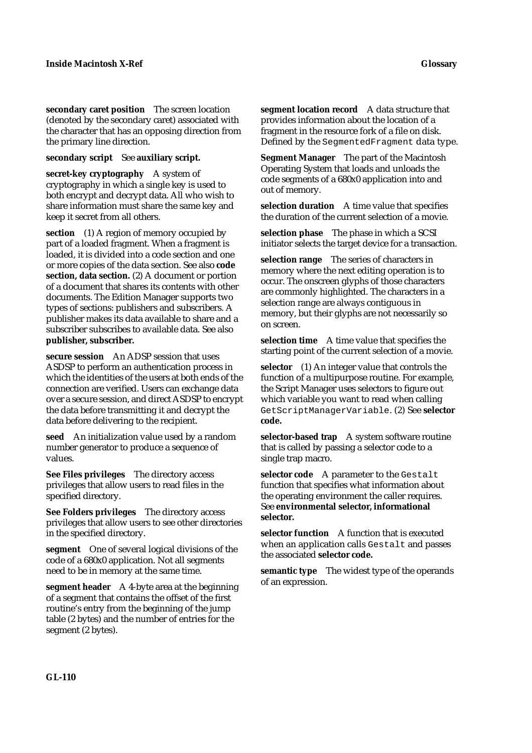**secondary caret position** The screen location (denoted by the secondary caret) associated with the character that has an opposing direction from the primary line direction.

**secondary script** See **auxiliary script.**

**secret-key cryptography** A system of cryptography in which a single key is used to both encrypt and decrypt data. All who wish to share information must share the same key and keep it secret from all others.

**section** (1) A region of memory occupied by part of a loaded fragment. When a fragment is loaded, it is divided into a code section and one or more copies of the data section. See also **code section, data section.** (2) A document or portion of a document that shares its contents with other documents. The Edition Manager supports two types of sections: publishers and subscribers. A publisher makes its data available to share and a subscriber subscribes to available data. See also **publisher, subscriber.**

**secure session** An ADSP session that uses ASDSP to perform an authentication process in which the identities of the users at both ends of the connection are verified. Users can exchange data over a secure session, and direct ASDSP to encrypt the data before transmitting it and decrypt the data before delivering to the recipient.

**seed** An initialization value used by a random number generator to produce a sequence of values.

**See Files privileges** The directory access privileges that allow users to read files in the specified directory.

**See Folders privileges** The directory access privileges that allow users to see other directories in the specified directory.

**segment** One of several logical divisions of the code of a 680x0 application. Not all segments need to be in memory at the same time.

**segment header** A 4-byte area at the beginning of a segment that contains the offset of the first routine's entry from the beginning of the jump table (2 bytes) and the number of entries for the segment (2 bytes).

**segment location record** A data structure that provides information about the location of a fragment in the resource fork of a file on disk.

Defined by the SegmentedFragment data type.

**Segment Manager** The part of the Macintosh Operating System that loads and unloads the code segments of a 680x0 application into and out of memory.

**selection duration** A time value that specifies the duration of the current selection of a movie.

**selection phase** The phase in which a SCSI initiator selects the target device for a transaction.

**selection range** The series of characters in memory where the next editing operation is to occur. The onscreen glyphs of those characters are commonly highlighted. The characters in a selection range are always contiguous in memory, but their glyphs are not necessarily so on screen.

**selection time** A time value that specifies the starting point of the current selection of a movie.

**selector** (1) An integer value that controls the function of a multipurpose routine. For example, the Script Manager uses selectors to figure out which variable you want to read when calling GetScriptManagerVariable. (2) See **selector code.**

selector-based trap A system software routine that is called by passing a selector code to a single trap macro.

**selector code** A parameter to the Gestalt function that specifies what information about the operating environment the caller requires. See **environmental selector, informational selector.**

**selector function** A function that is executed when an application calls Gestalt and passes the associated **selector code.**

**semantic type** The widest type of the operands of an expression.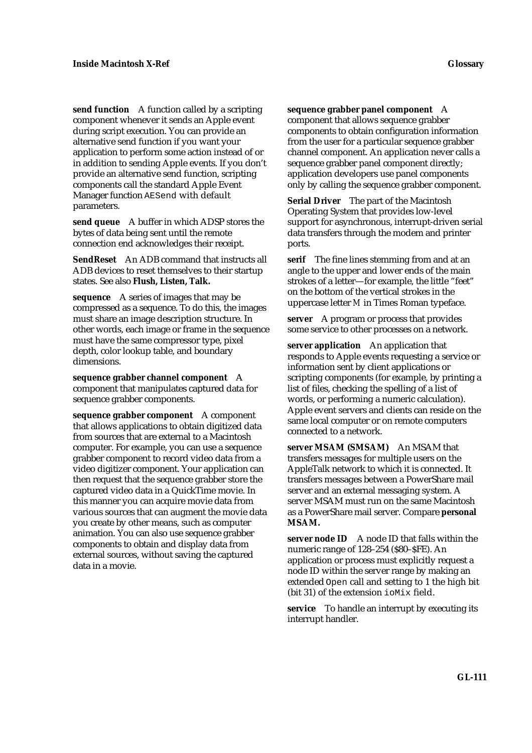**send function** A function called by a scripting component whenever it sends an Apple event during script execution. You can provide an alternative send function if you want your application to perform some action instead of or in addition to sending Apple events. If you don't provide an alternative send function, scripting components call the standard Apple Event Manager function AESend with default parameters.

**send queue** A buffer in which ADSP stores the bytes of data being sent until the remote connection end acknowledges their receipt.

**SendReset** An ADB command that instructs all ADB devices to reset themselves to their startup states. See also **Flush, Listen, Talk.**

**sequence** A series of images that may be compressed as a sequence. To do this, the images must share an image description structure. In other words, each image or frame in the sequence must have the same compressor type, pixel depth, color lookup table, and boundary dimensions.

**sequence grabber channel component** A component that manipulates captured data for sequence grabber components.

**sequence grabber component** A component that allows applications to obtain digitized data from sources that are external to a Macintosh computer. For example, you can use a sequence grabber component to record video data from a video digitizer component. Your application can then request that the sequence grabber store the captured video data in a QuickTime movie. In this manner you can acquire movie data from various sources that can augment the movie data you create by other means, such as computer animation. You can also use sequence grabber components to obtain and display data from external sources, without saving the captured data in a movie.

**sequence grabber panel component** A

component that allows sequence grabber components to obtain configuration information from the user for a particular sequence grabber channel component. An application never calls a sequence grabber panel component directly; application developers use panel components only by calling the sequence grabber component.

**Serial Driver** The part of the Macintosh Operating System that provides low-level support for asynchronous, interrupt-driven serial data transfers through the modem and printer ports.

**serif** The fine lines stemming from and at an angle to the upper and lower ends of the main strokes of a letter—for example, the little "feet" on the bottom of the vertical strokes in the uppercase letter *M* in Times Roman typeface.

**server** A program or process that provides some service to other processes on a network.

**server application** An application that responds to Apple events requesting a service or information sent by client applications or scripting components (for example, by printing a list of files, checking the spelling of a list of words, or performing a numeric calculation). Apple event servers and clients can reside on the same local computer or on remote computers connected to a network.

**server MSAM (SMSAM)** An MSAM that transfers messages for multiple users on the AppleTalk network to which it is connected. It transfers messages between a PowerShare mail server and an external messaging system. A server MSAM must run on the same Macintosh as a PowerShare mail server. Compare **personal MSAM.**

**server node ID** A node ID that falls within the numeric range of 128–254 (\$80–\$FE). An application or process must explicitly request a node ID within the server range by making an extended Open call and setting to 1 the high bit (bit 31) of the extension ioMix field.

**service** To handle an interrupt by executing its interrupt handler.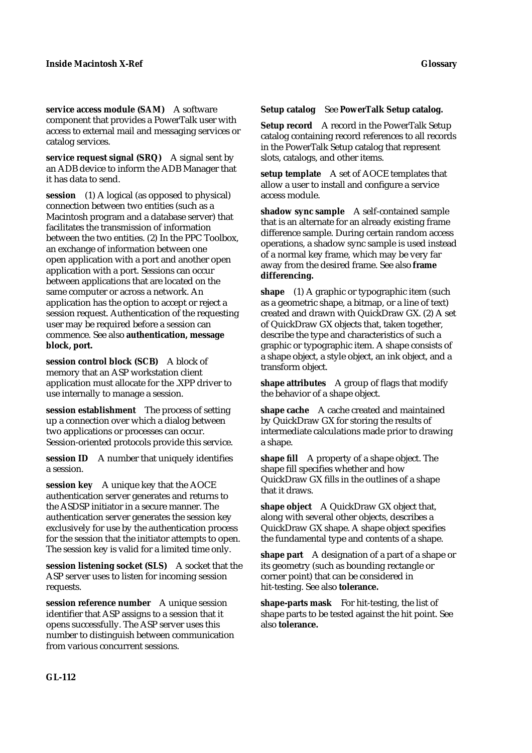**service access module (SAM)** A software component that provides a PowerTalk user with access to external mail and messaging services or catalog services.

**service request signal (SRQ)** A signal sent by an ADB device to inform the ADB Manager that it has data to send.

**session** (1) A logical (as opposed to physical) connection between two entities (such as a Macintosh program and a database server) that facilitates the transmission of information between the two entities. (2) In the PPC Toolbox, an exchange of information between one open application with a port and another open application with a port. Sessions can occur between applications that are located on the same computer or across a network. An application has the option to accept or reject a session request. Authentication of the requesting user may be required before a session can commence. See also **authentication, message block, port.**

**session control block (SCB)** A block of memory that an ASP workstation client application must allocate for the .XPP driver to use internally to manage a session.

**session establishment** The process of setting up a connection over which a dialog between two applications or processes can occur. Session-oriented protocols provide this service.

**session ID** A number that uniquely identifies a session.

**session key** A unique key that the AOCE authentication server generates and returns to the ASDSP initiator in a secure manner. The authentication server generates the session key exclusively for use by the authentication process for the session that the initiator attempts to open. The session key is valid for a limited time only.

**session listening socket (SLS)** A socket that the ASP server uses to listen for incoming session requests.

**session reference number** A unique session identifier that ASP assigns to a session that it opens successfully. The ASP server uses this number to distinguish between communication from various concurrent sessions.

#### **Setup catalog** See **PowerTalk Setup catalog.**

**Setup record** A record in the PowerTalk Setup catalog containing record references to all records in the PowerTalk Setup catalog that represent slots, catalogs, and other items.

**setup template** A set of AOCE templates that allow a user to install and configure a service access module.

**shadow sync sample** A self-contained sample that is an alternate for an already existing frame difference sample. During certain random access operations, a shadow sync sample is used instead of a normal key frame, which may be very far away from the desired frame. See also **frame differencing.**

**shape** (1) A graphic or typographic item (such as a geometric shape, a bitmap, or a line of text) created and drawn with QuickDraw GX. (2) A set of QuickDraw GX objects that, taken together, describe the type and characteristics of such a graphic or typographic item. A shape consists of a shape object, a style object, an ink object, and a transform object.

**shape attributes** A group of flags that modify the behavior of a shape object.

**shape cache** A cache created and maintained by QuickDraw GX for storing the results of intermediate calculations made prior to drawing a shape.

**shape fill** A property of a shape object. The shape fill specifies whether and how QuickDraw GX fills in the outlines of a shape that it draws.

**shape object** A QuickDraw GX object that, along with several other objects, describes a QuickDraw GX shape. A shape object specifies the fundamental type and contents of a shape.

**shape part** A designation of a part of a shape or its geometry (such as bounding rectangle or corner point) that can be considered in hit-testing. See also **tolerance.**

**shape-parts mask** For hit-testing, the list of shape parts to be tested against the hit point. See also **tolerance.**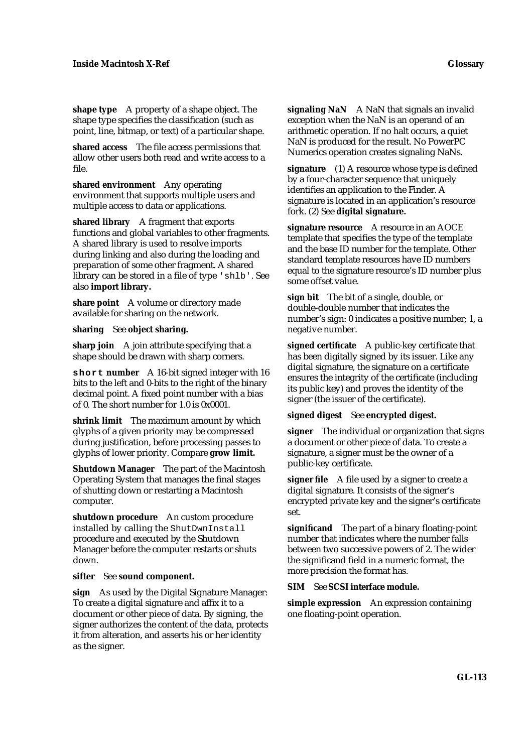**shape type** A property of a shape object. The shape type specifies the classification (such as point, line, bitmap, or text) of a particular shape.

**shared access** The file access permissions that allow other users both read and write access to a file.

**shared environment** Any operating environment that supports multiple users and multiple access to data or applications.

**shared library** A fragment that exports functions and global variables to other fragments. A shared library is used to resolve imports during linking and also during the loading and preparation of some other fragment. A shared library can be stored in a file of type 'shlb'. See also **import library.**

share point A volume or directory made available for sharing on the network.

**sharing** See **object sharing.**

**sharp join** A join attribute specifying that a shape should be drawn with sharp corners.

**short number** A 16-bit signed integer with 16 bits to the left and 0-bits to the right of the binary decimal point. A fixed point number with a bias of 0. The short number for 1.0 is 0x0001.

**shrink limit** The maximum amount by which glyphs of a given priority may be compressed during justification, before processing passes to glyphs of lower priority. Compare **grow limit.**

**Shutdown Manager** The part of the Macintosh Operating System that manages the final stages of shutting down or restarting a Macintosh computer.

**shutdown procedure** An custom procedure installed by calling the ShutDwnInstall procedure and executed by the Shutdown Manager before the computer restarts or shuts down.

## **sifter** See **sound component.**

**sign** As used by the Digital Signature Manager: To create a digital signature and affix it to a document or other piece of data. By signing, the signer authorizes the content of the data, protects it from alteration, and asserts his or her identity as the signer.

**signaling NaN** A NaN that signals an invalid exception when the NaN is an operand of an arithmetic operation. If no halt occurs, a quiet NaN is produced for the result. No PowerPC Numerics operation creates signaling NaNs.

**signature** (1) A resource whose type is defined by a four-character sequence that uniquely identifies an application to the Finder. A signature is located in an application's resource fork. (2) See **digital signature.**

**signature resource** A resource in an AOCE template that specifies the type of the template and the base ID number for the template. Other standard template resources have ID numbers equal to the signature resource's ID number plus some offset value.

**sign bit** The bit of a single, double, or double-double number that indicates the number's sign: 0 indicates a positive number; 1, a negative number.

**signed certificate** A public-key certificate that has been digitally signed by its issuer. Like any digital signature, the signature on a certificate ensures the integrity of the certificate (including its public key) and proves the identity of the signer (the issuer of the certificate).

## **signed digest** See **encrypted digest.**

**signer** The individual or organization that signs a document or other piece of data. To create a signature, a signer must be the owner of a public-key certificate.

**signer file** A file used by a signer to create a digital signature. It consists of the signer's encrypted private key and the signer's certificate set.

**significand** The part of a binary floating-point number that indicates where the number falls between two successive powers of 2. The wider the significand field in a numeric format, the more precision the format has.

## **SIM** See **SCSI interface module.**

**simple expression** An expression containing one floating-point operation.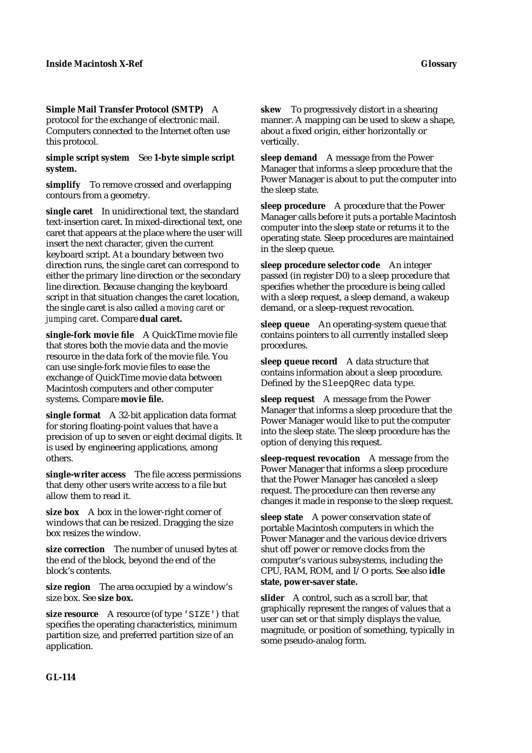# **Simple Mail Transfer Protocol (SMTP)** A

protocol for the exchange of electronic mail. Computers connected to the Internet often use this protocol.

#### **simple script system** See **1-byte simple script system.**

**simplify** To remove crossed and overlapping contours from a geometry.

**single caret** In unidirectional text, the standard text-insertion caret. In mixed-directional text, one caret that appears at the place where the user will insert the next character, given the current keyboard script. At a boundary between two direction runs, the single caret can correspond to either the primary line direction or the secondary line direction. Because changing the keyboard script in that situation changes the caret location, the single caret is also called a *moving caret* or *jumping caret*. Compare **dual caret.**

**single-fork movie file** A QuickTime movie file that stores both the movie data and the movie resource in the data fork of the movie file. You can use single-fork movie files to ease the exchange of QuickTime movie data between Macintosh computers and other computer systems. Compare **movie file.**

**single format** A 32-bit application data format for storing floating-point values that have a precision of up to seven or eight decimal digits. It is used by engineering applications, among others.

**single-writer access** The file access permissions that deny other users write access to a file but allow them to read it.

**size box** A box in the lower-right corner of windows that can be resized. Dragging the size box resizes the window.

**size correction** The number of unused bytes at the end of the block, beyond the end of the block's contents.

**size region** The area occupied by a window's size box. See **size box.**

**size resource** A resource (of type 'SIZE') that specifies the operating characteristics, minimum partition size, and preferred partition size of an application.

**sleep demand** A message from the Power Manager that informs a sleep procedure that the Power Manager is about to put the computer into the sleep state.

**sleep procedure** A procedure that the Power Manager calls before it puts a portable Macintosh computer into the sleep state or returns it to the operating state. Sleep procedures are maintained in the sleep queue.

**sleep procedure selector code** An integer passed (in register D0) to a sleep procedure that specifies whether the procedure is being called with a sleep request, a sleep demand, a wakeup demand, or a sleep-request revocation.

**sleep queue** An operating-system queue that contains pointers to all currently installed sleep procedures.

**sleep queue record** A data structure that contains information about a sleep procedure. Defined by the SleepQRec data type.

**sleep request** A message from the Power Manager that informs a sleep procedure that the Power Manager would like to put the computer into the sleep state. The sleep procedure has the option of denying this request.

**sleep-request revocation** A message from the Power Manager that informs a sleep procedure that the Power Manager has canceled a sleep request. The procedure can then reverse any changes it made in response to the sleep request.

**sleep state** A power conservation state of portable Macintosh computers in which the Power Manager and the various device drivers shut off power or remove clocks from the computer's various subsystems, including the CPU, RAM, ROM, and I/O ports. See also **idle state, power-saver state.**

**slider** A control, such as a scroll bar, that graphically represent the ranges of values that a user can set or that simply displays the value, magnitude, or position of something, typically in some pseudo-analog form.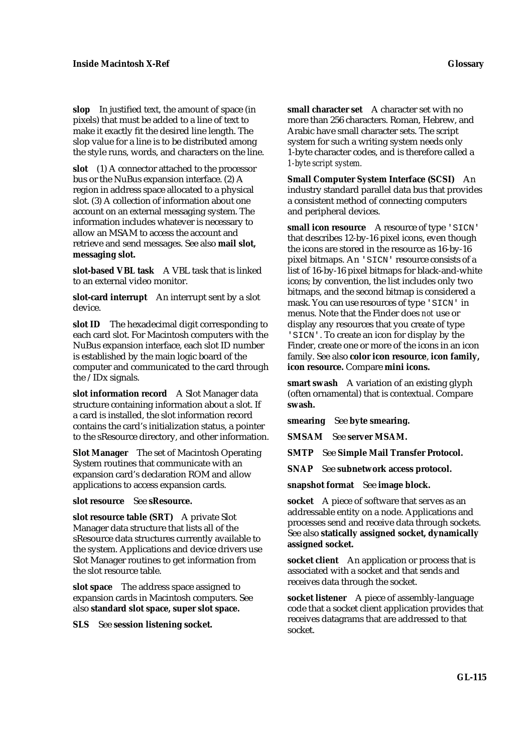**slop** In justified text, the amount of space (in pixels) that must be added to a line of text to make it exactly fit the desired line length. The slop value for a line is to be distributed among the style runs, words, and characters on the line.

**slot** (1) A connector attached to the processor bus or the NuBus expansion interface. (2) A region in address space allocated to a physical slot. (3) A collection of information about one account on an external messaging system. The information includes whatever is necessary to allow an MSAM to access the account and retrieve and send messages. See also **mail slot, messaging slot.**

**slot-based VBL task** A VBL task that is linked to an external video monitor.

**slot-card interrupt** An interrupt sent by a slot device.

**slot ID** The hexadecimal digit corresponding to each card slot. For Macintosh computers with the NuBus expansion interface, each slot ID number is established by the main logic board of the computer and communicated to the card through the /IDx signals.

**slot information record** A Slot Manager data structure containing information about a slot. If a card is installed, the slot information record contains the card's initialization status, a pointer to the sResource directory, and other information.

**Slot Manager** The set of Macintosh Operating System routines that communicate with an expansion card's declaration ROM and allow applications to access expansion cards.

#### **slot resource** See **sResource.**

**slot resource table (SRT)** A private Slot Manager data structure that lists all of the sResource data structures currently available to the system. Applications and device drivers use Slot Manager routines to get information from the slot resource table.

**slot space** The address space assigned to expansion cards in Macintosh computers. See also **standard slot space, super slot space.**

**SLS** See **session listening socket.**

**small character set** A character set with no more than 256 characters. Roman, Hebrew, and Arabic have small character sets. The script system for such a writing system needs only 1-byte character codes, and is therefore called a *1-byte script system.*

**Small Computer System Interface (SCSI)** An industry standard parallel data bus that provides a consistent method of connecting computers and peripheral devices.

**small icon resource** A resource of type 'SICN' that describes 12-by-16 pixel icons, even though the icons are stored in the resource as 16-by-16 pixel bitmaps. An 'SICN' resource consists of a list of 16-by-16 pixel bitmaps for black-and-white icons; by convention, the list includes only two bitmaps, and the second bitmap is considered a mask. You can use resources of type 'SICN' in menus. Note that the Finder does *not* use or display any resources that you create of type 'SICN'. To create an icon for display by the Finder, create one or more of the icons in an icon family. See also **color icon resource**, **icon family, icon resource.** Compare **mini icons.**

**smart swash** A variation of an existing glyph (often ornamental) that is contextual. Compare **swash.**

**smearing** See **byte smearing.**

**SMSAM** See **server MSAM.**

**SMTP** See **Simple Mail Transfer Protocol.**

**SNAP** See **subnetwork access protocol.**

**snapshot format** See **image block.**

**socket** A piece of software that serves as an addressable entity on a node. Applications and processes send and receive data through sockets. See also **statically assigned socket, dynamically assigned socket.**

**socket client** An application or process that is associated with a socket and that sends and receives data through the socket.

**socket listener** A piece of assembly-language code that a socket client application provides that receives datagrams that are addressed to that socket.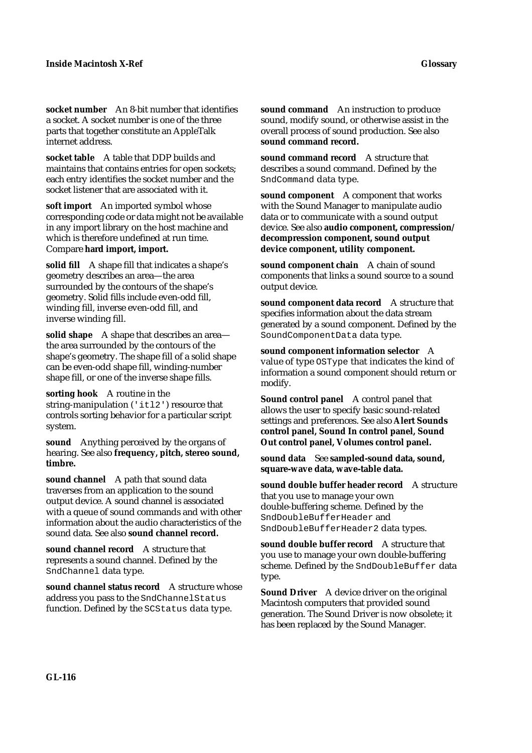**socket number** An 8-bit number that identifies a socket. A socket number is one of the three parts that together constitute an AppleTalk internet address.

**socket table** A table that DDP builds and maintains that contains entries for open sockets; each entry identifies the socket number and the socket listener that are associated with it.

**soft import** An imported symbol whose corresponding code or data might not be available in any import library on the host machine and which is therefore undefined at run time. Compare **hard import, import.**

**solid fill** A shape fill that indicates a shape's geometry describes an area—the area surrounded by the contours of the shape's geometry. Solid fills include even-odd fill, winding fill, inverse even-odd fill, and inverse winding fill.

solid shape A shape that describes an areathe area surrounded by the contours of the shape's geometry. The shape fill of a solid shape can be even-odd shape fill, winding-number shape fill, or one of the inverse shape fills.

**sorting hook** A routine in the string-manipulation ('itl2') resource that controls sorting behavior for a particular script system.

**sound** Anything perceived by the organs of hearing. See also **frequency, pitch, stereo sound, timbre.**

**sound channel** A path that sound data traverses from an application to the sound output device. A sound channel is associated with a queue of sound commands and with other information about the audio characteristics of the sound data. See also **sound channel record.**

**sound channel record** A structure that represents a sound channel. Defined by the SndChannel data type.

**sound channel status record** A structure whose address you pass to the SndChannelStatus function. Defined by the SCStatus data type.

**sound command** An instruction to produce sound, modify sound, or otherwise assist in the overall process of sound production. See also **sound command record.**

**sound command record** A structure that describes a sound command. Defined by the SndCommand data type.

**sound component** A component that works with the Sound Manager to manipulate audio data or to communicate with a sound output device. See also **audio component, compression/ decompression component, sound output device component, utility component.**

sound component chain A chain of sound components that links a sound source to a sound output device.

sound component data record A structure that specifies information about the data stream generated by a sound component. Defined by the SoundComponentData data type.

**sound component information selector** A value of type OSType that indicates the kind of information a sound component should return or modify.

**Sound control panel** A control panel that allows the user to specify basic sound-related settings and preferences. See also **Alert Sounds control panel, Sound In control panel, Sound Out control panel, Volumes control panel.**

**sound data** See **sampled-sound data, sound, square-wave data, wave-table data.**

**sound double buffer header record** A structure that you use to manage your own double-buffering scheme. Defined by the SndDoubleBufferHeader and SndDoubleBufferHeader2 data types.

**sound double buffer record** A structure that you use to manage your own double-buffering scheme. Defined by the SndDoubleBuffer data type.

**Sound Driver** A device driver on the original Macintosh computers that provided sound generation. The Sound Driver is now obsolete; it has been replaced by the Sound Manager.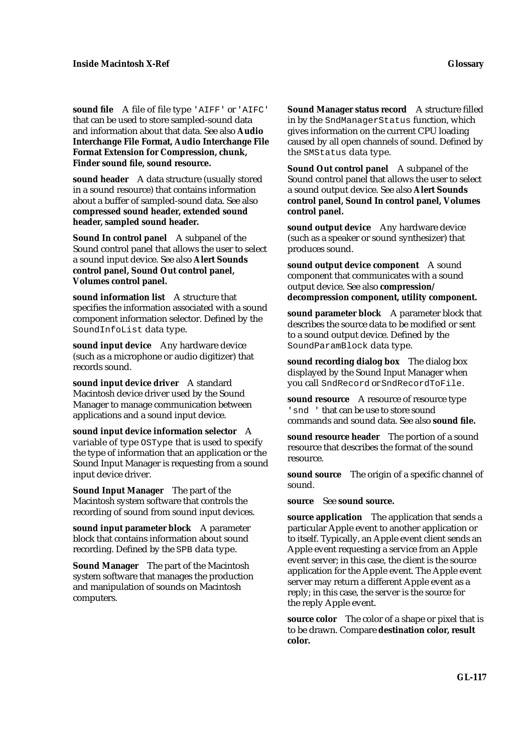**sound file** A file of file type 'AIFF' or 'AIFC' that can be used to store sampled-sound data and information about that data. See also **Audio Interchange File Format, Audio Interchange File Format Extension for Compression, chunk, Finder sound file, sound resource.**

**sound header** A data structure (usually stored in a sound resource) that contains information about a buffer of sampled-sound data. See also **compressed sound header, extended sound header, sampled sound header.**

**Sound In control panel** A subpanel of the Sound control panel that allows the user to select a sound input device. See also **Alert Sounds control panel, Sound Out control panel, Volumes control panel.**

**sound information list** A structure that specifies the information associated with a sound component information selector. Defined by the SoundInfoList data type.

**sound input device** Any hardware device (such as a microphone or audio digitizer) that records sound.

**sound input device driver** A standard Macintosh device driver used by the Sound Manager to manage communication between applications and a sound input device.

**sound input device information selector** A variable of type OSType that is used to specify the type of information that an application or the Sound Input Manager is requesting from a sound input device driver.

**Sound Input Manager** The part of the Macintosh system software that controls the recording of sound from sound input devices.

**sound input parameter block** A parameter block that contains information about sound recording. Defined by the SPB data type.

**Sound Manager** The part of the Macintosh system software that manages the production and manipulation of sounds on Macintosh computers.

**Sound Manager status record** A structure filled in by the SndManagerStatus function, which gives information on the current CPU loading caused by all open channels of sound. Defined by the SMStatus data type.

**Sound Out control panel** A subpanel of the Sound control panel that allows the user to select a sound output device. See also **Alert Sounds control panel, Sound In control panel, Volumes control panel.**

**sound output device** Any hardware device (such as a speaker or sound synthesizer) that produces sound.

**sound output device component** A sound component that communicates with a sound output device. See also **compression/ decompression component, utility component.**

**sound parameter block** A parameter block that describes the source data to be modified or sent to a sound output device. Defined by the SoundParamBlock data type.

**sound recording dialog box** The dialog box displayed by the Sound Input Manager when you call SndRecord or SndRecordToFile.

**sound resource** A resource of resource type 'snd ' that can be use to store sound commands and sound data. See also **sound file.**

**sound resource header** The portion of a sound resource that describes the format of the sound resource.

**sound source** The origin of a specific channel of sound.

**source** See **sound source.**

**source application** The application that sends a particular Apple event to another application or to itself. Typically, an Apple event client sends an Apple event requesting a service from an Apple event server; in this case, the client is the source application for the Apple event. The Apple event server may return a different Apple event as a reply; in this case, the server is the source for the reply Apple event.

**source color** The color of a shape or pixel that is to be drawn. Compare **destination color, result color.**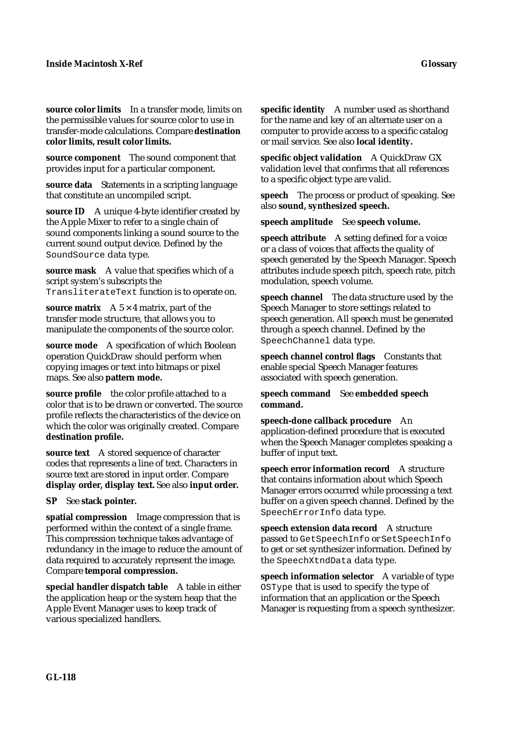**source color limits** In a transfer mode, limits on the permissible values for source color to use in transfer-mode calculations. Compare **destination color limits, result color limits.**

**source component** The sound component that provides input for a particular component.

**source data** Statements in a scripting language that constitute an uncompiled script.

**source ID** A unique 4-byte identifier created by the Apple Mixer to refer to a single chain of sound components linking a sound source to the current sound output device. Defined by the SoundSource data type.

**source mask** A value that specifies which of a script system's subscripts the TransliterateText function is to operate on.

**source matrix**  $A \times 4$  matrix, part of the transfer mode structure, that allows you to manipulate the components of the source color.

**source mode** A specification of which Boolean operation QuickDraw should perform when copying images or text into bitmaps or pixel maps. See also **pattern mode.**

**source profile** the color profile attached to a color that is to be drawn or converted. The source profile reflects the characteristics of the device on which the color was originally created. Compare **destination profile.**

**source text** A stored sequence of character codes that represents a line of text. Characters in source text are stored in input order. Compare **display order, display text.** See also **input order.**

**SP** See **stack pointer.**

**spatial compression** Image compression that is performed within the context of a single frame. This compression technique takes advantage of redundancy in the image to reduce the amount of data required to accurately represent the image. Compare **temporal compression.**

**special handler dispatch table** A table in either the application heap or the system heap that the Apple Event Manager uses to keep track of various specialized handlers.

**specific identity** A number used as shorthand for the name and key of an alternate user on a computer to provide access to a specific catalog or mail service. See also **local identity.**

**specific object validation** A QuickDraw GX validation level that confirms that all references to a specific object type are valid.

**speech** The process or product of speaking. See also **sound, synthesized speech.**

**speech amplitude** See **speech volume.**

**speech attribute** A setting defined for a voice or a class of voices that affects the quality of speech generated by the Speech Manager. Speech attributes include speech pitch, speech rate, pitch modulation, speech volume.

**speech channel** The data structure used by the Speech Manager to store settings related to speech generation. All speech must be generated through a speech channel. Defined by the SpeechChannel data type.

**speech channel control flags** Constants that enable special Speech Manager features associated with speech generation.

## **speech command** See **embedded speech command.**

**speech-done callback procedure** An application-defined procedure that is executed when the Speech Manager completes speaking a buffer of input text.

**speech error information record** A structure that contains information about which Speech Manager errors occurred while processing a text buffer on a given speech channel. Defined by the SpeechErrorInfo data type.

**speech extension data record** A structure passed to GetSpeechInfo or SetSpeechInfo to get or set synthesizer information. Defined by the SpeechXtndData data type.

**speech information selector** A variable of type OSType that is used to specify the type of information that an application or the Speech Manager is requesting from a speech synthesizer.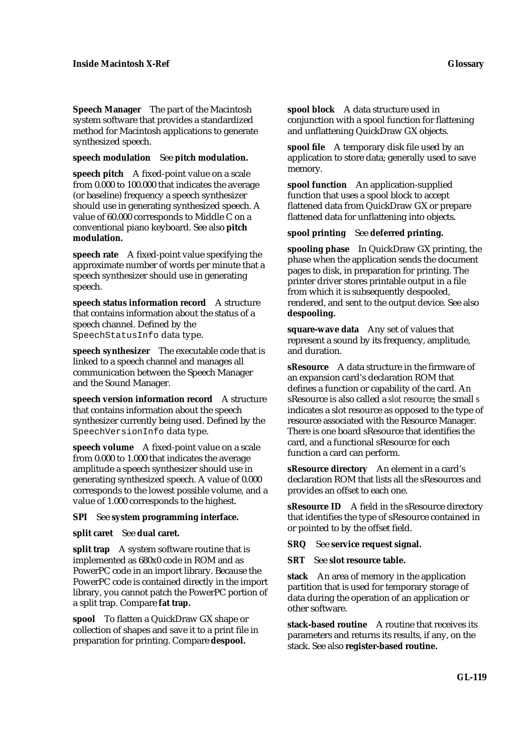**Speech Manager** The part of the Macintosh system software that provides a standardized method for Macintosh applications to generate synthesized speech.

#### **speech modulation** See **pitch modulation.**

**speech pitch** A fixed-point value on a scale from 0.000 to 100.000 that indicates the average (or baseline) frequency a speech synthesizer should use in generating synthesized speech. A value of 60.000 corresponds to Middle C on a conventional piano keyboard. See also **pitch modulation.**

**speech rate** A fixed-point value specifying the approximate number of words per minute that a speech synthesizer should use in generating speech.

**speech status information record** A structure that contains information about the status of a speech channel. Defined by the SpeechStatusInfo data type.

**speech synthesizer** The executable code that is linked to a speech channel and manages all communication between the Speech Manager and the Sound Manager.

**speech version information record** A structure that contains information about the speech synthesizer currently being used. Defined by the SpeechVersionInfo data type.

**speech volume** A fixed-point value on a scale from 0.000 to 1.000 that indicates the average amplitude a speech synthesizer should use in generating synthesized speech. A value of 0.000 corresponds to the lowest possible volume, and a value of 1.000 corresponds to the highest.

## **SPI** See **system programming interface.**

## **split caret** See **dual caret.**

**split trap** A system software routine that is implemented as 680x0 code in ROM and as PowerPC code in an import library. Because the PowerPC code is contained directly in the import library, you cannot patch the PowerPC portion of a split trap. Compare **fat trap.**

**spool** To flatten a QuickDraw GX shape or collection of shapes and save it to a print file in preparation for printing. Compare **despool.**

**spool block** A data structure used in conjunction with a spool function for flattening and unflattening QuickDraw GX objects.

**spool file** A temporary disk file used by an application to store data; generally used to save memory.

**spool function** An application-supplied function that uses a spool block to accept flattened data from QuickDraw GX or prepare flattened data for unflattening into objects.

## **spool printing** See **deferred printing.**

**spooling phase** In QuickDraw GX printing, the phase when the application sends the document pages to disk, in preparation for printing. The printer driver stores printable output in a file from which it is subsequently despooled, rendered, and sent to the output device. See also **despooling.**

**square-wave data** Any set of values that represent a sound by its frequency, amplitude, and duration.

**sResource** A data structure in the firmware of an expansion card's declaration ROM that defines a function or capability of the card. An sResource is also called a *slot resource*; the small *s*  indicates a slot resource as opposed to the type of resource associated with the Resource Manager. There is one board sResource that identifies the card, and a functional sResource for each function a card can perform.

**sResource directory** An element in a card's declaration ROM that lists all the sResources and provides an offset to each one.

**sResource ID** A field in the sResource directory that identifies the type of sResource contained in or pointed to by the offset field.

**SRQ** See **service request signal.**

**SRT** See **slot resource table.**

**stack** An area of memory in the application partition that is used for temporary storage of data during the operation of an application or other software.

**stack-based routine** A routine that receives its parameters and returns its results, if any, on the stack. See also **register-based routine.**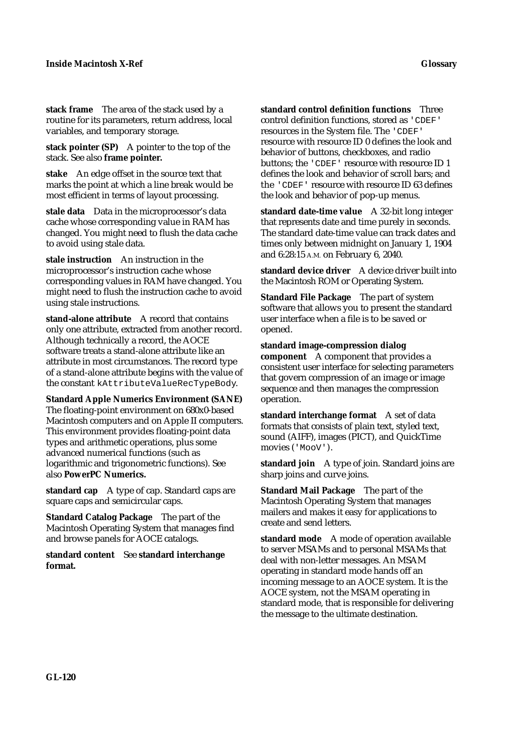**stack frame** The area of the stack used by a routine for its parameters, return address, local variables, and temporary storage.

**stack pointer (SP)** A pointer to the top of the stack. See also **frame pointer.**

**stake** An edge offset in the source text that marks the point at which a line break would be most efficient in terms of layout processing.

**stale data** Data in the microprocessor's data cache whose corresponding value in RAM has changed. You might need to flush the data cache to avoid using stale data.

**stale instruction** An instruction in the microprocessor's instruction cache whose corresponding values in RAM have changed. You might need to flush the instruction cache to avoid using stale instructions.

**stand-alone attribute** A record that contains only one attribute, extracted from another record. Although technically a record, the AOCE software treats a stand-alone attribute like an attribute in most circumstances. The record type of a stand-alone attribute begins with the value of the constant kAttributeValueRecTypeBody.

**Standard Apple Numerics Environment (SANE)**  The floating-point environment on 680x0-based Macintosh computers and on Apple II computers. This environment provides floating-point data types and arithmetic operations, plus some advanced numerical functions (such as logarithmic and trigonometric functions). See also **PowerPC Numerics.**

standard cap A type of cap. Standard caps are square caps and semicircular caps.

**Standard Catalog Package** The part of the Macintosh Operating System that manages find and browse panels for AOCE catalogs.

**standard content** See **standard interchange format.**

**standard control definition functions** Three control definition functions, stored as 'CDEF' resources in the System file. The 'CDEF' resource with resource ID 0 defines the look and behavior of buttons, checkboxes, and radio buttons; the 'CDEF' resource with resource ID 1 defines the look and behavior of scroll bars; and the 'CDEF' resource with resource ID 63 defines the look and behavior of pop-up menus.

**standard date-time value** A 32-bit long integer that represents date and time purely in seconds. The standard date-time value can track dates and times only between midnight on January 1, 1904 and 6:28:15 A.M. on February 6, 2040.

**standard device driver** A device driver built into the Macintosh ROM or Operating System.

**Standard File Package** The part of system software that allows you to present the standard user interface when a file is to be saved or opened.

**standard image-compression dialog component** A component that provides a consistent user interface for selecting parameters that govern compression of an image or image sequence and then manages the compression operation.

**standard interchange format** A set of data formats that consists of plain text, styled text, sound (AIFF), images (PICT), and QuickTime movies ('MooV').

**standard join** A type of join. Standard joins are sharp joins and curve joins.

**Standard Mail Package** The part of the Macintosh Operating System that manages mailers and makes it easy for applications to create and send letters.

**standard mode** A mode of operation available to server MSAMs and to personal MSAMs that deal with non-letter messages. An MSAM operating in standard mode hands off an incoming message to an AOCE system. It is the AOCE system, not the MSAM operating in standard mode, that is responsible for delivering the message to the ultimate destination.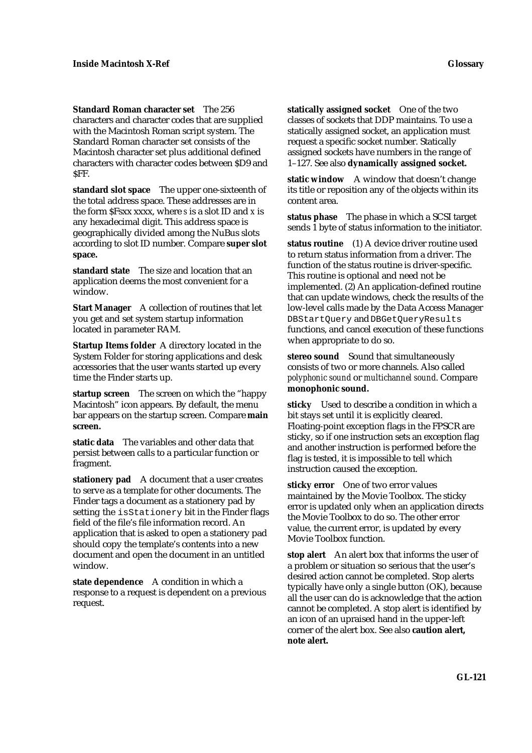**Standard Roman character set** The 256 characters and character codes that are supplied with the Macintosh Roman script system. The Standard Roman character set consists of the Macintosh character set plus additional defined characters with character codes between \$D9 and SFF.

**standard slot space** The upper one-sixteenth of the total address space. These addresses are in the form \$Fsxx xxxx, where *s* is a slot ID and *x* is any hexadecimal digit. This address space is geographically divided among the NuBus slots according to slot ID number. Compare **super slot space.**

**standard state** The size and location that an application deems the most convenient for a window.

**Start Manager** A collection of routines that let you get and set system startup information located in parameter RAM.

**Startup Items folder** A directory located in the System Folder for storing applications and desk accessories that the user wants started up every time the Finder starts up.

**startup screen** The screen on which the "happy Macintosh" icon appears. By default, the menu bar appears on the startup screen. Compare **main screen.**

**static data** The variables and other data that persist between calls to a particular function or fragment.

**stationery pad** A document that a user creates to serve as a template for other documents. The Finder tags a document as a stationery pad by setting the isStationery bit in the Finder flags field of the file's file information record. An application that is asked to open a stationery pad should copy the template's contents into a new document and open the document in an untitled window.

**state dependence** A condition in which a response to a request is dependent on a previous request.

**statically assigned socket** One of the two classes of sockets that DDP maintains. To use a statically assigned socket, an application must request a specific socket number. Statically assigned sockets have numbers in the range of 1–127. See also **dynamically assigned socket.**

**static window** A window that doesn't change its title or reposition any of the objects within its content area.

**status phase** The phase in which a SCSI target sends 1 byte of status information to the initiator.

**status routine** (1) A device driver routine used to return status information from a driver. The function of the status routine is driver-specific. This routine is optional and need not be implemented. (2) An application-defined routine that can update windows, check the results of the low-level calls made by the Data Access Manager DBStartQuery and DBGetQueryResults functions, and cancel execution of these functions when appropriate to do so.

**stereo sound** Sound that simultaneously consists of two or more channels. Also called *polyphonic sound* or *multichannel sound*. Compare **monophonic sound.**

**sticky** Used to describe a condition in which a bit stays set until it is explicitly cleared. Floating-point exception flags in the FPSCR are sticky, so if one instruction sets an exception flag and another instruction is performed before the flag is tested, it is impossible to tell which instruction caused the exception.

**sticky error** One of two error values maintained by the Movie Toolbox. The sticky error is updated only when an application directs the Movie Toolbox to do so. The other error value, the current error, is updated by every Movie Toolbox function.

**stop alert** An alert box that informs the user of a problem or situation so serious that the user's desired action cannot be completed. Stop alerts typically have only a single button (OK), because all the user can do is acknowledge that the action cannot be completed. A stop alert is identified by an icon of an upraised hand in the upper-left corner of the alert box. See also **caution alert, note alert.**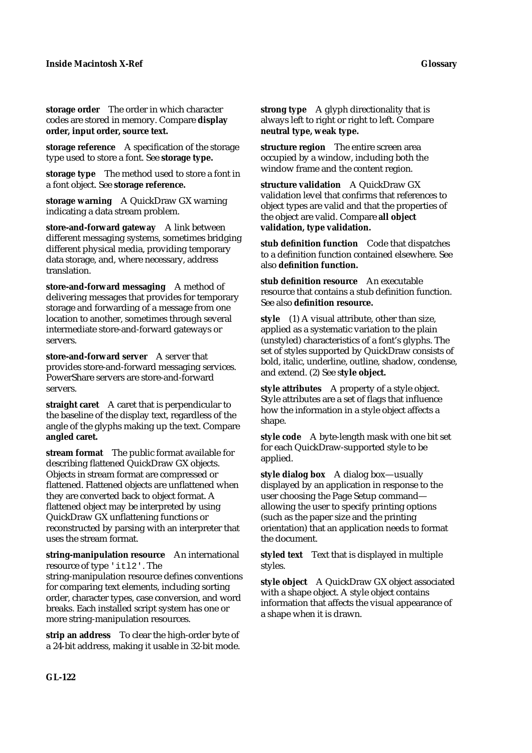**storage order** The order in which character codes are stored in memory. Compare **display order, input order, source text.**

**storage reference** A specification of the storage type used to store a font. See **storage type.**

**storage type** The method used to store a font in a font object. See **storage reference.**

**storage warning** A QuickDraw GX warning indicating a data stream problem.

**store-and-forward gateway** A link between different messaging systems, sometimes bridging different physical media, providing temporary data storage, and, where necessary, address translation.

**store-and-forward messaging** A method of delivering messages that provides for temporary storage and forwarding of a message from one location to another, sometimes through several intermediate store-and-forward gateways or servers.

**store-and-forward server** A server that provides store-and-forward messaging services. PowerShare servers are store-and-forward servers.

**straight caret** A caret that is perpendicular to the baseline of the display text, regardless of the angle of the glyphs making up the text. Compare **angled caret.**

**stream format** The public format available for describing flattened QuickDraw GX objects. Objects in stream format are compressed or flattened. Flattened objects are unflattened when they are converted back to object format. A flattened object may be interpreted by using QuickDraw GX unflattening functions or reconstructed by parsing with an interpreter that uses the stream format.

**string-manipulation resource** An international resource of type 'itl2'. The string-manipulation resource defines conventions for comparing text elements, including sorting order, character types, case conversion, and word breaks. Each installed script system has one or more string-manipulation resources.

**strip an address** To clear the high-order byte of a 24-bit address, making it usable in 32-bit mode. **strong type** A glyph directionality that is always left to right or right to left. Compare **neutral type, weak type.**

**structure region** The entire screen area occupied by a window, including both the window frame and the content region.

**structure validation** A QuickDraw GX validation level that confirms that references to object types are valid and that the properties of the object are valid. Compare **all object validation, type validation.**

**stub definition function** Code that dispatches to a definition function contained elsewhere. See also **definition function.**

**stub definition resource** An executable resource that contains a stub definition function. See also **definition resource.**

**style** (1) A visual attribute, other than size, applied as a systematic variation to the plain (unstyled) characteristics of a font's glyphs. The set of styles supported by QuickDraw consists of bold, italic, underline, outline, shadow, condense, and extend. (2) See s**tyle object.**

**style attributes** A property of a style object. Style attributes are a set of flags that influence how the information in a style object affects a shape.

**style code** A byte-length mask with one bit set for each QuickDraw-supported style to be applied.

**style dialog box** A dialog box—usually displayed by an application in response to the user choosing the Page Setup command allowing the user to specify printing options (such as the paper size and the printing orientation) that an application needs to format the document.

**styled text** Text that is displayed in multiple styles.

**style object** A QuickDraw GX object associated with a shape object. A style object contains information that affects the visual appearance of a shape when it is drawn.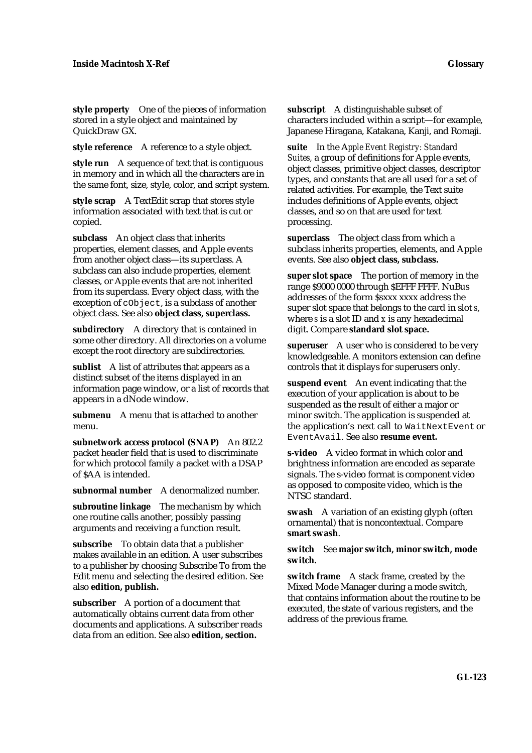**style property** One of the pieces of information stored in a style object and maintained by QuickDraw GX.

**style reference** A reference to a style object.

**style run** A sequence of text that is contiguous in memory and in which all the characters are in the same font, size, style, color, and script system.

**style scrap** A TextEdit scrap that stores style information associated with text that is cut or copied.

**subclass** An object class that inherits properties, element classes, and Apple events from another object class—its superclass. A subclass can also include properties, element classes, or Apple events that are not inherited from its superclass. Every object class, with the exception of cObject, is a subclass of another object class. See also **object class, superclass.**

**subdirectory** A directory that is contained in some other directory. All directories on a volume except the root directory are subdirectories.

**sublist** A list of attributes that appears as a distinct subset of the items displayed in an information page window, or a list of records that appears in a dNode window.

**submenu** A menu that is attached to another menu.

**subnetwork access protocol (SNAP)** An 802.2 packet header field that is used to discriminate for which protocol family a packet with a DSAP of \$AA is intended.

**subnormal number** A denormalized number.

**subroutine linkage** The mechanism by which one routine calls another, possibly passing arguments and receiving a function result.

**subscribe** To obtain data that a publisher makes available in an edition. A user subscribes to a publisher by choosing Subscribe To from the Edit menu and selecting the desired edition. See also **edition, publish.**

**subscriber** A portion of a document that automatically obtains current data from other documents and applications. A subscriber reads data from an edition. See also **edition, section.**

**subscript** A distinguishable subset of characters included within a script—for example, Japanese Hiragana, Katakana, Kanji, and Romaji.

**suite** In the A*pple Event Registry: Standard Suites,* a group of definitions for Apple events, object classes, primitive object classes, descriptor types, and constants that are all used for a set of related activities. For example, the Text suite includes definitions of Apple events, object classes, and so on that are used for text processing.

**superclass** The object class from which a subclass inherits properties, elements, and Apple events. See also **object class, subclass.**

**super slot space** The portion of memory in the range \$9000 0000 through \$EFFF FFFF. NuBus addresses of the form \$sxxx xxxx address the super slot space that belongs to the card in slot *s*, where *s* is a slot ID and *x* is any hexadecimal digit. Compare **standard slot space.**

**superuser** A user who is considered to be very knowledgeable. A monitors extension can define controls that it displays for superusers only.

**suspend event** An event indicating that the execution of your application is about to be suspended as the result of either a major or minor switch. The application is suspended at the application's next call to WaitNextEvent or EventAvail. See also **resume event.**

**s-video** A video format in which color and brightness information are encoded as separate signals. The s-video format is component video as opposed to composite video, which is the NTSC standard.

**swash** A variation of an existing glyph (often ornamental) that is noncontextual. Compare **smart swash**.

**switch** See **major switch, minor switch, mode switch.**

**switch frame** A stack frame, created by the Mixed Mode Manager during a mode switch, that contains information about the routine to be executed, the state of various registers, and the address of the previous frame.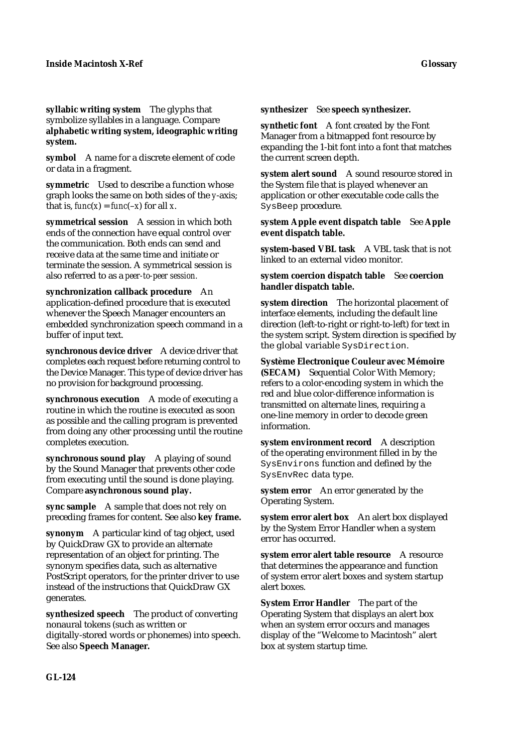**syllabic writing system** The glyphs that symbolize syllables in a language. Compare **alphabetic writing system, ideographic writing system.**

**symbol** A name for a discrete element of code or data in a fragment.

**symmetric** Used to describe a function whose graph looks the same on both sides of the *y*-axis; that is,  $func(x) = func(-x)$  for all *x*.

**symmetrical session** A session in which both ends of the connection have equal control over the communication. Both ends can send and receive data at the same time and initiate or terminate the session. A symmetrical session is also referred to as a *peer-to-peer session.*

**synchronization callback procedure** An application-defined procedure that is executed whenever the Speech Manager encounters an embedded synchronization speech command in a buffer of input text.

**synchronous device driver** A device driver that completes each request before returning control to the Device Manager. This type of device driver has no provision for background processing.

**synchronous execution** A mode of executing a routine in which the routine is executed as soon as possible and the calling program is prevented from doing any other processing until the routine completes execution.

**synchronous sound play** A playing of sound by the Sound Manager that prevents other code from executing until the sound is done playing. Compare **asynchronous sound play.**

**sync sample** A sample that does not rely on preceding frames for content. See also **key frame.**

**synonym** A particular kind of tag object, used by QuickDraw GX to provide an alternate representation of an object for printing. The synonym specifies data, such as alternative PostScript operators, for the printer driver to use instead of the instructions that QuickDraw GX generates.

**synthesized speech** The product of converting nonaural tokens (such as written or digitally-stored words or phonemes) into speech. See also **Speech Manager.**

**synthesizer** See **speech synthesizer.**

**synthetic font** A font created by the Font Manager from a bitmapped font resource by expanding the 1-bit font into a font that matches the current screen depth.

**system alert sound** A sound resource stored in the System file that is played whenever an application or other executable code calls the SysBeep procedure.

**system Apple event dispatch table** See **Apple event dispatch table.**

**system-based VBL task** A VBL task that is not linked to an external video monitor.

**system coercion dispatch table** See **coercion handler dispatch table.**

**system direction** The horizontal placement of interface elements, including the default line direction (left-to-right or right-to-left) for text in the system script. System direction is specified by the global variable SysDirection.

**Système Electronique Couleur avec Mémoire (SECAM)** Sequential Color With Memory; refers to a color-encoding system in which the red and blue color-difference information is transmitted on alternate lines, requiring a one-line memory in order to decode green information.

**system environment record** A description of the operating environment filled in by the SysEnvirons function and defined by the SysEnvRec data type.

**system error** An error generated by the Operating System.

**system error alert box** An alert box displayed by the System Error Handler when a system error has occurred.

**system error alert table resource** A resource that determines the appearance and function of system error alert boxes and system startup alert boxes.

**System Error Handler** The part of the Operating System that displays an alert box when an system error occurs and manages display of the "Welcome to Macintosh" alert box at system startup time.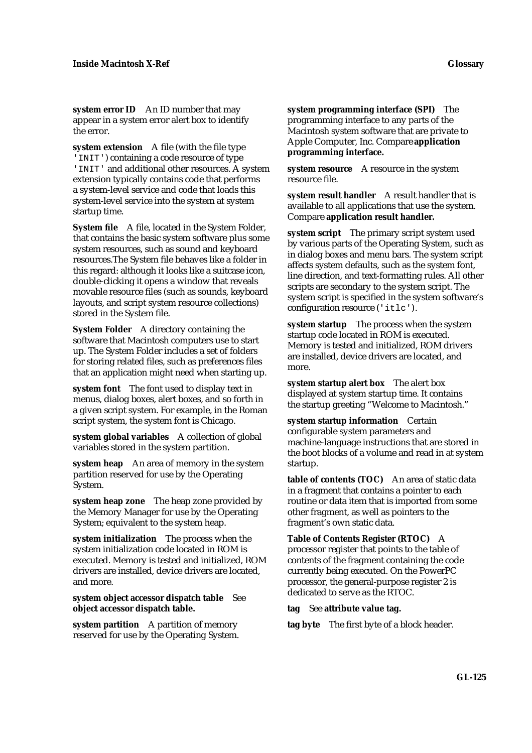**system error ID** An ID number that may appear in a system error alert box to identify the error.

**system extension** A file (with the file type 'INIT') containing a code resource of type 'INIT' and additional other resources. A system extension typically contains code that performs a system-level service and code that loads this system-level service into the system at system startup time.

**System file** A file, located in the System Folder, that contains the basic system software plus some system resources, such as sound and keyboard resources.The System file behaves like a folder in this regard: although it looks like a suitcase icon, double-clicking it opens a window that reveals movable resource files (such as sounds, keyboard layouts, and script system resource collections) stored in the System file.

**System Folder** A directory containing the software that Macintosh computers use to start up. The System Folder includes a set of folders for storing related files, such as preferences files that an application might need when starting up.

**system font** The font used to display text in menus, dialog boxes, alert boxes, and so forth in a given script system. For example, in the Roman script system, the system font is Chicago.

**system global variables** A collection of global variables stored in the system partition.

**system heap** An area of memory in the system partition reserved for use by the Operating System.

**system heap zone** The heap zone provided by the Memory Manager for use by the Operating System; equivalent to the system heap.

**system initialization** The process when the system initialization code located in ROM is executed. Memory is tested and initialized, ROM drivers are installed, device drivers are located, and more.

**system object accessor dispatch table** See **object accessor dispatch table.**

**system partition** A partition of memory reserved for use by the Operating System. **system programming interface (SPI)** The programming interface to any parts of the Macintosh system software that are private to Apple Computer, Inc. Compare **application programming interface.**

**system resource** A resource in the system resource file.

**system result handler** A result handler that is available to all applications that use the system. Compare **application result handler.**

**system script** The primary script system used by various parts of the Operating System, such as in dialog boxes and menu bars. The system script affects system defaults, such as the system font, line direction, and text-formatting rules. All other scripts are secondary to the system script. The system script is specified in the system software's configuration resource ('itlc').

**system startup** The process when the system startup code located in ROM is executed. Memory is tested and initialized, ROM drivers are installed, device drivers are located, and more.

**system startup alert box** The alert box displayed at system startup time. It contains the startup greeting "Welcome to Macintosh."

**system startup information** Certain configurable system parameters and machine-language instructions that are stored in the boot blocks of a volume and read in at system startup.

**table of contents (TOC)** An area of static data in a fragment that contains a pointer to each routine or data item that is imported from some other fragment, as well as pointers to the fragment's own static data.

**Table of Contents Register (RTOC)** A processor register that points to the table of contents of the fragment containing the code currently being executed. On the PowerPC processor, the general-purpose register 2 is dedicated to serve as the RTOC.

**tag** See **attribute value tag.**

**tag byte** The first byte of a block header.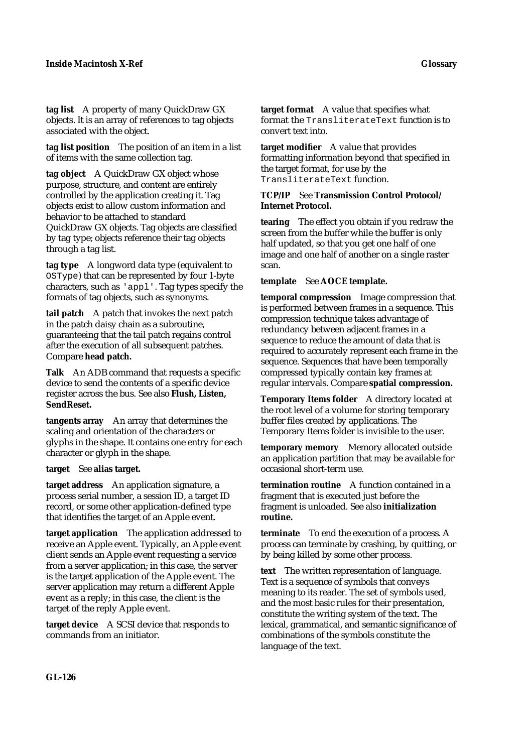**tag list** A property of many QuickDraw GX objects. It is an array of references to tag objects associated with the object.

**tag list position** The position of an item in a list of items with the same collection tag.

**tag object** A QuickDraw GX object whose purpose, structure, and content are entirely controlled by the application creating it. Tag objects exist to allow custom information and behavior to be attached to standard QuickDraw GX objects. Tag objects are classified by tag type; objects reference their tag objects through a tag list.

**tag type** A longword data type (equivalent to OSType) that can be represented by four 1-byte characters, such as 'appl'. Tag types specify the formats of tag objects, such as synonyms.

**tail patch** A patch that invokes the next patch in the patch daisy chain as a subroutine, guaranteeing that the tail patch regains control after the execution of all subsequent patches. Compare **head patch.**

**Talk** An ADB command that requests a specific device to send the contents of a specific device register across the bus. See also **Flush, Listen, SendReset.**

**tangents array** An array that determines the scaling and orientation of the characters or glyphs in the shape. It contains one entry for each character or glyph in the shape.

**target** See **alias target.**

**target address** An application signature, a process serial number, a session ID, a target ID record, or some other application-defined type that identifies the target of an Apple event.

**target application** The application addressed to receive an Apple event. Typically, an Apple event client sends an Apple event requesting a service from a server application; in this case, the server is the target application of the Apple event. The server application may return a different Apple event as a reply; in this case, the client is the target of the reply Apple event.

**target device** A SCSI device that responds to commands from an initiator.

**target format** A value that specifies what format the TransliterateText function is to convert text into.

**target modifier** A value that provides formatting information beyond that specified in the target format, for use by the TransliterateText function.

## **TCP/IP** See **Transmission Control Protocol/ Internet Protocol.**

**tearing** The effect you obtain if you redraw the screen from the buffer while the buffer is only half updated, so that you get one half of one image and one half of another on a single raster scan.

# **template** See **AOCE template.**

**temporal compression** Image compression that is performed between frames in a sequence. This compression technique takes advantage of redundancy between adjacent frames in a sequence to reduce the amount of data that is required to accurately represent each frame in the sequence. Sequences that have been temporally compressed typically contain key frames at regular intervals. Compare **spatial compression.**

**Temporary Items folder** A directory located at the root level of a volume for storing temporary buffer files created by applications. The Temporary Items folder is invisible to the user.

**temporary memory** Memory allocated outside an application partition that may be available for occasional short-term use.

**termination routine** A function contained in a fragment that is executed just before the fragment is unloaded. See also **initialization routine.**

**terminate** To end the execution of a process. A process can terminate by crashing, by quitting, or by being killed by some other process.

**text** The written representation of language. Text is a sequence of symbols that conveys meaning to its reader. The set of symbols used, and the most basic rules for their presentation, constitute the writing system of the text. The lexical, grammatical, and semantic significance of combinations of the symbols constitute the language of the text.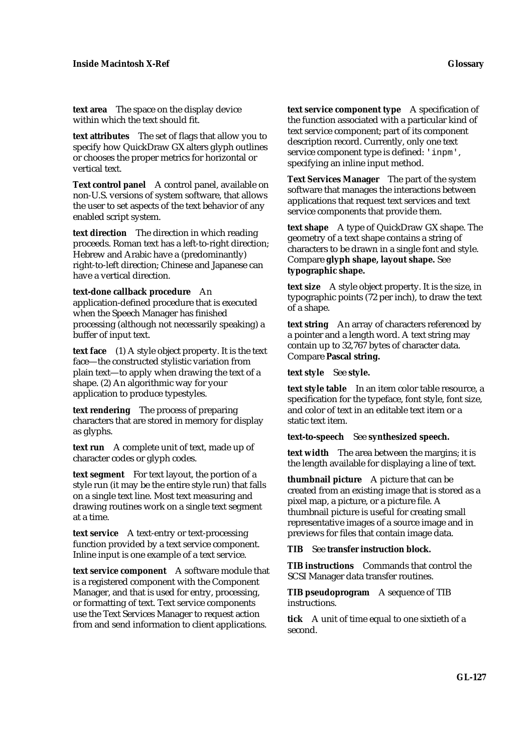**text area** The space on the display device within which the text should fit.

**text attributes** The set of flags that allow you to specify how QuickDraw GX alters glyph outlines or chooses the proper metrics for horizontal or vertical text.

**Text control panel** A control panel, available on non-U.S. versions of system software, that allows the user to set aspects of the text behavior of any enabled script system.

**text direction** The direction in which reading proceeds. Roman text has a left-to-right direction; Hebrew and Arabic have a (predominantly) right-to-left direction; Chinese and Japanese can have a vertical direction.

**text-done callback procedure** An application-defined procedure that is executed when the Speech Manager has finished processing (although not necessarily speaking) a buffer of input text.

**text face** (1) A style object property. It is the text face—the constructed stylistic variation from plain text—to apply when drawing the text of a shape. (2) An algorithmic way for your application to produce typestyles.

**text rendering** The process of preparing characters that are stored in memory for display as glyphs.

**text run** A complete unit of text, made up of character codes or glyph codes.

**text segment** For text layout, the portion of a style run (it may be the entire style run) that falls on a single text line. Most text measuring and drawing routines work on a single text segment at a time.

**text service** A text-entry or text-processing function provided by a text service component. Inline input is one example of a text service.

**text service component** A software module that is a registered component with the Component Manager, and that is used for entry, processing, or formatting of text. Text service components use the Text Services Manager to request action from and send information to client applications.

**text service component type** A specification of the function associated with a particular kind of text service component; part of its component description record. Currently, only one text service component type is defined: 'inpm', specifying an inline input method.

**Text Services Manager** The part of the system software that manages the interactions between applications that request text services and text service components that provide them.

**text shape** A type of QuickDraw GX shape. The geometry of a text shape contains a string of characters to be drawn in a single font and style. Compare **glyph shape, layout shape.** See **typographic shape.**

**text size** A style object property. It is the size, in typographic points (72 per inch), to draw the text of a shape.

**text string** An array of characters referenced by a pointer and a length word. A text string may contain up to 32,767 bytes of character data. Compare **Pascal string.**

**text style** See **style.**

**text style table** In an item color table resource, a specification for the typeface, font style, font size, and color of text in an editable text item or a static text item.

**text-to-speech** See **synthesized speech.**

**text width** The area between the margins; it is the length available for displaying a line of text.

**thumbnail picture** A picture that can be created from an existing image that is stored as a pixel map, a picture, or a picture file. A thumbnail picture is useful for creating small representative images of a source image and in previews for files that contain image data.

**TIB** See **transfer instruction block.**

**TIB instructions** Commands that control the SCSI Manager data transfer routines.

**TIB pseudoprogram** A sequence of TIB instructions.

**tick** A unit of time equal to one sixtieth of a second.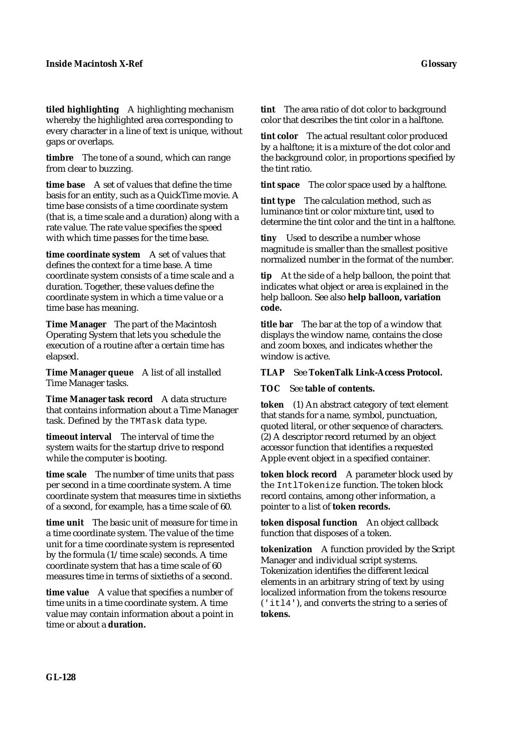**tiled highlighting** A highlighting mechanism whereby the highlighted area corresponding to every character in a line of text is unique, without gaps or overlaps.

**timbre** The tone of a sound, which can range from clear to buzzing.

**time base** A set of values that define the time basis for an entity, such as a QuickTime movie. A time base consists of a time coordinate system (that is, a time scale and a duration) along with a rate value. The rate value specifies the speed with which time passes for the time base.

**time coordinate system** A set of values that defines the context for a time base. A time coordinate system consists of a time scale and a duration. Together, these values define the coordinate system in which a time value or a time base has meaning.

**Time Manager** The part of the Macintosh Operating System that lets you schedule the execution of a routine after a certain time has elapsed.

**Time Manager queue** A list of all installed Time Manager tasks.

Time Manager task record A data structure that contains information about a Time Manager task. Defined by the TMTask data type.

**timeout interval** The interval of time the system waits for the startup drive to respond while the computer is booting.

**time scale** The number of time units that pass per second in a time coordinate system. A time coordinate system that measures time in sixtieths of a second, for example, has a time scale of 60.

**time unit** The basic unit of measure for time in a time coordinate system. The value of the time unit for a time coordinate system is represented by the formula (1/time scale) seconds. A time coordinate system that has a time scale of 60 measures time in terms of sixtieths of a second.

**time value** A value that specifies a number of time units in a time coordinate system. A time value may contain information about a point in time or about a **duration.**

**tint** The area ratio of dot color to background color that describes the tint color in a halftone.

**tint color** The actual resultant color produced by a halftone; it is a mixture of the dot color and the background color, in proportions specified by the tint ratio.

**tint space** The color space used by a halftone.

**tint type** The calculation method, such as luminance tint or color mixture tint, used to determine the tint color and the tint in a halftone.

**tiny** Used to describe a number whose magnitude is smaller than the smallest positive normalized number in the format of the number.

**tip** At the side of a help balloon, the point that indicates what object or area is explained in the help balloon. See also **help balloon, variation code.**

**title bar** The bar at the top of a window that displays the window name, contains the close and zoom boxes, and indicates whether the window is active.

#### **TLAP** See **TokenTalk Link-Access Protocol.**

**TOC** See **table of contents.**

**token** (1) An abstract category of text element that stands for a name, symbol, punctuation, quoted literal, or other sequence of characters. (2) A descriptor record returned by an object accessor function that identifies a requested Apple event object in a specified container.

**token block record** A parameter block used by the IntlTokenize function. The token block record contains, among other information, a pointer to a list of **token records.**

**token disposal function** An object callback function that disposes of a token.

**tokenization** A function provided by the Script Manager and individual script systems. Tokenization identifies the different lexical elements in an arbitrary string of text by using localized information from the tokens resource ('itl4'), and converts the string to a series of **tokens.**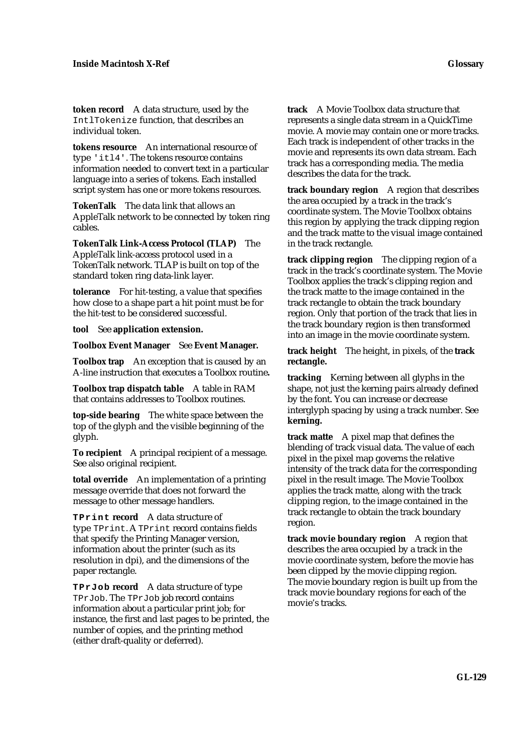**token record** A data structure, used by the IntlTokenize function, that describes an individual token.

**tokens resource** An international resource of type 'itl4'. The tokens resource contains information needed to convert text in a particular language into a series of tokens. Each installed script system has one or more tokens resources.

**TokenTalk** The data link that allows an AppleTalk network to be connected by token ring cables.

**TokenTalk Link-Access Protocol (TLAP)** The AppleTalk link-access protocol used in a TokenTalk network. TLAP is built on top of the standard token ring data-link layer.

**tolerance** For hit-testing, a value that specifies how close to a shape part a hit point must be for the hit-test to be considered successful.

**tool** See **application extension.**

**Toolbox Event Manager** See **Event Manager.**

**Toolbox trap** An exception that is caused by an A-line instruction that executes a Toolbox routine**.**

**Toolbox trap dispatch table** A table in RAM that contains addresses to Toolbox routines.

**top-side bearing** The white space between the top of the glyph and the visible beginning of the glyph.

**To recipient** A principal recipient of a message. See also original recipient.

**total override** An implementation of a printing message override that does not forward the message to other message handlers.

**TPrint record** A data structure of type TPrint. A TPrint record contains fields that specify the Printing Manager version, information about the printer (such as its resolution in dpi), and the dimensions of the paper rectangle.

**TPrJob record** A data structure of type TPrJob. The TPrJob job record contains information about a particular print job; for instance, the first and last pages to be printed, the number of copies, and the printing method (either draft-quality or deferred).

**track** A Movie Toolbox data structure that represents a single data stream in a QuickTime movie. A movie may contain one or more tracks. Each track is independent of other tracks in the movie and represents its own data stream. Each track has a corresponding media. The media describes the data for the track.

**track boundary region** A region that describes the area occupied by a track in the track's coordinate system. The Movie Toolbox obtains this region by applying the track clipping region and the track matte to the visual image contained in the track rectangle.

**track clipping region** The clipping region of a track in the track's coordinate system. The Movie Toolbox applies the track's clipping region and the track matte to the image contained in the track rectangle to obtain the track boundary region. Only that portion of the track that lies in the track boundary region is then transformed into an image in the movie coordinate system.

**track height** The height, in pixels, of the **track rectangle.**

**tracking** Kerning between all glyphs in the shape, not just the kerning pairs already defined by the font. You can increase or decrease interglyph spacing by using a track number. See **kerning.**

**track matte** A pixel map that defines the blending of track visual data. The value of each pixel in the pixel map governs the relative intensity of the track data for the corresponding pixel in the result image. The Movie Toolbox applies the track matte, along with the track clipping region, to the image contained in the track rectangle to obtain the track boundary region.

**track movie boundary region** A region that describes the area occupied by a track in the movie coordinate system, before the movie has been clipped by the movie clipping region. The movie boundary region is built up from the track movie boundary regions for each of the movie's tracks.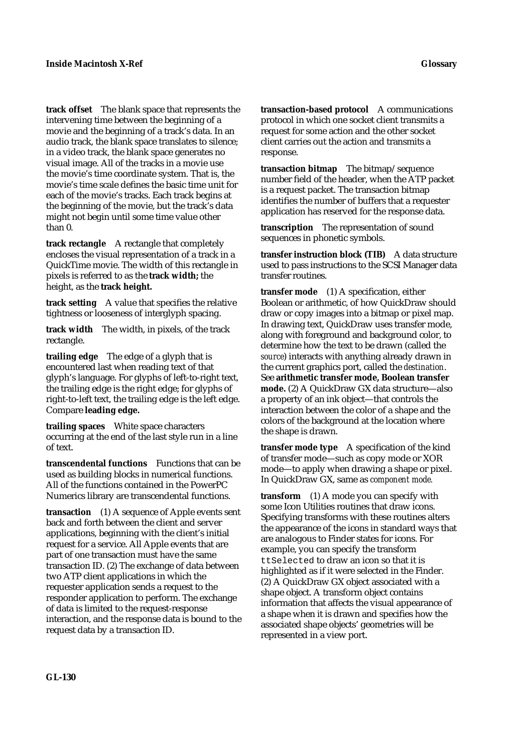**track offset** The blank space that represents the intervening time between the beginning of a movie and the beginning of a track's data. In an audio track, the blank space translates to silence; in a video track, the blank space generates no visual image. All of the tracks in a movie use the movie's time coordinate system. That is, the movie's time scale defines the basic time unit for each of the movie's tracks. Each track begins at the beginning of the movie, but the track's data might not begin until some time value other than 0.

**track rectangle** A rectangle that completely encloses the visual representation of a track in a QuickTime movie. The width of this rectangle in pixels is referred to as the **track width;** the height, as the **track height.**

**track setting** A value that specifies the relative tightness or looseness of interglyph spacing.

**track width** The width, in pixels, of the track rectangle.

**trailing edge** The edge of a glyph that is encountered last when reading text of that glyph's language. For glyphs of left-to-right text, the trailing edge is the right edge; for glyphs of right-to-left text, the trailing edge is the left edge. Compare **leading edge.**

**trailing spaces** White space characters occurring at the end of the last style run in a line of text.

**transcendental functions** Functions that can be used as building blocks in numerical functions. All of the functions contained in the PowerPC Numerics library are transcendental functions.

**transaction** (1) A sequence of Apple events sent back and forth between the client and server applications, beginning with the client's initial request for a service. All Apple events that are part of one transaction must have the same transaction ID. (2) The exchange of data between two ATP client applications in which the requester application sends a request to the responder application to perform. The exchange of data is limited to the request-response interaction, and the response data is bound to the request data by a transaction ID.

**transaction-based protocol** A communications protocol in which one socket client transmits a request for some action and the other socket client carries out the action and transmits a response.

**transaction bitmap** The bitmap/sequence number field of the header, when the ATP packet is a request packet. The transaction bitmap identifies the number of buffers that a requester application has reserved for the response data.

**transcription** The representation of sound sequences in phonetic symbols.

**transfer instruction block (TIB)** A data structure used to pass instructions to the SCSI Manager data transfer routines.

**transfer mode** (1) A specification, either Boolean or arithmetic, of how QuickDraw should draw or copy images into a bitmap or pixel map. In drawing text, QuickDraw uses transfer mode, along with foreground and background color, to determine how the text to be drawn (called the *source*) interacts with anything already drawn in the current graphics port, called the *destination*. See **arithmetic transfer mode, Boolean transfer mode.** (2) A QuickDraw GX data structure—also a property of an ink object—that controls the interaction between the color of a shape and the colors of the background at the location where the shape is drawn.

**transfer mode type** A specification of the kind of transfer mode—such as copy mode or XOR mode—to apply when drawing a shape or pixel. In QuickDraw GX, same as *component mode.*

**transform** (1) A mode you can specify with some Icon Utilities routines that draw icons. Specifying transforms with these routines alters the appearance of the icons in standard ways that are analogous to Finder states for icons. For example, you can specify the transform ttSelected to draw an icon so that it is highlighted as if it were selected in the Finder. (2) A QuickDraw GX object associated with a shape object. A transform object contains information that affects the visual appearance of a shape when it is drawn and specifies how the associated shape objects' geometries will be represented in a view port.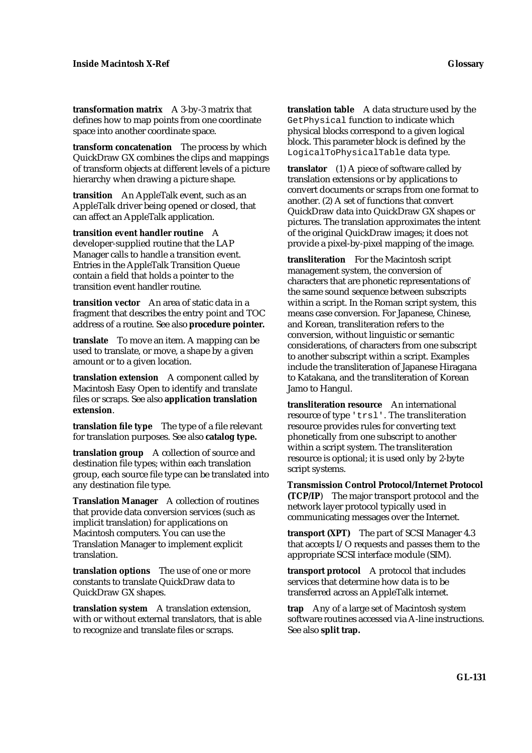**transformation matrix** A 3-by-3 matrix that defines how to map points from one coordinate space into another coordinate space.

**transform concatenation** The process by which QuickDraw GX combines the clips and mappings of transform objects at different levels of a picture hierarchy when drawing a picture shape.

**transition** An AppleTalk event, such as an AppleTalk driver being opened or closed, that can affect an AppleTalk application.

**transition event handler routine** A developer-supplied routine that the LAP Manager calls to handle a transition event. Entries in the AppleTalk Transition Queue contain a field that holds a pointer to the transition event handler routine.

**transition vector** An area of static data in a fragment that describes the entry point and TOC address of a routine. See also **procedure pointer.**

**translate** To move an item. A mapping can be used to translate, or move, a shape by a given amount or to a given location.

**translation extension** A component called by Macintosh Easy Open to identify and translate files or scraps. See also **application translation extension**.

**translation file type** The type of a file relevant for translation purposes. See also **catalog type.**

**translation group** A collection of source and destination file types; within each translation group, each source file type can be translated into any destination file type.

**Translation Manager** A collection of routines that provide data conversion services (such as implicit translation) for applications on Macintosh computers. You can use the Translation Manager to implement explicit translation.

**translation options** The use of one or more constants to translate QuickDraw data to QuickDraw GX shapes.

**translation system** A translation extension, with or without external translators, that is able to recognize and translate files or scraps.

**translation table** A data structure used by the GetPhysical function to indicate which physical blocks correspond to a given logical block. This parameter block is defined by the LogicalToPhysicalTable data type.

**translator** (1) A piece of software called by translation extensions or by applications to convert documents or scraps from one format to another. (2) A set of functions that convert QuickDraw data into QuickDraw GX shapes or pictures. The translation approximates the intent of the original QuickDraw images; it does not provide a pixel-by-pixel mapping of the image.

**transliteration** For the Macintosh script management system, the conversion of characters that are phonetic representations of the same sound sequence between subscripts within a script. In the Roman script system, this means case conversion. For Japanese, Chinese, and Korean, transliteration refers to the conversion, without linguistic or semantic considerations, of characters from one subscript to another subscript within a script. Examples include the transliteration of Japanese Hiragana to Katakana, and the transliteration of Korean Jamo to Hangul.

**transliteration resource** An international resource of type 'trsl'. The transliteration resource provides rules for converting text phonetically from one subscript to another within a script system. The transliteration resource is optional; it is used only by 2-byte script systems.

**Transmission Control Protocol/Internet Protocol (TCP/IP**) The major transport protocol and the network layer protocol typically used in communicating messages over the Internet.

**transport (XPT)** The part of SCSI Manager 4.3 that accepts I/O requests and passes them to the appropriate SCSI interface module (SIM).

**transport protocol** A protocol that includes services that determine how data is to be transferred across an AppleTalk internet.

**trap** Any of a large set of Macintosh system software routines accessed via A-line instructions. See also **split trap.**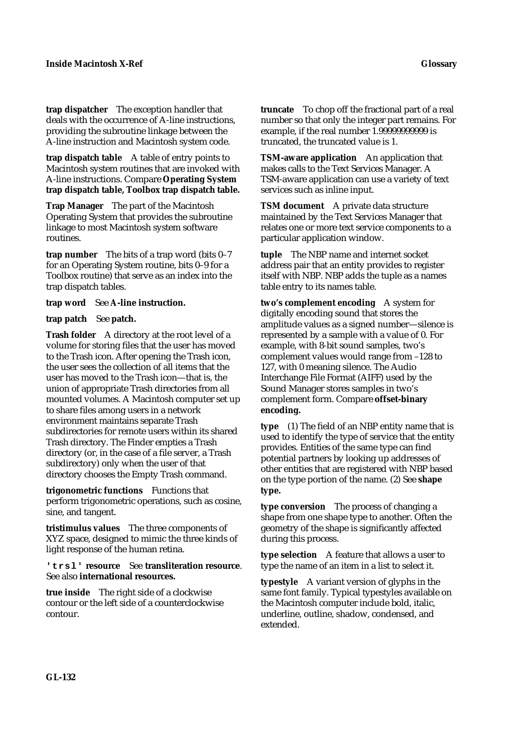**trap dispatcher** The exception handler that deals with the occurrence of A-line instructions, providing the subroutine linkage between the A-line instruction and Macintosh system code.

**trap dispatch table** A table of entry points to Macintosh system routines that are invoked with A-line instructions. Compare **Operating System trap dispatch table, Toolbox trap dispatch table.**

**Trap Manager** The part of the Macintosh Operating System that provides the subroutine linkage to most Macintosh system software routines.

**trap number** The bits of a trap word (bits 0–7 for an Operating System routine, bits 0–9 for a Toolbox routine) that serve as an index into the trap dispatch tables.

**trap word** See **A-line instruction.**

## **trap patch** See **patch.**

**Trash folder** A directory at the root level of a volume for storing files that the user has moved to the Trash icon. After opening the Trash icon, the user sees the collection of all items that the user has moved to the Trash icon—that is, the union of appropriate Trash directories from all mounted volumes. A Macintosh computer set up to share files among users in a network environment maintains separate Trash subdirectories for remote users within its shared Trash directory. The Finder empties a Trash directory (or, in the case of a file server, a Trash subdirectory) only when the user of that directory chooses the Empty Trash command.

**trigonometric functions** Functions that perform trigonometric operations, such as cosine, sine, and tangent.

**tristimulus values** The three components of XYZ space, designed to mimic the three kinds of light response of the human retina.

## **'trsl' resource** See **transliteration resource**. See also **international resources.**

**true inside** The right side of a clockwise contour or the left side of a counterclockwise contour.

**truncate** To chop off the fractional part of a real number so that only the integer part remains. For example, if the real number 1.99999999999 is truncated, the truncated value is 1.

**TSM-aware application** An application that makes calls to the Text Services Manager. A TSM-aware application can use a variety of text services such as inline input.

**TSM document** A private data structure maintained by the Text Services Manager that relates one or more text service components to a particular application window.

**tuple** The NBP name and internet socket address pair that an entity provides to register itself with NBP. NBP adds the tuple as a names table entry to its names table.

**two's complement encoding** A system for digitally encoding sound that stores the amplitude values as a signed number—silence is represented by a sample with a value of 0. For example, with 8-bit sound samples, two's complement values would range from –128 to 127, with 0 meaning silence. The Audio Interchange File Format (AIFF) used by the Sound Manager stores samples in two's complement form. Compare **offset-binary encoding.**

**type** (1) The field of an NBP entity name that is used to identify the type of service that the entity provides. Entities of the same type can find potential partners by looking up addresses of other entities that are registered with NBP based on the type portion of the name. (2) See **shape type.**

**type conversion** The process of changing a shape from one shape type to another. Often the geometry of the shape is significantly affected during this process.

**type selection** A feature that allows a user to type the name of an item in a list to select it.

**typestyle** A variant version of glyphs in the same font family. Typical typestyles available on the Macintosh computer include bold, italic, underline, outline, shadow, condensed, and extended.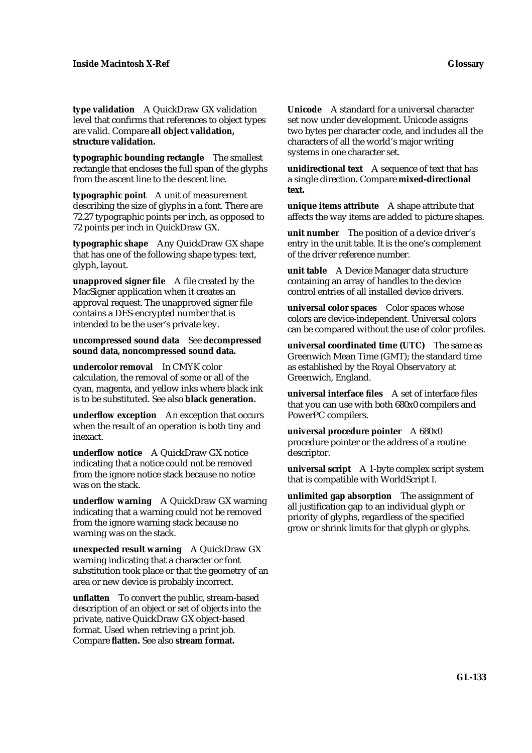**type validation** A QuickDraw GX validation level that confirms that references to object types are valid. Compare **all object validation, structure validation.**

**typographic bounding rectangle** The smallest rectangle that encloses the full span of the glyphs from the ascent line to the descent line.

**typographic point** A unit of measurement describing the size of glyphs in a font. There are 72.27 typographic points per inch, as opposed to 72 points per inch in QuickDraw GX.

**typographic shape** Any QuickDraw GX shape that has one of the following shape types: text, glyph, layout.

**unapproved signer file** A file created by the MacSigner application when it creates an approval request. The unapproved signer file contains a DES-encrypted number that is intended to be the user's private key.

**uncompressed sound data** See **decompressed sound data, noncompressed sound data.**

**undercolor removal** In CMYK color calculation, the removal of some or all of the cyan, magenta, and yellow inks where black ink is to be substituted. See also **black generation.**

**underflow exception** An exception that occurs when the result of an operation is both tiny and inexact.

**underflow notice** A QuickDraw GX notice indicating that a notice could not be removed from the ignore notice stack because no notice was on the stack.

**underflow warning** A QuickDraw GX warning indicating that a warning could not be removed from the ignore warning stack because no warning was on the stack.

**unexpected result warning** A QuickDraw GX warning indicating that a character or font substitution took place or that the geometry of an area or new device is probably incorrect.

**unflatten** To convert the public, stream-based description of an object or set of objects into the private, native QuickDraw GX object-based format. Used when retrieving a print job. Compare **flatten.** See also **stream format.**

**Unicode** A standard for a universal character set now under development. Unicode assigns two bytes per character code, and includes all the characters of all the world's major writing systems in one character set.

**unidirectional text** A sequence of text that has a single direction. Compare **mixed-directional text.**

**unique items attribute** A shape attribute that affects the way items are added to picture shapes.

**unit number** The position of a device driver's entry in the unit table. It is the one's complement of the driver reference number.

**unit table** A Device Manager data structure containing an array of handles to the device control entries of all installed device drivers.

**universal color spaces** Color spaces whose colors are device-independent. Universal colors can be compared without the use of color profiles.

**universal coordinated time (UTC)** The same as Greenwich Mean Time (GMT); the standard time as established by the Royal Observatory at Greenwich, England.

**universal interface files** A set of interface files that you can use with both 680x0 compilers and PowerPC compilers.

**universal procedure pointer** A 680x0 procedure pointer or the address of a routine descriptor.

**universal script** A 1-byte complex script system that is compatible with WorldScript I.

**unlimited gap absorption** The assignment of all justification gap to an individual glyph or priority of glyphs, regardless of the specified grow or shrink limits for that glyph or glyphs.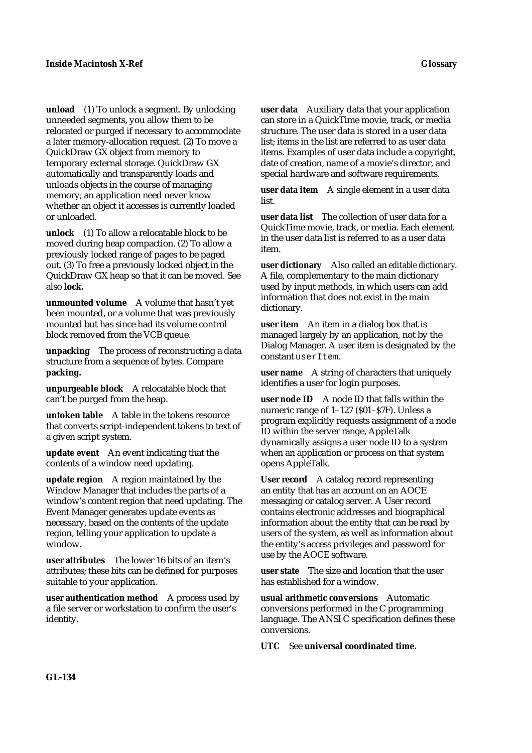**unload** (1) To unlock a segment. By unlocking unneeded segments, you allow them to be relocated or purged if necessary to accommodate a later memory-allocation request. (2) To move a QuickDraw GX object from memory to temporary external storage. QuickDraw GX automatically and transparently loads and unloads objects in the course of managing memory; an application need never know whether an object it accesses is currently loaded or unloaded.

**unlock** (1) To allow a relocatable block to be moved during heap compaction. (2) To allow a previously locked range of pages to be paged out. (3) To free a previously locked object in the QuickDraw GX heap so that it can be moved. See also **lock.**

**unmounted volume** A volume that hasn't yet been mounted, or a volume that was previously mounted but has since had its volume control block removed from the VCB queue.

**unpacking** The process of reconstructing a data structure from a sequence of bytes. Compare **packing.**

**unpurgeable block** A relocatable block that can't be purged from the heap.

**untoken table** A table in the tokens resource that converts script-independent tokens to text of a given script system.

**update event** An event indicating that the contents of a window need updating.

**update region** A region maintained by the Window Manager that includes the parts of a window's content region that need updating. The Event Manager generates update events as necessary, based on the contents of the update region, telling your application to update a window.

**user attributes** The lower 16 bits of an item's attributes; these bits can be defined for purposes suitable to your application.

**user authentication method** A process used by a file server or workstation to confirm the user's identity.

**user data** Auxiliary data that your application can store in a QuickTime movie, track, or media structure. The user data is stored in a user data list; items in the list are referred to as user data items. Examples of user data include a copyright, date of creation, name of a movie's director, and special hardware and software requirements.

**user data item** A single element in a user data list.

**user data list** The collection of user data for a QuickTime movie, track, or media. Each element in the user data list is referred to as a user data item.

**user dictionary** Also called an *editable dictionary*. A file, complementary to the main dictionary used by input methods, in which users can add information that does not exist in the main dictionary.

**user item** An item in a dialog box that is managed largely by an application, not by the Dialog Manager. A user item is designated by the constant userItem.

**user name** A string of characters that uniquely identifies a user for login purposes.

**user node ID** A node ID that falls within the numeric range of 1–127 (\$01–\$7F). Unless a program explicitly requests assignment of a node ID within the server range, AppleTalk dynamically assigns a user node ID to a system when an application or process on that system opens AppleTalk.

**User record** A catalog record representing an entity that has an account on an AOCE messaging or catalog server. A User record contains electronic addresses and biographical information about the entity that can be read by users of the system, as well as information about the entity's access privileges and password for use by the AOCE software.

**user state** The size and location that the user has established for a window.

**usual arithmetic conversions** Automatic conversions performed in the C programming language. The ANSI C specification defines these conversions.

**UTC** See **universal coordinated time.**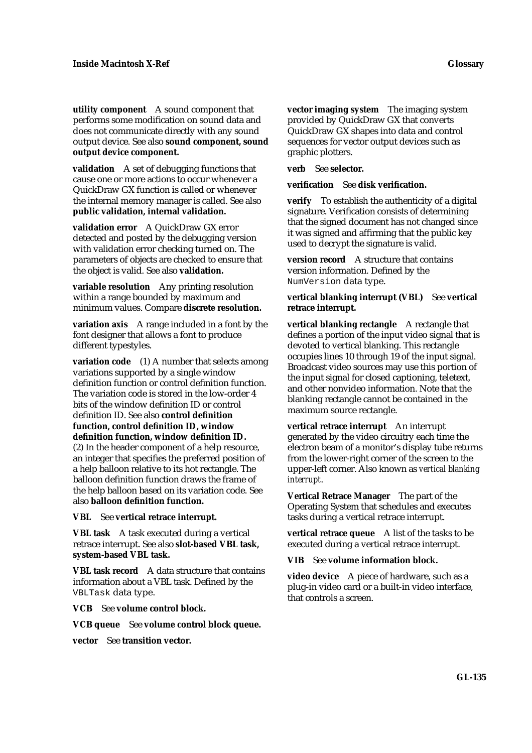**utility component** A sound component that performs some modification on sound data and does not communicate directly with any sound output device. See also **sound component, sound output device component.**

**validation** A set of debugging functions that cause one or more actions to occur whenever a QuickDraw GX function is called or whenever the internal memory manager is called. See also **public validation, internal validation.**

**validation error** A QuickDraw GX error detected and posted by the debugging version with validation error checking turned on. The parameters of objects are checked to ensure that the object is valid. See also **validation.**

**variable resolution** Any printing resolution within a range bounded by maximum and minimum values. Compare **discrete resolution.**

**variation axis** A range included in a font by the font designer that allows a font to produce different typestyles.

**variation code** (1) A number that selects among variations supported by a single window definition function or control definition function. The variation code is stored in the low-order 4 bits of the window definition ID or control definition ID. See also **control definition function, control definition ID, window definition function, window definition ID.** (2) In the header component of a help resource, an integer that specifies the preferred position of a help balloon relative to its hot rectangle. The balloon definition function draws the frame of the help balloon based on its variation code. See also **balloon definition function.**

**VBL** See **vertical retrace interrupt.**

**VBL task** A task executed during a vertical retrace interrupt. See also **slot-based VBL task, system-based VBL task.**

**VBL task record** A data structure that contains information about a VBL task. Defined by the VBLTask data type.

**VCB** See **volume control block.**

**VCB queue** See **volume control block queue.**

**vector** See **transition vector.**

**vector imaging system** The imaging system provided by QuickDraw GX that converts QuickDraw GX shapes into data and control sequences for vector output devices such as graphic plotters.

**verb** See **selector.**

**verification** See **disk verification.**

**verify** To establish the authenticity of a digital signature. Verification consists of determining that the signed document has not changed since it was signed and affirming that the public key used to decrypt the signature is valid.

**version record** A structure that contains version information. Defined by the NumVersion data type.

## **vertical blanking interrupt (VBL)** See **vertical retrace interrupt.**

**vertical blanking rectangle** A rectangle that defines a portion of the input video signal that is devoted to vertical blanking. This rectangle occupies lines 10 through 19 of the input signal. Broadcast video sources may use this portion of the input signal for closed captioning, teletext, and other nonvideo information. Note that the blanking rectangle cannot be contained in the maximum source rectangle.

**vertical retrace interrupt** An interrupt generated by the video circuitry each time the electron beam of a monitor's display tube returns from the lower-right corner of the screen to the upper-left corner. Also known as *vertical blanking interrupt*.

**Vertical Retrace Manager** The part of the Operating System that schedules and executes tasks during a vertical retrace interrupt.

**vertical retrace queue** A list of the tasks to be executed during a vertical retrace interrupt.

**VIB** See **volume information block.**

**video device** A piece of hardware, such as a plug-in video card or a built-in video interface, that controls a screen.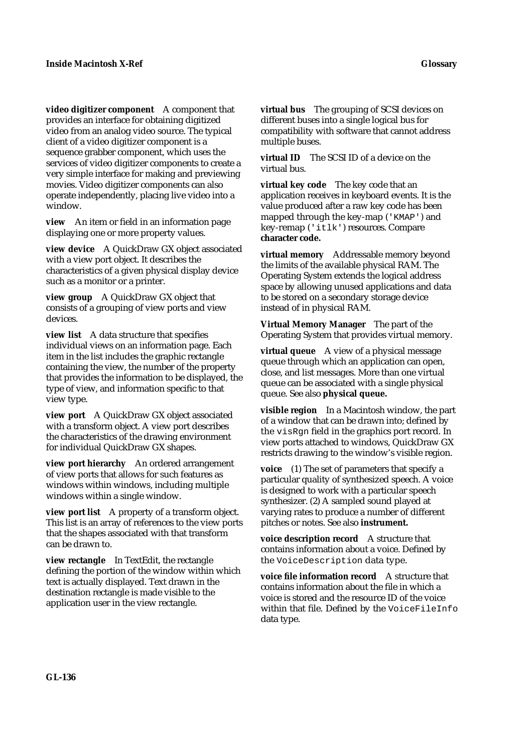**video digitizer component** A component that provides an interface for obtaining digitized video from an analog video source. The typical client of a video digitizer component is a sequence grabber component, which uses the services of video digitizer components to create a very simple interface for making and previewing movies. Video digitizer components can also operate independently, placing live video into a window.

**view** An item or field in an information page displaying one or more property values.

**view device** A QuickDraw GX object associated with a view port object. It describes the characteristics of a given physical display device such as a monitor or a printer.

**view group** A QuickDraw GX object that consists of a grouping of view ports and view devices.

**view list** A data structure that specifies individual views on an information page. Each item in the list includes the graphic rectangle containing the view, the number of the property that provides the information to be displayed, the type of view, and information specific to that view type.

**view port** A QuickDraw GX object associated with a transform object. A view port describes the characteristics of the drawing environment for individual QuickDraw GX shapes.

**view port hierarchy** An ordered arrangement of view ports that allows for such features as windows within windows, including multiple windows within a single window.

**view port list** A property of a transform object. This list is an array of references to the view ports that the shapes associated with that transform can be drawn to.

**view rectangle** In TextEdit, the rectangle defining the portion of the window within which text is actually displayed. Text drawn in the destination rectangle is made visible to the application user in the view rectangle.

**virtual bus** The grouping of SCSI devices on different buses into a single logical bus for compatibility with software that cannot address multiple buses.

**virtual ID** The SCSI ID of a device on the virtual bus.

**virtual key code** The key code that an application receives in keyboard events. It is the value produced after a raw key code has been mapped through the key-map ('KMAP') and key-remap ('itlk') resources. Compare **character code.**

**virtual memory** Addressable memory beyond the limits of the available physical RAM. The Operating System extends the logical address space by allowing unused applications and data to be stored on a secondary storage device instead of in physical RAM.

**Virtual Memory Manager** The part of the Operating System that provides virtual memory.

**virtual queue** A view of a physical message queue through which an application can open, close, and list messages. More than one virtual queue can be associated with a single physical queue. See also **physical queue.**

**visible region** In a Macintosh window, the part of a window that can be drawn into; defined by the visRgn field in the graphics port record. In view ports attached to windows, QuickDraw GX restricts drawing to the window's visible region.

**voice** (1) The set of parameters that specify a particular quality of synthesized speech. A voice is designed to work with a particular speech synthesizer. (2) A sampled sound played at varying rates to produce a number of different pitches or notes. See also **instrument.**

**voice description record** A structure that contains information about a voice. Defined by the VoiceDescription data type.

**voice file information record** A structure that contains information about the file in which a voice is stored and the resource ID of the voice within that file. Defined by the VoiceFileInfo data type.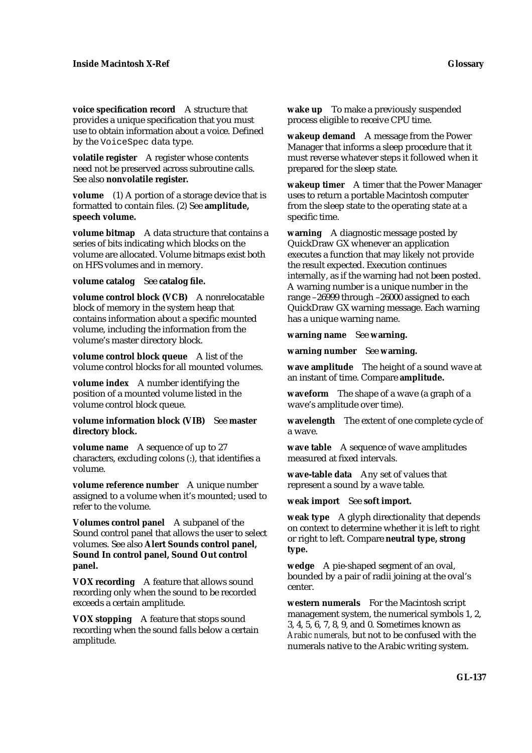**voice specification record** A structure that provides a unique specification that you must use to obtain information about a voice. Defined by the VoiceSpec data type.

**volatile register** A register whose contents need not be preserved across subroutine calls. See also **nonvolatile register.**

**volume** (1) A portion of a storage device that is formatted to contain files. (2) See **amplitude, speech volume.**

**volume bitmap** A data structure that contains a series of bits indicating which blocks on the volume are allocated. Volume bitmaps exist both on HFS volumes and in memory.

**volume catalog** See **catalog file.**

**volume control block (VCB)** A nonrelocatable block of memory in the system heap that contains information about a specific mounted volume, including the information from the volume's master directory block.

**volume control block queue** A list of the volume control blocks for all mounted volumes.

**volume index** A number identifying the position of a mounted volume listed in the volume control block queue.

**volume information block (VIB)** See **master directory block.**

**volume name** A sequence of up to 27 characters, excluding colons (:), that identifies a volume.

**volume reference number** A unique number assigned to a volume when it's mounted; used to refer to the volume.

**Volumes control panel** A subpanel of the Sound control panel that allows the user to select volumes. See also **Alert Sounds control panel, Sound In control panel, Sound Out control panel.**

**VOX recording** A feature that allows sound recording only when the sound to be recorded exceeds a certain amplitude.

**VOX stopping** A feature that stops sound recording when the sound falls below a certain amplitude.

**wake up** To make a previously suspended process eligible to receive CPU time.

**wakeup demand** A message from the Power Manager that informs a sleep procedure that it must reverse whatever steps it followed when it prepared for the sleep state.

**wakeup timer** A timer that the Power Manager uses to return a portable Macintosh computer from the sleep state to the operating state at a specific time.

**warning** A diagnostic message posted by QuickDraw GX whenever an application executes a function that may likely not provide the result expected. Execution continues internally, as if the warning had not been posted. A warning number is a unique number in the range –26999 through –26000 assigned to each QuickDraw GX warning message. Each warning has a unique warning name.

**warning name** See **warning.**

**warning number** See **warning.**

**wave amplitude** The height of a sound wave at an instant of time. Compare **amplitude.**

**waveform** The shape of a wave (a graph of a wave's amplitude over time).

**wavelength** The extent of one complete cycle of a wave.

**wave table** A sequence of wave amplitudes measured at fixed intervals.

**wave-table data** Any set of values that represent a sound by a wave table.

**weak import** See **soft import.**

**weak type** A glyph directionality that depends on context to determine whether it is left to right or right to left. Compare **neutral type, strong type.**

**wedge** A pie-shaped segment of an oval, bounded by a pair of radii joining at the oval's center.

**western numerals** For the Macintosh script management system, the numerical symbols 1, 2, 3, 4, 5, 6, 7, 8, 9, and 0. Sometimes known as *Arabic numerals,* but not to be confused with the numerals native to the Arabic writing system.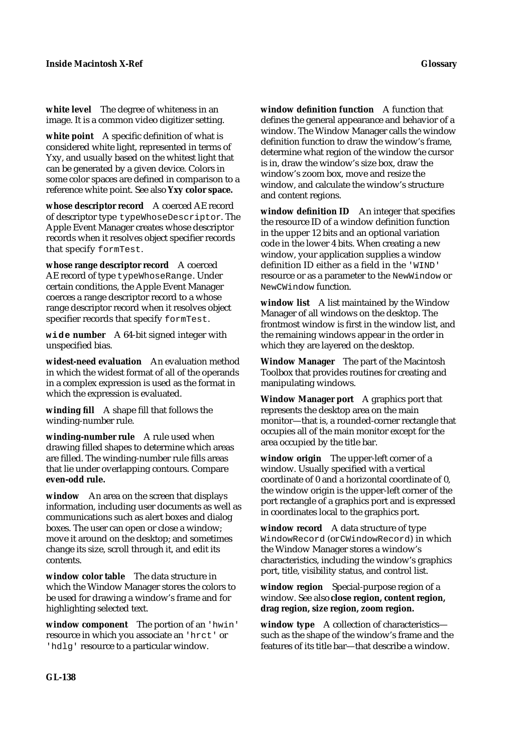**white level** The degree of whiteness in an image. It is a common video digitizer setting.

**white point** A specific definition of what is considered white light, represented in terms of Yxy, and usually based on the whitest light that can be generated by a given device. Colors in some color spaces are defined in comparison to a reference white point. See also **Yxy color space.**

**whose descriptor record** A coerced AE record of descriptor type typeWhoseDescriptor. The Apple Event Manager creates whose descriptor records when it resolves object specifier records that specify formTest.

**whose range descriptor record** A coerced AE record of type typeWhoseRange. Under certain conditions, the Apple Event Manager coerces a range descriptor record to a whose range descriptor record when it resolves object specifier records that specify formTest.

**wide number** A 64-bit signed integer with unspecified bias.

**widest-need evaluation** An evaluation method in which the widest format of all of the operands in a complex expression is used as the format in which the expression is evaluated.

**winding fill** A shape fill that follows the winding-number rule.

**winding-number rule** A rule used when drawing filled shapes to determine which areas are filled. The winding-number rule fills areas that lie under overlapping contours. Compare **even-odd rule.**

**window** An area on the screen that displays information, including user documents as well as communications such as alert boxes and dialog boxes. The user can open or close a window; move it around on the desktop; and sometimes change its size, scroll through it, and edit its contents.

**window color table** The data structure in which the Window Manager stores the colors to be used for drawing a window's frame and for highlighting selected text.

**window component** The portion of an 'hwin' resource in which you associate an 'hrct' or 'hdlg' resource to a particular window.

**window definition function** A function that defines the general appearance and behavior of a window. The Window Manager calls the window definition function to draw the window's frame, determine what region of the window the cursor is in, draw the window's size box, draw the window's zoom box, move and resize the window, and calculate the window's structure and content regions.

window definition **ID** An integer that specifies the resource ID of a window definition function in the upper 12 bits and an optional variation code in the lower 4 bits. When creating a new window, your application supplies a window definition ID either as a field in the 'WIND' resource or as a parameter to the NewWindow or NewCWindow function.

**window list** A list maintained by the Window Manager of all windows on the desktop. The frontmost window is first in the window list, and the remaining windows appear in the order in which they are layered on the desktop.

**Window Manager** The part of the Macintosh Toolbox that provides routines for creating and manipulating windows.

**Window Manager port** A graphics port that represents the desktop area on the main monitor—that is, a rounded-corner rectangle that occupies all of the main monitor except for the area occupied by the title bar.

**window origin** The upper-left corner of a window. Usually specified with a vertical coordinate of 0 and a horizontal coordinate of 0, the window origin is the upper-left corner of the port rectangle of a graphics port and is expressed in coordinates local to the graphics port.

**window record** A data structure of type WindowRecord (or CWindowRecord) in which the Window Manager stores a window's characteristics, including the window's graphics port, title, visibility status, and control list.

**window region** Special-purpose region of a window. See also **close region, content region, drag region, size region, zoom region.**

**window type** A collection of characteristics such as the shape of the window's frame and the features of its title bar—that describe a window.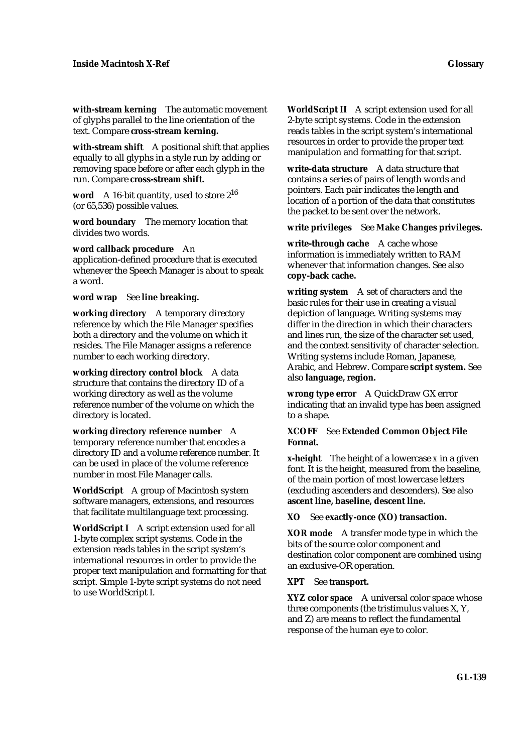**with-stream kerning** The automatic movement of glyphs parallel to the line orientation of the text. Compare **cross-stream kerning.**

**with-stream shift** A positional shift that applies equally to all glyphs in a style run by adding or removing space before or after each glyph in the run. Compare **cross-stream shift.**

**word** A 16-bit quantity, used to store 2<sup>16</sup> (or 65,536) possible values.

**word boundary** The memory location that divides two words.

**word callback procedure** An application-defined procedure that is executed whenever the Speech Manager is about to speak a word.

**word wrap** See **line breaking.**

**working directory** A temporary directory reference by which the File Manager specifies both a directory and the volume on which it resides. The File Manager assigns a reference number to each working directory.

**working directory control block** A data structure that contains the directory ID of a working directory as well as the volume reference number of the volume on which the directory is located.

**working directory reference number** A temporary reference number that encodes a directory ID and a volume reference number. It can be used in place of the volume reference number in most File Manager calls.

**WorldScript** A group of Macintosh system software managers, extensions, and resources that facilitate multilanguage text processing.

**WorldScript I** A script extension used for all 1-byte complex script systems. Code in the extension reads tables in the script system's international resources in order to provide the proper text manipulation and formatting for that script. Simple 1-byte script systems do not need to use WorldScript I.

**WorldScript II** A script extension used for all 2-byte script systems. Code in the extension reads tables in the script system's international resources in order to provide the proper text manipulation and formatting for that script.

**write-data structure** A data structure that contains a series of pairs of length words and pointers. Each pair indicates the length and location of a portion of the data that constitutes the packet to be sent over the network.

**write privileges** See **Make Changes privileges.**

**write-through cache** A cache whose information is immediately written to RAM whenever that information changes. See also **copy-back cache.**

**writing system** A set of characters and the basic rules for their use in creating a visual depiction of language. Writing systems may differ in the direction in which their characters and lines run, the size of the character set used, and the context sensitivity of character selection. Writing systems include Roman, Japanese, Arabic, and Hebrew. Compare **script system.** See also **language, region.**

**wrong type error** A QuickDraw GX error indicating that an invalid type has been assigned to a shape.

# **XCOFF** See **Extended Common Object File Format.**

**x-height** The height of a lowercase *x* in a given font. It is the height, measured from the baseline, of the main portion of most lowercase letters (excluding ascenders and descenders). See also **ascent line, baseline, descent line.**

**XO** See **exactly-once (XO) transaction.**

**XOR mode** A transfer mode type in which the bits of the source color component and destination color component are combined using an exclusive-OR operation.

## **XPT** See **transport.**

**XYZ color space** A universal color space whose three components (the tristimulus values X, Y, and Z) are means to reflect the fundamental response of the human eye to color.